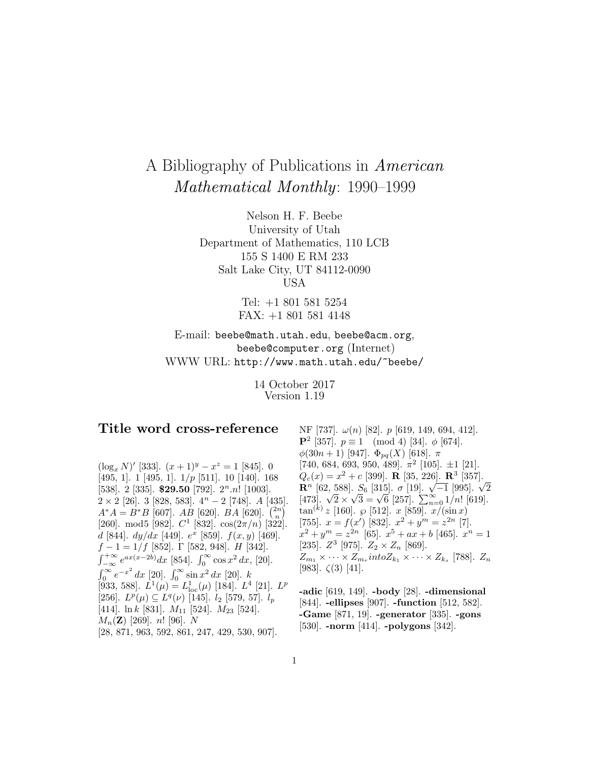# A Bibliography of Publications in American Mathematical Monthly: 1990–1999

Nelson H. F. Beebe University of Utah Department of Mathematics, 110 LCB 155 S 1400 E RM 233 Salt Lake City, UT 84112-0090 USA

> Tel: +1 801 581 5254 FAX: +1 801 581 4148

E-mail: beebe@math.utah.edu, beebe@acm.org, beebe@computer.org (Internet) WWW URL: http://www.math.utah.edu/~beebe/

> 14 October 2017 Version 1.19

# **Title word cross-reference**

 $(\log_x N)'$  [333].  $(x + 1)^y - x^z = 1$  [845]. 0 [495, 1]. 1 [495, 1].  $1/p$  [511]. 10 [140]. 168 [538]. 2 [335]. **\$29.50** [792].  $2^n.n!$  [1003].  $2 \times 2$  [26]. 3 [828, 583].  $4^n - 2$  [748]. A [435].  $A^*A = B^*B$  [607].  $AB$  [620].  $BA$  [620].  $\binom{2n}{n}$ [260]. mod5 [982].  $C^1$  [832].  $\cos(2\pi/n)$  [322]. d [844].  $dy/dx$  [449].  $e^x$  [859].  $f(x, y)$  [469].  $f-1=1/f$  [852]. Γ [582, 948]. *H* [342].  $\int_{-\infty}^{+\infty} e^{ax(x-2b)} dx$  [854].  $\int_{0}^{\infty} \cos x^2 dx$ , [20].  $\int_0^\infty e^{-x^2} dx$  [20].  $\int_0^\infty \sin x^2 dx$  [20]. k [933, 588].  $L^1(\mu) = L^1_{loc}(\mu)$  [184].  $L^4$  [21].  $L^p$ [256].  $L^p(\mu) \subseteq L^q(\nu)$  [145].  $l_2$  [579, 57].  $l_p$ [414].  $\ln k$  [831].  $M_{11}$  [524].  $M_{23}$  [524]. Mn(**Z**) [269]. n! [96]. N [28, 871, 963, 592, 861, 247, 429, 530, 907].

NF [737].  $\omega(n)$  [82]. p [619, 149, 694, 412]. **P**<sup>2</sup> [357].  $p \equiv 1 \pmod{4}$  [34].  $\phi$  [674].  $\phi(30n+1)$  [947].  $\Phi_{pq}(X)$  [618].  $\pi$ [740, 684, 693, 950, 489].  $\pi^2$  [105].  $\pm 1$  [21].  $Q_c(x) = x^2 + c$  [399]. **R** [35, 226]. **R**<sup>3</sup> [357]. **R**<sup>n</sup> [62, 588]. S<sub>6</sub> [315].  $\sigma$  [19].  $\sqrt{-1}$  [995].  $\sqrt{2}$ <br>[473].  $\sqrt{2} \times \sqrt{3} = \sqrt{6}$  [257].  $\sum_{n=0}^{\infty} 1/n!$  [619].  $\tan^{(k)} z$  [160].  $\wp$  [512].  $x$  [859].  $x/(\sin x)$ [755].  $x = f(x')$  [832].  $x^2 + y^m = z^{2n}$  [7].  $x^{2} + y^{m} = z^{2n}$  [65].  $x^{5} + ax + b$  [465].  $x^{n} = 1$ [235].  $Z^3$  [975].  $Z_2 \times Z_n$  [869].  $Z_{m_1} \times \cdots \times Z_{m_r} \text{int}oZ_{k_1} \times \cdots \times Z_{k_s}$  [788].  $Z_n$ [983].  $\zeta(3)$  [41].

**-adic** [619, 149]. **-body** [28]. **-dimensional** [844]. **-ellipses** [907]. **-function** [512, 582]. **-Game** [871, 19]. **-generator** [335]. **-gons** [530]. **-norm** [414]. **-polygons** [342].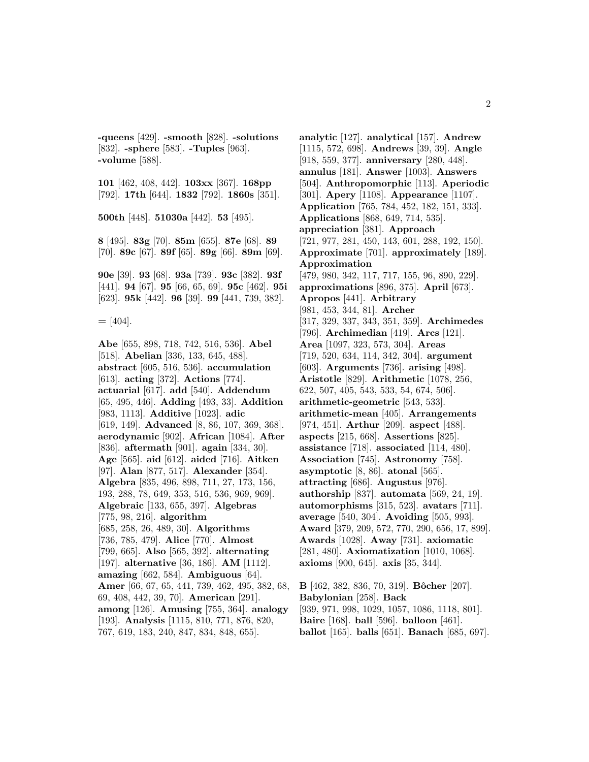**-queens** [429]. **-smooth** [828]. **-solutions** [832]. **-sphere** [583]. **-Tuples** [963]. **-volume** [588].

**101** [462, 408, 442]. **103xx** [367]. **168pp** [792]. **17th** [644]. **1832** [792]. **1860s** [351].

**500th** [448]. **51030a** [442]. **53** [495].

**8** [495]. **83g** [70]. **85m** [655]. **87e** [68]. **89** [70]. **89c** [67]. **89f** [65]. **89g** [66]. **89m** [69].

**90e** [39]. **93** [68]. **93a** [739]. **93c** [382]. **93f** [441]. **94** [67]. **95** [66, 65, 69]. **95c** [462]. **95i** [623]. **95k** [442]. **96** [39]. **99** [441, 739, 382].

**=** [404].

**Abe** [655, 898, 718, 742, 516, 536]. **Abel** [518]. **Abelian** [336, 133, 645, 488]. **abstract** [605, 516, 536]. **accumulation** [613]. **acting** [372]. **Actions** [774]. **actuarial** [617]. **add** [540]. **Addendum** [65, 495, 446]. **Adding** [493, 33]. **Addition** [983, 1113]. **Additive** [1023]. **adic** [619, 149]. **Advanced** [8, 86, 107, 369, 368]. **aerodynamic** [902]. **African** [1084]. **After** [836]. **aftermath** [901]. **again** [334, 30]. **Age** [565]. **aid** [612]. **aided** [716]. **Aitken** [97]. **Alan** [877, 517]. **Alexander** [354]. **Algebra** [835, 496, 898, 711, 27, 173, 156, 193, 288, 78, 649, 353, 516, 536, 969, 969]. **Algebraic** [133, 655, 397]. **Algebras** [775, 98, 216]. **algorithm** [685, 258, 26, 489, 30]. **Algorithms** [736, 785, 479]. **Alice** [770]. **Almost** [799, 665]. **Also** [565, 392]. **alternating** [197]. **alternative** [36, 186]. **AM** [1112]. **amazing** [662, 584]. **Ambiguous** [64]. **Amer** [66, 67, 65, 441, 739, 462, 495, 382, 68, 69, 408, 442, 39, 70]. **American** [291]. **among** [126]. **Amusing** [755, 364]. **analogy** [193]. **Analysis** [1115, 810, 771, 876, 820, 767, 619, 183, 240, 847, 834, 848, 655].

**analytic** [127]. **analytical** [157]. **Andrew** [1115, 572, 698]. **Andrews** [39, 39]. **Angle** [918, 559, 377]. **anniversary** [280, 448]. **annulus** [181]. **Answer** [1003]. **Answers** [504]. **Anthropomorphic** [113]. **Aperiodic** [301]. **Apery** [1108]. **Appearance** [1107]. **Application** [765, 784, 452, 182, 151, 333]. **Applications** [868, 649, 714, 535]. **appreciation** [381]. **Approach** [721, 977, 281, 450, 143, 601, 288, 192, 150]. **Approximate** [701]. **approximately** [189]. **Approximation** [479, 980, 342, 117, 717, 155, 96, 890, 229]. **approximations** [896, 375]. **April** [673]. **Apropos** [441]. **Arbitrary** [981, 453, 344, 81]. **Archer** [317, 329, 337, 343, 351, 359]. **Archimedes** [796]. **Archimedian** [419]. **Arcs** [121]. **Area** [1097, 323, 573, 304]. **Areas** [719, 520, 634, 114, 342, 304]. **argument** [603]. **Arguments** [736]. **arising** [498]. **Aristotle** [829]. **Arithmetic** [1078, 256, 622, 507, 405, 543, 533, 54, 674, 506]. **arithmetic-geometric** [543, 533]. **arithmetic-mean** [405]. **Arrangements** [974, 451]. **Arthur** [209]. **aspect** [488]. **aspects** [215, 668]. **Assertions** [825]. **assistance** [718]. **associated** [114, 480]. **Association** [745]. **Astronomy** [758]. **asymptotic** [8, 86]. **atonal** [565]. **attracting** [686]. **Augustus** [976]. **authorship** [837]. **automata** [569, 24, 19]. **automorphisms** [315, 523]. **avatars** [711]. **average** [540, 304]. **Avoiding** [505, 993]. **Award** [379, 209, 572, 770, 290, 656, 17, 899]. **Awards** [1028]. **Away** [731]. **axiomatic** [281, 480]. **Axiomatization** [1010, 1068]. **axioms** [900, 645]. **axis** [35, 344].

**B** [462, 382, 836, 70, 319]. **Bˆocher** [207]. **Babylonian** [258]. **Back** [939, 971, 998, 1029, 1057, 1086, 1118, 801]. **Baire** [168]. **ball** [596]. **balloon** [461]. **ballot** [165]. **balls** [651]. **Banach** [685, 697].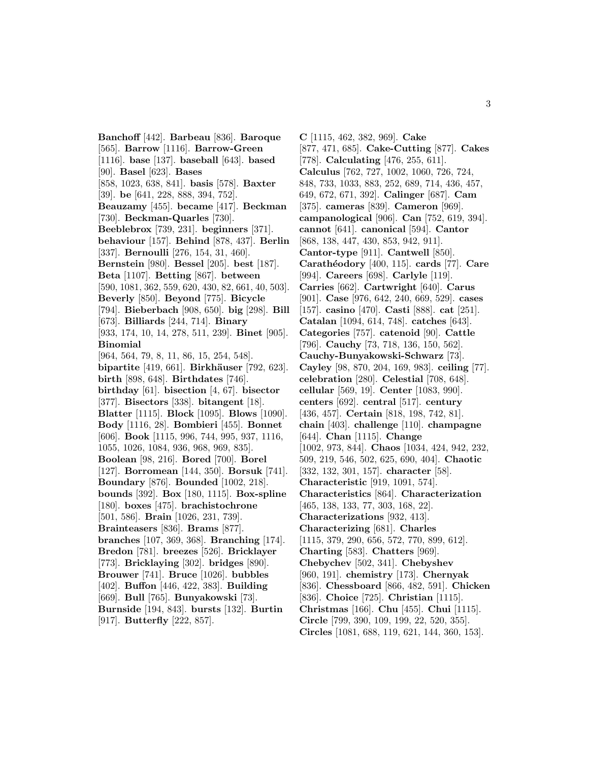**Banchoff** [442]. **Barbeau** [836]. **Baroque** [565]. **Barrow** [1116]. **Barrow-Green** [1116]. **base** [137]. **baseball** [643]. **based** [90]. **Basel** [623]. **Bases** [858, 1023, 638, 841]. **basis** [578]. **Baxter** [39]. **be** [641, 228, 888, 394, 752]. **Beauzamy** [455]. **became** [417]. **Beckman** [730]. **Beckman-Quarles** [730]. **Beeblebrox** [739, 231]. **beginners** [371]. **behaviour** [157]. **Behind** [878, 437]. **Berlin** [337]. **Bernoulli** [276, 154, 31, 460]. **Bernstein** [980]. **Bessel** [205]. **best** [187]. **Beta** [1107]. **Betting** [867]. **between** [590, 1081, 362, 559, 620, 430, 82, 661, 40, 503]. **Beverly** [850]. **Beyond** [775]. **Bicycle** [794]. **Bieberbach** [908, 650]. **big** [298]. **Bill** [673]. **Billiards** [244, 714]. **Binary** [933, 174, 10, 14, 278, 511, 239]. **Binet** [905]. **Binomial** [964, 564, 79, 8, 11, 86, 15, 254, 548]. **bipartite** [419, 661]. **Birkh¨auser** [792, 623]. **birth** [898, 648]. **Birthdates** [746]. **birthday** [61]. **bisection** [4, 67]. **bisector** [377]. **Bisectors** [338]. **bitangent** [18]. **Blatter** [1115]. **Block** [1095]. **Blows** [1090]. **Body** [1116, 28]. **Bombieri** [455]. **Bonnet** [606]. **Book** [1115, 996, 744, 995, 937, 1116, 1055, 1026, 1084, 936, 968, 969, 835]. **Boolean** [98, 216]. **Bored** [700]. **Borel** [127]. **Borromean** [144, 350]. **Borsuk** [741]. **Boundary** [876]. **Bounded** [1002, 218]. **bounds** [392]. **Box** [180, 1115]. **Box-spline** [180]. **boxes** [475]. **brachistochrone** [501, 586]. **Brain** [1026, 231, 739]. **Brainteasers** [836]. **Brams** [877]. **branches** [107, 369, 368]. **Branching** [174]. **Bredon** [781]. **breezes** [526]. **Bricklayer** [773]. **Bricklaying** [302]. **bridges** [890]. **Brouwer** [741]. **Bruce** [1026]. **bubbles** [402]. **Buffon** [446, 422, 383]. **Building** [669]. **Bull** [765]. **Bunyakowski** [73]. **Burnside** [194, 843]. **bursts** [132]. **Burtin** [917]. **Butterfly** [222, 857].

**C** [1115, 462, 382, 969]. **Cake** [877, 471, 685]. **Cake-Cutting** [877]. **Cakes** [778]. **Calculating** [476, 255, 611]. **Calculus** [762, 727, 1002, 1060, 726, 724, 848, 733, 1033, 883, 252, 689, 714, 436, 457, 649, 672, 671, 392]. **Calinger** [687]. **Cam** [375]. **cameras** [839]. **Cameron** [969]. **campanological** [906]. **Can** [752, 619, 394]. **cannot** [641]. **canonical** [594]. **Cantor** [868, 138, 447, 430, 853, 942, 911]. **Cantor-type** [911]. **Cantwell** [850]. **Carath´eodory** [400, 115]. **cards** [77]. **Care** [994]. **Careers** [698]. **Carlyle** [119]. **Carries** [662]. **Cartwright** [640]. **Carus** [901]. **Case** [976, 642, 240, 669, 529]. **cases** [157]. **casino** [470]. **Casti** [888]. **cat** [251]. **Catalan** [1094, 614, 748]. **catches** [643]. **Categories** [757]. **catenoid** [90]. **Cattle** [796]. **Cauchy** [73, 718, 136, 150, 562]. **Cauchy-Bunyakowski-Schwarz** [73]. **Cayley** [98, 870, 204, 169, 983]. **ceiling** [77]. **celebration** [280]. **Celestial** [708, 648]. **cellular** [569, 19]. **Center** [1083, 990]. **centers** [692]. **central** [517]. **century** [436, 457]. **Certain** [818, 198, 742, 81]. **chain** [403]. **challenge** [110]. **champagne** [644]. **Chan** [1115]. **Change** [1002, 973, 844]. **Chaos** [1034, 424, 942, 232, 509, 219, 546, 502, 625, 690, 404]. **Chaotic** [332, 132, 301, 157]. **character** [58]. **Characteristic** [919, 1091, 574]. **Characteristics** [864]. **Characterization** [465, 138, 133, 77, 303, 168, 22]. **Characterizations** [932, 413]. **Characterizing** [681]. **Charles** [1115, 379, 290, 656, 572, 770, 899, 612]. **Charting** [583]. **Chatters** [969]. **Chebychev** [502, 341]. **Chebyshev** [960, 191]. **chemistry** [173]. **Chernyak** [836]. **Chessboard** [866, 482, 591]. **Chicken** [836]. **Choice** [725]. **Christian** [1115]. **Christmas** [166]. **Chu** [455]. **Chui** [1115]. **Circle** [799, 390, 109, 199, 22, 520, 355]. **Circles** [1081, 688, 119, 621, 144, 360, 153].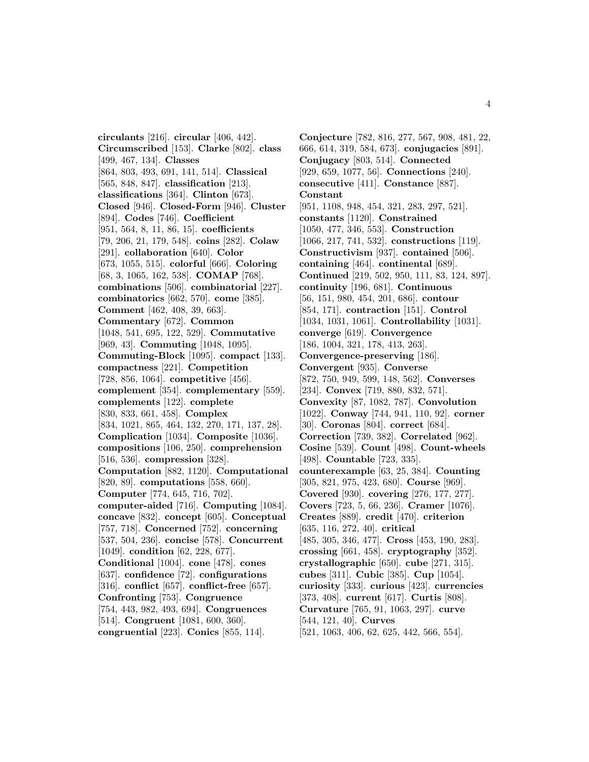**circulants** [216]. **circular** [406, 442]. **Circumscribed** [153]. **Clarke** [802]. **class** [499, 467, 134]. **Classes** [864, 803, 493, 691, 141, 514]. **Classical** [565, 848, 847]. **classification** [213]. **classifications** [364]. **Clinton** [673]. **Closed** [946]. **Closed-Form** [946]. **Cluster** [894]. **Codes** [746]. **Coefficient** [951, 564, 8, 11, 86, 15]. **coefficients** [79, 206, 21, 179, 548]. **coins** [282]. **Colaw** [291]. **collaboration** [640]. **Color** [673, 1055, 515]. **colorful** [666]. **Coloring** [68, 3, 1065, 162, 538]. **COMAP** [768]. **combinations** [506]. **combinatorial** [227]. **combinatorics** [662, 570]. **come** [385]. **Comment** [462, 408, 39, 663]. **Commentary** [672]. **Common** [1048, 541, 695, 122, 529]. **Commutative** [969, 43]. **Commuting** [1048, 1095]. **Commuting-Block** [1095]. **compact** [133]. **compactness** [221]. **Competition** [728, 856, 1064]. **competitive** [456]. **complement** [354]. **complementary** [559]. **complements** [122]. **complete** [830, 833, 661, 458]. **Complex** [834, 1021, 865, 464, 132, 270, 171, 137, 28]. **Complication** [1034]. **Composite** [1036]. **compositions** [106, 250]. **comprehension** [516, 536]. **compression** [328]. **Computation** [882, 1120]. **Computational** [820, 89]. **computations** [558, 660]. **Computer** [774, 645, 716, 702]. **computer-aided** [716]. **Computing** [1084]. **concave** [832]. **concept** [605]. **Conceptual** [757, 718]. **Concerned** [752]. **concerning** [537, 504, 236]. **concise** [578]. **Concurrent** [1049]. **condition** [62, 228, 677]. **Conditional** [1004]. **cone** [478]. **cones** [637]. **confidence** [72]. **configurations** [316]. **conflict** [657]. **conflict-free** [657]. **Confronting** [753]. **Congruence** [754, 443, 982, 493, 694]. **Congruences** [514]. **Congruent** [1081, 600, 360]. **congruential** [223]. **Conics** [855, 114].

**Conjecture** [782, 816, 277, 567, 908, 481, 22, 666, 614, 319, 584, 673]. **conjugacies** [891]. **Conjugacy** [803, 514]. **Connected** [929, 659, 1077, 56]. **Connections** [240]. **consecutive** [411]. **Constance** [887]. **Constant** [951, 1108, 948, 454, 321, 283, 297, 521]. **constants** [1120]. **Constrained** [1050, 477, 346, 553]. **Construction** [1066, 217, 741, 532]. **constructions** [119]. **Constructivism** [937]. **contained** [506]. **containing** [464]. **continental** [689]. **Continued** [219, 502, 950, 111, 83, 124, 897]. **continuity** [196, 681]. **Continuous** [56, 151, 980, 454, 201, 686]. **contour** [854, 171]. **contraction** [151]. **Control** [1034, 1031, 1061]. **Controllability** [1031]. **converge** [619]. **Convergence** [186, 1004, 321, 178, 413, 263]. **Convergence-preserving** [186]. **Convergent** [935]. **Converse** [872, 750, 949, 599, 148, 562]. **Converses** [234]. **Convex** [719, 880, 832, 571]. **Convexity** [87, 1082, 787]. **Convolution** [1022]. **Conway** [744, 941, 110, 92]. **corner** [30]. **Coronas** [804]. **correct** [684]. **Correction** [739, 382]. **Correlated** [962]. **Cosine** [539]. **Count** [498]. **Count-wheels** [498]. **Countable** [723, 335]. **counterexample** [63, 25, 384]. **Counting** [305, 821, 975, 423, 680]. **Course** [969]. **Covered** [930]. **covering** [276, 177, 277]. **Covers** [723, 5, 66, 236]. **Cramer** [1076]. **Creates** [889]. **credit** [470]. **criterion** [635, 116, 272, 40]. **critical** [485, 305, 346, 477]. **Cross** [453, 190, 283]. **crossing** [661, 458]. **cryptography** [352]. **crystallographic** [650]. **cube** [271, 315]. **cubes** [311]. **Cubic** [385]. **Cup** [1054]. **curiosity** [333]. **curious** [423]. **currencies** [373, 408]. **current** [617]. **Curtis** [808]. **Curvature** [765, 91, 1063, 297]. **curve** [544, 121, 40]. **Curves** [521, 1063, 406, 62, 625, 442, 566, 554].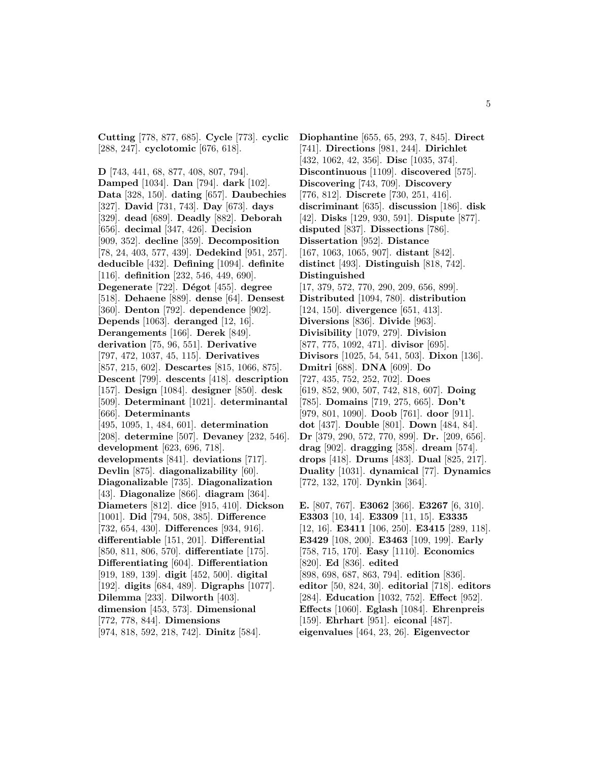**Cutting** [778, 877, 685]. **Cycle** [773]. **cyclic** [288, 247]. **cyclotomic** [676, 618].

**D** [743, 441, 68, 877, 408, 807, 794]. **Damped** [1034]. **Dan** [794]. **dark** [102]. **Data** [328, 150]. **dating** [657]. **Daubechies** [327]. **David** [731, 743]. **Day** [673]. **days** [329]. **dead** [689]. **Deadly** [882]. **Deborah** [656]. **decimal** [347, 426]. **Decision** [909, 352]. **decline** [359]. **Decomposition** [78, 24, 403, 577, 439]. **Dedekind** [951, 257]. **deducible** [432]. **Defining** [1094]. **definite** [116]. **definition** [232, 546, 449, 690]. **Degenerate** [722]. **D´egot** [455]. **degree** [518]. **Dehaene** [889]. **dense** [64]. **Densest** [360]. **Denton** [792]. **dependence** [902]. **Depends** [1063]. **deranged** [12, 16]. **Derangements** [166]. **Derek** [849]. **derivation** [75, 96, 551]. **Derivative** [797, 472, 1037, 45, 115]. **Derivatives** [857, 215, 602]. **Descartes** [815, 1066, 875]. **Descent** [799]. **descents** [418]. **description** [157]. **Design** [1084]. **designer** [850]. **desk** [509]. **Determinant** [1021]. **determinantal** [666]. **Determinants** [495, 1095, 1, 484, 601]. **determination** [208]. **determine** [507]. **Devaney** [232, 546]. **development** [623, 696, 718]. **developments** [841]. **deviations** [717]. **Devlin** [875]. **diagonalizability** [60]. **Diagonalizable** [735]. **Diagonalization** [43]. **Diagonalize** [866]. **diagram** [364]. **Diameters** [812]. **dice** [915, 410]. **Dickson** [1001]. **Did** [794, 508, 385]. **Difference** [732, 654, 430]. **Differences** [934, 916]. **differentiable** [151, 201]. **Differential** [850, 811, 806, 570]. **differentiate** [175]. **Differentiating** [604]. **Differentiation** [919, 189, 139]. **digit** [452, 500]. **digital** [192]. **digits** [684, 489]. **Digraphs** [1077]. **Dilemma** [233]. **Dilworth** [403]. **dimension** [453, 573]. **Dimensional** [772, 778, 844]. **Dimensions**

[974, 818, 592, 218, 742]. **Dinitz** [584].

**Diophantine** [655, 65, 293, 7, 845]. **Direct** [741]. **Directions** [981, 244]. **Dirichlet** [432, 1062, 42, 356]. **Disc** [1035, 374]. **Discontinuous** [1109]. **discovered** [575]. **Discovering** [743, 709]. **Discovery** [776, 812]. **Discrete** [730, 251, 416]. **discriminant** [635]. **discussion** [186]. **disk** [42]. **Disks** [129, 930, 591]. **Dispute** [877]. **disputed** [837]. **Dissections** [786]. **Dissertation** [952]. **Distance** [167, 1063, 1065, 907]. **distant** [842]. **distinct** [493]. **Distinguish** [818, 742]. **Distinguished** [17, 379, 572, 770, 290, 209, 656, 899]. **Distributed** [1094, 780]. **distribution** [124, 150]. **divergence** [651, 413]. **Diversions** [836]. **Divide** [963]. **Divisibility** [1079, 279]. **Division** [877, 775, 1092, 471]. **divisor** [695]. **Divisors** [1025, 54, 541, 503]. **Dixon** [136]. **Dmitri** [688]. **DNA** [609]. **Do** [727, 435, 752, 252, 702]. **Does** [619, 852, 900, 507, 742, 818, 607]. **Doing** [785]. **Domains** [719, 275, 665]. **Don't** [979, 801, 1090]. **Doob** [761]. **door** [911]. **dot** [437]. **Double** [801]. **Down** [484, 84]. **Dr** [379, 290, 572, 770, 899]. **Dr.** [209, 656]. **drag** [902]. **dragging** [358]. **dream** [574]. **drops** [418]. **Drums** [483]. **Dual** [825, 217]. **Duality** [1031]. **dynamical** [77]. **Dynamics** [772, 132, 170]. **Dynkin** [364]. **E.** [807, 767]. **E3062** [366]. **E3267** [6, 310].

**E3303** [10, 14]. **E3309** [11, 15]. **E3335** [12, 16]. **E3411** [106, 250]. **E3415** [289, 118]. **E3429** [108, 200]. **E3463** [109, 199]. **Early** [758, 715, 170]. **Easy** [1110]. **Economics** [820]. **Ed** [836]. **edited** [898, 698, 687, 863, 794]. **edition** [836]. **editor** [50, 824, 30]. **editorial** [718]. **editors** [284]. **Education** [1032, 752]. **Effect** [952]. **Effects** [1060]. **Eglash** [1084]. **Ehrenpreis** [159]. **Ehrhart** [951]. **eiconal** [487]. **eigenvalues** [464, 23, 26]. **Eigenvector**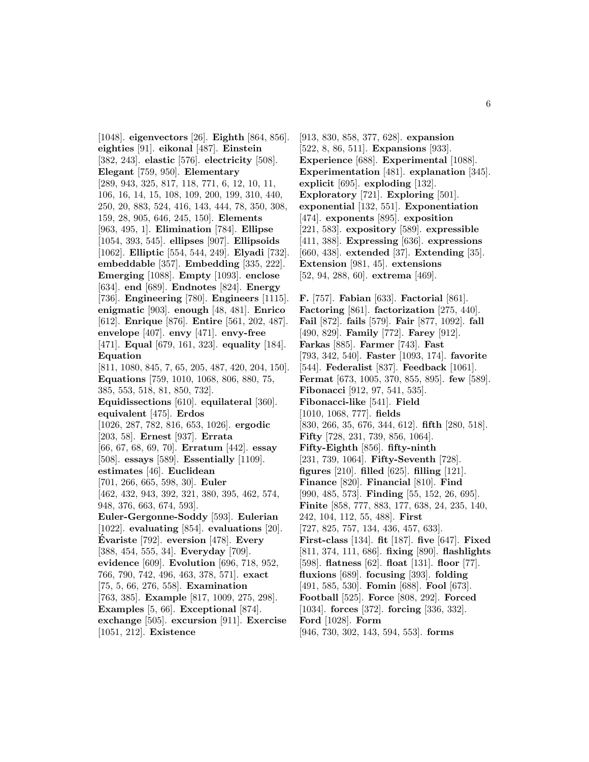[1048]. **eigenvectors** [26]. **Eighth** [864, 856]. **eighties** [91]. **eikonal** [487]. **Einstein** [382, 243]. **elastic** [576]. **electricity** [508]. **Elegant** [759, 950]. **Elementary** [289, 943, 325, 817, 118, 771, 6, 12, 10, 11, 106, 16, 14, 15, 108, 109, 200, 199, 310, 440, 250, 20, 883, 524, 416, 143, 444, 78, 350, 308, 159, 28, 905, 646, 245, 150]. **Elements** [963, 495, 1]. **Elimination** [784]. **Ellipse** [1054, 393, 545]. **ellipses** [907]. **Ellipsoids** [1062]. **Elliptic** [554, 544, 249]. **Elyadi** [732]. **embeddable** [357]. **Embedding** [335, 222]. **Emerging** [1088]. **Empty** [1093]. **enclose** [634]. **end** [689]. **Endnotes** [824]. **Energy** [736]. **Engineering** [780]. **Engineers** [1115]. **enigmatic** [903]. **enough** [48, 481]. **Enrico** [612]. **Enrique** [876]. **Entire** [561, 202, 487]. **envelope** [407]. **envy** [471]. **envy-free** [471]. **Equal** [679, 161, 323]. **equality** [184]. **Equation** [811, 1080, 845, 7, 65, 205, 487, 420, 204, 150]. **Equations** [759, 1010, 1068, 806, 880, 75, 385, 553, 518, 81, 850, 732]. **Equidissections** [610]. **equilateral** [360]. **equivalent** [475]. **Erdos** [1026, 287, 782, 816, 653, 1026]. **ergodic** [203, 58]. **Ernest** [937]. **Errata** [66, 67, 68, 69, 70]. **Erratum** [442]. **essay** [508]. **essays** [589]. **Essentially** [1109]. **estimates** [46]. **Euclidean** [701, 266, 665, 598, 30]. **Euler** [462, 432, 943, 392, 321, 380, 395, 462, 574, 948, 376, 663, 674, 593]. **Euler-Gergonne-Soddy** [593]. **Eulerian** [1022]. **evaluating** [854]. **evaluations** [20]. **Evariste ´** [792]. **eversion** [478]. **Every** [388, 454, 555, 34]. **Everyday** [709]. **evidence** [609]. **Evolution** [696, 718, 952, 766, 790, 742, 496, 463, 378, 571]. **exact** [75, 5, 66, 276, 558]. **Examination** [763, 385]. **Example** [817, 1009, 275, 298]. **Examples** [5, 66]. **Exceptional** [874]. **exchange** [505]. **excursion** [911]. **Exercise** [1051, 212]. **Existence**

[913, 830, 858, 377, 628]. **expansion** [522, 8, 86, 511]. **Expansions** [933]. **Experience** [688]. **Experimental** [1088]. **Experimentation** [481]. **explanation** [345]. **explicit** [695]. **exploding** [132]. **Exploratory** [721]. **Exploring** [501]. **exponential** [132, 551]. **Exponentiation** [474]. **exponents** [895]. **exposition** [221, 583]. **expository** [589]. **expressible** [411, 388]. **Expressing** [636]. **expressions** [660, 438]. **extended** [37]. **Extending** [35]. **Extension** [981, 45]. **extensions** [52, 94, 288, 60]. **extrema** [469]. **F.** [757]. **Fabian** [633]. **Factorial** [861].

**Factoring** [861]. **factorization** [275, 440]. **Fail** [872]. **fails** [579]. **Fair** [877, 1092]. **fall** [490, 829]. **Family** [772]. **Farey** [912]. **Farkas** [885]. **Farmer** [743]. **Fast** [793, 342, 540]. **Faster** [1093, 174]. **favorite** [544]. **Federalist** [837]. **Feedback** [1061]. **Fermat** [673, 1005, 370, 855, 895]. **few** [589]. **Fibonacci** [912, 97, 541, 535]. **Fibonacci-like** [541]. **Field** [1010, 1068, 777]. **fields** [830, 266, 35, 676, 344, 612]. **fifth** [280, 518]. **Fifty** [728, 231, 739, 856, 1064]. **Fifty-Eighth** [856]. **fifty-ninth** [231, 739, 1064]. **Fifty-Seventh** [728]. **figures** [210]. **filled** [625]. **filling** [121]. **Finance** [820]. **Financial** [810]. **Find** [990, 485, 573]. **Finding** [55, 152, 26, 695]. **Finite** [858, 777, 883, 177, 638, 24, 235, 140, 242, 104, 112, 55, 488]. **First** [727, 825, 757, 134, 436, 457, 633]. **First-class** [134]. **fit** [187]. **five** [647]. **Fixed** [811, 374, 111, 686]. **fixing** [890]. **flashlights** [598]. **flatness** [62]. **float** [131]. **floor** [77]. **fluxions** [689]. **focusing** [393]. **folding** [491, 585, 530]. **Fomin** [688]. **Fool** [673]. **Football** [525]. **Force** [808, 292]. **Forced** [1034]. **forces** [372]. **forcing** [336, 332]. **Ford** [1028]. **Form** [946, 730, 302, 143, 594, 553]. **forms**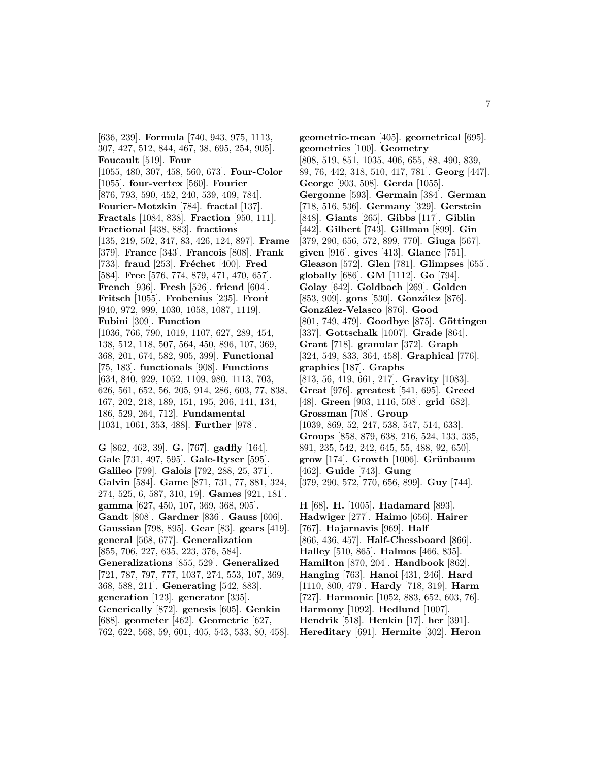[636, 239]. **Formula** [740, 943, 975, 1113, 307, 427, 512, 844, 467, 38, 695, 254, 905]. **Foucault** [519]. **Four** [1055, 480, 307, 458, 560, 673]. **Four-Color** [1055]. **four-vertex** [560]. **Fourier** [876, 793, 590, 452, 240, 539, 409, 784]. **Fourier-Motzkin** [784]. **fractal** [137]. **Fractals** [1084, 838]. **Fraction** [950, 111]. **Fractional** [438, 883]. **fractions** [135, 219, 502, 347, 83, 426, 124, 897]. **Frame** [379]. **France** [343]. **Francois** [808]. **Frank** [733]. **fraud** [253]. **Fréchet** [400]. **Fred** [584]. **Free** [576, 774, 879, 471, 470, 657]. **French** [936]. **Fresh** [526]. **friend** [604]. **Fritsch** [1055]. **Frobenius** [235]. **Front** [940, 972, 999, 1030, 1058, 1087, 1119]. **Fubini** [309]. **Function** [1036, 766, 790, 1019, 1107, 627, 289, 454, 138, 512, 118, 507, 564, 450, 896, 107, 369, 368, 201, 674, 582, 905, 399]. **Functional** [75, 183]. **functionals** [908]. **Functions** [634, 840, 929, 1052, 1109, 980, 1113, 703, 626, 561, 652, 56, 205, 914, 286, 603, 77, 838, 167, 202, 218, 189, 151, 195, 206, 141, 134, 186, 529, 264, 712]. **Fundamental** [1031, 1061, 353, 488]. **Further** [978].

**G** [862, 462, 39]. **G.** [767]. **gadfly** [164]. **Gale** [731, 497, 595]. **Gale-Ryser** [595]. **Galileo** [799]. **Galois** [792, 288, 25, 371]. **Galvin** [584]. **Game** [871, 731, 77, 881, 324, 274, 525, 6, 587, 310, 19]. **Games** [921, 181]. **gamma** [627, 450, 107, 369, 368, 905]. **Gandt** [808]. **Gardner** [836]. **Gauss** [606]. **Gaussian** [798, 895]. **Gear** [83]. **gears** [419]. **general** [568, 677]. **Generalization** [855, 706, 227, 635, 223, 376, 584]. **Generalizations** [855, 529]. **Generalized** [721, 787, 797, 777, 1037, 274, 553, 107, 369, 368, 588, 211]. **Generating** [542, 883]. **generation** [123]. **generator** [335]. **Generically** [872]. **genesis** [605]. **Genkin** [688]. **geometer** [462]. **Geometric** [627, 762, 622, 568, 59, 601, 405, 543, 533, 80, 458].

**geometric-mean** [405]. **geometrical** [695]. **geometries** [100]. **Geometry** [808, 519, 851, 1035, 406, 655, 88, 490, 839, 89, 76, 442, 318, 510, 417, 781]. **Georg** [447]. **George** [903, 508]. **Gerda** [1055]. **Gergonne** [593]. **Germain** [384]. **German** [718, 516, 536]. **Germany** [329]. **Gerstein** [848]. **Giants** [265]. **Gibbs** [117]. **Giblin** [442]. **Gilbert** [743]. **Gillman** [899]. **Gin** [379, 290, 656, 572, 899, 770]. **Giuga** [567]. **given** [916]. **gives** [413]. **Glance** [751]. **Gleason** [572]. **Glen** [781]. **Glimpses** [655]. **globally** [686]. **GM** [1112]. **Go** [794]. **Golay** [642]. **Goldbach** [269]. **Golden** [853, 909]. **gons** [530]. **González** [876]. **Gonz´alez-Velasco** [876]. **Good** [801, 749, 479]. **Goodbye** [875]. **Göttingen** [337]. **Gottschalk** [1007]. **Grade** [864]. **Grant** [718]. **granular** [372]. **Graph** [324, 549, 833, 364, 458]. **Graphical** [776]. **graphics** [187]. **Graphs** [813, 56, 419, 661, 217]. **Gravity** [1083]. **Great** [976]. **greatest** [541, 695]. **Greed** [48]. **Green** [903, 1116, 508]. **grid** [682]. **Grossman** [708]. **Group** [1039, 869, 52, 247, 538, 547, 514, 633]. **Groups** [858, 879, 638, 216, 524, 133, 335, 891, 235, 542, 242, 645, 55, 488, 92, 650]. **grow** [174]. **Growth** [1006]. **Grünbaum** [462]. **Guide** [743]. **Gung** [379, 290, 572, 770, 656, 899]. **Guy** [744]. **H** [68]. **H.** [1005]. **Hadamard** [893].

**Hadwiger** [277]. **Haimo** [656]. **Hairer** [767]. **Hajarnavis** [969]. **Half** [866, 436, 457]. **Half-Chessboard** [866]. **Halley** [510, 865]. **Halmos** [466, 835]. **Hamilton** [870, 204]. **Handbook** [862]. **Hanging** [763]. **Hanoi** [431, 246]. **Hard** [1110, 800, 479]. **Hardy** [718, 319]. **Harm** [727]. **Harmonic** [1052, 883, 652, 603, 76]. **Harmony** [1092]. **Hedlund** [1007]. **Hendrik** [518]. **Henkin** [17]. **her** [391]. **Hereditary** [691]. **Hermite** [302]. **Heron**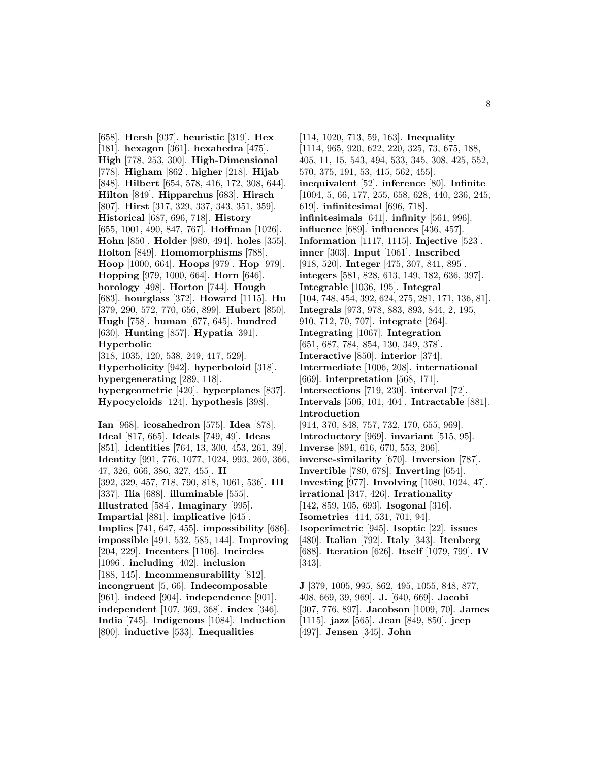[658]. **Hersh** [937]. **heuristic** [319]. **Hex** [181]. **hexagon** [361]. **hexahedra** [475]. **High** [778, 253, 300]. **High-Dimensional** [778]. **Higham** [862]. **higher** [218]. **Hijab** [848]. **Hilbert** [654, 578, 416, 172, 308, 644]. **Hilton** [849]. **Hipparchus** [683]. **Hirsch** [807]. **Hirst** [317, 329, 337, 343, 351, 359]. **Historical** [687, 696, 718]. **History** [655, 1001, 490, 847, 767]. **Hoffman** [1026]. **Hohn** [850]. **Holder** [980, 494]. **holes** [355]. **Holton** [849]. **Homomorphisms** [788]. **Hoop** [1000, 664]. **Hoops** [979]. **Hop** [979]. **Hopping** [979, 1000, 664]. **Horn** [646]. **horology** [498]. **Horton** [744]. **Hough** [683]. **hourglass** [372]. **Howard** [1115]. **Hu** [379, 290, 572, 770, 656, 899]. **Hubert** [850]. **Hugh** [758]. **human** [677, 645]. **hundred** [630]. **Hunting** [857]. **Hypatia** [391]. **Hyperbolic** [318, 1035, 120, 538, 249, 417, 529].

**Hyperbolicity** [942]. **hyperboloid** [318]. **hypergenerating** [289, 118]. **hypergeometric** [420]. **hyperplanes** [837]. **Hypocycloids** [124]. **hypothesis** [398].

**Ian** [968]. **icosahedron** [575]. **Idea** [878]. **Ideal** [817, 665]. **Ideals** [749, 49]. **Ideas** [851]. **Identities** [764, 13, 300, 453, 261, 39]. **Identity** [991, 776, 1077, 1024, 993, 260, 366, 47, 326, 666, 386, 327, 455]. **II** [392, 329, 457, 718, 790, 818, 1061, 536]. **III** [337]. **Ilia** [688]. **illuminable** [555]. **Illustrated** [584]. **Imaginary** [995]. **Impartial** [881]. **implicative** [645]. **Implies** [741, 647, 455]. **impossibility** [686]. **impossible** [491, 532, 585, 144]. **Improving** [204, 229]. **Incenters** [1106]. **Incircles** [1096]. **including** [402]. **inclusion** [188, 145]. **Incommensurability** [812]. **incongruent** [5, 66]. **Indecomposable** [961]. **indeed** [904]. **independence** [901]. **independent** [107, 369, 368]. **index** [346]. **India** [745]. **Indigenous** [1084]. **Induction** [800]. **inductive** [533]. **Inequalities**

[114, 1020, 713, 59, 163]. **Inequality** [1114, 965, 920, 622, 220, 325, 73, 675, 188, 405, 11, 15, 543, 494, 533, 345, 308, 425, 552, 570, 375, 191, 53, 415, 562, 455]. **inequivalent** [52]. **inference** [80]. **Infinite** [1004, 5, 66, 177, 255, 658, 628, 440, 236, 245, 619]. **infinitesimal** [696, 718]. **infinitesimals** [641]. **infinity** [561, 996]. **influence** [689]. **influences** [436, 457]. **Information** [1117, 1115]. **Injective** [523]. **inner** [303]. **Input** [1061]. **Inscribed** [918, 520]. **Integer** [475, 307, 841, 895]. **integers** [581, 828, 613, 149, 182, 636, 397]. **Integrable** [1036, 195]. **Integral** [104, 748, 454, 392, 624, 275, 281, 171, 136, 81]. **Integrals** [973, 978, 883, 893, 844, 2, 195, 910, 712, 70, 707]. **integrate** [264]. **Integrating** [1067]. **Integration** [651, 687, 784, 854, 130, 349, 378]. **Interactive** [850]. **interior** [374]. **Intermediate** [1006, 208]. **international** [669]. **interpretation** [568, 171]. **Intersections** [719, 230]. **interval** [72]. **Intervals** [506, 101, 404]. **Intractable** [881]. **Introduction** [914, 370, 848, 757, 732, 170, 655, 969]. **Introductory** [969]. **invariant** [515, 95]. **Inverse** [891, 616, 670, 553, 206]. **inverse-similarity** [670]. **Inversion** [787]. **Invertible** [780, 678]. **Inverting** [654]. **Investing** [977]. **Involving** [1080, 1024, 47]. **irrational** [347, 426]. **Irrationality** [142, 859, 105, 693]. **Isogonal** [316]. **Isometries** [414, 531, 701, 94]. **Isoperimetric** [945]. **Isoptic** [22]. **issues** [480]. **Italian** [792]. **Italy** [343]. **Itenberg** [688]. **Iteration** [626]. **Itself** [1079, 799]. **IV** [343].

**J** [379, 1005, 995, 862, 495, 1055, 848, 877, 408, 669, 39, 969]. **J.** [640, 669]. **Jacobi** [307, 776, 897]. **Jacobson** [1009, 70]. **James** [1115]. **jazz** [565]. **Jean** [849, 850]. **jeep** [497]. **Jensen** [345]. **John**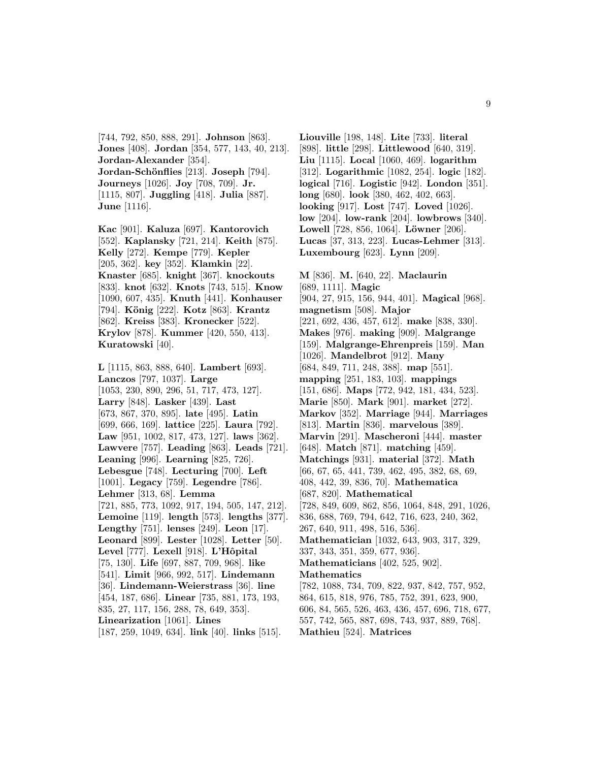[744, 792, 850, 888, 291]. **Johnson** [863]. **Jones** [408]. **Jordan** [354, 577, 143, 40, 213]. **Jordan-Alexander** [354]. **Jordan-Schönflies** [213]. **Joseph** [794]. **Journeys** [1026]. **Joy** [708, 709]. **Jr.** [1115, 807]. **Juggling** [418]. **Julia** [887]. **June** [1116].

**Kac** [901]. **Kaluza** [697]. **Kantorovich** [552]. **Kaplansky** [721, 214]. **Keith** [875]. **Kelly** [272]. **Kempe** [779]. **Kepler** [205, 362]. **key** [352]. **Klamkin** [22]. **Knaster** [685]. **knight** [367]. **knockouts** [833]. **knot** [632]. **Knots** [743, 515]. **Know** [1090, 607, 435]. **Knuth** [441]. **Konhauser** [794]. **K¨onig** [222]. **Kotz** [863]. **Krantz** [862]. **Kreiss** [383]. **Kronecker** [522]. **Krylov** [878]. **Kummer** [420, 550, 413]. **Kuratowski** [40].

**L** [1115, 863, 888, 640]. **Lambert** [693]. **Lanczos** [797, 1037]. **Large** [1053, 230, 890, 296, 51, 717, 473, 127]. **Larry** [848]. **Lasker** [439]. **Last** [673, 867, 370, 895]. **late** [495]. **Latin** [699, 666, 169]. **lattice** [225]. **Laura** [792]. **Law** [951, 1002, 817, 473, 127]. **laws** [362]. **Lawvere** [757]. **Leading** [863]. **Leads** [721]. **Leaning** [996]. **Learning** [825, 726]. **Lebesgue** [748]. **Lecturing** [700]. **Left** [1001]. **Legacy** [759]. **Legendre** [786]. **Lehmer** [313, 68]. **Lemma** [721, 885, 773, 1092, 917, 194, 505, 147, 212]. **Lemoine** [119]. **length** [573]. **lengths** [377]. **Lengthy** [751]. **lenses** [249]. **Leon** [17]. **Leonard** [899]. **Lester** [1028]. **Letter** [50]. **Level** [777]. **Lexell** [918]. **L'Hˆopital** [75, 130]. **Life** [697, 887, 709, 968]. **like** [541]. **Limit** [966, 992, 517]. **Lindemann** [36]. **Lindemann-Weierstrass** [36]. **line** [454, 187, 686]. **Linear** [735, 881, 173, 193, 835, 27, 117, 156, 288, 78, 649, 353]. **Linearization** [1061]. **Lines** [187, 259, 1049, 634]. **link** [40]. **links** [515].

**Liouville** [198, 148]. **Lite** [733]. **literal** [898]. **little** [298]. **Littlewood** [640, 319]. **Liu** [1115]. **Local** [1060, 469]. **logarithm** [312]. **Logarithmic** [1082, 254]. **logic** [182]. **logical** [716]. **Logistic** [942]. **London** [351]. **long** [680]. **look** [380, 462, 402, 663]. **looking** [917]. **Lost** [747]. **Loved** [1026]. **low** [204]. **low-rank** [204]. **lowbrows** [340]. **Lowell** [728, 856, 1064]. **Löwner** [206]. **Lucas** [37, 313, 223]. **Lucas-Lehmer** [313]. **Luxembourg** [623]. **Lynn** [209].

**M** [836]. **M.** [640, 22]. **Maclaurin** [689, 1111]. **Magic** [904, 27, 915, 156, 944, 401]. **Magical** [968]. **magnetism** [508]. **Major** [221, 692, 436, 457, 612]. **make** [838, 330]. **Makes** [976]. **making** [909]. **Malgrange** [159]. **Malgrange-Ehrenpreis** [159]. **Man** [1026]. **Mandelbrot** [912]. **Many** [684, 849, 711, 248, 388]. **map** [551]. **mapping** [251, 183, 103]. **mappings** [151, 686]. **Maps** [772, 942, 181, 434, 523]. **Marie** [850]. **Mark** [901]. **market** [272]. **Markov** [352]. **Marriage** [944]. **Marriages** [813]. **Martin** [836]. **marvelous** [389]. **Marvin** [291]. **Mascheroni** [444]. **master** [648]. **Match** [871]. **matching** [459]. **Matchings** [931]. **material** [372]. **Math** [66, 67, 65, 441, 739, 462, 495, 382, 68, 69, 408, 442, 39, 836, 70]. **Mathematica** [687, 820]. **Mathematical** [728, 849, 609, 862, 856, 1064, 848, 291, 1026, 836, 688, 769, 794, 642, 716, 623, 240, 362, 267, 640, 911, 498, 516, 536]. **Mathematician** [1032, 643, 903, 317, 329, 337, 343, 351, 359, 677, 936]. **Mathematicians** [402, 525, 902]. **Mathematics** [782, 1088, 734, 709, 822, 937, 842, 757, 952, 864, 615, 818, 976, 785, 752, 391, 623, 900, 606, 84, 565, 526, 463, 436, 457, 696, 718, 677, 557, 742, 565, 887, 698, 743, 937, 889, 768]. **Mathieu** [524]. **Matrices**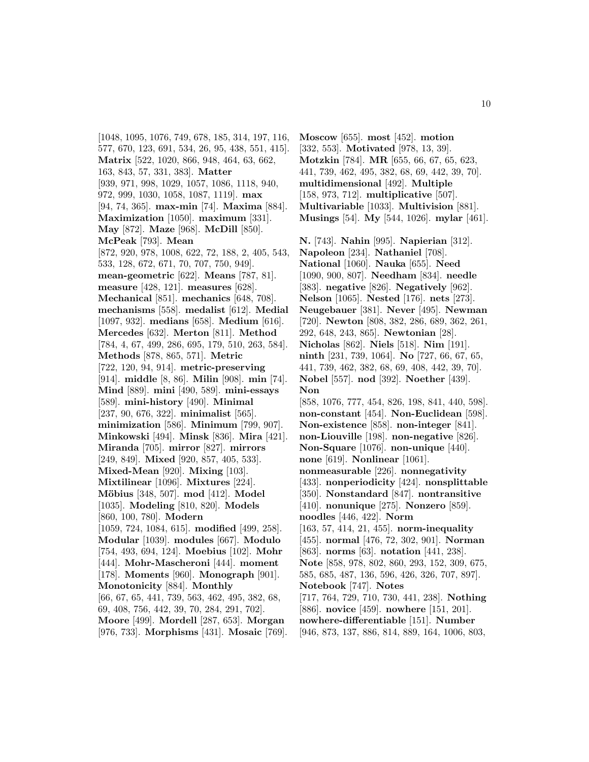[1048, 1095, 1076, 749, 678, 185, 314, 197, 116, 577, 670, 123, 691, 534, 26, 95, 438, 551, 415]. **Matrix** [522, 1020, 866, 948, 464, 63, 662, 163, 843, 57, 331, 383]. **Matter** [939, 971, 998, 1029, 1057, 1086, 1118, 940, 972, 999, 1030, 1058, 1087, 1119]. **max** [94, 74, 365]. **max-min** [74]. **Maxima** [884]. **Maximization** [1050]. **maximum** [331]. **May** [872]. **Maze** [968]. **McDill** [850]. **McPeak** [793]. **Mean** [872, 920, 978, 1008, 622, 72, 188, 2, 405, 543, 533, 128, 672, 671, 70, 707, 750, 949]. **mean-geometric** [622]. **Means** [787, 81]. **measure** [428, 121]. **measures** [628]. **Mechanical** [851]. **mechanics** [648, 708]. **mechanisms** [558]. **medalist** [612]. **Medial** [1097, 932]. **medians** [658]. **Medium** [616]. **Mercedes** [632]. **Merton** [811]. **Method** [784, 4, 67, 499, 286, 695, 179, 510, 263, 584]. **Methods** [878, 865, 571]. **Metric** [722, 120, 94, 914]. **metric-preserving** [914]. **middle** [8, 86]. **Milin** [908]. **min** [74]. **Mind** [889]. **mini** [490, 589]. **mini-essays** [589]. **mini-history** [490]. **Minimal** [237, 90, 676, 322]. **minimalist** [565]. **minimization** [586]. **Minimum** [799, 907]. **Minkowski** [494]. **Minsk** [836]. **Mira** [421]. **Miranda** [705]. **mirror** [827]. **mirrors** [249, 849]. **Mixed** [920, 857, 405, 533]. **Mixed-Mean** [920]. **Mixing** [103]. **Mixtilinear** [1096]. **Mixtures** [224]. **M¨obius** [348, 507]. **mod** [412]. **Model** [1035]. **Modeling** [810, 820]. **Models** [860, 100, 780]. **Modern** [1059, 724, 1084, 615]. **modified** [499, 258]. **Modular** [1039]. **modules** [667]. **Modulo** [754, 493, 694, 124]. **Moebius** [102]. **Mohr** [444]. **Mohr-Mascheroni** [444]. **moment** [178]. **Moments** [960]. **Monograph** [901]. **Monotonicity** [884]. **Monthly** [66, 67, 65, 441, 739, 563, 462, 495, 382, 68, 69, 408, 756, 442, 39, 70, 284, 291, 702]. **Moore** [499]. **Mordell** [287, 653]. **Morgan** [976, 733]. **Morphisms** [431]. **Mosaic** [769].

**Moscow** [655]. **most** [452]. **motion** [332, 553]. **Motivated** [978, 13, 39]. **Motzkin** [784]. **MR** [655, 66, 67, 65, 623, 441, 739, 462, 495, 382, 68, 69, 442, 39, 70]. **multidimensional** [492]. **Multiple** [158, 973, 712]. **multiplicative** [507]. **Multivariable** [1033]. **Multivision** [881]. **Musings** [54]. **My** [544, 1026]. **mylar** [461].

**N.** [743]. **Nahin** [995]. **Napierian** [312]. **Napoleon** [234]. **Nathaniel** [708]. **National** [1060]. **Nauka** [655]. **Need** [1090, 900, 807]. **Needham** [834]. **needle** [383]. **negative** [826]. **Negatively** [962]. **Nelson** [1065]. **Nested** [176]. **nets** [273]. **Neugebauer** [381]. **Never** [495]. **Newman** [720]. **Newton** [808, 382, 286, 689, 362, 261, 292, 648, 243, 865]. **Newtonian** [28]. **Nicholas** [862]. **Niels** [518]. **Nim** [191]. **ninth** [231, 739, 1064]. **No** [727, 66, 67, 65, 441, 739, 462, 382, 68, 69, 408, 442, 39, 70]. **Nobel** [557]. **nod** [392]. **Noether** [439]. **Non** [858, 1076, 777, 454, 826, 198, 841, 440, 598]. **non-constant** [454]. **Non-Euclidean** [598]. **Non-existence** [858]. **non-integer** [841]. **non-Liouville** [198]. **non-negative** [826]. **Non-Square** [1076]. **non-unique** [440]. **none** [619]. **Nonlinear** [1061]. **nonmeasurable** [226]. **nonnegativity** [433]. **nonperiodicity** [424]. **nonsplittable** [350]. **Nonstandard** [847]. **nontransitive** [410]. **nonunique** [275]. **Nonzero** [859]. **noodles** [446, 422]. **Norm** [163, 57, 414, 21, 455]. **norm-inequality** [455]. **normal** [476, 72, 302, 901]. **Norman** [863]. **norms** [63]. **notation** [441, 238]. **Note** [858, 978, 802, 860, 293, 152, 309, 675, 585, 685, 487, 136, 596, 426, 326, 707, 897]. **Notebook** [747]. **Notes** [717, 764, 729, 710, 730, 441, 238]. **Nothing** [886]. **novice** [459]. **nowhere** [151, 201]. **nowhere-differentiable** [151]. **Number** [946, 873, 137, 886, 814, 889, 164, 1006, 803,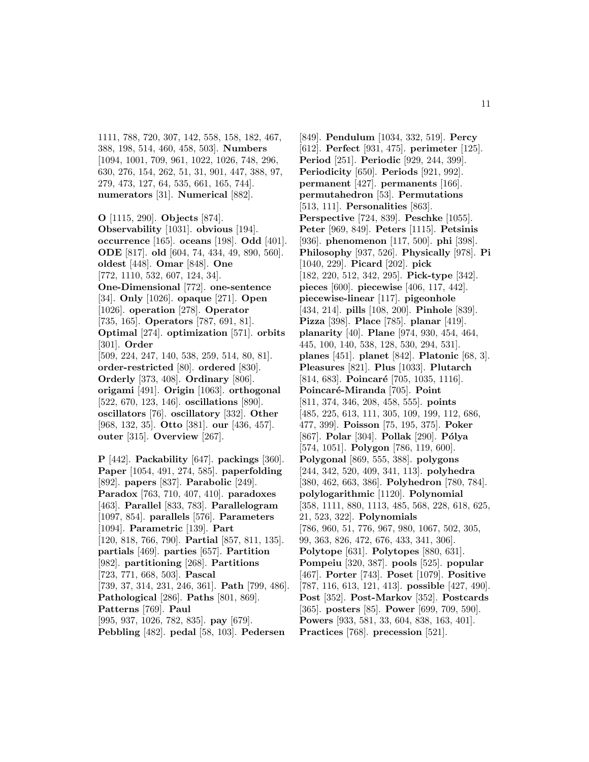1111, 788, 720, 307, 142, 558, 158, 182, 467, 388, 198, 514, 460, 458, 503]. **Numbers** [1094, 1001, 709, 961, 1022, 1026, 748, 296, 630, 276, 154, 262, 51, 31, 901, 447, 388, 97, 279, 473, 127, 64, 535, 661, 165, 744]. **numerators** [31]. **Numerical** [882].

**O** [1115, 290]. **Objects** [874]. **Observability** [1031]. **obvious** [194]. **occurrence** [165]. **oceans** [198]. **Odd** [401]. **ODE** [817]. **old** [604, 74, 434, 49, 890, 560]. **oldest** [448]. **Omar** [848]. **One** [772, 1110, 532, 607, 124, 34]. **One-Dimensional** [772]. **one-sentence** [34]. **Only** [1026]. **opaque** [271]. **Open** [1026]. **operation** [278]. **Operator** [735, 165]. **Operators** [787, 691, 81]. **Optimal** [274]. **optimization** [571]. **orbits** [301]. **Order** [509, 224, 247, 140, 538, 259, 514, 80, 81]. **order-restricted** [80]. **ordered** [830]. **Orderly** [373, 408]. **Ordinary** [806]. **origami** [491]. **Origin** [1063]. **orthogonal** [522, 670, 123, 146]. **oscillations** [890]. **oscillators** [76]. **oscillatory** [332]. **Other** [968, 132, 35]. **Otto** [381]. **our** [436, 457]. **outer** [315]. **Overview** [267].

**P** [442]. **Packability** [647]. **packings** [360]. **Paper** [1054, 491, 274, 585]. **paperfolding** [892]. **papers** [837]. **Parabolic** [249]. **Paradox** [763, 710, 407, 410]. **paradoxes** [463]. **Parallel** [833, 783]. **Parallelogram** [1097, 854]. **parallels** [576]. **Parameters** [1094]. **Parametric** [139]. **Part** [120, 818, 766, 790]. **Partial** [857, 811, 135]. **partials** [469]. **parties** [657]. **Partition** [982]. **partitioning** [268]. **Partitions** [723, 771, 668, 503]. **Pascal** [739, 37, 314, 231, 246, 361]. **Path** [799, 486]. **Pathological** [286]. **Paths** [801, 869]. **Patterns** [769]. **Paul** [995, 937, 1026, 782, 835]. **pay** [679]. **Pebbling** [482]. **pedal** [58, 103]. **Pedersen**

[849]. **Pendulum** [1034, 332, 519]. **Percy** [612]. **Perfect** [931, 475]. **perimeter** [125]. **Period** [251]. **Periodic** [929, 244, 399]. **Periodicity** [650]. **Periods** [921, 992]. **permanent** [427]. **permanents** [166]. **permutahedron** [53]. **Permutations** [513, 111]. **Personalities** [863]. **Perspective** [724, 839]. **Peschke** [1055]. **Peter** [969, 849]. **Peters** [1115]. **Petsinis** [936]. **phenomenon** [117, 500]. **phi** [398]. **Philosophy** [937, 526]. **Physically** [978]. **Pi** [1040, 229]. **Picard** [202]. **pick** [182, 220, 512, 342, 295]. **Pick-type** [342]. **pieces** [600]. **piecewise** [406, 117, 442]. **piecewise-linear** [117]. **pigeonhole** [434, 214]. **pills** [108, 200]. **Pinhole** [839]. **Pizza** [398]. **Place** [785]. **planar** [419]. **planarity** [40]. **Plane** [974, 930, 454, 464, 445, 100, 140, 538, 128, 530, 294, 531]. **planes** [451]. **planet** [842]. **Platonic** [68, 3]. **Pleasures** [821]. **Plus** [1033]. **Plutarch** [814, 683]. **Poincaré** [705, 1035, 1116]. **Poincar´e-Miranda** [705]. **Point** [811, 374, 346, 208, 458, 555]. **points** [485, 225, 613, 111, 305, 109, 199, 112, 686, 477, 399]. **Poisson** [75, 195, 375]. **Poker** [867]. **Polar** [304]. **Pollak** [290]. **P´olya** [574, 1051]. **Polygon** [786, 119, 600]. **Polygonal** [869, 555, 388]. **polygons** [244, 342, 520, 409, 341, 113]. **polyhedra** [380, 462, 663, 386]. **Polyhedron** [780, 784]. **polylogarithmic** [1120]. **Polynomial** [358, 1111, 880, 1113, 485, 568, 228, 618, 625, 21, 523, 322]. **Polynomials** [786, 960, 51, 776, 967, 980, 1067, 502, 305, 99, 363, 826, 472, 676, 433, 341, 306]. **Polytope** [631]. **Polytopes** [880, 631]. **Pompeiu** [320, 387]. **pools** [525]. **popular** [467]. **Porter** [743]. **Poset** [1079]. **Positive** [787, 116, 613, 121, 413]. **possible** [427, 490]. **Post** [352]. **Post-Markov** [352]. **Postcards** [365]. **posters** [85]. **Power** [699, 709, 590]. **Powers** [933, 581, 33, 604, 838, 163, 401]. **Practices** [768]. **precession** [521].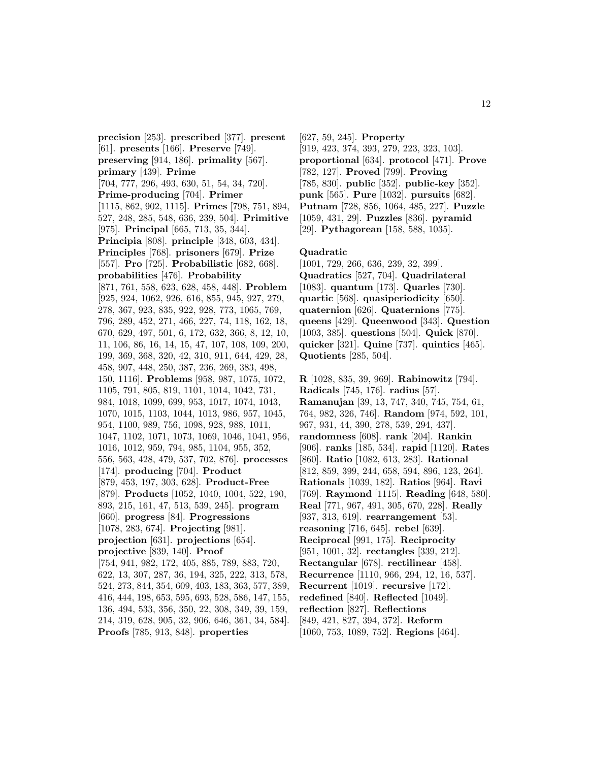**precision** [253]. **prescribed** [377]. **present** [61]. **presents** [166]. **Preserve** [749]. **preserving** [914, 186]. **primality** [567]. **primary** [439]. **Prime** [704, 777, 296, 493, 630, 51, 54, 34, 720]. **Prime-producing** [704]. **Primer** [1115, 862, 902, 1115]. **Primes** [798, 751, 894, 527, 248, 285, 548, 636, 239, 504]. **Primitive** [975]. **Principal** [665, 713, 35, 344]. **Principia** [808]. **principle** [348, 603, 434]. **Principles** [768]. **prisoners** [679]. **Prize** [557]. **Pro** [725]. **Probabilistic** [682, 668]. **probabilities** [476]. **Probability** [871, 761, 558, 623, 628, 458, 448]. **Problem** [925, 924, 1062, 926, 616, 855, 945, 927, 279, 278, 367, 923, 835, 922, 928, 773, 1065, 769, 796, 289, 452, 271, 466, 227, 74, 118, 162, 18, 670, 629, 497, 501, 6, 172, 632, 366, 8, 12, 10, 11, 106, 86, 16, 14, 15, 47, 107, 108, 109, 200, 199, 369, 368, 320, 42, 310, 911, 644, 429, 28, 458, 907, 448, 250, 387, 236, 269, 383, 498, 150, 1116]. **Problems** [958, 987, 1075, 1072, 1105, 791, 805, 819, 1101, 1014, 1042, 731, 984, 1018, 1099, 699, 953, 1017, 1074, 1043, 1070, 1015, 1103, 1044, 1013, 986, 957, 1045, 954, 1100, 989, 756, 1098, 928, 988, 1011, 1047, 1102, 1071, 1073, 1069, 1046, 1041, 956, 1016, 1012, 959, 794, 985, 1104, 955, 352, 556, 563, 428, 479, 537, 702, 876]. **processes** [174]. **producing** [704]. **Product** [879, 453, 197, 303, 628]. **Product-Free** [879]. **Products** [1052, 1040, 1004, 522, 190, 893, 215, 161, 47, 513, 539, 245]. **program** [660]. **progress** [84]. **Progressions** [1078, 283, 674]. **Projecting** [981]. **projection** [631]. **projections** [654]. **projective** [839, 140]. **Proof** [754, 941, 982, 172, 405, 885, 789, 883, 720, 622, 13, 307, 287, 36, 194, 325, 222, 313, 578, 524, 273, 844, 354, 609, 403, 183, 363, 577, 389, 416, 444, 198, 653, 595, 693, 528, 586, 147, 155, 136, 494, 533, 356, 350, 22, 308, 349, 39, 159, 214, 319, 628, 905, 32, 906, 646, 361, 34, 584]. **Proofs** [785, 913, 848]. **properties**

[627, 59, 245]. **Property** [919, 423, 374, 393, 279, 223, 323, 103]. **proportional** [634]. **protocol** [471]. **Prove** [782, 127]. **Proved** [799]. **Proving** [785, 830]. **public** [352]. **public-key** [352]. **punk** [565]. **Pure** [1032]. **pursuits** [682]. **Putnam** [728, 856, 1064, 485, 227]. **Puzzle** [1059, 431, 29]. **Puzzles** [836]. **pyramid** [29]. **Pythagorean** [158, 588, 1035].

### **Quadratic**

[1001, 729, 266, 636, 239, 32, 399]. **Quadratics** [527, 704]. **Quadrilateral** [1083]. **quantum** [173]. **Quarles** [730]. **quartic** [568]. **quasiperiodicity** [650]. **quaternion** [626]. **Quaternions** [775]. **queens** [429]. **Queenwood** [343]. **Question** [1003, 385]. **questions** [504]. **Quick** [870]. **quicker** [321]. **Quine** [737]. **quintics** [465]. **Quotients** [285, 504].

**R** [1028, 835, 39, 969]. **Rabinowitz** [794]. **Radicals** [745, 176]. **radius** [57]. **Ramanujan** [39, 13, 747, 340, 745, 754, 61, 764, 982, 326, 746]. **Random** [974, 592, 101, 967, 931, 44, 390, 278, 539, 294, 437]. **randomness** [608]. **rank** [204]. **Rankin** [906]. **ranks** [185, 534]. **rapid** [1120]. **Rates** [860]. **Ratio** [1082, 613, 283]. **Rational** [812, 859, 399, 244, 658, 594, 896, 123, 264]. **Rationals** [1039, 182]. **Ratios** [964]. **Ravi** [769]. **Raymond** [1115]. **Reading** [648, 580]. **Real** [771, 967, 491, 305, 670, 228]. **Really** [937, 313, 619]. **rearrangement** [53]. **reasoning** [716, 645]. **rebel** [639]. **Reciprocal** [991, 175]. **Reciprocity** [951, 1001, 32]. **rectangles** [339, 212]. **Rectangular** [678]. **rectilinear** [458]. **Recurrence** [1110, 966, 294, 12, 16, 537]. **Recurrent** [1019]. **recursive** [172]. **redefined** [840]. **Reflected** [1049]. **reflection** [827]. **Reflections** [849, 421, 827, 394, 372]. **Reform**

[1060, 753, 1089, 752]. **Regions** [464].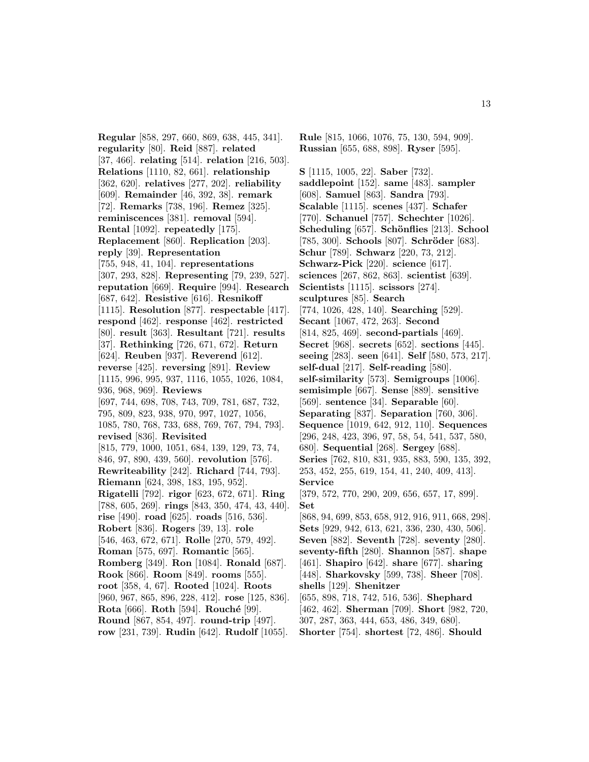**Regular** [858, 297, 660, 869, 638, 445, 341]. **regularity** [80]. **Reid** [887]. **related** [37, 466]. **relating** [514]. **relation** [216, 503]. **Relations** [1110, 82, 661]. **relationship** [362, 620]. **relatives** [277, 202]. **reliability** [609]. **Remainder** [46, 392, 38]. **remark** [72]. **Remarks** [738, 196]. **Remez** [325]. **reminiscences** [381]. **removal** [594]. **Rental** [1092]. **repeatedly** [175]. **Replacement** [860]. **Replication** [203]. **reply** [39]. **Representation** [755, 948, 41, 104]. **representations** [307, 293, 828]. **Representing** [79, 239, 527]. **reputation** [669]. **Require** [994]. **Research** [687, 642]. **Resistive** [616]. **Resnikoff** [1115]. **Resolution** [877]. **respectable** [417]. **respond** [462]. **response** [462]. **restricted** [80]. **result** [363]. **Resultant** [721]. **results** [37]. **Rethinking** [726, 671, 672]. **Return** [624]. **Reuben** [937]. **Reverend** [612]. **reverse** [425]. **reversing** [891]. **Review** [1115, 996, 995, 937, 1116, 1055, 1026, 1084, 936, 968, 969]. **Reviews** [697, 744, 698, 708, 743, 709, 781, 687, 732, 795, 809, 823, 938, 970, 997, 1027, 1056, 1085, 780, 768, 733, 688, 769, 767, 794, 793]. **revised** [836]. **Revisited** [815, 779, 1000, 1051, 684, 139, 129, 73, 74, 846, 97, 890, 439, 560]. **revolution** [576]. **Rewriteability** [242]. **Richard** [744, 793]. **Riemann** [624, 398, 183, 195, 952]. **Rigatelli** [792]. **rigor** [623, 672, 671]. **Ring** [788, 605, 269]. **rings** [843, 350, 474, 43, 440]. **rise** [490]. **road** [625]. **roads** [516, 536]. **Robert** [836]. **Rogers** [39, 13]. **role** [546, 463, 672, 671]. **Rolle** [270, 579, 492]. **Roman** [575, 697]. **Romantic** [565]. **Romberg** [349]. **Ron** [1084]. **Ronald** [687]. **Rook** [866]. **Room** [849]. **rooms** [555]. **root** [358, 4, 67]. **Rooted** [1024]. **Roots** [960, 967, 865, 896, 228, 412]. **rose** [125, 836]. **Rota** [666]. **Roth** [594]. **Rouché** [99]. **Round** [867, 854, 497]. **round-trip** [497]. **row** [231, 739]. **Rudin** [642]. **Rudolf** [1055].

**Rule** [815, 1066, 1076, 75, 130, 594, 909]. **Russian** [655, 688, 898]. **Ryser** [595].

**S** [1115, 1005, 22]. **Saber** [732]. **saddlepoint** [152]. **same** [483]. **sampler** [608]. **Samuel** [863]. **Sandra** [793]. **Scalable** [1115]. **scenes** [437]. **Schafer** [770]. **Schanuel** [757]. **Schechter** [1026]. **Scheduling** [657]. **Schönflies** [213]. **School** [785, 300]. **Schools** [807]. **Schröder** [683]. **Schur** [789]. **Schwarz** [220, 73, 212]. **Schwarz-Pick** [220]. **science** [617]. **sciences** [267, 862, 863]. **scientist** [639]. **Scientists** [1115]. **scissors** [274]. **sculptures** [85]. **Search** [774, 1026, 428, 140]. **Searching** [529]. **Secant** [1067, 472, 263]. **Second** [814, 825, 469]. **second-partials** [469]. **Secret** [968]. **secrets** [652]. **sections** [445]. **seeing** [283]. **seen** [641]. **Self** [580, 573, 217]. **self-dual** [217]. **Self-reading** [580]. **self-similarity** [573]. **Semigroups** [1006]. **semisimple** [667]. **Sense** [889]. **sensitive** [569]. **sentence** [34]. **Separable** [60]. **Separating** [837]. **Separation** [760, 306]. **Sequence** [1019, 642, 912, 110]. **Sequences** [296, 248, 423, 396, 97, 58, 54, 541, 537, 580, 680]. **Sequential** [268]. **Sergey** [688]. **Series** [762, 810, 831, 935, 883, 590, 135, 392, 253, 452, 255, 619, 154, 41, 240, 409, 413]. **Service** [379, 572, 770, 290, 209, 656, 657, 17, 899]. **Set** [868, 94, 699, 853, 658, 912, 916, 911, 668, 298]. **Sets** [929, 942, 613, 621, 336, 230, 430, 506]. **Seven** [882]. **Seventh** [728]. **seventy** [280]. **seventy-fifth** [280]. **Shannon** [587]. **shape** [461]. **Shapiro** [642]. **share** [677]. **sharing** [448]. **Sharkovsky** [599, 738]. **Sheer** [708]. **shells** [129]. **Shenitzer** [655, 898, 718, 742, 516, 536]. **Shephard** [462, 462]. **Sherman** [709]. **Short** [982, 720, 307, 287, 363, 444, 653, 486, 349, 680].

**Shorter** [754]. **shortest** [72, 486]. **Should**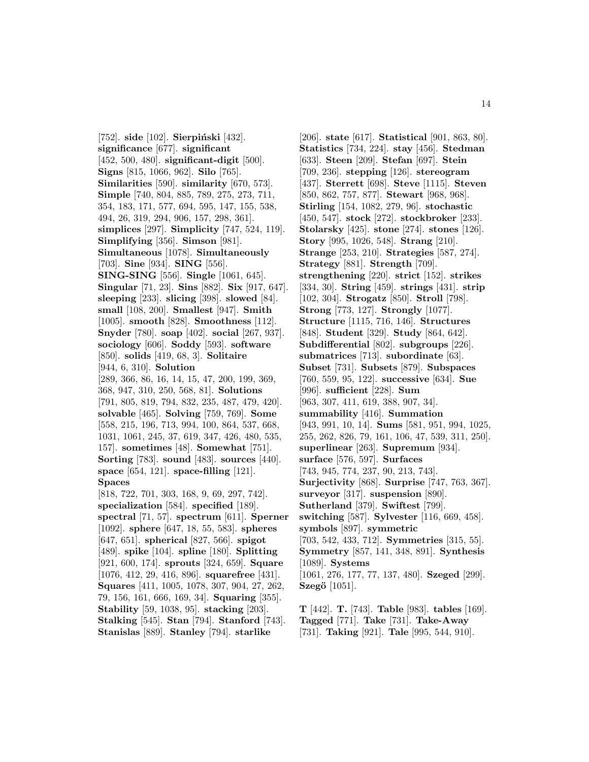[752]. **side** [102]. **Sierpiński** [432]. **significance** [677]. **significant** [452, 500, 480]. **significant-digit** [500]. **Signs** [815, 1066, 962]. **Silo** [765]. **Similarities** [590]. **similarity** [670, 573]. **Simple** [740, 804, 885, 789, 275, 273, 711, 354, 183, 171, 577, 694, 595, 147, 155, 538, 494, 26, 319, 294, 906, 157, 298, 361]. **simplices** [297]. **Simplicity** [747, 524, 119]. **Simplifying** [356]. **Simson** [981]. **Simultaneous** [1078]. **Simultaneously** [703]. **Sine** [934]. **SING** [556]. **SING-SING** [556]. **Single** [1061, 645]. **Singular** [71, 23]. **Sins** [882]. **Six** [917, 647]. **sleeping** [233]. **slicing** [398]. **slowed** [84]. **small** [108, 200]. **Smallest** [947]. **Smith** [1005]. **smooth** [828]. **Smoothness** [112]. **Snyder** [780]. **soap** [402]. **social** [267, 937]. **sociology** [606]. **Soddy** [593]. **software** [850]. **solids** [419, 68, 3]. **Solitaire** [944, 6, 310]. **Solution** [289, 366, 86, 16, 14, 15, 47, 200, 199, 369, 368, 947, 310, 250, 568, 81]. **Solutions** [791, 805, 819, 794, 832, 235, 487, 479, 420]. **solvable** [465]. **Solving** [759, 769]. **Some** [558, 215, 196, 713, 994, 100, 864, 537, 668, 1031, 1061, 245, 37, 619, 347, 426, 480, 535, 157]. **sometimes** [48]. **Somewhat** [751]. **Sorting** [783]. **sound** [483]. **sources** [440]. **space** [654, 121]. **space-filling** [121]. **Spaces** [818, 722, 701, 303, 168, 9, 69, 297, 742]. **specialization** [584]. **specified** [189]. **spectral** [71, 57]. **spectrum** [611]. **Sperner** [1092]. **sphere** [647, 18, 55, 583]. **spheres** [647, 651]. **spherical** [827, 566]. **spigot** [489]. **spike** [104]. **spline** [180]. **Splitting** [921, 600, 174]. **sprouts** [324, 659]. **Square** [1076, 412, 29, 416, 896]. **squarefree** [431]. **Squares** [411, 1005, 1078, 307, 904, 27, 262, 79, 156, 161, 666, 169, 34]. **Squaring** [355]. **Stability** [59, 1038, 95]. **stacking** [203]. **Stalking** [545]. **Stan** [794]. **Stanford** [743].

**Stanislas** [889]. **Stanley** [794]. **starlike**

[206]. **state** [617]. **Statistical** [901, 863, 80]. **Statistics** [734, 224]. **stay** [456]. **Stedman** [633]. **Steen** [209]. **Stefan** [697]. **Stein** [709, 236]. **stepping** [126]. **stereogram** [437]. **Sterrett** [698]. **Steve** [1115]. **Steven** [850, 862, 757, 877]. **Stewart** [968, 968]. **Stirling** [154, 1082, 279, 96]. **stochastic** [450, 547]. **stock** [272]. **stockbroker** [233]. **Stolarsky** [425]. **stone** [274]. **stones** [126]. **Story** [995, 1026, 548]. **Strang** [210]. **Strange** [253, 210]. **Strategies** [587, 274]. **Strategy** [881]. **Strength** [709]. **strengthening** [220]. **strict** [152]. **strikes** [334, 30]. **String** [459]. **strings** [431]. **strip** [102, 304]. **Strogatz** [850]. **Stroll** [798]. **Strong** [773, 127]. **Strongly** [1077]. **Structure** [1115, 716, 146]. **Structures** [848]. **Student** [329]. **Study** [864, 642]. **Subdifferential** [802]. **subgroups** [226]. **submatrices** [713]. **subordinate** [63]. **Subset** [731]. **Subsets** [879]. **Subspaces** [760, 559, 95, 122]. **successive** [634]. **Sue** [996]. **sufficient** [228]. **Sum** [963, 307, 411, 619, 388, 907, 34]. **summability** [416]. **Summation** [943, 991, 10, 14]. **Sums** [581, 951, 994, 1025, 255, 262, 826, 79, 161, 106, 47, 539, 311, 250]. **superlinear** [263]. **Supremum** [934]. **surface** [576, 597]. **Surfaces** [743, 945, 774, 237, 90, 213, 743]. **Surjectivity** [868]. **Surprise** [747, 763, 367]. **surveyor** [317]. **suspension** [890]. **Sutherland** [379]. **Swiftest** [799]. **switching** [587]. **Sylvester** [116, 669, 458]. **symbols** [897]. **symmetric** [703, 542, 433, 712]. **Symmetries** [315, 55]. **Symmetry** [857, 141, 348, 891]. **Synthesis** [1089]. **Systems** [1061, 276, 177, 77, 137, 480]. **Szeged** [299]. **Szegö** [1051]. **T** [442]. **T.** [743]. **Table** [983]. **tables** [169].

**Tagged** [771]. **Take** [731]. **Take-Away** [731]. **Taking** [921]. **Tale** [995, 544, 910].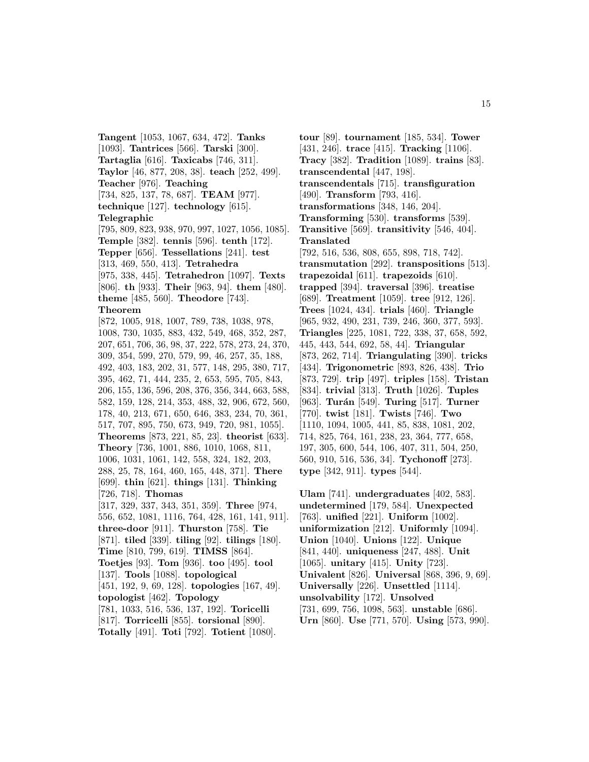**Tangent** [1053, 1067, 634, 472]. **Tanks** [1093]. **Tantrices** [566]. **Tarski** [300]. **Tartaglia** [616]. **Taxicabs** [746, 311]. **Taylor** [46, 877, 208, 38]. **teach** [252, 499]. **Teacher** [976]. **Teaching** [734, 825, 137, 78, 687]. **TEAM** [977]. **technique** [127]. **technology** [615]. **Telegraphic** [795, 809, 823, 938, 970, 997, 1027, 1056, 1085]. **Temple** [382]. **tennis** [596]. **tenth** [172]. **Tepper** [656]. **Tessellations** [241]. **test** [313, 469, 550, 413]. **Tetrahedra** [975, 338, 445]. **Tetrahedron** [1097]. **Texts** [806]. **th** [933]. **Their** [963, 94]. **them** [480]. **theme** [485, 560]. **Theodore** [743]. **Theorem** [872, 1005, 918, 1007, 789, 738, 1038, 978, 1008, 730, 1035, 883, 432, 549, 468, 352, 287, 207, 651, 706, 36, 98, 37, 222, 578, 273, 24, 370, 309, 354, 599, 270, 579, 99, 46, 257, 35, 188, 492, 403, 183, 202, 31, 577, 148, 295, 380, 717, 395, 462, 71, 444, 235, 2, 653, 595, 705, 843, 206, 155, 136, 596, 208, 376, 356, 344, 663, 588, 582, 159, 128, 214, 353, 488, 32, 906, 672, 560, 178, 40, 213, 671, 650, 646, 383, 234, 70, 361, 517, 707, 895, 750, 673, 949, 720, 981, 1055]. **Theorems** [873, 221, 85, 23]. **theorist** [633]. **Theory** [736, 1001, 886, 1010, 1068, 811, 1006, 1031, 1061, 142, 558, 324, 182, 203, 288, 25, 78, 164, 460, 165, 448, 371]. **There** [699]. **thin** [621]. **things** [131]. **Thinking** [726, 718]. **Thomas** [317, 329, 337, 343, 351, 359]. **Three** [974, 556, 652, 1081, 1116, 764, 428, 161, 141, 911]. **three-door** [911]. **Thurston** [758]. **Tie** [871]. **tiled** [339]. **tiling** [92]. **tilings** [180]. **Time** [810, 799, 619]. **TIMSS** [864]. **Toetjes** [93]. **Tom** [936]. **too** [495]. **tool** [137]. **Tools** [1088]. **topological** [451, 192, 9, 69, 128]. **topologies** [167, 49]. **topologist** [462]. **Topology** [781, 1033, 516, 536, 137, 192]. **Toricelli** [817]. **Torricelli** [855]. **torsional** [890]. **Totally** [491]. **Toti** [792]. **Totient** [1080].

**tour** [89]. **tournament** [185, 534]. **Tower** [431, 246]. **trace** [415]. **Tracking** [1106]. **Tracy** [382]. **Tradition** [1089]. **trains** [83]. **transcendental** [447, 198]. **transcendentals** [715]. **transfiguration** [490]. **Transform** [793, 416]. **transformations** [348, 146, 204]. **Transforming** [530]. **transforms** [539]. **Transitive** [569]. **transitivity** [546, 404]. **Translated** [792, 516, 536, 808, 655, 898, 718, 742]. **transmutation** [292]. **transpositions** [513]. **trapezoidal** [611]. **trapezoids** [610]. **trapped** [394]. **traversal** [396]. **treatise** [689]. **Treatment** [1059]. **tree** [912, 126]. **Trees** [1024, 434]. **trials** [460]. **Triangle** [965, 932, 490, 231, 739, 246, 360, 377, 593]. **Triangles** [225, 1081, 722, 338, 37, 658, 592, 445, 443, 544, 692, 58, 44]. **Triangular** [873, 262, 714]. **Triangulating** [390]. **tricks** [434]. **Trigonometric** [893, 826, 438]. **Trio** [873, 729]. **trip** [497]. **triples** [158]. **Tristan** [834]. **trivial** [313]. **Truth** [1026]. **Tuples** [963]. **Turán** [549]. **Turing** [517]. **Turner** [770]. **twist** [181]. **Twists** [746]. **Two** [1110, 1094, 1005, 441, 85, 838, 1081, 202, 714, 825, 764, 161, 238, 23, 364, 777, 658, 197, 305, 600, 544, 106, 407, 311, 504, 250, 560, 910, 516, 536, 34]. **Tychonoff** [273]. **type** [342, 911]. **types** [544].

**Ulam** [741]. **undergraduates** [402, 583]. **undetermined** [179, 584]. **Unexpected** [763]. **unified** [221]. **Uniform** [1002]. **uniformization** [212]. **Uniformly** [1094]. **Union** [1040]. **Unions** [122]. **Unique** [841, 440]. **uniqueness** [247, 488]. **Unit** [1065]. **unitary** [415]. **Unity** [723]. **Univalent** [826]. **Universal** [868, 396, 9, 69]. **Universally** [226]. **Unsettled** [1114]. **unsolvability** [172]. **Unsolved** [731, 699, 756, 1098, 563]. **unstable** [686]. **Urn** [860]. **Use** [771, 570]. **Using** [573, 990].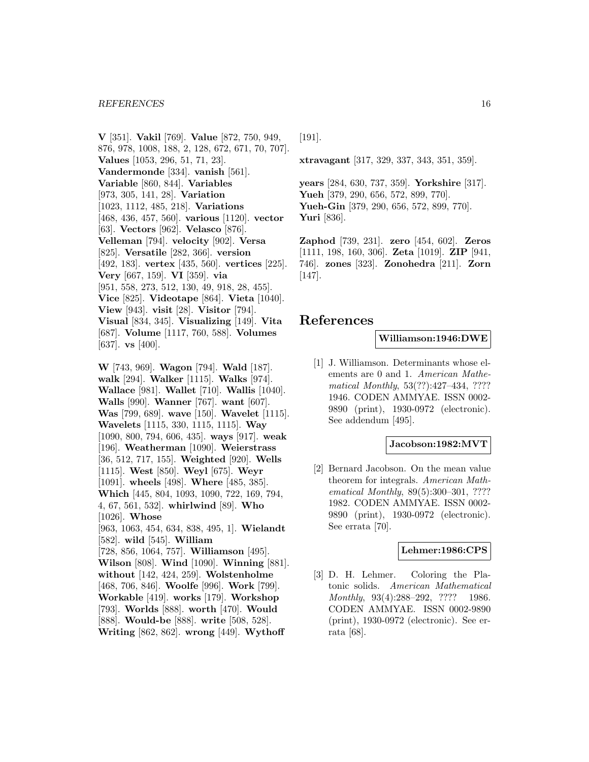**V** [351]. **Vakil** [769]. **Value** [872, 750, 949, 876, 978, 1008, 188, 2, 128, 672, 671, 70, 707]. **Values** [1053, 296, 51, 71, 23]. **Vandermonde** [334]. **vanish** [561]. **Variable** [860, 844]. **Variables** [973, 305, 141, 28]. **Variation** [1023, 1112, 485, 218]. **Variations** [468, 436, 457, 560]. **various** [1120]. **vector** [63]. **Vectors** [962]. **Velasco** [876]. **Velleman** [794]. **velocity** [902]. **Versa** [825]. **Versatile** [282, 366]. **version** [492, 183]. **vertex** [435, 560]. **vertices** [225]. **Very** [667, 159]. **VI** [359]. **via** [951, 558, 273, 512, 130, 49, 918, 28, 455]. **Vice** [825]. **Videotape** [864]. **Vieta** [1040]. **View** [943]. **visit** [28]. **Visitor** [794]. **Visual** [834, 345]. **Visualizing** [149]. **Vita** [687]. **Volume** [1117, 760, 588]. **Volumes** [637]. **vs** [400].

**W** [743, 969]. **Wagon** [794]. **Wald** [187]. **walk** [294]. **Walker** [1115]. **Walks** [974]. **Wallace** [981]. **Wallet** [710]. **Wallis** [1040]. **Walls** [990]. **Wanner** [767]. **want** [607]. **Was** [799, 689]. **wave** [150]. **Wavelet** [1115]. **Wavelets** [1115, 330, 1115, 1115]. **Way** [1090, 800, 794, 606, 435]. **ways** [917]. **weak** [196]. **Weatherman** [1090]. **Weierstrass** [36, 512, 717, 155]. **Weighted** [920]. **Wells** [1115]. **West** [850]. **Weyl** [675]. **Weyr** [1091]. **wheels** [498]. **Where** [485, 385]. **Which** [445, 804, 1093, 1090, 722, 169, 794, 4, 67, 561, 532]. **whirlwind** [89]. **Who** [1026]. **Whose** [963, 1063, 454, 634, 838, 495, 1]. **Wielandt** [582]. **wild** [545]. **William** [728, 856, 1064, 757]. **Williamson** [495]. **Wilson** [808]. **Wind** [1090]. **Winning** [881]. **without** [142, 424, 259]. **Wolstenholme** [468, 706, 846]. **Woolfe** [996]. **Work** [799]. **Workable** [419]. **works** [179]. **Workshop** [793]. **Worlds** [888]. **worth** [470]. **Would** [888]. **Would-be** [888]. **write** [508, 528]. **Writing** [862, 862]. **wrong** [449]. **Wythoff**

[191].

**xtravagant** [317, 329, 337, 343, 351, 359].

**years** [284, 630, 737, 359]. **Yorkshire** [317]. **Yueh** [379, 290, 656, 572, 899, 770]. **Yueh-Gin** [379, 290, 656, 572, 899, 770]. **Yuri** [836].

**Zaphod** [739, 231]. **zero** [454, 602]. **Zeros** [1111, 198, 160, 306]. **Zeta** [1019]. **ZIP** [941, 746]. **zones** [323]. **Zonohedra** [211]. **Zorn** [147].

# **References**

### **Williamson:1946:DWE**

[1] J. Williamson. Determinants whose elements are 0 and 1. American Mathematical Monthly, 53(??):427–434, ???? 1946. CODEN AMMYAE. ISSN 0002- 9890 (print), 1930-0972 (electronic). See addendum [495].

### **Jacobson:1982:MVT**

[2] Bernard Jacobson. On the mean value theorem for integrals. American Mathematical Monthly, 89(5):300–301, ???? 1982. CODEN AMMYAE. ISSN 0002- 9890 (print), 1930-0972 (electronic). See errata [70].

### **Lehmer:1986:CPS**

[3] D. H. Lehmer. Coloring the Platonic solids. American Mathematical Monthly, 93(4):288-292, ???? 1986. CODEN AMMYAE. ISSN 0002-9890 (print), 1930-0972 (electronic). See errata [68].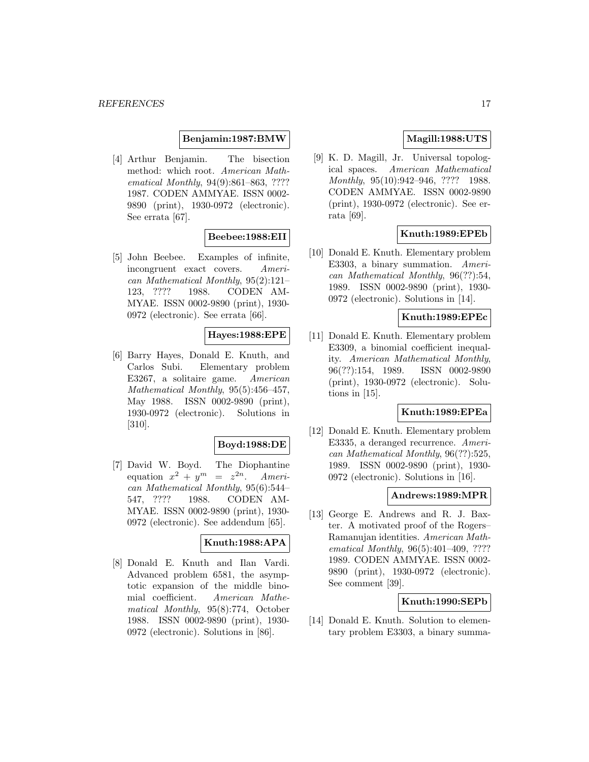### **Benjamin:1987:BMW**

[4] Arthur Benjamin. The bisection method: which root. American Mathematical Monthly, 94(9):861–863, ???? 1987. CODEN AMMYAE. ISSN 0002- 9890 (print), 1930-0972 (electronic). See errata [67].

### **Beebee:1988:EII**

[5] John Beebee. Examples of infinite, incongruent exact covers. American Mathematical Monthly, 95(2):121– 123, ???? 1988. CODEN AM-MYAE. ISSN 0002-9890 (print), 1930- 0972 (electronic). See errata [66].

# **Hayes:1988:EPE**

[6] Barry Hayes, Donald E. Knuth, and Carlos Subi. Elementary problem E3267, a solitaire game. American Mathematical Monthly, 95(5):456–457, May 1988. ISSN 0002-9890 (print), 1930-0972 (electronic). Solutions in [310].

### **Boyd:1988:DE**

[7] David W. Boyd. The Diophantine equation  $x^2 + y^m = z^{2n}$ . American Mathematical Monthly, 95(6):544– 547, ???? 1988. CODEN AM-MYAE. ISSN 0002-9890 (print), 1930- 0972 (electronic). See addendum [65].

### **Knuth:1988:APA**

[8] Donald E. Knuth and Ilan Vardi. Advanced problem 6581, the asymptotic expansion of the middle binomial coefficient. American Mathematical Monthly, 95(8):774, October 1988. ISSN 0002-9890 (print), 1930- 0972 (electronic). Solutions in [86].

### **Magill:1988:UTS**

[9] K. D. Magill, Jr. Universal topological spaces. American Mathematical Monthly, 95(10):942–946, ???? 1988. CODEN AMMYAE. ISSN 0002-9890 (print), 1930-0972 (electronic). See errata [69].

# **Knuth:1989:EPEb**

[10] Donald E. Knuth. Elementary problem E3303, a binary summation. American Mathematical Monthly, 96(??):54, 1989. ISSN 0002-9890 (print), 1930- 0972 (electronic). Solutions in [14].

### **Knuth:1989:EPEc**

[11] Donald E. Knuth. Elementary problem E3309, a binomial coefficient inequality. American Mathematical Monthly, 96(??):154, 1989. ISSN 0002-9890 (print), 1930-0972 (electronic). Solutions in [15].

# **Knuth:1989:EPEa**

[12] Donald E. Knuth. Elementary problem E3335, a deranged recurrence. American Mathematical Monthly, 96(??):525, 1989. ISSN 0002-9890 (print), 1930- 0972 (electronic). Solutions in [16].

### **Andrews:1989:MPR**

[13] George E. Andrews and R. J. Baxter. A motivated proof of the Rogers– Ramanujan identities. American Mathematical Monthly, 96(5):401-409, ???? 1989. CODEN AMMYAE. ISSN 0002- 9890 (print), 1930-0972 (electronic). See comment [39].

### **Knuth:1990:SEPb**

[14] Donald E. Knuth. Solution to elementary problem E3303, a binary summa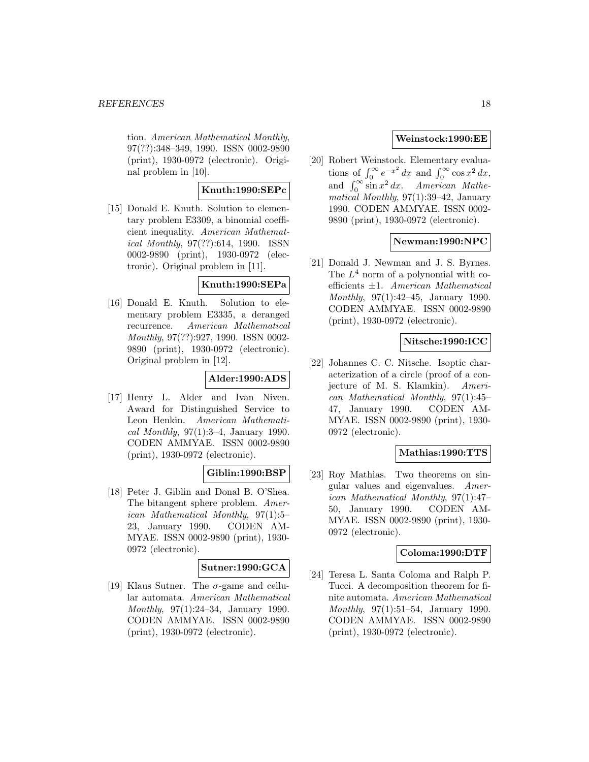tion. American Mathematical Monthly, 97(??):348–349, 1990. ISSN 0002-9890 (print), 1930-0972 (electronic). Original problem in [10].

# **Knuth:1990:SEPc**

[15] Donald E. Knuth. Solution to elementary problem E3309, a binomial coefficient inequality. American Mathematical Monthly, 97(??):614, 1990. ISSN 0002-9890 (print), 1930-0972 (electronic). Original problem in [11].

# **Knuth:1990:SEPa**

[16] Donald E. Knuth. Solution to elementary problem E3335, a deranged recurrence. American Mathematical Monthly, 97(??):927, 1990. ISSN 0002- 9890 (print), 1930-0972 (electronic). Original problem in [12].

# **Alder:1990:ADS**

[17] Henry L. Alder and Ivan Niven. Award for Distinguished Service to Leon Henkin. American Mathematical Monthly,  $97(1):3-4$ , January 1990. CODEN AMMYAE. ISSN 0002-9890 (print), 1930-0972 (electronic).

# **Giblin:1990:BSP**

[18] Peter J. Giblin and Donal B. O'Shea. The bitangent sphere problem. American Mathematical Monthly, 97(1):5– 23, January 1990. CODEN AM-MYAE. ISSN 0002-9890 (print), 1930- 0972 (electronic).

# **Sutner:1990:GCA**

[19] Klaus Sutner. The  $\sigma$ -game and cellular automata. American Mathematical Monthly, 97(1):24–34, January 1990. CODEN AMMYAE. ISSN 0002-9890 (print), 1930-0972 (electronic).

# **Weinstock:1990:EE**

[20] Robert Weinstock. Elementary evaluations of  $\int_0^\infty e^{-x^2} dx$  and  $\int_0^\infty \cos x^2 dx$ , and  $\int_0^\infty \sin x^2 dx$ . American Mathematical Monthly, 97(1):39–42, January 1990. CODEN AMMYAE. ISSN 0002- 9890 (print), 1930-0972 (electronic).

# **Newman:1990:NPC**

[21] Donald J. Newman and J. S. Byrnes. The  $L^4$  norm of a polynomial with coefficients ±1. American Mathematical Monthly, 97(1):42–45, January 1990. CODEN AMMYAE. ISSN 0002-9890 (print), 1930-0972 (electronic).

# **Nitsche:1990:ICC**

[22] Johannes C. C. Nitsche. Isoptic characterization of a circle (proof of a conjecture of M. S. Klamkin). American Mathematical Monthly, 97(1):45– 47, January 1990. CODEN AM-MYAE. ISSN 0002-9890 (print), 1930- 0972 (electronic).

# **Mathias:1990:TTS**

[23] Roy Mathias. Two theorems on singular values and eigenvalues. American Mathematical Monthly, 97(1):47– 50, January 1990. CODEN AM-MYAE. ISSN 0002-9890 (print), 1930- 0972 (electronic).

### **Coloma:1990:DTF**

[24] Teresa L. Santa Coloma and Ralph P. Tucci. A decomposition theorem for finite automata. American Mathematical Monthly, 97(1):51–54, January 1990. CODEN AMMYAE. ISSN 0002-9890 (print), 1930-0972 (electronic).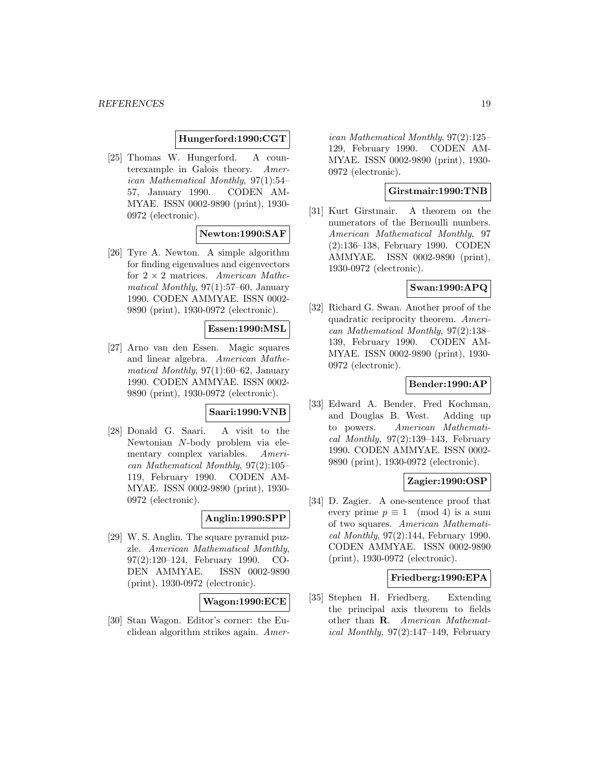#### **Hungerford:1990:CGT**

[25] Thomas W. Hungerford. A counterexample in Galois theory. American Mathematical Monthly, 97(1):54– 57, January 1990. CODEN AM-MYAE. ISSN 0002-9890 (print), 1930- 0972 (electronic).

#### **Newton:1990:SAF**

[26] Tyre A. Newton. A simple algorithm for finding eigenvalues and eigenvectors for  $2 \times 2$  matrices. American Mathematical Monthly, 97(1):57–60, January 1990. CODEN AMMYAE. ISSN 0002- 9890 (print), 1930-0972 (electronic).

### **Essen:1990:MSL**

[27] Arno van den Essen. Magic squares and linear algebra. American Mathematical Monthly, 97(1):60–62, January 1990. CODEN AMMYAE. ISSN 0002- 9890 (print), 1930-0972 (electronic).

### **Saari:1990:VNB**

[28] Donald G. Saari. A visit to the Newtonian N-body problem via elementary complex variables. American Mathematical Monthly, 97(2):105– 119, February 1990. CODEN AM-MYAE. ISSN 0002-9890 (print), 1930- 0972 (electronic).

### **Anglin:1990:SPP**

[29] W. S. Anglin. The square pyramid puzzle. American Mathematical Monthly, 97(2):120–124, February 1990. CO-DEN AMMYAE. ISSN 0002-9890 (print), 1930-0972 (electronic).

### **Wagon:1990:ECE**

[30] Stan Wagon. Editor's corner: the Euclidean algorithm strikes again. Amer-

ican Mathematical Monthly, 97(2):125– 129, February 1990. CODEN AM-MYAE. ISSN 0002-9890 (print), 1930- 0972 (electronic).

### **Girstmair:1990:TNB**

[31] Kurt Girstmair. A theorem on the numerators of the Bernoulli numbers. American Mathematical Monthly, 97 (2):136–138, February 1990. CODEN AMMYAE. ISSN 0002-9890 (print), 1930-0972 (electronic).

### **Swan:1990:APQ**

[32] Richard G. Swan. Another proof of the quadratic reciprocity theorem. American Mathematical Monthly, 97(2):138– 139, February 1990. CODEN AM-MYAE. ISSN 0002-9890 (print), 1930- 0972 (electronic).

### **Bender:1990:AP**

[33] Edward A. Bender, Fred Kochman, and Douglas B. West. Adding up to powers. American Mathematical Monthly,  $97(2):139-143$ , February 1990. CODEN AMMYAE. ISSN 0002- 9890 (print), 1930-0972 (electronic).

#### **Zagier:1990:OSP**

[34] D. Zagier. A one-sentence proof that every prime  $p \equiv 1 \pmod{4}$  is a sum of two squares. American Mathematical Monthly, 97(2):144, February 1990. CODEN AMMYAE. ISSN 0002-9890 (print), 1930-0972 (electronic).

#### **Friedberg:1990:EPA**

[35] Stephen H. Friedberg. Extending the principal axis theorem to fields other than **R**. American Mathemat*ical Monthly*,  $97(2):147-149$ , February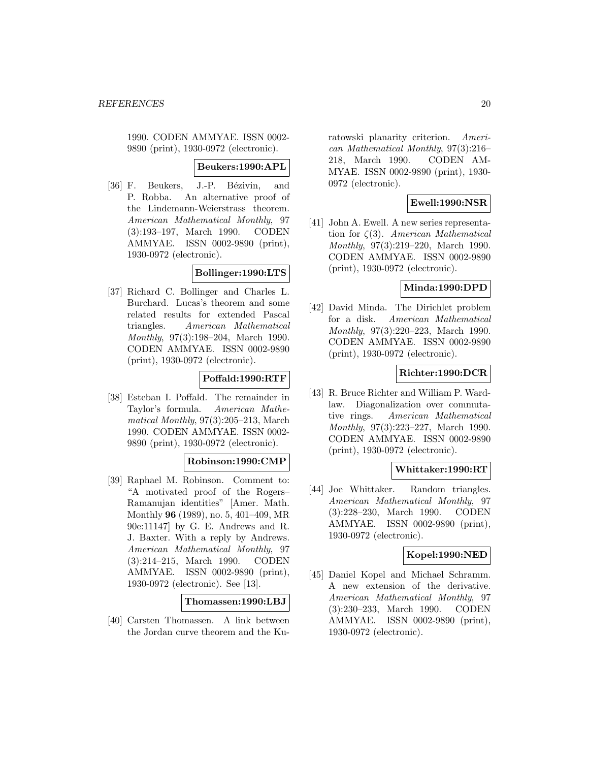1990. CODEN AMMYAE. ISSN 0002- 9890 (print), 1930-0972 (electronic).

#### **Beukers:1990:APL**

[36] F. Beukers, J.-P. Bézivin, and P. Robba. An alternative proof of the Lindemann-Weierstrass theorem. American Mathematical Monthly, 97 (3):193–197, March 1990. CODEN AMMYAE. ISSN 0002-9890 (print), 1930-0972 (electronic).

#### **Bollinger:1990:LTS**

[37] Richard C. Bollinger and Charles L. Burchard. Lucas's theorem and some related results for extended Pascal triangles. American Mathematical Monthly, 97(3):198–204, March 1990. CODEN AMMYAE. ISSN 0002-9890 (print), 1930-0972 (electronic).

### **Poffald:1990:RTF**

[38] Esteban I. Poffald. The remainder in Taylor's formula. American Mathematical Monthly, 97(3):205–213, March 1990. CODEN AMMYAE. ISSN 0002- 9890 (print), 1930-0972 (electronic).

#### **Robinson:1990:CMP**

[39] Raphael M. Robinson. Comment to: "A motivated proof of the Rogers– Ramanujan identities" [Amer. Math. Monthly **96** (1989), no. 5, 401–409, MR 90e:11147] by G. E. Andrews and R. J. Baxter. With a reply by Andrews. American Mathematical Monthly, 97 (3):214–215, March 1990. CODEN AMMYAE. ISSN 0002-9890 (print), 1930-0972 (electronic). See [13].

#### **Thomassen:1990:LBJ**

[40] Carsten Thomassen. A link between the Jordan curve theorem and the Kuratowski planarity criterion. American Mathematical Monthly, 97(3):216– 218, March 1990. CODEN AM-MYAE. ISSN 0002-9890 (print), 1930- 0972 (electronic).

### **Ewell:1990:NSR**

[41] John A. Ewell. A new series representation for  $\zeta(3)$ . American Mathematical Monthly, 97(3):219–220, March 1990. CODEN AMMYAE. ISSN 0002-9890 (print), 1930-0972 (electronic).

### **Minda:1990:DPD**

[42] David Minda. The Dirichlet problem for a disk. American Mathematical Monthly, 97(3):220–223, March 1990. CODEN AMMYAE. ISSN 0002-9890 (print), 1930-0972 (electronic).

# **Richter:1990:DCR**

[43] R. Bruce Richter and William P. Wardlaw. Diagonalization over commutative rings. American Mathematical Monthly, 97(3):223–227, March 1990. CODEN AMMYAE. ISSN 0002-9890 (print), 1930-0972 (electronic).

#### **Whittaker:1990:RT**

[44] Joe Whittaker. Random triangles. American Mathematical Monthly, 97 (3):228–230, March 1990. CODEN AMMYAE. ISSN 0002-9890 (print), 1930-0972 (electronic).

# **Kopel:1990:NED**

[45] Daniel Kopel and Michael Schramm. A new extension of the derivative. American Mathematical Monthly, 97 (3):230–233, March 1990. CODEN AMMYAE. ISSN 0002-9890 (print), 1930-0972 (electronic).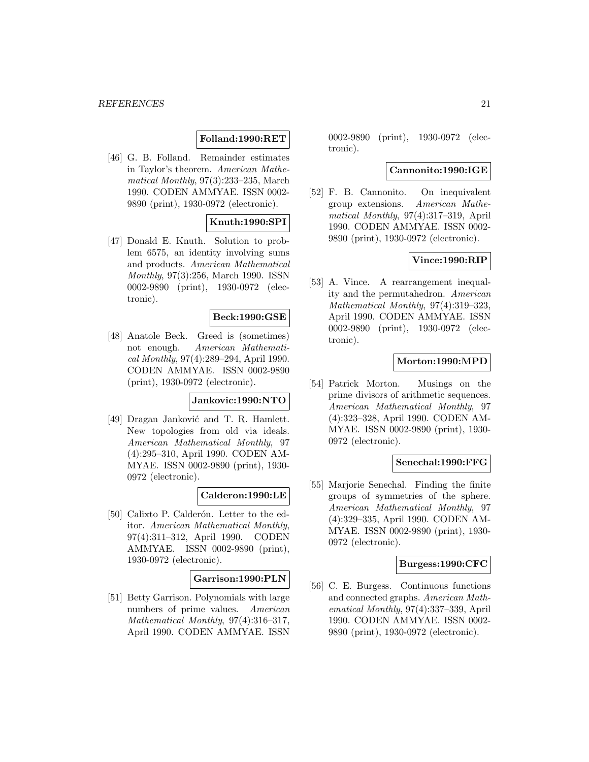# **Folland:1990:RET**

[46] G. B. Folland. Remainder estimates in Taylor's theorem. American Mathematical Monthly, 97(3):233–235, March 1990. CODEN AMMYAE. ISSN 0002- 9890 (print), 1930-0972 (electronic).

### **Knuth:1990:SPI**

[47] Donald E. Knuth. Solution to problem 6575, an identity involving sums and products. American Mathematical Monthly, 97(3):256, March 1990. ISSN 0002-9890 (print), 1930-0972 (electronic).

### **Beck:1990:GSE**

[48] Anatole Beck. Greed is (sometimes) not enough. American Mathematical Monthly, 97(4):289–294, April 1990. CODEN AMMYAE. ISSN 0002-9890 (print), 1930-0972 (electronic).

### **Jankovic:1990:NTO**

[49] Dragan Janković and T. R. Hamlett. New topologies from old via ideals. American Mathematical Monthly, 97 (4):295–310, April 1990. CODEN AM-MYAE. ISSN 0002-9890 (print), 1930- 0972 (electronic).

### **Calderon:1990:LE**

[50] Calixto P. Calderón. Letter to the editor. American Mathematical Monthly, 97(4):311–312, April 1990. CODEN AMMYAE. ISSN 0002-9890 (print), 1930-0972 (electronic).

#### **Garrison:1990:PLN**

[51] Betty Garrison. Polynomials with large numbers of prime values. American Mathematical Monthly, 97(4):316–317, April 1990. CODEN AMMYAE. ISSN

0002-9890 (print), 1930-0972 (electronic).

### **Cannonito:1990:IGE**

[52] F. B. Cannonito. On inequivalent group extensions. American Mathematical Monthly, 97(4):317–319, April 1990. CODEN AMMYAE. ISSN 0002- 9890 (print), 1930-0972 (electronic).

#### **Vince:1990:RIP**

[53] A. Vince. A rearrangement inequality and the permutahedron. American Mathematical Monthly, 97(4):319–323, April 1990. CODEN AMMYAE. ISSN 0002-9890 (print), 1930-0972 (electronic).

### **Morton:1990:MPD**

[54] Patrick Morton. Musings on the prime divisors of arithmetic sequences. American Mathematical Monthly, 97 (4):323–328, April 1990. CODEN AM-MYAE. ISSN 0002-9890 (print), 1930- 0972 (electronic).

#### **Senechal:1990:FFG**

[55] Marjorie Senechal. Finding the finite groups of symmetries of the sphere. American Mathematical Monthly, 97 (4):329–335, April 1990. CODEN AM-MYAE. ISSN 0002-9890 (print), 1930- 0972 (electronic).

#### **Burgess:1990:CFC**

[56] C. E. Burgess. Continuous functions and connected graphs. American Mathematical Monthly, 97(4):337–339, April 1990. CODEN AMMYAE. ISSN 0002- 9890 (print), 1930-0972 (electronic).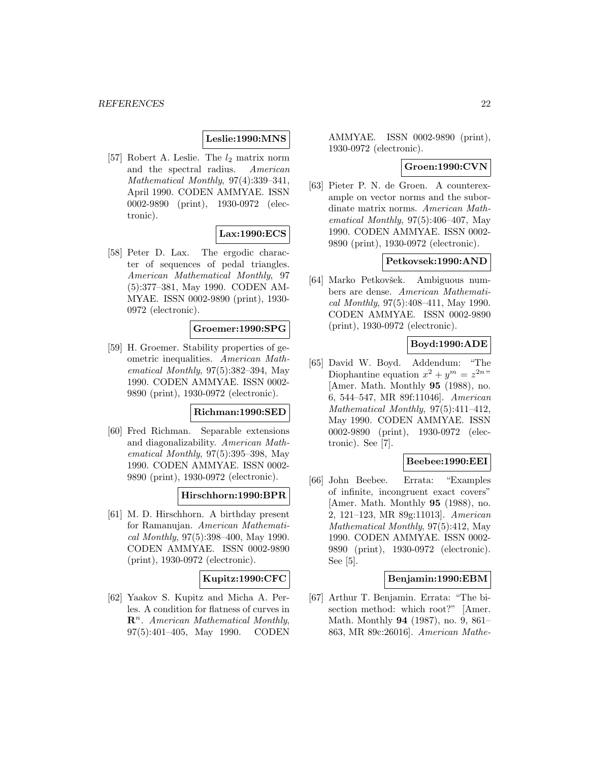# **Leslie:1990:MNS**

[57] Robert A. Leslie. The  $l_2$  matrix norm and the spectral radius. American Mathematical Monthly, 97(4):339–341, April 1990. CODEN AMMYAE. ISSN 0002-9890 (print), 1930-0972 (electronic).

# **Lax:1990:ECS**

[58] Peter D. Lax. The ergodic character of sequences of pedal triangles. American Mathematical Monthly, 97 (5):377–381, May 1990. CODEN AM-MYAE. ISSN 0002-9890 (print), 1930- 0972 (electronic).

### **Groemer:1990:SPG**

[59] H. Groemer. Stability properties of geometric inequalities. American Mathematical Monthly, 97(5):382–394, May 1990. CODEN AMMYAE. ISSN 0002- 9890 (print), 1930-0972 (electronic).

#### **Richman:1990:SED**

[60] Fred Richman. Separable extensions and diagonalizability. American Mathematical Monthly, 97(5):395–398, May 1990. CODEN AMMYAE. ISSN 0002- 9890 (print), 1930-0972 (electronic).

### **Hirschhorn:1990:BPR**

[61] M. D. Hirschhorn. A birthday present for Ramanujan. American Mathematical Monthly, 97(5):398–400, May 1990. CODEN AMMYAE. ISSN 0002-9890 (print), 1930-0972 (electronic).

### **Kupitz:1990:CFC**

[62] Yaakov S. Kupitz and Micha A. Perles. A condition for flatness of curves in  $\mathbb{R}^n$ . American Mathematical Monthly, 97(5):401–405, May 1990. CODEN

AMMYAE. ISSN 0002-9890 (print), 1930-0972 (electronic).

#### **Groen:1990:CVN**

[63] Pieter P. N. de Groen. A counterexample on vector norms and the subordinate matrix norms. American Mathematical Monthly,  $97(5):406-407$ , May 1990. CODEN AMMYAE. ISSN 0002- 9890 (print), 1930-0972 (electronic).

#### **Petkovsek:1990:AND**

[64] Marko Petkovšek. Ambiguous numbers are dense. American Mathematical Monthly, 97(5):408–411, May 1990. CODEN AMMYAE. ISSN 0002-9890 (print), 1930-0972 (electronic).

### **Boyd:1990:ADE**

[65] David W. Boyd. Addendum: "The Diophantine equation  $x^2 + y^m = z^{2n}$ [Amer. Math. Monthly **95** (1988), no. 6, 544–547, MR 89f:11046]. American Mathematical Monthly, 97(5):411–412, May 1990. CODEN AMMYAE. ISSN 0002-9890 (print), 1930-0972 (electronic). See [7].

#### **Beebee:1990:EEI**

[66] John Beebee. Errata: "Examples of infinite, incongruent exact covers" [Amer. Math. Monthly **95** (1988), no. 2, 121–123, MR 89g:11013]. American Mathematical Monthly, 97(5):412, May 1990. CODEN AMMYAE. ISSN 0002- 9890 (print), 1930-0972 (electronic). See [5].

#### **Benjamin:1990:EBM**

[67] Arthur T. Benjamin. Errata: "The bisection method: which root?" [Amer. Math. Monthly **94** (1987), no. 9, 861– 863, MR 89c:26016]. American Mathe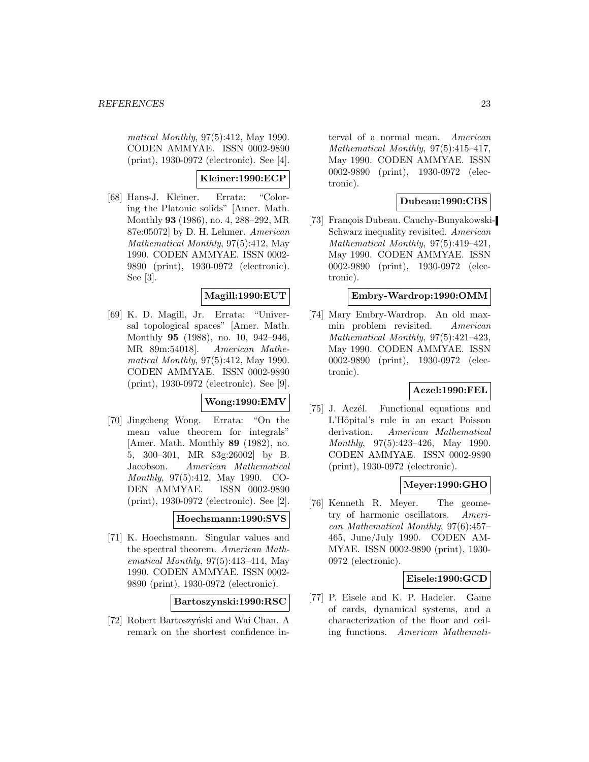matical Monthly, 97(5):412, May 1990. CODEN AMMYAE. ISSN 0002-9890 (print), 1930-0972 (electronic). See [4].

# **Kleiner:1990:ECP**

[68] Hans-J. Kleiner. Errata: "Coloring the Platonic solids" [Amer. Math. Monthly **93** (1986), no. 4, 288–292, MR 87e:05072] by D. H. Lehmer. American Mathematical Monthly, 97(5):412, May 1990. CODEN AMMYAE. ISSN 0002- 9890 (print), 1930-0972 (electronic). See [3].

### **Magill:1990:EUT**

[69] K. D. Magill, Jr. Errata: "Universal topological spaces" [Amer. Math. Monthly **95** (1988), no. 10, 942–946, MR 89m:54018]. American Mathematical Monthly, 97(5):412, May 1990. CODEN AMMYAE. ISSN 0002-9890 (print), 1930-0972 (electronic). See [9].

# **Wong:1990:EMV**

[70] Jingcheng Wong. Errata: "On the mean value theorem for integrals" [Amer. Math. Monthly **89** (1982), no. 5, 300–301, MR 83g:26002] by B. Jacobson. American Mathematical Monthly, 97(5):412, May 1990. CO-DEN AMMYAE. ISSN 0002-9890 (print), 1930-0972 (electronic). See [2].

### **Hoechsmann:1990:SVS**

[71] K. Hoechsmann. Singular values and the spectral theorem. American Mathematical Monthly, 97(5):413–414, May 1990. CODEN AMMYAE. ISSN 0002- 9890 (print), 1930-0972 (electronic).

#### **Bartoszynski:1990:RSC**

[72] Robert Bartoszyński and Wai Chan. A remark on the shortest confidence in-

terval of a normal mean. American Mathematical Monthly, 97(5):415–417, May 1990. CODEN AMMYAE. ISSN 0002-9890 (print), 1930-0972 (electronic).

# **Dubeau:1990:CBS**

[73] François Dubeau. Cauchy-Bunyakowski-Schwarz inequality revisited. American Mathematical Monthly, 97(5):419–421, May 1990. CODEN AMMYAE. ISSN 0002-9890 (print), 1930-0972 (electronic).

# **Embry-Wardrop:1990:OMM**

[74] Mary Embry-Wardrop. An old maxmin problem revisited. American Mathematical Monthly, 97(5):421–423, May 1990. CODEN AMMYAE. ISSN 0002-9890 (print), 1930-0972 (electronic).

### **Aczel:1990:FEL**

[75] J. Aczél. Functional equations and L'Hôpital's rule in an exact Poisson derivation. American Mathematical Monthly, 97(5):423–426, May 1990. CODEN AMMYAE. ISSN 0002-9890 (print), 1930-0972 (electronic).

# **Meyer:1990:GHO**

[76] Kenneth R. Meyer. The geometry of harmonic oscillators. American Mathematical Monthly, 97(6):457– 465, June/July 1990. CODEN AM-MYAE. ISSN 0002-9890 (print), 1930- 0972 (electronic).

### **Eisele:1990:GCD**

[77] P. Eisele and K. P. Hadeler. Game of cards, dynamical systems, and a characterization of the floor and ceiling functions. American Mathemati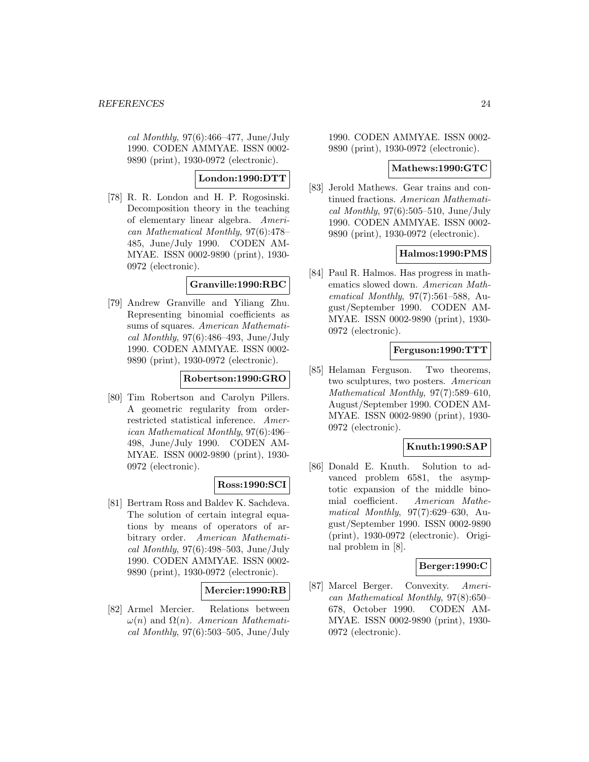cal Monthly,  $97(6)$ :466-477, June/July 1990. CODEN AMMYAE. ISSN 0002- 9890 (print), 1930-0972 (electronic).

# **London:1990:DTT**

[78] R. R. London and H. P. Rogosinski. Decomposition theory in the teaching of elementary linear algebra. American Mathematical Monthly, 97(6):478– 485, June/July 1990. CODEN AM-MYAE. ISSN 0002-9890 (print), 1930- 0972 (electronic).

# **Granville:1990:RBC**

[79] Andrew Granville and Yiliang Zhu. Representing binomial coefficients as sums of squares. American Mathematical Monthly,  $97(6)$ :486-493, June/July 1990. CODEN AMMYAE. ISSN 0002- 9890 (print), 1930-0972 (electronic).

### **Robertson:1990:GRO**

[80] Tim Robertson and Carolyn Pillers. A geometric regularity from orderrestricted statistical inference. American Mathematical Monthly, 97(6):496– 498, June/July 1990. CODEN AM-MYAE. ISSN 0002-9890 (print), 1930- 0972 (electronic).

# **Ross:1990:SCI**

[81] Bertram Ross and Baldev K. Sachdeva. The solution of certain integral equations by means of operators of arbitrary order. American Mathematical Monthly,  $97(6):498-503$ , June/July 1990. CODEN AMMYAE. ISSN 0002- 9890 (print), 1930-0972 (electronic).

# **Mercier:1990:RB**

[82] Armel Mercier. Relations between  $\omega(n)$  and  $\Omega(n)$ . American Mathematical Monthly,  $97(6):503-505$ , June/July

1990. CODEN AMMYAE. ISSN 0002- 9890 (print), 1930-0972 (electronic).

### **Mathews:1990:GTC**

[83] Jerold Mathews. Gear trains and continued fractions. American Mathematical Monthly,  $97(6):505-510$ , June/July 1990. CODEN AMMYAE. ISSN 0002- 9890 (print), 1930-0972 (electronic).

# **Halmos:1990:PMS**

[84] Paul R. Halmos. Has progress in mathematics slowed down. American Mathematical Monthly, 97(7):561–588, August/September 1990. CODEN AM-MYAE. ISSN 0002-9890 (print), 1930- 0972 (electronic).

# **Ferguson:1990:TTT**

[85] Helaman Ferguson. Two theorems, two sculptures, two posters. American Mathematical Monthly, 97(7):589–610, August/September 1990. CODEN AM-MYAE. ISSN 0002-9890 (print), 1930- 0972 (electronic).

# **Knuth:1990:SAP**

[86] Donald E. Knuth. Solution to advanced problem 6581, the asymptotic expansion of the middle binomial coefficient. American Mathematical Monthly, 97(7):629–630, August/September 1990. ISSN 0002-9890 (print), 1930-0972 (electronic). Original problem in [8].

# **Berger:1990:C**

[87] Marcel Berger. Convexity. American Mathematical Monthly, 97(8):650– 678, October 1990. CODEN AM-MYAE. ISSN 0002-9890 (print), 1930- 0972 (electronic).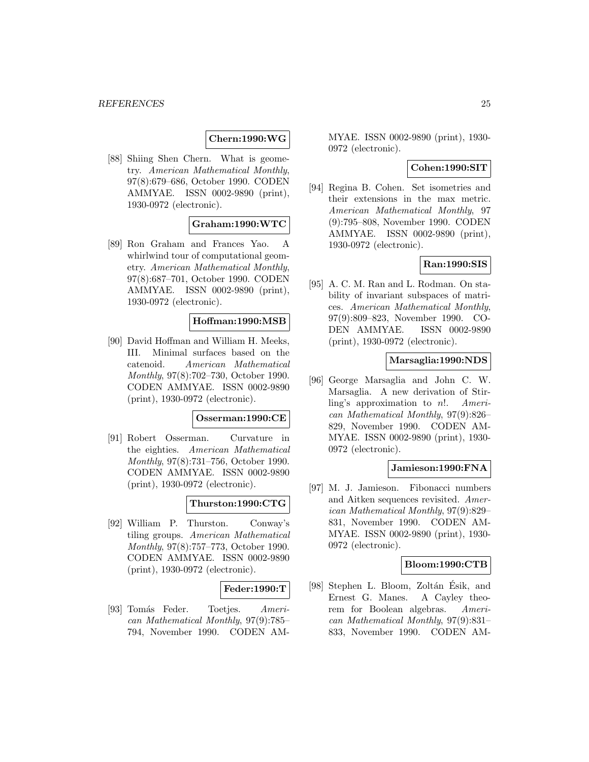### **Chern:1990:WG**

[88] Shiing Shen Chern. What is geometry. American Mathematical Monthly, 97(8):679–686, October 1990. CODEN AMMYAE. ISSN 0002-9890 (print), 1930-0972 (electronic).

#### **Graham:1990:WTC**

[89] Ron Graham and Frances Yao. A whirlwind tour of computational geometry. American Mathematical Monthly, 97(8):687–701, October 1990. CODEN AMMYAE. ISSN 0002-9890 (print), 1930-0972 (electronic).

### **Hoffman:1990:MSB**

[90] David Hoffman and William H. Meeks, III. Minimal surfaces based on the catenoid. American Mathematical Monthly, 97(8):702–730, October 1990. CODEN AMMYAE. ISSN 0002-9890 (print), 1930-0972 (electronic).

#### **Osserman:1990:CE**

[91] Robert Osserman. Curvature in the eighties. American Mathematical Monthly, 97(8):731–756, October 1990. CODEN AMMYAE. ISSN 0002-9890 (print), 1930-0972 (electronic).

### **Thurston:1990:CTG**

[92] William P. Thurston. Conway's tiling groups. American Mathematical Monthly, 97(8):757–773, October 1990. CODEN AMMYAE. ISSN 0002-9890 (print), 1930-0972 (electronic).

#### **Feder:1990:T**

[93] Tomás Feder. Toetjes. American Mathematical Monthly, 97(9):785– 794, November 1990. CODEN AM-

MYAE. ISSN 0002-9890 (print), 1930- 0972 (electronic).

### **Cohen:1990:SIT**

[94] Regina B. Cohen. Set isometries and their extensions in the max metric. American Mathematical Monthly, 97 (9):795–808, November 1990. CODEN AMMYAE. ISSN 0002-9890 (print), 1930-0972 (electronic).

### **Ran:1990:SIS**

[95] A. C. M. Ran and L. Rodman. On stability of invariant subspaces of matrices. American Mathematical Monthly, 97(9):809–823, November 1990. CO-DEN AMMYAE. ISSN 0002-9890 (print), 1930-0972 (electronic).

#### **Marsaglia:1990:NDS**

[96] George Marsaglia and John C. W. Marsaglia. A new derivation of Stirling's approximation to n!. American Mathematical Monthly, 97(9):826– 829, November 1990. CODEN AM-MYAE. ISSN 0002-9890 (print), 1930- 0972 (electronic).

#### **Jamieson:1990:FNA**

[97] M. J. Jamieson. Fibonacci numbers and Aitken sequences revisited. American Mathematical Monthly, 97(9):829– 831, November 1990. CODEN AM-MYAE. ISSN 0002-9890 (print), 1930- 0972 (electronic).

#### **Bloom:1990:CTB**

[98] Stephen L. Bloom, Zoltán Ésik, and Ernest G. Manes. A Cayley theorem for Boolean algebras. American Mathematical Monthly, 97(9):831– 833, November 1990. CODEN AM-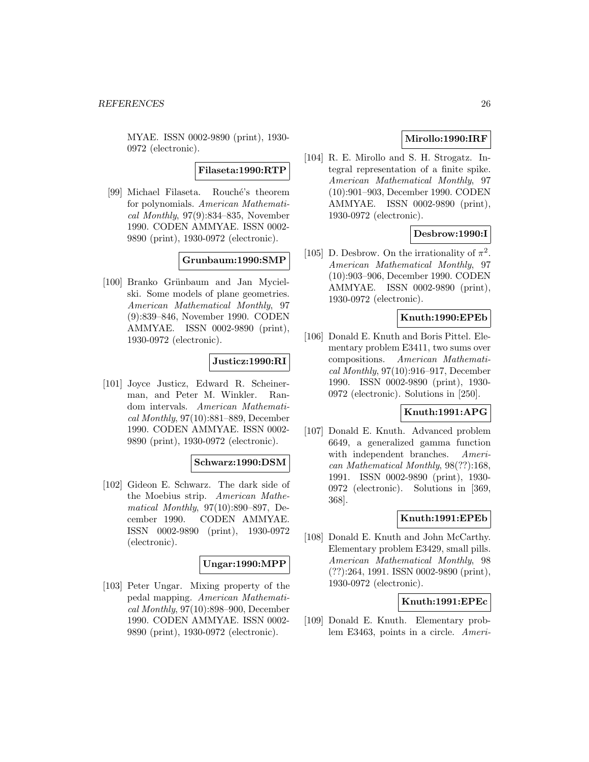MYAE. ISSN 0002-9890 (print), 1930- 0972 (electronic).

### **Filaseta:1990:RTP**

[99] Michael Filaseta. Rouché's theorem for polynomials. American Mathematical Monthly, 97(9):834–835, November 1990. CODEN AMMYAE. ISSN 0002- 9890 (print), 1930-0972 (electronic).

### **Grunbaum:1990:SMP**

[100] Branko Grünbaum and Jan Mycielski. Some models of plane geometries. American Mathematical Monthly, 97 (9):839–846, November 1990. CODEN AMMYAE. ISSN 0002-9890 (print), 1930-0972 (electronic).

### **Justicz:1990:RI**

[101] Joyce Justicz, Edward R. Scheinerman, and Peter M. Winkler. Random intervals. American Mathematical Monthly, 97(10):881–889, December 1990. CODEN AMMYAE. ISSN 0002- 9890 (print), 1930-0972 (electronic).

#### **Schwarz:1990:DSM**

[102] Gideon E. Schwarz. The dark side of the Moebius strip. American Mathematical Monthly, 97(10):890–897, December 1990. CODEN AMMYAE. ISSN 0002-9890 (print), 1930-0972 (electronic).

### **Ungar:1990:MPP**

[103] Peter Ungar. Mixing property of the pedal mapping. American Mathematical Monthly, 97(10):898–900, December 1990. CODEN AMMYAE. ISSN 0002- 9890 (print), 1930-0972 (electronic).

# **Mirollo:1990:IRF**

[104] R. E. Mirollo and S. H. Strogatz. Integral representation of a finite spike. American Mathematical Monthly, 97 (10):901–903, December 1990. CODEN AMMYAE. ISSN 0002-9890 (print), 1930-0972 (electronic).

# **Desbrow:1990:I**

[105] D. Desbrow. On the irrationality of  $\pi^2$ . American Mathematical Monthly, 97 (10):903–906, December 1990. CODEN AMMYAE. ISSN 0002-9890 (print), 1930-0972 (electronic).

# **Knuth:1990:EPEb**

[106] Donald E. Knuth and Boris Pittel. Elementary problem E3411, two sums over compositions. American Mathematical Monthly, 97(10):916–917, December 1990. ISSN 0002-9890 (print), 1930- 0972 (electronic). Solutions in [250].

# **Knuth:1991:APG**

[107] Donald E. Knuth. Advanced problem 6649, a generalized gamma function with independent branches. American Mathematical Monthly, 98(??):168, 1991. ISSN 0002-9890 (print), 1930- 0972 (electronic). Solutions in [369, 368].

### **Knuth:1991:EPEb**

[108] Donald E. Knuth and John McCarthy. Elementary problem E3429, small pills. American Mathematical Monthly, 98 (??):264, 1991. ISSN 0002-9890 (print), 1930-0972 (electronic).

# **Knuth:1991:EPEc**

[109] Donald E. Knuth. Elementary problem E3463, points in a circle. Ameri-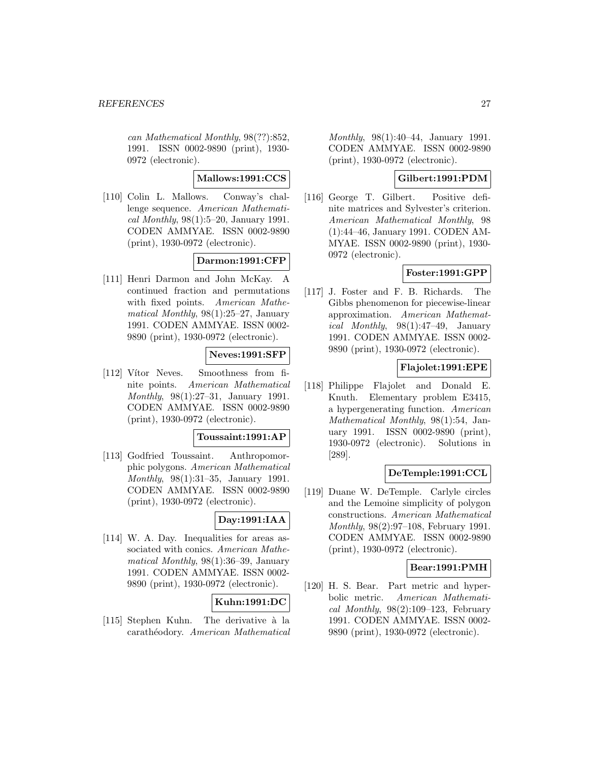can Mathematical Monthly, 98(??):852, 1991. ISSN 0002-9890 (print), 1930- 0972 (electronic).

### **Mallows:1991:CCS**

[110] Colin L. Mallows. Conway's challenge sequence. American Mathematical Monthly,  $98(1):5-20$ , January 1991. CODEN AMMYAE. ISSN 0002-9890 (print), 1930-0972 (electronic).

### **Darmon:1991:CFP**

[111] Henri Darmon and John McKay. A continued fraction and permutations with fixed points. American Mathematical Monthly, 98(1):25–27, January 1991. CODEN AMMYAE. ISSN 0002- 9890 (print), 1930-0972 (electronic).

# **Neves:1991:SFP**

[112] Vítor Neves. Smoothness from finite points. American Mathematical Monthly, 98(1):27–31, January 1991. CODEN AMMYAE. ISSN 0002-9890 (print), 1930-0972 (electronic).

### **Toussaint:1991:AP**

[113] Godfried Toussaint. Anthropomorphic polygons. American Mathematical Monthly, 98(1):31–35, January 1991. CODEN AMMYAE. ISSN 0002-9890 (print), 1930-0972 (electronic).

# **Day:1991:IAA**

[114] W. A. Day. Inequalities for areas associated with conics. American Mathematical Monthly, 98(1):36–39, January 1991. CODEN AMMYAE. ISSN 0002- 9890 (print), 1930-0972 (electronic).

# **Kuhn:1991:DC**

[115] Stephen Kuhn. The derivative à la carathéodory. American Mathematical

Monthly, 98(1):40–44, January 1991. CODEN AMMYAE. ISSN 0002-9890 (print), 1930-0972 (electronic).

# **Gilbert:1991:PDM**

[116] George T. Gilbert. Positive definite matrices and Sylvester's criterion. American Mathematical Monthly, 98 (1):44–46, January 1991. CODEN AM-MYAE. ISSN 0002-9890 (print), 1930- 0972 (electronic).

# **Foster:1991:GPP**

[117] J. Foster and F. B. Richards. The Gibbs phenomenon for piecewise-linear approximation. American Mathematical Monthly, 98(1):47–49, January 1991. CODEN AMMYAE. ISSN 0002- 9890 (print), 1930-0972 (electronic).

# **Flajolet:1991:EPE**

[118] Philippe Flajolet and Donald E. Knuth. Elementary problem E3415, a hypergenerating function. American Mathematical Monthly, 98(1):54, January 1991. ISSN 0002-9890 (print), 1930-0972 (electronic). Solutions in [289].

# **DeTemple:1991:CCL**

[119] Duane W. DeTemple. Carlyle circles and the Lemoine simplicity of polygon constructions. American Mathematical Monthly, 98(2):97–108, February 1991. CODEN AMMYAE. ISSN 0002-9890 (print), 1930-0972 (electronic).

#### **Bear:1991:PMH**

[120] H. S. Bear. Part metric and hyperbolic metric. American Mathematical Monthly,  $98(2):109-123$ , February 1991. CODEN AMMYAE. ISSN 0002- 9890 (print), 1930-0972 (electronic).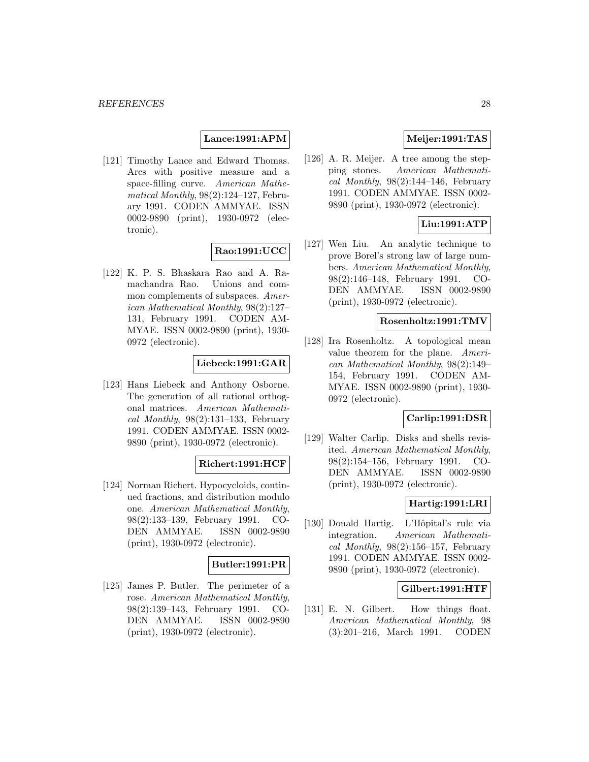### **Lance:1991:APM**

[121] Timothy Lance and Edward Thomas. Arcs with positive measure and a space-filling curve. American Mathematical Monthly,  $98(2):124-127$ , February 1991. CODEN AMMYAE. ISSN 0002-9890 (print), 1930-0972 (electronic).

#### **Rao:1991:UCC**

[122] K. P. S. Bhaskara Rao and A. Ramachandra Rao. Unions and common complements of subspaces. American Mathematical Monthly, 98(2):127– 131, February 1991. CODEN AM-MYAE. ISSN 0002-9890 (print), 1930- 0972 (electronic).

#### **Liebeck:1991:GAR**

[123] Hans Liebeck and Anthony Osborne. The generation of all rational orthogonal matrices. American Mathematical Monthly,  $98(2):131-133$ , February 1991. CODEN AMMYAE. ISSN 0002- 9890 (print), 1930-0972 (electronic).

### **Richert:1991:HCF**

[124] Norman Richert. Hypocycloids, continued fractions, and distribution modulo one. American Mathematical Monthly, 98(2):133–139, February 1991. CO-DEN AMMYAE. ISSN 0002-9890 (print), 1930-0972 (electronic).

### **Butler:1991:PR**

[125] James P. Butler. The perimeter of a rose. American Mathematical Monthly, 98(2):139–143, February 1991. CO-DEN AMMYAE. ISSN 0002-9890 (print), 1930-0972 (electronic).

### **Meijer:1991:TAS**

[126] A. R. Meijer. A tree among the stepping stones. American Mathematical Monthly,  $98(2):144-146$ , February 1991. CODEN AMMYAE. ISSN 0002- 9890 (print), 1930-0972 (electronic).

### **Liu:1991:ATP**

[127] Wen Liu. An analytic technique to prove Borel's strong law of large numbers. American Mathematical Monthly, 98(2):146–148, February 1991. CO-DEN AMMYAE. ISSN 0002-9890 (print), 1930-0972 (electronic).

### **Rosenholtz:1991:TMV**

[128] Ira Rosenholtz. A topological mean value theorem for the plane. American Mathematical Monthly, 98(2):149– 154, February 1991. CODEN AM-MYAE. ISSN 0002-9890 (print), 1930- 0972 (electronic).

#### **Carlip:1991:DSR**

[129] Walter Carlip. Disks and shells revisited. American Mathematical Monthly, 98(2):154–156, February 1991. CO-DEN AMMYAE. ISSN 0002-9890 (print), 1930-0972 (electronic).

#### **Hartig:1991:LRI**

[130] Donald Hartig. L'Hôpital's rule via integration. American Mathematical Monthly,  $98(2):156-157$ , February 1991. CODEN AMMYAE. ISSN 0002- 9890 (print), 1930-0972 (electronic).

### **Gilbert:1991:HTF**

[131] E. N. Gilbert. How things float. American Mathematical Monthly, 98 (3):201–216, March 1991. CODEN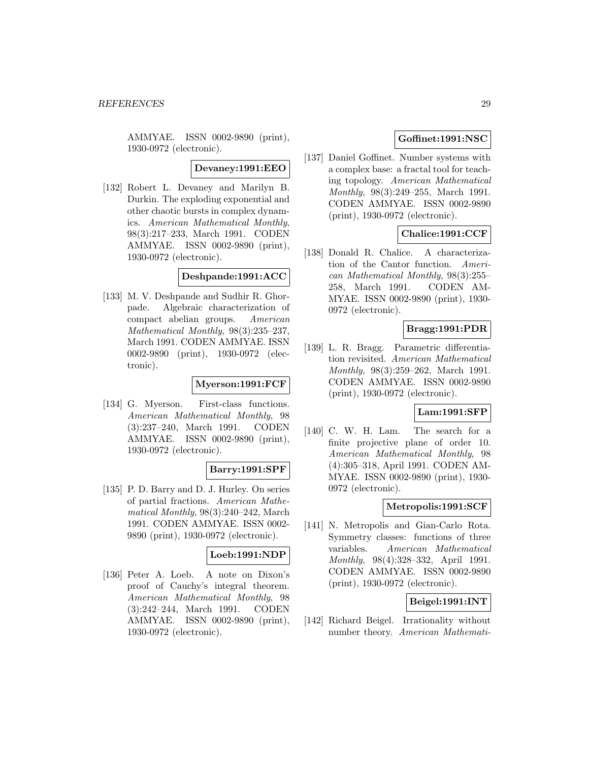AMMYAE. ISSN 0002-9890 (print), 1930-0972 (electronic).

# **Devaney:1991:EEO**

[132] Robert L. Devaney and Marilyn B. Durkin. The exploding exponential and other chaotic bursts in complex dynamics. American Mathematical Monthly, 98(3):217–233, March 1991. CODEN AMMYAE. ISSN 0002-9890 (print), 1930-0972 (electronic).

### **Deshpande:1991:ACC**

[133] M. V. Deshpande and Sudhir R. Ghorpade. Algebraic characterization of compact abelian groups. American Mathematical Monthly, 98(3):235–237, March 1991. CODEN AMMYAE. ISSN 0002-9890 (print), 1930-0972 (electronic).

### **Myerson:1991:FCF**

[134] G. Myerson. First-class functions. American Mathematical Monthly, 98 (3):237–240, March 1991. CODEN AMMYAE. ISSN 0002-9890 (print), 1930-0972 (electronic).

#### **Barry:1991:SPF**

[135] P. D. Barry and D. J. Hurley. On series of partial fractions. American Mathematical Monthly, 98(3):240–242, March 1991. CODEN AMMYAE. ISSN 0002- 9890 (print), 1930-0972 (electronic).

# **Loeb:1991:NDP**

[136] Peter A. Loeb. A note on Dixon's proof of Cauchy's integral theorem. American Mathematical Monthly, 98 (3):242–244, March 1991. CODEN AMMYAE. ISSN 0002-9890 (print), 1930-0972 (electronic).

# **Goffinet:1991:NSC**

[137] Daniel Goffinet. Number systems with a complex base: a fractal tool for teaching topology. American Mathematical Monthly, 98(3):249–255, March 1991. CODEN AMMYAE. ISSN 0002-9890 (print), 1930-0972 (electronic).

# **Chalice:1991:CCF**

[138] Donald R. Chalice. A characterization of the Cantor function. American Mathematical Monthly, 98(3):255– 258, March 1991. CODEN AM-MYAE. ISSN 0002-9890 (print), 1930- 0972 (electronic).

# **Bragg:1991:PDR**

[139] L. R. Bragg. Parametric differentiation revisited. American Mathematical Monthly, 98(3):259–262, March 1991. CODEN AMMYAE. ISSN 0002-9890 (print), 1930-0972 (electronic).

# **Lam:1991:SFP**

[140] C. W. H. Lam. The search for a finite projective plane of order 10. American Mathematical Monthly, 98 (4):305–318, April 1991. CODEN AM-MYAE. ISSN 0002-9890 (print), 1930- 0972 (electronic).

# **Metropolis:1991:SCF**

[141] N. Metropolis and Gian-Carlo Rota. Symmetry classes: functions of three variables. American Mathematical Monthly, 98(4):328–332, April 1991. CODEN AMMYAE. ISSN 0002-9890 (print), 1930-0972 (electronic).

### **Beigel:1991:INT**

[142] Richard Beigel. Irrationality without number theory. American Mathemati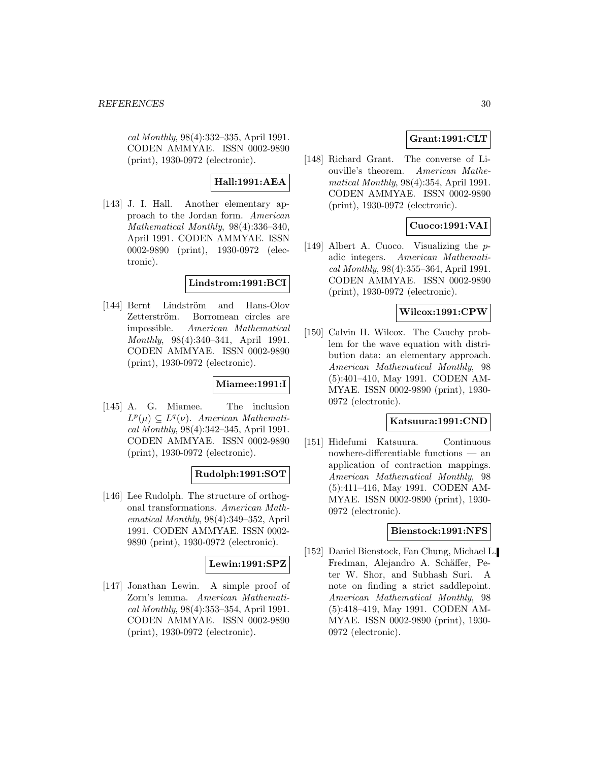cal Monthly, 98(4):332–335, April 1991. CODEN AMMYAE. ISSN 0002-9890 (print), 1930-0972 (electronic).

**Hall:1991:AEA**

[143] J. I. Hall. Another elementary approach to the Jordan form. American Mathematical Monthly, 98(4):336–340, April 1991. CODEN AMMYAE. ISSN 0002-9890 (print), 1930-0972 (electronic).

### **Lindstrom:1991:BCI**

[144] Bernt Lindström and Hans-Olov Zetterström. Borromean circles are impossible. American Mathematical Monthly, 98(4):340–341, April 1991. CODEN AMMYAE. ISSN 0002-9890 (print), 1930-0972 (electronic).

# **Miamee:1991:I**

[145] A. G. Miamee. The inclusion  $L^p(\mu) \subseteq L^q(\nu)$ . American Mathematical Monthly, 98(4):342–345, April 1991. CODEN AMMYAE. ISSN 0002-9890 (print), 1930-0972 (electronic).

# **Rudolph:1991:SOT**

[146] Lee Rudolph. The structure of orthogonal transformations. American Mathematical Monthly, 98(4):349–352, April 1991. CODEN AMMYAE. ISSN 0002- 9890 (print), 1930-0972 (electronic).

### **Lewin:1991:SPZ**

[147] Jonathan Lewin. A simple proof of Zorn's lemma. American Mathematical Monthly, 98(4):353–354, April 1991. CODEN AMMYAE. ISSN 0002-9890 (print), 1930-0972 (electronic).

# **Grant:1991:CLT**

[148] Richard Grant. The converse of Liouville's theorem. American Mathematical Monthly, 98(4):354, April 1991. CODEN AMMYAE. ISSN 0002-9890 (print), 1930-0972 (electronic).

# **Cuoco:1991:VAI**

[149] Albert A. Cuoco. Visualizing the padic integers. American Mathematical Monthly, 98(4):355–364, April 1991. CODEN AMMYAE. ISSN 0002-9890 (print), 1930-0972 (electronic).

### **Wilcox:1991:CPW**

[150] Calvin H. Wilcox. The Cauchy problem for the wave equation with distribution data: an elementary approach. American Mathematical Monthly, 98 (5):401–410, May 1991. CODEN AM-MYAE. ISSN 0002-9890 (print), 1930- 0972 (electronic).

#### **Katsuura:1991:CND**

[151] Hidefumi Katsuura. Continuous nowhere-differentiable functions — an application of contraction mappings. American Mathematical Monthly, 98 (5):411–416, May 1991. CODEN AM-MYAE. ISSN 0002-9890 (print), 1930- 0972 (electronic).

#### **Bienstock:1991:NFS**

[152] Daniel Bienstock, Fan Chung, Michael L. Fredman, Alejandro A. Schäffer, Peter W. Shor, and Subhash Suri. A note on finding a strict saddlepoint. American Mathematical Monthly, 98 (5):418–419, May 1991. CODEN AM-MYAE. ISSN 0002-9890 (print), 1930- 0972 (electronic).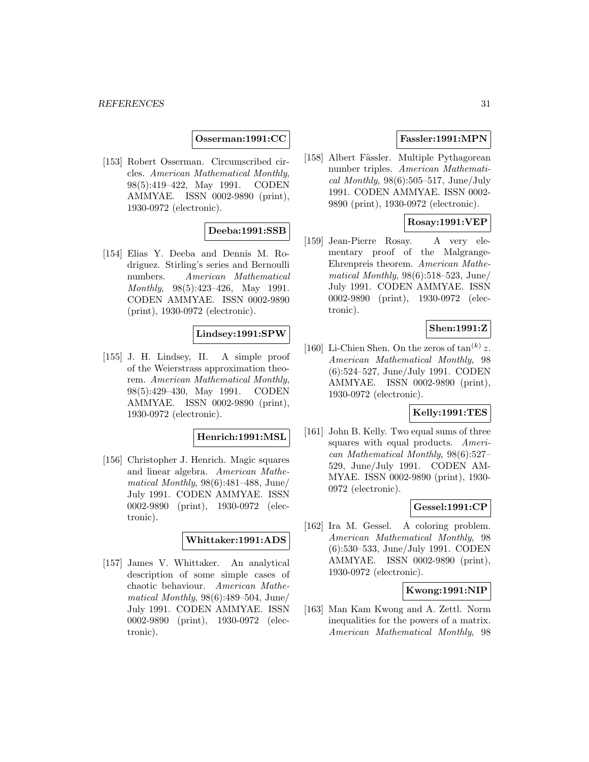#### **Osserman:1991:CC**

[153] Robert Osserman. Circumscribed circles. American Mathematical Monthly, 98(5):419–422, May 1991. CODEN AMMYAE. ISSN 0002-9890 (print), 1930-0972 (electronic).

#### **Deeba:1991:SSB**

[154] Elias Y. Deeba and Dennis M. Rodriguez. Stirling's series and Bernoulli numbers. American Mathematical Monthly, 98(5):423–426, May 1991. CODEN AMMYAE. ISSN 0002-9890 (print), 1930-0972 (electronic).

# **Lindsey:1991:SPW**

[155] J. H. Lindsey, II. A simple proof of the Weierstrass approximation theorem. American Mathematical Monthly, 98(5):429–430, May 1991. CODEN AMMYAE. ISSN 0002-9890 (print), 1930-0972 (electronic).

#### **Henrich:1991:MSL**

[156] Christopher J. Henrich. Magic squares and linear algebra. American Mathematical Monthly,  $98(6)$ :481–488, June/ July 1991. CODEN AMMYAE. ISSN 0002-9890 (print), 1930-0972 (electronic).

#### **Whittaker:1991:ADS**

[157] James V. Whittaker. An analytical description of some simple cases of chaotic behaviour. American Mathematical Monthly, 98(6):489–504, June/ July 1991. CODEN AMMYAE. ISSN 0002-9890 (print), 1930-0972 (electronic).

### **Fassler:1991:MPN**

[158] Albert Fässler. Multiple Pythagorean number triples. American Mathematical Monthly,  $98(6):505-517$ , June/July 1991. CODEN AMMYAE. ISSN 0002- 9890 (print), 1930-0972 (electronic).

### **Rosay:1991:VEP**

[159] Jean-Pierre Rosay. A very elementary proof of the Malgrange-Ehrenpreis theorem. American Mathematical Monthly,  $98(6):518-523$ , June/ July 1991. CODEN AMMYAE. ISSN 0002-9890 (print), 1930-0972 (electronic).

#### **Shen:1991:Z**

[160] Li-Chien Shen. On the zeros of  $\tan^{(k)} z$ . American Mathematical Monthly, 98 (6):524–527, June/July 1991. CODEN AMMYAE. ISSN 0002-9890 (print), 1930-0972 (electronic).

### **Kelly:1991:TES**

[161] John B. Kelly. Two equal sums of three squares with equal products. American Mathematical Monthly, 98(6):527– 529, June/July 1991. CODEN AM-MYAE. ISSN 0002-9890 (print), 1930- 0972 (electronic).

### **Gessel:1991:CP**

[162] Ira M. Gessel. A coloring problem. American Mathematical Monthly, 98 (6):530–533, June/July 1991. CODEN AMMYAE. ISSN 0002-9890 (print), 1930-0972 (electronic).

### **Kwong:1991:NIP**

[163] Man Kam Kwong and A. Zettl. Norm inequalities for the powers of a matrix. American Mathematical Monthly, 98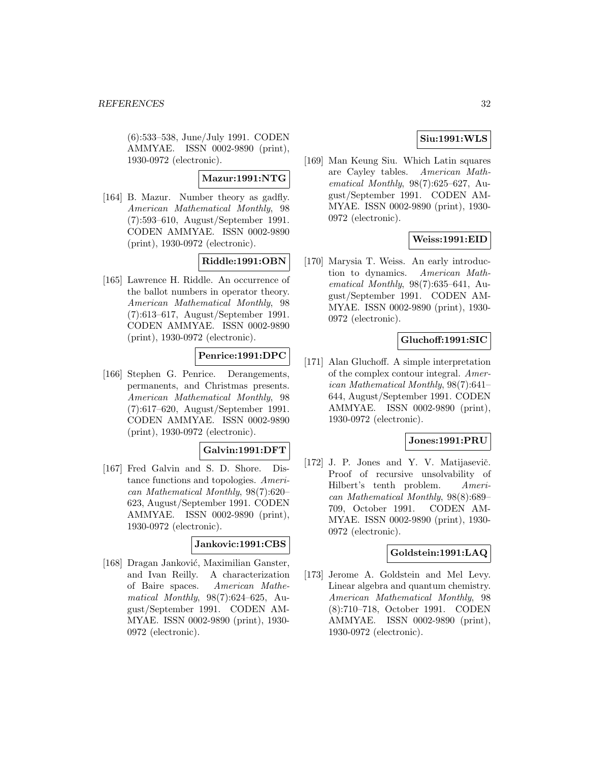(6):533–538, June/July 1991. CODEN AMMYAE. ISSN 0002-9890 (print), 1930-0972 (electronic).

### **Mazur:1991:NTG**

[164] B. Mazur. Number theory as gadfly. American Mathematical Monthly, 98 (7):593–610, August/September 1991. CODEN AMMYAE. ISSN 0002-9890 (print), 1930-0972 (electronic).

# **Riddle:1991:OBN**

[165] Lawrence H. Riddle. An occurrence of the ballot numbers in operator theory. American Mathematical Monthly, 98 (7):613–617, August/September 1991. CODEN AMMYAE. ISSN 0002-9890 (print), 1930-0972 (electronic).

# **Penrice:1991:DPC**

[166] Stephen G. Penrice. Derangements, permanents, and Christmas presents. American Mathematical Monthly, 98 (7):617–620, August/September 1991. CODEN AMMYAE. ISSN 0002-9890 (print), 1930-0972 (electronic).

# **Galvin:1991:DFT**

[167] Fred Galvin and S. D. Shore. Distance functions and topologies. American Mathematical Monthly, 98(7):620– 623, August/September 1991. CODEN AMMYAE. ISSN 0002-9890 (print), 1930-0972 (electronic).

### **Jankovic:1991:CBS**

[168] Dragan Janković, Maximilian Ganster, and Ivan Reilly. A characterization of Baire spaces. American Mathematical Monthly, 98(7):624–625, August/September 1991. CODEN AM-MYAE. ISSN 0002-9890 (print), 1930- 0972 (electronic).

# **Siu:1991:WLS**

[169] Man Keung Siu. Which Latin squares are Cayley tables. American Mathematical Monthly, 98(7):625–627, August/September 1991. CODEN AM-MYAE. ISSN 0002-9890 (print), 1930- 0972 (electronic).

# **Weiss:1991:EID**

[170] Marysia T. Weiss. An early introduction to dynamics. American Mathematical Monthly, 98(7):635–641, August/September 1991. CODEN AM-MYAE. ISSN 0002-9890 (print), 1930- 0972 (electronic).

# **Gluchoff:1991:SIC**

[171] Alan Gluchoff. A simple interpretation of the complex contour integral. American Mathematical Monthly, 98(7):641– 644, August/September 1991. CODEN AMMYAE. ISSN 0002-9890 (print), 1930-0972 (electronic).

### **Jones:1991:PRU**

[172] J. P. Jones and Y. V. Matijasevič. Proof of recursive unsolvability of Hilbert's tenth problem. American Mathematical Monthly, 98(8):689– 709, October 1991. CODEN AM-MYAE. ISSN 0002-9890 (print), 1930- 0972 (electronic).

### **Goldstein:1991:LAQ**

[173] Jerome A. Goldstein and Mel Levy. Linear algebra and quantum chemistry. American Mathematical Monthly, 98 (8):710–718, October 1991. CODEN AMMYAE. ISSN 0002-9890 (print), 1930-0972 (electronic).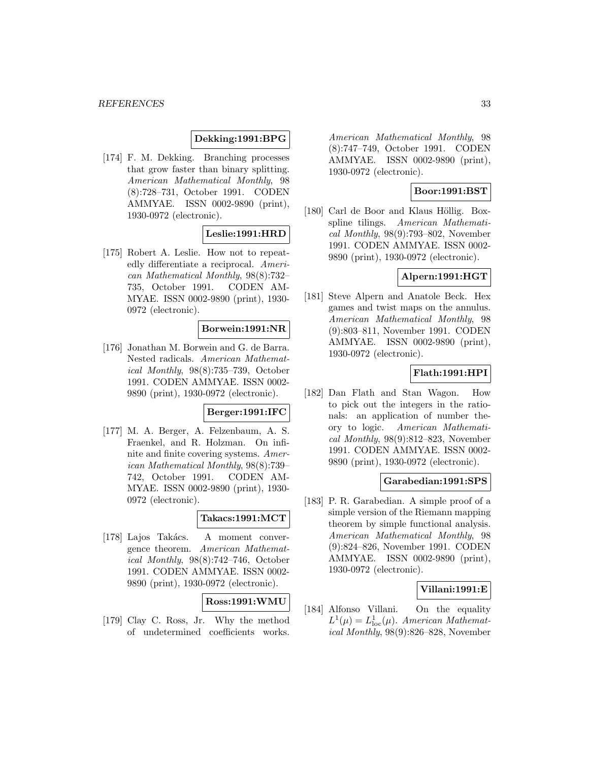### **Dekking:1991:BPG**

[174] F. M. Dekking. Branching processes that grow faster than binary splitting. American Mathematical Monthly, 98 (8):728–731, October 1991. CODEN AMMYAE. ISSN 0002-9890 (print), 1930-0972 (electronic).

# **Leslie:1991:HRD**

[175] Robert A. Leslie. How not to repeatedly differentiate a reciprocal. American Mathematical Monthly, 98(8):732– 735, October 1991. CODEN AM-MYAE. ISSN 0002-9890 (print), 1930- 0972 (electronic).

### **Borwein:1991:NR**

[176] Jonathan M. Borwein and G. de Barra. Nested radicals. American Mathematical Monthly, 98(8):735–739, October 1991. CODEN AMMYAE. ISSN 0002- 9890 (print), 1930-0972 (electronic).

# **Berger:1991:IFC**

[177] M. A. Berger, A. Felzenbaum, A. S. Fraenkel, and R. Holzman. On infinite and finite covering systems. American Mathematical Monthly, 98(8):739– 742, October 1991. CODEN AM-MYAE. ISSN 0002-9890 (print), 1930- 0972 (electronic).

### **Takacs:1991:MCT**

[178] Lajos Takács. A moment convergence theorem. American Mathematical Monthly, 98(8):742–746, October 1991. CODEN AMMYAE. ISSN 0002- 9890 (print), 1930-0972 (electronic).

# **Ross:1991:WMU**

[179] Clay C. Ross, Jr. Why the method of undetermined coefficients works.

American Mathematical Monthly, 98 (8):747–749, October 1991. CODEN AMMYAE. ISSN 0002-9890 (print), 1930-0972 (electronic).

# **Boor:1991:BST**

[180] Carl de Boor and Klaus Höllig. Boxspline tilings. American Mathematical Monthly,  $98(9)$ :793–802, November 1991. CODEN AMMYAE. ISSN 0002- 9890 (print), 1930-0972 (electronic).

#### **Alpern:1991:HGT**

[181] Steve Alpern and Anatole Beck. Hex games and twist maps on the annulus. American Mathematical Monthly, 98 (9):803–811, November 1991. CODEN AMMYAE. ISSN 0002-9890 (print), 1930-0972 (electronic).

### **Flath:1991:HPI**

[182] Dan Flath and Stan Wagon. How to pick out the integers in the rationals: an application of number theory to logic. American Mathematical Monthly, 98(9):812–823, November 1991. CODEN AMMYAE. ISSN 0002- 9890 (print), 1930-0972 (electronic).

#### **Garabedian:1991:SPS**

[183] P. R. Garabedian. A simple proof of a simple version of the Riemann mapping theorem by simple functional analysis. American Mathematical Monthly, 98 (9):824–826, November 1991. CODEN AMMYAE. ISSN 0002-9890 (print), 1930-0972 (electronic).

### **Villani:1991:E**

[184] Alfonso Villani. On the equality  $L^1(\mu) = L^1_{loc}(\mu)$ . American Mathematical Monthly, 98(9):826–828, November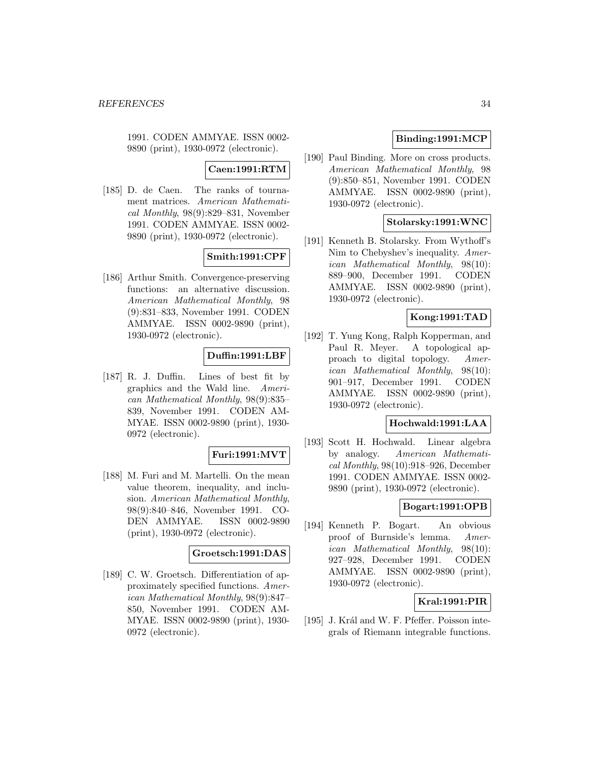1991. CODEN AMMYAE. ISSN 0002- 9890 (print), 1930-0972 (electronic).

# **Caen:1991:RTM**

[185] D. de Caen. The ranks of tournament matrices. American Mathematical Monthly, 98(9):829–831, November 1991. CODEN AMMYAE. ISSN 0002- 9890 (print), 1930-0972 (electronic).

# **Smith:1991:CPF**

[186] Arthur Smith. Convergence-preserving functions: an alternative discussion. American Mathematical Monthly, 98 (9):831–833, November 1991. CODEN AMMYAE. ISSN 0002-9890 (print), 1930-0972 (electronic).

# **Duffin:1991:LBF**

[187] R. J. Duffin. Lines of best fit by graphics and the Wald line. American Mathematical Monthly, 98(9):835– 839, November 1991. CODEN AM-MYAE. ISSN 0002-9890 (print), 1930- 0972 (electronic).

### **Furi:1991:MVT**

[188] M. Furi and M. Martelli. On the mean value theorem, inequality, and inclusion. American Mathematical Monthly, 98(9):840–846, November 1991. CO-DEN AMMYAE. ISSN 0002-9890 (print), 1930-0972 (electronic).

### **Groetsch:1991:DAS**

[189] C. W. Groetsch. Differentiation of approximately specified functions. American Mathematical Monthly, 98(9):847– 850, November 1991. CODEN AM-MYAE. ISSN 0002-9890 (print), 1930- 0972 (electronic).

# **Binding:1991:MCP**

[190] Paul Binding. More on cross products. American Mathematical Monthly, 98 (9):850–851, November 1991. CODEN AMMYAE. ISSN 0002-9890 (print), 1930-0972 (electronic).

### **Stolarsky:1991:WNC**

[191] Kenneth B. Stolarsky. From Wythoff's Nim to Chebyshev's inequality. American Mathematical Monthly, 98(10): 889–900, December 1991. CODEN AMMYAE. ISSN 0002-9890 (print), 1930-0972 (electronic).

# **Kong:1991:TAD**

[192] T. Yung Kong, Ralph Kopperman, and Paul R. Meyer. A topological approach to digital topology. American Mathematical Monthly, 98(10): 901–917, December 1991. CODEN AMMYAE. ISSN 0002-9890 (print), 1930-0972 (electronic).

### **Hochwald:1991:LAA**

[193] Scott H. Hochwald. Linear algebra by analogy. American Mathematical Monthly, 98(10):918–926, December 1991. CODEN AMMYAE. ISSN 0002- 9890 (print), 1930-0972 (electronic).

# **Bogart:1991:OPB**

[194] Kenneth P. Bogart. An obvious proof of Burnside's lemma. American Mathematical Monthly, 98(10): 927–928, December 1991. CODEN AMMYAE. ISSN 0002-9890 (print), 1930-0972 (electronic).

# **Kral:1991:PIR**

[195] J. Král and W. F. Pfeffer. Poisson integrals of Riemann integrable functions.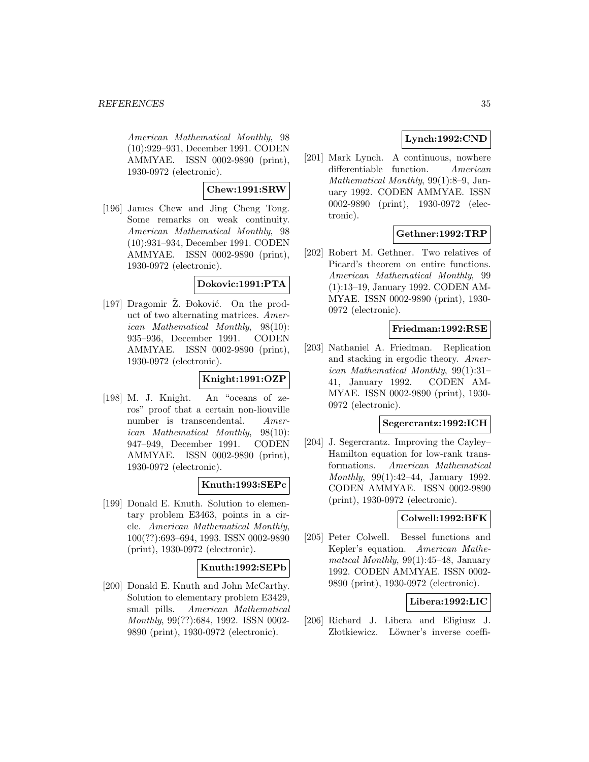American Mathematical Monthly, 98 (10):929–931, December 1991. CODEN AMMYAE. ISSN 0002-9890 (print), 1930-0972 (electronic).

# **Chew:1991:SRW**

[196] James Chew and Jing Cheng Tong. Some remarks on weak continuity. American Mathematical Monthly, 98 (10):931–934, December 1991. CODEN AMMYAE. ISSN 0002-9890 (print), 1930-0972 (electronic).

### **Dokovic:1991:PTA**

[197] Dragomir Ž. Đoković. On the product of two alternating matrices. American Mathematical Monthly, 98(10): 935–936, December 1991. CODEN AMMYAE. ISSN 0002-9890 (print), 1930-0972 (electronic).

# **Knight:1991:OZP**

[198] M. J. Knight. An "oceans of zeros" proof that a certain non-liouville number is transcendental. American Mathematical Monthly, 98(10): 947–949, December 1991. CODEN AMMYAE. ISSN 0002-9890 (print), 1930-0972 (electronic).

### **Knuth:1993:SEPc**

[199] Donald E. Knuth. Solution to elementary problem E3463, points in a circle. American Mathematical Monthly, 100(??):693–694, 1993. ISSN 0002-9890 (print), 1930-0972 (electronic).

### **Knuth:1992:SEPb**

[200] Donald E. Knuth and John McCarthy. Solution to elementary problem E3429, small pills. American Mathematical Monthly, 99(??):684, 1992. ISSN 0002- 9890 (print), 1930-0972 (electronic).

# **Lynch:1992:CND**

[201] Mark Lynch. A continuous, nowhere differentiable function. American Mathematical Monthly, 99(1):8–9, January 1992. CODEN AMMYAE. ISSN 0002-9890 (print), 1930-0972 (electronic).

# **Gethner:1992:TRP**

[202] Robert M. Gethner. Two relatives of Picard's theorem on entire functions. American Mathematical Monthly, 99 (1):13–19, January 1992. CODEN AM-MYAE. ISSN 0002-9890 (print), 1930- 0972 (electronic).

### **Friedman:1992:RSE**

[203] Nathaniel A. Friedman. Replication and stacking in ergodic theory. American Mathematical Monthly, 99(1):31– 41, January 1992. CODEN AM-MYAE. ISSN 0002-9890 (print), 1930- 0972 (electronic).

### **Segercrantz:1992:ICH**

[204] J. Segercrantz. Improving the Cayley– Hamilton equation for low-rank transformations. American Mathematical Monthly, 99(1):42–44, January 1992. CODEN AMMYAE. ISSN 0002-9890 (print), 1930-0972 (electronic).

# **Colwell:1992:BFK**

[205] Peter Colwell. Bessel functions and Kepler's equation. American Mathematical Monthly, 99(1):45–48, January 1992. CODEN AMMYAE. ISSN 0002- 9890 (print), 1930-0972 (electronic).

# **Libera:1992:LIC**

[206] Richard J. Libera and Eligiusz J. Złotkiewicz. Löwner's inverse coeffi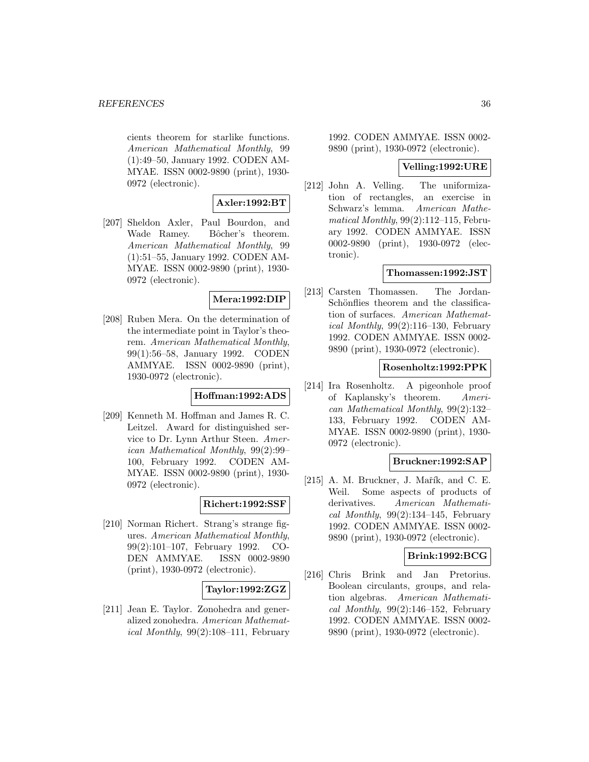cients theorem for starlike functions. American Mathematical Monthly, 99 (1):49–50, January 1992. CODEN AM-MYAE. ISSN 0002-9890 (print), 1930- 0972 (electronic).

# **Axler:1992:BT**

[207] Sheldon Axler, Paul Bourdon, and Wade Ramey. Bôcher's theorem. American Mathematical Monthly, 99 (1):51–55, January 1992. CODEN AM-MYAE. ISSN 0002-9890 (print), 1930- 0972 (electronic).

# **Mera:1992:DIP**

[208] Ruben Mera. On the determination of the intermediate point in Taylor's theorem. American Mathematical Monthly, 99(1):56–58, January 1992. CODEN AMMYAE. ISSN 0002-9890 (print), 1930-0972 (electronic).

### **Hoffman:1992:ADS**

[209] Kenneth M. Hoffman and James R. C. Leitzel. Award for distinguished service to Dr. Lynn Arthur Steen. American Mathematical Monthly, 99(2):99– 100, February 1992. CODEN AM-MYAE. ISSN 0002-9890 (print), 1930- 0972 (electronic).

### **Richert:1992:SSF**

[210] Norman Richert. Strang's strange figures. American Mathematical Monthly, 99(2):101–107, February 1992. CO-DEN AMMYAE. ISSN 0002-9890 (print), 1930-0972 (electronic).

### **Taylor:1992:ZGZ**

[211] Jean E. Taylor. Zonohedra and generalized zonohedra. American Mathemat*ical Monthly*,  $99(2):108-111$ , February

1992. CODEN AMMYAE. ISSN 0002- 9890 (print), 1930-0972 (electronic).

#### **Velling:1992:URE**

[212] John A. Velling. The uniformization of rectangles, an exercise in Schwarz's lemma. American Mathematical Monthly, 99(2):112–115, February 1992. CODEN AMMYAE. ISSN 0002-9890 (print), 1930-0972 (electronic).

#### **Thomassen:1992:JST**

[213] Carsten Thomassen. The Jordan-Schönflies theorem and the classification of surfaces. American Mathematical Monthly,  $99(2):116-130$ , February 1992. CODEN AMMYAE. ISSN 0002- 9890 (print), 1930-0972 (electronic).

### **Rosenholtz:1992:PPK**

[214] Ira Rosenholtz. A pigeonhole proof of Kaplansky's theorem. American Mathematical Monthly, 99(2):132– 133, February 1992. CODEN AM-MYAE. ISSN 0002-9890 (print), 1930- 0972 (electronic).

#### **Bruckner:1992:SAP**

 $[215]$  A. M. Bruckner, J. Mařík, and C. E. Weil. Some aspects of products of derivatives. American Mathematical Monthly,  $99(2):134-145$ , February 1992. CODEN AMMYAE. ISSN 0002- 9890 (print), 1930-0972 (electronic).

#### **Brink:1992:BCG**

[216] Chris Brink and Jan Pretorius. Boolean circulants, groups, and relation algebras. American Mathematical Monthly,  $99(2):146-152$ , February 1992. CODEN AMMYAE. ISSN 0002- 9890 (print), 1930-0972 (electronic).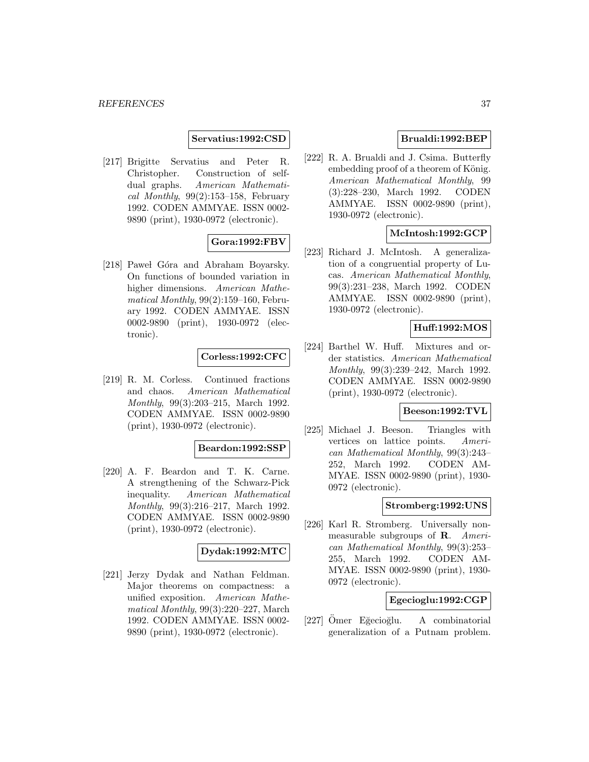#### **Servatius:1992:CSD**

[217] Brigitte Servatius and Peter R. Christopher. Construction of selfdual graphs. American Mathematical Monthly,  $99(2):153-158$ , February 1992. CODEN AMMYAE. ISSN 0002- 9890 (print), 1930-0972 (electronic).

# **Gora:1992:FBV**

[218] Pawel Góra and Abraham Boyarsky. On functions of bounded variation in higher dimensions. American Mathematical Monthly, 99(2):159–160, February 1992. CODEN AMMYAE. ISSN 0002-9890 (print), 1930-0972 (electronic).

## **Corless:1992:CFC**

[219] R. M. Corless. Continued fractions and chaos. American Mathematical Monthly, 99(3):203–215, March 1992. CODEN AMMYAE. ISSN 0002-9890 (print), 1930-0972 (electronic).

#### **Beardon:1992:SSP**

[220] A. F. Beardon and T. K. Carne. A strengthening of the Schwarz-Pick inequality. American Mathematical Monthly, 99(3):216–217, March 1992. CODEN AMMYAE. ISSN 0002-9890 (print), 1930-0972 (electronic).

# **Dydak:1992:MTC**

[221] Jerzy Dydak and Nathan Feldman. Major theorems on compactness: a unified exposition. American Mathematical Monthly, 99(3):220–227, March 1992. CODEN AMMYAE. ISSN 0002- 9890 (print), 1930-0972 (electronic).

## **Brualdi:1992:BEP**

[222] R. A. Brualdi and J. Csima. Butterfly embedding proof of a theorem of König. American Mathematical Monthly, 99 (3):228–230, March 1992. CODEN AMMYAE. ISSN 0002-9890 (print), 1930-0972 (electronic).

# **McIntosh:1992:GCP**

[223] Richard J. McIntosh. A generalization of a congruential property of Lucas. American Mathematical Monthly, 99(3):231–238, March 1992. CODEN AMMYAE. ISSN 0002-9890 (print), 1930-0972 (electronic).

#### **Huff:1992:MOS**

[224] Barthel W. Huff. Mixtures and order statistics. American Mathematical Monthly, 99(3):239–242, March 1992. CODEN AMMYAE. ISSN 0002-9890 (print), 1930-0972 (electronic).

## **Beeson:1992:TVL**

[225] Michael J. Beeson. Triangles with vertices on lattice points. American Mathematical Monthly, 99(3):243– 252, March 1992. CODEN AM-MYAE. ISSN 0002-9890 (print), 1930- 0972 (electronic).

# **Stromberg:1992:UNS**

[226] Karl R. Stromberg. Universally nonmeasurable subgroups of **R**. American Mathematical Monthly, 99(3):253– 255, March 1992. CODEN AM-MYAE. ISSN 0002-9890 (print), 1930- 0972 (electronic).

## **Egecioglu:1992:CGP**

 $[227]$  Ömer Eğecioğlu. A combinatorial generalization of a Putnam problem.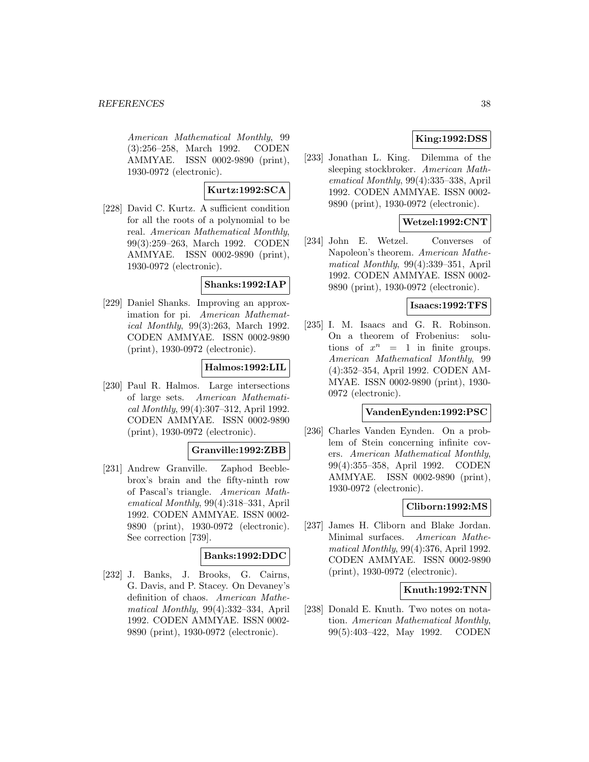American Mathematical Monthly, 99 (3):256–258, March 1992. CODEN AMMYAE. ISSN 0002-9890 (print), 1930-0972 (electronic).

# **Kurtz:1992:SCA**

[228] David C. Kurtz. A sufficient condition for all the roots of a polynomial to be real. American Mathematical Monthly, 99(3):259–263, March 1992. CODEN AMMYAE. ISSN 0002-9890 (print), 1930-0972 (electronic).

## **Shanks:1992:IAP**

[229] Daniel Shanks. Improving an approximation for pi. American Mathematical Monthly, 99(3):263, March 1992. CODEN AMMYAE. ISSN 0002-9890 (print), 1930-0972 (electronic).

## **Halmos:1992:LIL**

[230] Paul R. Halmos. Large intersections of large sets. American Mathematical Monthly, 99(4):307–312, April 1992. CODEN AMMYAE. ISSN 0002-9890 (print), 1930-0972 (electronic).

## **Granville:1992:ZBB**

[231] Andrew Granville. Zaphod Beeblebrox's brain and the fifty-ninth row of Pascal's triangle. American Mathematical Monthly, 99(4):318–331, April 1992. CODEN AMMYAE. ISSN 0002- 9890 (print), 1930-0972 (electronic). See correction [739].

# **Banks:1992:DDC**

[232] J. Banks, J. Brooks, G. Cairns, G. Davis, and P. Stacey. On Devaney's definition of chaos. American Mathematical Monthly, 99(4):332–334, April 1992. CODEN AMMYAE. ISSN 0002- 9890 (print), 1930-0972 (electronic).

# **King:1992:DSS**

[233] Jonathan L. King. Dilemma of the sleeping stockbroker. American Mathematical Monthly, 99(4):335–338, April 1992. CODEN AMMYAE. ISSN 0002- 9890 (print), 1930-0972 (electronic).

# **Wetzel:1992:CNT**

[234] John E. Wetzel. Converses of Napoleon's theorem. American Mathematical Monthly, 99(4):339–351, April 1992. CODEN AMMYAE. ISSN 0002- 9890 (print), 1930-0972 (electronic).

### **Isaacs:1992:TFS**

[235] I. M. Isaacs and G. R. Robinson. On a theorem of Frobenius: solutions of  $x^n = 1$  in finite groups. American Mathematical Monthly, 99 (4):352–354, April 1992. CODEN AM-MYAE. ISSN 0002-9890 (print), 1930- 0972 (electronic).

#### **VandenEynden:1992:PSC**

[236] Charles Vanden Eynden. On a problem of Stein concerning infinite covers. American Mathematical Monthly, 99(4):355–358, April 1992. CODEN AMMYAE. ISSN 0002-9890 (print), 1930-0972 (electronic).

## **Cliborn:1992:MS**

[237] James H. Cliborn and Blake Jordan. Minimal surfaces. American Mathematical Monthly, 99(4):376, April 1992. CODEN AMMYAE. ISSN 0002-9890 (print), 1930-0972 (electronic).

## **Knuth:1992:TNN**

[238] Donald E. Knuth. Two notes on notation. American Mathematical Monthly, 99(5):403–422, May 1992. CODEN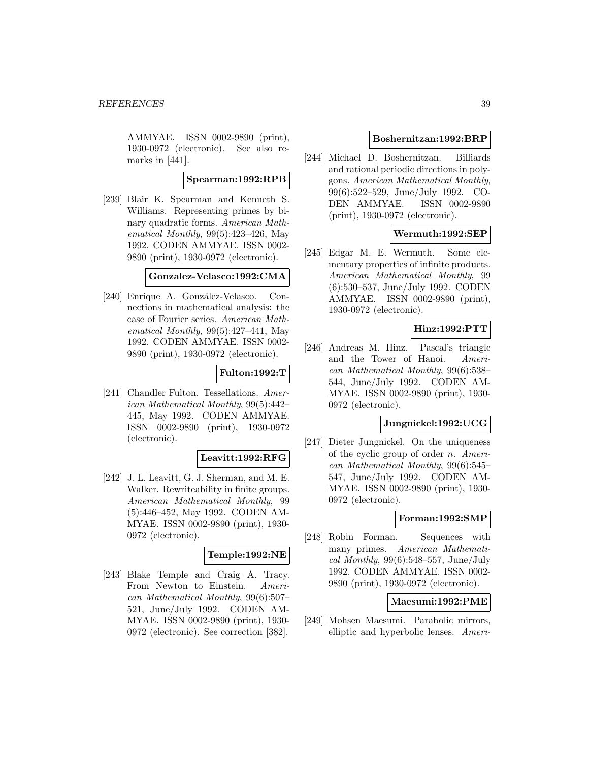AMMYAE. ISSN 0002-9890 (print), 1930-0972 (electronic). See also remarks in [441].

#### **Spearman:1992:RPB**

[239] Blair K. Spearman and Kenneth S. Williams. Representing primes by binary quadratic forms. American Mathematical Monthly,  $99(5):423-426$ , May 1992. CODEN AMMYAE. ISSN 0002- 9890 (print), 1930-0972 (electronic).

#### **Gonzalez-Velasco:1992:CMA**

[240] Enrique A. González-Velasco. Connections in mathematical analysis: the case of Fourier series. American Mathematical Monthly, 99(5):427–441, May 1992. CODEN AMMYAE. ISSN 0002- 9890 (print), 1930-0972 (electronic).

## **Fulton:1992:T**

[241] Chandler Fulton. Tessellations. American Mathematical Monthly, 99(5):442– 445, May 1992. CODEN AMMYAE. ISSN 0002-9890 (print), 1930-0972 (electronic).

## **Leavitt:1992:RFG**

[242] J. L. Leavitt, G. J. Sherman, and M. E. Walker. Rewriteability in finite groups. American Mathematical Monthly, 99 (5):446–452, May 1992. CODEN AM-MYAE. ISSN 0002-9890 (print), 1930- 0972 (electronic).

# **Temple:1992:NE**

[243] Blake Temple and Craig A. Tracy. From Newton to Einstein. American Mathematical Monthly, 99(6):507– 521, June/July 1992. CODEN AM-MYAE. ISSN 0002-9890 (print), 1930- 0972 (electronic). See correction [382].

#### **Boshernitzan:1992:BRP**

[244] Michael D. Boshernitzan. Billiards and rational periodic directions in polygons. American Mathematical Monthly, 99(6):522–529, June/July 1992. CO-DEN AMMYAE. ISSN 0002-9890 (print), 1930-0972 (electronic).

## **Wermuth:1992:SEP**

[245] Edgar M. E. Wermuth. Some elementary properties of infinite products. American Mathematical Monthly, 99 (6):530–537, June/July 1992. CODEN AMMYAE. ISSN 0002-9890 (print), 1930-0972 (electronic).

# **Hinz:1992:PTT**

[246] Andreas M. Hinz. Pascal's triangle and the Tower of Hanoi. American Mathematical Monthly, 99(6):538– 544, June/July 1992. CODEN AM-MYAE. ISSN 0002-9890 (print), 1930- 0972 (electronic).

#### **Jungnickel:1992:UCG**

[247] Dieter Jungnickel. On the uniqueness of the cyclic group of order  $n$ . American Mathematical Monthly, 99(6):545– 547, June/July 1992. CODEN AM-MYAE. ISSN 0002-9890 (print), 1930- 0972 (electronic).

## **Forman:1992:SMP**

[248] Robin Forman. Sequences with many primes. American Mathematical Monthly,  $99(6):548-557$ , June/July 1992. CODEN AMMYAE. ISSN 0002- 9890 (print), 1930-0972 (electronic).

## **Maesumi:1992:PME**

[249] Mohsen Maesumi. Parabolic mirrors, elliptic and hyperbolic lenses. Ameri-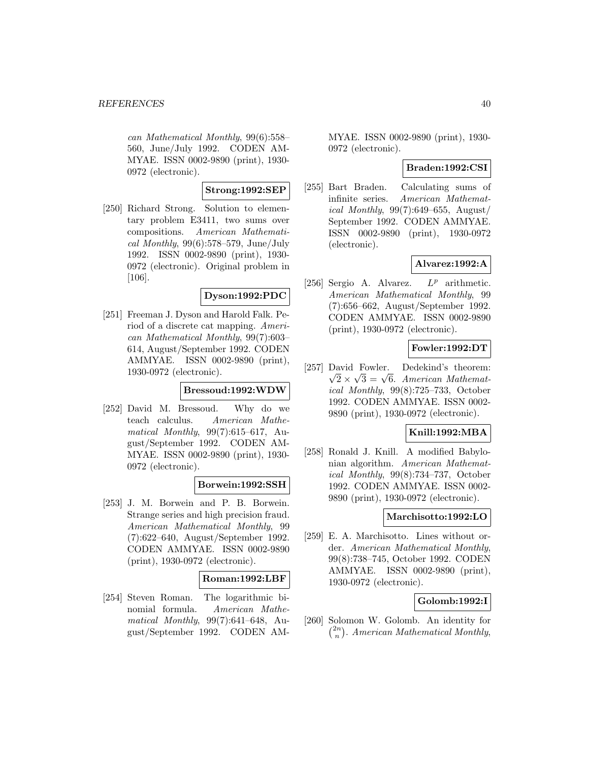can Mathematical Monthly, 99(6):558– 560, June/July 1992. CODEN AM-MYAE. ISSN 0002-9890 (print), 1930- 0972 (electronic).

## **Strong:1992:SEP**

[250] Richard Strong. Solution to elementary problem E3411, two sums over compositions. American Mathematical Monthly,  $99(6):578-579$ , June/July 1992. ISSN 0002-9890 (print), 1930- 0972 (electronic). Original problem in [106].

## **Dyson:1992:PDC**

[251] Freeman J. Dyson and Harold Falk. Period of a discrete cat mapping. American Mathematical Monthly, 99(7):603– 614, August/September 1992. CODEN AMMYAE. ISSN 0002-9890 (print), 1930-0972 (electronic).

## **Bressoud:1992:WDW**

[252] David M. Bressoud. Why do we teach calculus. American Mathematical Monthly,  $99(7):615-617$ , August/September 1992. CODEN AM-MYAE. ISSN 0002-9890 (print), 1930- 0972 (electronic).

## **Borwein:1992:SSH**

[253] J. M. Borwein and P. B. Borwein. Strange series and high precision fraud. American Mathematical Monthly, 99 (7):622–640, August/September 1992. CODEN AMMYAE. ISSN 0002-9890 (print), 1930-0972 (electronic).

## **Roman:1992:LBF**

[254] Steven Roman. The logarithmic binomial formula. American Mathematical Monthly, 99(7):641–648, August/September 1992. CODEN AM- MYAE. ISSN 0002-9890 (print), 1930- 0972 (electronic).

## **Braden:1992:CSI**

[255] Bart Braden. Calculating sums of infinite series. American Mathematical Monthly,  $99(7):649-655$ , August/ September 1992. CODEN AMMYAE. ISSN 0002-9890 (print), 1930-0972 (electronic).

## **Alvarez:1992:A**

[256] Sergio A. Alvarez.  $L^p$  arithmetic. American Mathematical Monthly, 99 (7):656–662, August/September 1992. CODEN AMMYAE. ISSN 0002-9890 (print), 1930-0972 (electronic).

# **Fowler:1992:DT**

[257] David Fowler. Dedekind's theorem:  $\sqrt{2} \times \sqrt{3} = \sqrt{6}$ . American Mathematical Monthly, 99(8):725–733, October 1992. CODEN AMMYAE. ISSN 0002- 9890 (print), 1930-0972 (electronic).

## **Knill:1992:MBA**

[258] Ronald J. Knill. A modified Babylonian algorithm. American Mathematical Monthly, 99(8):734–737, October 1992. CODEN AMMYAE. ISSN 0002- 9890 (print), 1930-0972 (electronic).

#### **Marchisotto:1992:LO**

[259] E. A. Marchisotto. Lines without order. American Mathematical Monthly, 99(8):738–745, October 1992. CODEN AMMYAE. ISSN 0002-9890 (print), 1930-0972 (electronic).

## **Golomb:1992:I**

[260] Solomon W. Golomb. An identity for  $\binom{2n}{n}$ . American Mathematical Monthly,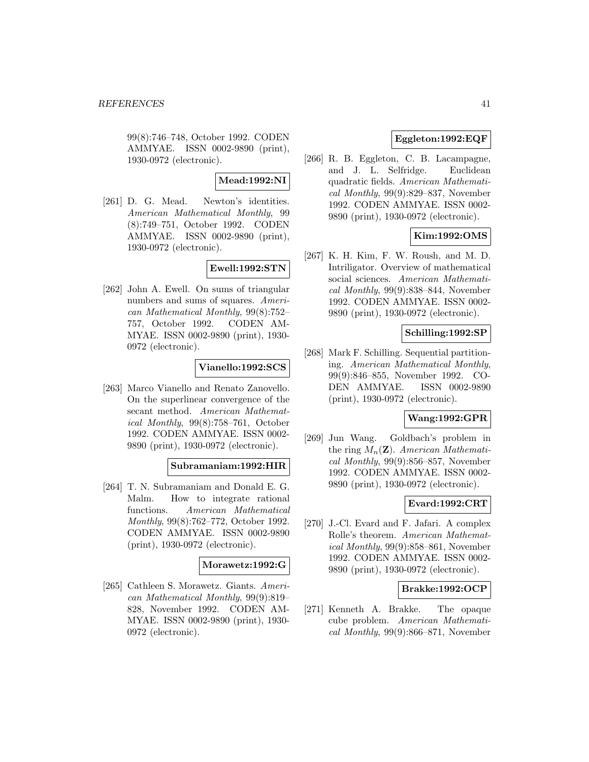99(8):746–748, October 1992. CODEN AMMYAE. ISSN 0002-9890 (print), 1930-0972 (electronic).

## **Mead:1992:NI**

[261] D. G. Mead. Newton's identities. American Mathematical Monthly, 99 (8):749–751, October 1992. CODEN AMMYAE. ISSN 0002-9890 (print), 1930-0972 (electronic).

# **Ewell:1992:STN**

[262] John A. Ewell. On sums of triangular numbers and sums of squares. American Mathematical Monthly, 99(8):752– 757, October 1992. CODEN AM-MYAE. ISSN 0002-9890 (print), 1930- 0972 (electronic).

#### **Vianello:1992:SCS**

[263] Marco Vianello and Renato Zanovello. On the superlinear convergence of the secant method. American Mathematical Monthly, 99(8):758–761, October 1992. CODEN AMMYAE. ISSN 0002- 9890 (print), 1930-0972 (electronic).

#### **Subramaniam:1992:HIR**

[264] T. N. Subramaniam and Donald E. G. Malm. How to integrate rational functions. American Mathematical Monthly, 99(8):762–772, October 1992. CODEN AMMYAE. ISSN 0002-9890 (print), 1930-0972 (electronic).

## **Morawetz:1992:G**

[265] Cathleen S. Morawetz. Giants. American Mathematical Monthly, 99(9):819– 828, November 1992. CODEN AM-MYAE. ISSN 0002-9890 (print), 1930- 0972 (electronic).

# **Eggleton:1992:EQF**

[266] R. B. Eggleton, C. B. Lacampagne, and J. L. Selfridge. Euclidean quadratic fields. American Mathematical Monthly, 99(9):829–837, November 1992. CODEN AMMYAE. ISSN 0002- 9890 (print), 1930-0972 (electronic).

# **Kim:1992:OMS**

[267] K. H. Kim, F. W. Roush, and M. D. Intriligator. Overview of mathematical social sciences. American Mathematical Monthly, 99(9):838–844, November 1992. CODEN AMMYAE. ISSN 0002- 9890 (print), 1930-0972 (electronic).

## **Schilling:1992:SP**

[268] Mark F. Schilling. Sequential partitioning. American Mathematical Monthly, 99(9):846–855, November 1992. CO-DEN AMMYAE. ISSN 0002-9890 (print), 1930-0972 (electronic).

#### **Wang:1992:GPR**

[269] Jun Wang. Goldbach's problem in the ring  $M_n(\mathbf{Z})$ . American Mathematical Monthly, 99(9):856–857, November 1992. CODEN AMMYAE. ISSN 0002- 9890 (print), 1930-0972 (electronic).

# **Evard:1992:CRT**

[270] J.-Cl. Evard and F. Jafari. A complex Rolle's theorem. American Mathematical Monthly, 99(9):858–861, November 1992. CODEN AMMYAE. ISSN 0002- 9890 (print), 1930-0972 (electronic).

## **Brakke:1992:OCP**

[271] Kenneth A. Brakke. The opaque cube problem. American Mathematical Monthly,  $99(9):866-871$ , November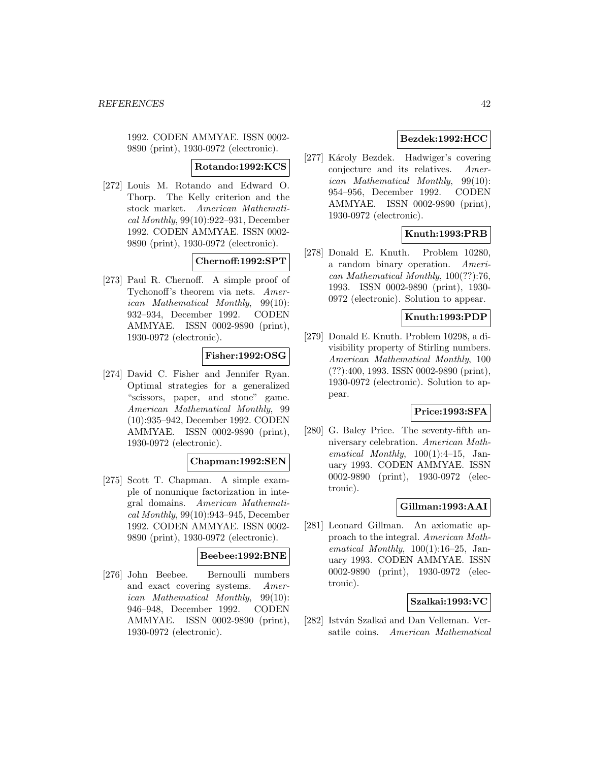1992. CODEN AMMYAE. ISSN 0002- 9890 (print), 1930-0972 (electronic).

## **Rotando:1992:KCS**

[272] Louis M. Rotando and Edward O. Thorp. The Kelly criterion and the stock market. American Mathematical Monthly, 99(10):922–931, December 1992. CODEN AMMYAE. ISSN 0002- 9890 (print), 1930-0972 (electronic).

## **Chernoff:1992:SPT**

[273] Paul R. Chernoff. A simple proof of Tychonoff's theorem via nets. American Mathematical Monthly, 99(10): 932–934, December 1992. CODEN AMMYAE. ISSN 0002-9890 (print), 1930-0972 (electronic).

## **Fisher:1992:OSG**

[274] David C. Fisher and Jennifer Ryan. Optimal strategies for a generalized "scissors, paper, and stone" game. American Mathematical Monthly, 99 (10):935–942, December 1992. CODEN AMMYAE. ISSN 0002-9890 (print), 1930-0972 (electronic).

#### **Chapman:1992:SEN**

[275] Scott T. Chapman. A simple example of nonunique factorization in integral domains. American Mathematical Monthly, 99(10):943–945, December 1992. CODEN AMMYAE. ISSN 0002- 9890 (print), 1930-0972 (electronic).

# **Beebee:1992:BNE**

[276] John Beebee. Bernoulli numbers and exact covering systems. American Mathematical Monthly, 99(10): 946–948, December 1992. CODEN AMMYAE. ISSN 0002-9890 (print), 1930-0972 (electronic).

# **Bezdek:1992:HCC**

[277] Károly Bezdek. Hadwiger's covering conjecture and its relatives. American Mathematical Monthly, 99(10): 954–956, December 1992. CODEN AMMYAE. ISSN 0002-9890 (print), 1930-0972 (electronic).

# **Knuth:1993:PRB**

[278] Donald E. Knuth. Problem 10280, a random binary operation. American Mathematical Monthly, 100(??):76, 1993. ISSN 0002-9890 (print), 1930- 0972 (electronic). Solution to appear.

# **Knuth:1993:PDP**

[279] Donald E. Knuth. Problem 10298, a divisibility property of Stirling numbers. American Mathematical Monthly, 100 (??):400, 1993. ISSN 0002-9890 (print), 1930-0972 (electronic). Solution to appear.

# **Price:1993:SFA**

[280] G. Baley Price. The seventy-fifth anniversary celebration. American Mathematical Monthly,  $100(1):4-15$ , January 1993. CODEN AMMYAE. ISSN 0002-9890 (print), 1930-0972 (electronic).

## **Gillman:1993:AAI**

[281] Leonard Gillman. An axiomatic approach to the integral. American Mathematical Monthly,  $100(1):16-25$ , January 1993. CODEN AMMYAE. ISSN 0002-9890 (print), 1930-0972 (electronic).

#### **Szalkai:1993:VC**

[282] István Szalkai and Dan Velleman. Versatile coins. American Mathematical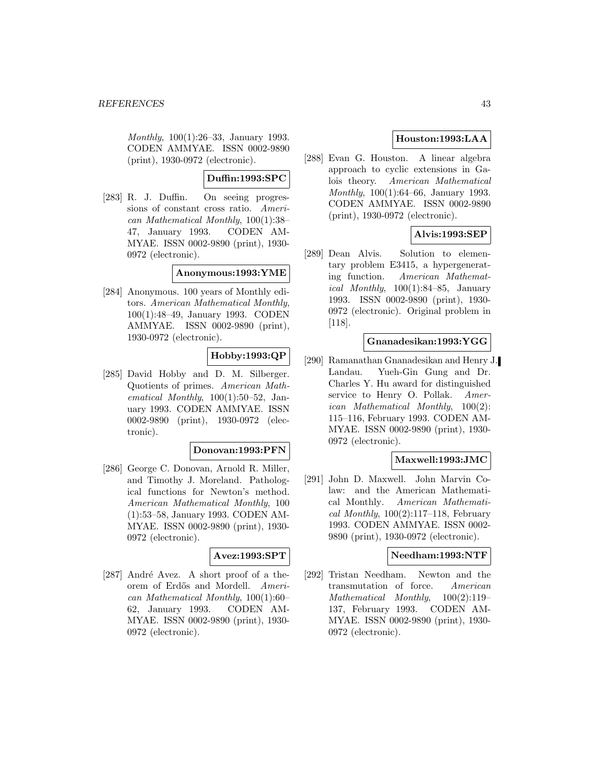Monthly, 100(1):26–33, January 1993. CODEN AMMYAE. ISSN 0002-9890 (print), 1930-0972 (electronic).

# **Duffin:1993:SPC**

[283] R. J. Duffin. On seeing progressions of constant cross ratio. American Mathematical Monthly, 100(1):38– 47, January 1993. CODEN AM-MYAE. ISSN 0002-9890 (print), 1930- 0972 (electronic).

## **Anonymous:1993:YME**

[284] Anonymous. 100 years of Monthly editors. American Mathematical Monthly, 100(1):48–49, January 1993. CODEN AMMYAE. ISSN 0002-9890 (print), 1930-0972 (electronic).

## **Hobby:1993:QP**

[285] David Hobby and D. M. Silberger. Quotients of primes. American Mathematical Monthly, 100(1):50–52, January 1993. CODEN AMMYAE. ISSN 0002-9890 (print), 1930-0972 (electronic).

## **Donovan:1993:PFN**

[286] George C. Donovan, Arnold R. Miller, and Timothy J. Moreland. Pathological functions for Newton's method. American Mathematical Monthly, 100 (1):53–58, January 1993. CODEN AM-MYAE. ISSN 0002-9890 (print), 1930- 0972 (electronic).

# **Avez:1993:SPT**

[ $287$ ] André Avez. A short proof of a theorem of Erdős and Mordell. American Mathematical Monthly, 100(1):60– 62, January 1993. CODEN AM-MYAE. ISSN 0002-9890 (print), 1930- 0972 (electronic).

# **Houston:1993:LAA**

[288] Evan G. Houston. A linear algebra approach to cyclic extensions in Galois theory. American Mathematical Monthly, 100(1):64–66, January 1993. CODEN AMMYAE. ISSN 0002-9890 (print), 1930-0972 (electronic).

# **Alvis:1993:SEP**

[289] Dean Alvis. Solution to elementary problem E3415, a hypergenerating function. American Mathematical Monthly,  $100(1):84-85$ , January 1993. ISSN 0002-9890 (print), 1930- 0972 (electronic). Original problem in [118].

#### **Gnanadesikan:1993:YGG**

[290] Ramanathan Gnanadesikan and Henry J. Landau. Yueh-Gin Gung and Dr. Charles Y. Hu award for distinguished service to Henry O. Pollak. American Mathematical Monthly, 100(2): 115–116, February 1993. CODEN AM-MYAE. ISSN 0002-9890 (print), 1930- 0972 (electronic).

#### **Maxwell:1993:JMC**

[291] John D. Maxwell. John Marvin Colaw: and the American Mathematical Monthly. American Mathematical Monthly,  $100(2):117-118$ , February 1993. CODEN AMMYAE. ISSN 0002- 9890 (print), 1930-0972 (electronic).

#### **Needham:1993:NTF**

[292] Tristan Needham. Newton and the transmutation of force. American Mathematical Monthly, 100(2):119– 137, February 1993. CODEN AM-MYAE. ISSN 0002-9890 (print), 1930- 0972 (electronic).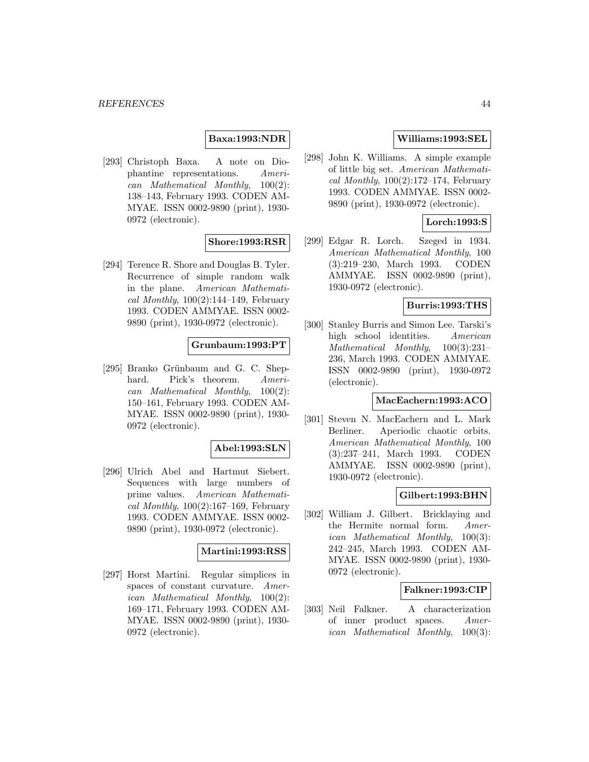## **Baxa:1993:NDR**

[293] Christoph Baxa. A note on Diophantine representations. American Mathematical Monthly, 100(2): 138–143, February 1993. CODEN AM-MYAE. ISSN 0002-9890 (print), 1930- 0972 (electronic).

# **Shore:1993:RSR**

[294] Terence R. Shore and Douglas B. Tyler. Recurrence of simple random walk in the plane. American Mathematical Monthly,  $100(2):144-149$ , February 1993. CODEN AMMYAE. ISSN 0002- 9890 (print), 1930-0972 (electronic).

## **Grunbaum:1993:PT**

[295] Branko Grünbaum and G. C. Shephard. Pick's theorem. American Mathematical Monthly, 100(2): 150–161, February 1993. CODEN AM-MYAE. ISSN 0002-9890 (print), 1930- 0972 (electronic).

## **Abel:1993:SLN**

[296] Ulrich Abel and Hartmut Siebert. Sequences with large numbers of prime values. American Mathematical Monthly,  $100(2):167-169$ , February 1993. CODEN AMMYAE. ISSN 0002- 9890 (print), 1930-0972 (electronic).

## **Martini:1993:RSS**

[297] Horst Martini. Regular simplices in spaces of constant curvature. American Mathematical Monthly, 100(2): 169–171, February 1993. CODEN AM-MYAE. ISSN 0002-9890 (print), 1930- 0972 (electronic).

# **Williams:1993:SEL**

[298] John K. Williams. A simple example of little big set. American Mathematical Monthly,  $100(2):172-174$ , February 1993. CODEN AMMYAE. ISSN 0002- 9890 (print), 1930-0972 (electronic).

# **Lorch:1993:S**

[299] Edgar R. Lorch. Szeged in 1934. American Mathematical Monthly, 100 (3):219–230, March 1993. CODEN AMMYAE. ISSN 0002-9890 (print), 1930-0972 (electronic).

### **Burris:1993:THS**

[300] Stanley Burris and Simon Lee. Tarski's high school identities. American Mathematical Monthly, 100(3):231– 236, March 1993. CODEN AMMYAE. ISSN 0002-9890 (print), 1930-0972 (electronic).

#### **MacEachern:1993:ACO**

[301] Steven N. MacEachern and L. Mark Berliner. Aperiodic chaotic orbits. American Mathematical Monthly, 100 (3):237–241, March 1993. CODEN AMMYAE. ISSN 0002-9890 (print), 1930-0972 (electronic).

## **Gilbert:1993:BHN**

[302] William J. Gilbert. Bricklaying and the Hermite normal form. American Mathematical Monthly, 100(3): 242–245, March 1993. CODEN AM-MYAE. ISSN 0002-9890 (print), 1930- 0972 (electronic).

## **Falkner:1993:CIP**

[303] Neil Falkner. A characterization of inner product spaces. American Mathematical Monthly, 100(3):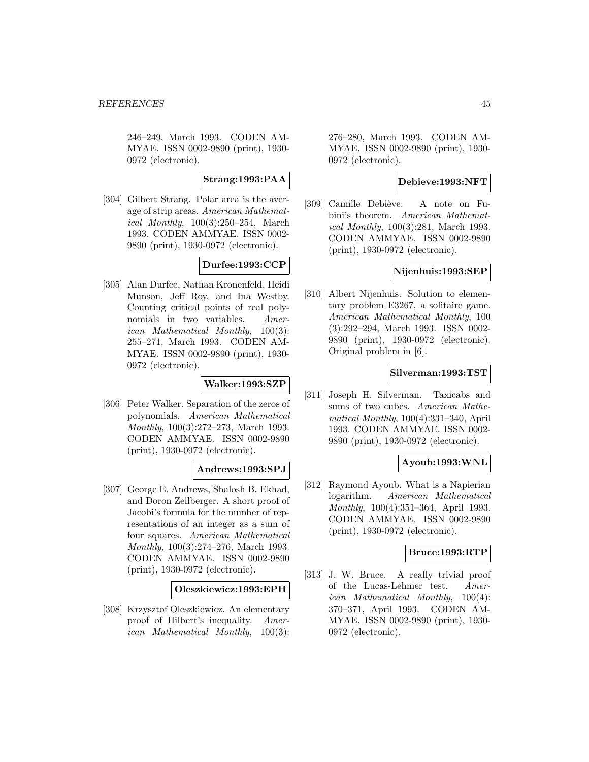246–249, March 1993. CODEN AM-MYAE. ISSN 0002-9890 (print), 1930- 0972 (electronic).

**Strang:1993:PAA**

[304] Gilbert Strang. Polar area is the average of strip areas. American Mathematical Monthly, 100(3):250–254, March 1993. CODEN AMMYAE. ISSN 0002- 9890 (print), 1930-0972 (electronic).

# **Durfee:1993:CCP**

[305] Alan Durfee, Nathan Kronenfeld, Heidi Munson, Jeff Roy, and Ina Westby. Counting critical points of real polynomials in two variables. American Mathematical Monthly, 100(3): 255–271, March 1993. CODEN AM-MYAE. ISSN 0002-9890 (print), 1930- 0972 (electronic).

# **Walker:1993:SZP**

[306] Peter Walker. Separation of the zeros of polynomials. American Mathematical Monthly, 100(3):272–273, March 1993. CODEN AMMYAE. ISSN 0002-9890 (print), 1930-0972 (electronic).

## **Andrews:1993:SPJ**

[307] George E. Andrews, Shalosh B. Ekhad, and Doron Zeilberger. A short proof of Jacobi's formula for the number of representations of an integer as a sum of four squares. American Mathematical Monthly, 100(3):274–276, March 1993. CODEN AMMYAE. ISSN 0002-9890 (print), 1930-0972 (electronic).

## **Oleszkiewicz:1993:EPH**

[308] Krzysztof Oleszkiewicz. An elementary proof of Hilbert's inequality. American Mathematical Monthly, 100(3):

276–280, March 1993. CODEN AM-MYAE. ISSN 0002-9890 (print), 1930- 0972 (electronic).

#### **Debieve:1993:NFT**

[309] Camille Debiève. A note on Fubini's theorem. American Mathematical Monthly, 100(3):281, March 1993. CODEN AMMYAE. ISSN 0002-9890 (print), 1930-0972 (electronic).

#### **Nijenhuis:1993:SEP**

[310] Albert Nijenhuis. Solution to elementary problem E3267, a solitaire game. American Mathematical Monthly, 100 (3):292–294, March 1993. ISSN 0002- 9890 (print), 1930-0972 (electronic). Original problem in [6].

#### **Silverman:1993:TST**

[311] Joseph H. Silverman. Taxicabs and sums of two cubes. American Mathematical Monthly, 100(4):331–340, April 1993. CODEN AMMYAE. ISSN 0002- 9890 (print), 1930-0972 (electronic).

## **Ayoub:1993:WNL**

[312] Raymond Ayoub. What is a Napierian logarithm. American Mathematical Monthly, 100(4):351–364, April 1993. CODEN AMMYAE. ISSN 0002-9890 (print), 1930-0972 (electronic).

#### **Bruce:1993:RTP**

[313] J. W. Bruce. A really trivial proof of the Lucas-Lehmer test. American Mathematical Monthly, 100(4): 370–371, April 1993. CODEN AM-MYAE. ISSN 0002-9890 (print), 1930- 0972 (electronic).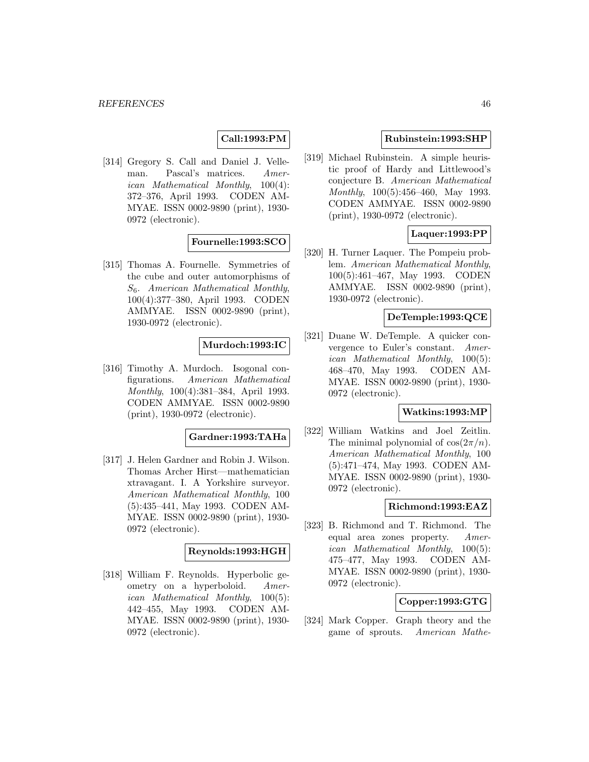# **Call:1993:PM**

[314] Gregory S. Call and Daniel J. Velleman. Pascal's matrices. American Mathematical Monthly, 100(4): 372–376, April 1993. CODEN AM-MYAE. ISSN 0002-9890 (print), 1930- 0972 (electronic).

## **Fournelle:1993:SCO**

[315] Thomas A. Fournelle. Symmetries of the cube and outer automorphisms of  $S_6$ . American Mathematical Monthly, 100(4):377–380, April 1993. CODEN AMMYAE. ISSN 0002-9890 (print), 1930-0972 (electronic).

## **Murdoch:1993:IC**

[316] Timothy A. Murdoch. Isogonal configurations. American Mathematical Monthly, 100(4):381–384, April 1993. CODEN AMMYAE. ISSN 0002-9890 (print), 1930-0972 (electronic).

#### **Gardner:1993:TAHa**

[317] J. Helen Gardner and Robin J. Wilson. Thomas Archer Hirst—mathematician xtravagant. I. A Yorkshire surveyor. American Mathematical Monthly, 100 (5):435–441, May 1993. CODEN AM-MYAE. ISSN 0002-9890 (print), 1930- 0972 (electronic).

#### **Reynolds:1993:HGH**

[318] William F. Reynolds. Hyperbolic geometry on a hyperboloid. American Mathematical Monthly, 100(5): 442–455, May 1993. CODEN AM-MYAE. ISSN 0002-9890 (print), 1930- 0972 (electronic).

#### **Rubinstein:1993:SHP**

[319] Michael Rubinstein. A simple heuristic proof of Hardy and Littlewood's conjecture B. American Mathematical Monthly, 100(5):456–460, May 1993. CODEN AMMYAE. ISSN 0002-9890 (print), 1930-0972 (electronic).

## **Laquer:1993:PP**

[320] H. Turner Laquer. The Pompeiu problem. American Mathematical Monthly, 100(5):461–467, May 1993. CODEN AMMYAE. ISSN 0002-9890 (print), 1930-0972 (electronic).

## **DeTemple:1993:QCE**

[321] Duane W. DeTemple. A quicker convergence to Euler's constant. American Mathematical Monthly, 100(5): 468–470, May 1993. CODEN AM-MYAE. ISSN 0002-9890 (print), 1930- 0972 (electronic).

## **Watkins:1993:MP**

[322] William Watkins and Joel Zeitlin. The minimal polynomial of  $\cos(2\pi/n)$ . American Mathematical Monthly, 100 (5):471–474, May 1993. CODEN AM-MYAE. ISSN 0002-9890 (print), 1930- 0972 (electronic).

#### **Richmond:1993:EAZ**

[323] B. Richmond and T. Richmond. The equal area zones property. American Mathematical Monthly, 100(5): 475–477, May 1993. CODEN AM-MYAE. ISSN 0002-9890 (print), 1930- 0972 (electronic).

# **Copper:1993:GTG**

[324] Mark Copper. Graph theory and the game of sprouts. American Mathe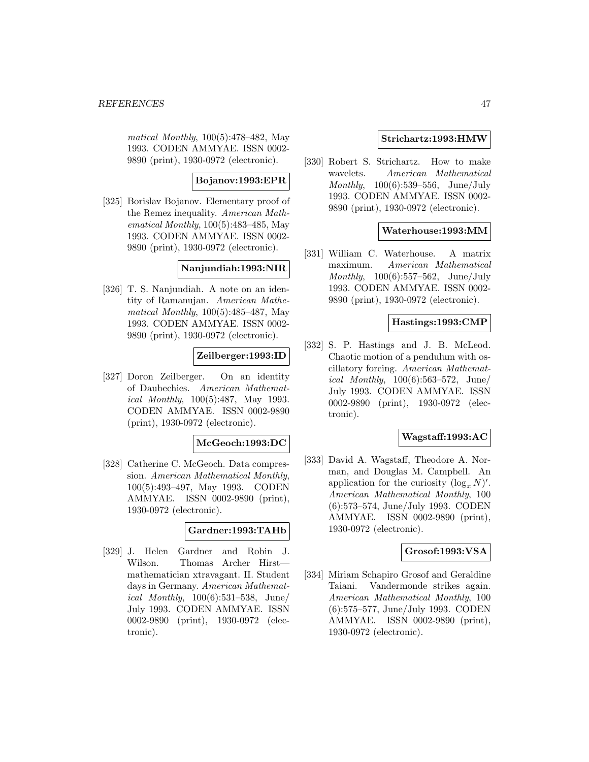matical Monthly, 100(5):478–482, May 1993. CODEN AMMYAE. ISSN 0002- 9890 (print), 1930-0972 (electronic).

## **Bojanov:1993:EPR**

[325] Borislav Bojanov. Elementary proof of the Remez inequality. American Mathematical Monthly, 100(5):483–485, May 1993. CODEN AMMYAE. ISSN 0002- 9890 (print), 1930-0972 (electronic).

## **Nanjundiah:1993:NIR**

[326] T. S. Nanjundiah. A note on an identity of Ramanujan. American Mathematical Monthly, 100(5):485–487, May 1993. CODEN AMMYAE. ISSN 0002- 9890 (print), 1930-0972 (electronic).

# **Zeilberger:1993:ID**

[327] Doron Zeilberger. On an identity of Daubechies. American Mathematical Monthly, 100(5):487, May 1993. CODEN AMMYAE. ISSN 0002-9890 (print), 1930-0972 (electronic).

## **McGeoch:1993:DC**

[328] Catherine C. McGeoch. Data compression. American Mathematical Monthly, 100(5):493–497, May 1993. CODEN AMMYAE. ISSN 0002-9890 (print), 1930-0972 (electronic).

## **Gardner:1993:TAHb**

[329] J. Helen Gardner and Robin J. Wilson. Thomas Archer Hirst mathematician xtravagant. II. Student days in Germany. American Mathemat*ical Monthly*,  $100(6):531-538$ , June/ July 1993. CODEN AMMYAE. ISSN 0002-9890 (print), 1930-0972 (electronic).

## **Strichartz:1993:HMW**

[330] Robert S. Strichartz. How to make wavelets. American Mathematical Monthly, 100(6):539–556, June/July 1993. CODEN AMMYAE. ISSN 0002- 9890 (print), 1930-0972 (electronic).

# **Waterhouse:1993:MM**

[331] William C. Waterhouse. A matrix maximum. American Mathematical Monthly, 100(6):557–562, June/July 1993. CODEN AMMYAE. ISSN 0002- 9890 (print), 1930-0972 (electronic).

#### **Hastings:1993:CMP**

[332] S. P. Hastings and J. B. McLeod. Chaotic motion of a pendulum with oscillatory forcing. American Mathemat*ical Monthly*,  $100(6):563-572$ , June/ July 1993. CODEN AMMYAE. ISSN 0002-9890 (print), 1930-0972 (electronic).

## **Wagstaff:1993:AC**

[333] David A. Wagstaff, Theodore A. Norman, and Douglas M. Campbell. An application for the curiosity  $(\log_x N)'$ . American Mathematical Monthly, 100 (6):573–574, June/July 1993. CODEN AMMYAE. ISSN 0002-9890 (print), 1930-0972 (electronic).

#### **Grosof:1993:VSA**

[334] Miriam Schapiro Grosof and Geraldine Taiani. Vandermonde strikes again. American Mathematical Monthly, 100 (6):575–577, June/July 1993. CODEN AMMYAE. ISSN 0002-9890 (print), 1930-0972 (electronic).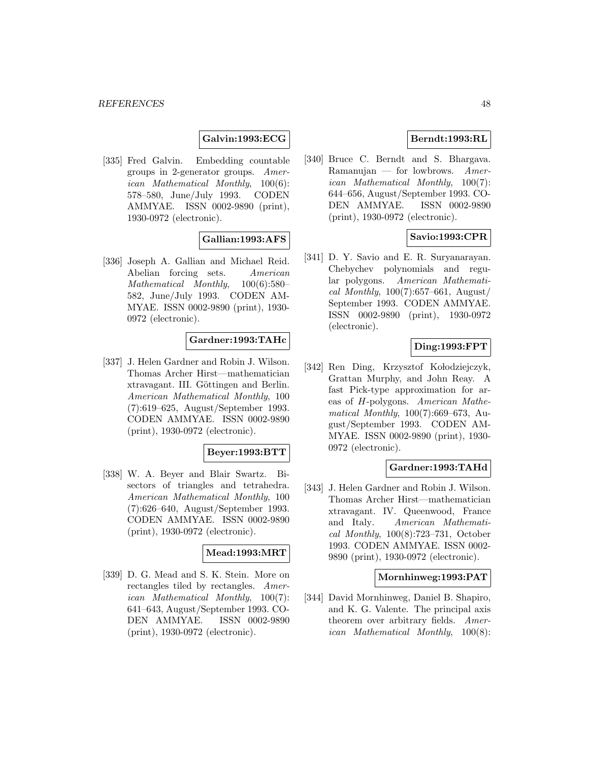# **Galvin:1993:ECG**

[335] Fred Galvin. Embedding countable groups in 2-generator groups. American Mathematical Monthly, 100(6): 578–580, June/July 1993. CODEN AMMYAE. ISSN 0002-9890 (print), 1930-0972 (electronic).

## **Gallian:1993:AFS**

[336] Joseph A. Gallian and Michael Reid. Abelian forcing sets. American Mathematical Monthly, 100(6):580– 582, June/July 1993. CODEN AM-MYAE. ISSN 0002-9890 (print), 1930- 0972 (electronic).

#### **Gardner:1993:TAHc**

[337] J. Helen Gardner and Robin J. Wilson. Thomas Archer Hirst—mathematician xtravagant. III. Göttingen and Berlin. American Mathematical Monthly, 100 (7):619–625, August/September 1993. CODEN AMMYAE. ISSN 0002-9890 (print), 1930-0972 (electronic).

#### **Beyer:1993:BTT**

[338] W. A. Beyer and Blair Swartz. Bisectors of triangles and tetrahedra. American Mathematical Monthly, 100 (7):626–640, August/September 1993. CODEN AMMYAE. ISSN 0002-9890 (print), 1930-0972 (electronic).

## **Mead:1993:MRT**

[339] D. G. Mead and S. K. Stein. More on rectangles tiled by rectangles. American Mathematical Monthly, 100(7): 641–643, August/September 1993. CO-DEN AMMYAE. ISSN 0002-9890 (print), 1930-0972 (electronic).

## **Berndt:1993:RL**

[340] Bruce C. Berndt and S. Bhargava. Ramanujan — for lowbrows.  $A$ merican Mathematical Monthly, 100(7): 644–656, August/September 1993. CO-DEN AMMYAE. ISSN 0002-9890 (print), 1930-0972 (electronic).

# **Savio:1993:CPR**

[341] D. Y. Savio and E. R. Suryanarayan. Chebychev polynomials and regular polygons. American Mathematical Monthly,  $100(7):657-661$ , August/ September 1993. CODEN AMMYAE. ISSN 0002-9890 (print), 1930-0972 (electronic).

# **Ding:1993:FPT**

[342] Ren Ding, Krzysztof Kołodziejczyk, Grattan Murphy, and John Reay. A fast Pick-type approximation for areas of H-polygons. American Mathematical Monthly, 100(7):669–673, August/September 1993. CODEN AM-MYAE. ISSN 0002-9890 (print), 1930- 0972 (electronic).

## **Gardner:1993:TAHd**

[343] J. Helen Gardner and Robin J. Wilson. Thomas Archer Hirst—mathematician xtravagant. IV. Queenwood, France and Italy. American Mathematical Monthly, 100(8):723–731, October 1993. CODEN AMMYAE. ISSN 0002- 9890 (print), 1930-0972 (electronic).

## **Mornhinweg:1993:PAT**

[344] David Mornhinweg, Daniel B. Shapiro, and K. G. Valente. The principal axis theorem over arbitrary fields. American Mathematical Monthly, 100(8):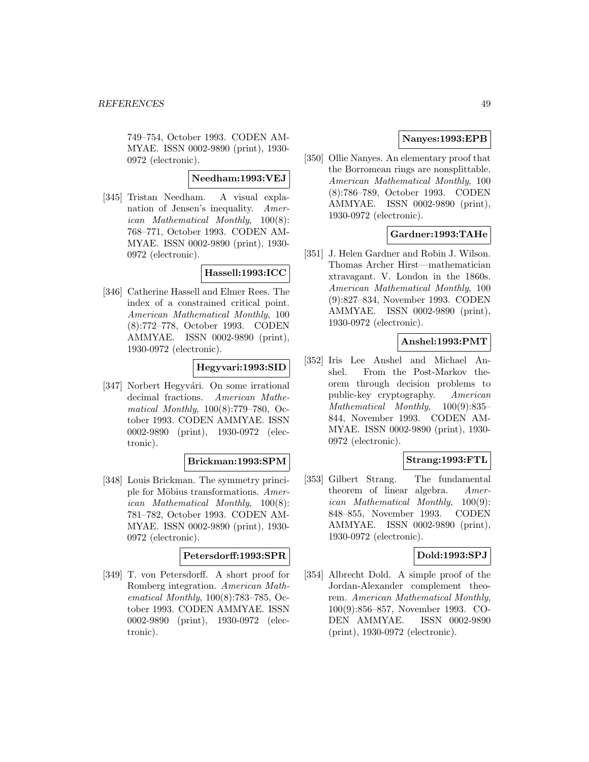749–754, October 1993. CODEN AM-MYAE. ISSN 0002-9890 (print), 1930- 0972 (electronic).

# **Needham:1993:VEJ**

[345] Tristan Needham. A visual explanation of Jensen's inequality. American Mathematical Monthly, 100(8): 768–771, October 1993. CODEN AM-MYAE. ISSN 0002-9890 (print), 1930- 0972 (electronic).

# **Hassell:1993:ICC**

[346] Catherine Hassell and Elmer Rees. The index of a constrained critical point. American Mathematical Monthly, 100 (8):772–778, October 1993. CODEN AMMYAE. ISSN 0002-9890 (print), 1930-0972 (electronic).

# **Hegyvari:1993:SID**

[347] Norbert Hegyvári. On some irrational decimal fractions. American Mathematical Monthly, 100(8):779–780, October 1993. CODEN AMMYAE. ISSN 0002-9890 (print), 1930-0972 (electronic).

## **Brickman:1993:SPM**

[348] Louis Brickman. The symmetry principle for Möbius transformations. American Mathematical Monthly, 100(8): 781–782, October 1993. CODEN AM-MYAE. ISSN 0002-9890 (print), 1930- 0972 (electronic).

# **Petersdorff:1993:SPR**

[349] T. von Petersdorff. A short proof for Romberg integration. American Mathematical Monthly, 100(8):783–785, October 1993. CODEN AMMYAE. ISSN 0002-9890 (print), 1930-0972 (electronic).

# **Nanyes:1993:EPB**

[350] Ollie Nanyes. An elementary proof that the Borromean rings are nonsplittable. American Mathematical Monthly, 100 (8):786–789, October 1993. CODEN AMMYAE. ISSN 0002-9890 (print), 1930-0972 (electronic).

# **Gardner:1993:TAHe**

[351] J. Helen Gardner and Robin J. Wilson. Thomas Archer Hirst—mathematician xtravagant. V. London in the 1860s. American Mathematical Monthly, 100 (9):827–834, November 1993. CODEN AMMYAE. ISSN 0002-9890 (print), 1930-0972 (electronic).

## **Anshel:1993:PMT**

[352] Iris Lee Anshel and Michael Anshel. From the Post-Markov theorem through decision problems to public-key cryptography. American Mathematical Monthly, 100(9):835– 844, November 1993. CODEN AM-MYAE. ISSN 0002-9890 (print), 1930- 0972 (electronic).

# **Strang:1993:FTL**

[353] Gilbert Strang. The fundamental theorem of linear algebra. American Mathematical Monthly, 100(9): 848–855, November 1993. CODEN AMMYAE. ISSN 0002-9890 (print), 1930-0972 (electronic).

## **Dold:1993:SPJ**

[354] Albrecht Dold. A simple proof of the Jordan-Alexander complement theorem. American Mathematical Monthly, 100(9):856–857, November 1993. CO-DEN AMMYAE. ISSN 0002-9890 (print), 1930-0972 (electronic).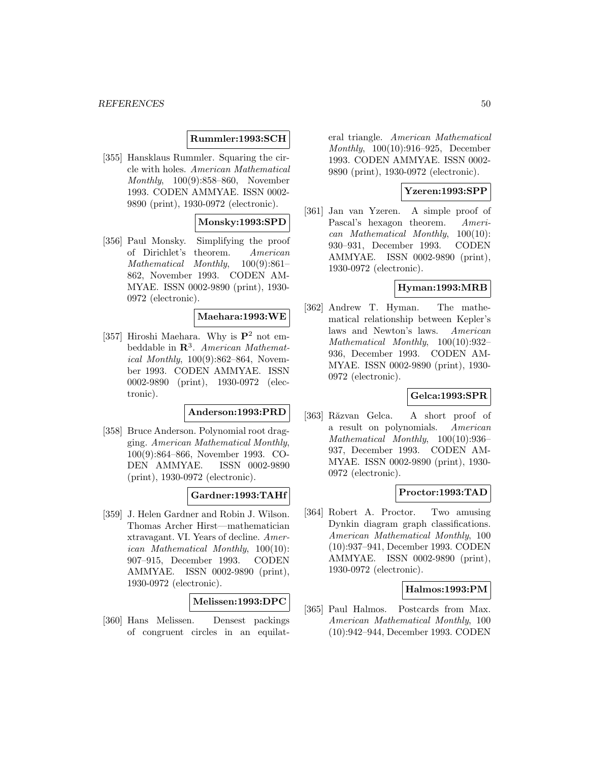## **Rummler:1993:SCH**

[355] Hansklaus Rummler. Squaring the circle with holes. American Mathematical Monthly, 100(9):858–860, November 1993. CODEN AMMYAE. ISSN 0002- 9890 (print), 1930-0972 (electronic).

## **Monsky:1993:SPD**

[356] Paul Monsky. Simplifying the proof of Dirichlet's theorem. American Mathematical Monthly, 100(9):861– 862, November 1993. CODEN AM-MYAE. ISSN 0002-9890 (print), 1930- 0972 (electronic).

### **Maehara:1993:WE**

[357] Hiroshi Maehara. Why is **P**<sup>2</sup> not embeddable in **R**<sup>3</sup>. American Mathematical Monthly, 100(9):862–864, November 1993. CODEN AMMYAE. ISSN 0002-9890 (print), 1930-0972 (electronic).

# **Anderson:1993:PRD**

[358] Bruce Anderson. Polynomial root dragging. American Mathematical Monthly, 100(9):864–866, November 1993. CO-DEN AMMYAE. ISSN 0002-9890 (print), 1930-0972 (electronic).

## **Gardner:1993:TAHf**

[359] J. Helen Gardner and Robin J. Wilson. Thomas Archer Hirst—mathematician xtravagant. VI. Years of decline. American Mathematical Monthly, 100(10): 907–915, December 1993. CODEN AMMYAE. ISSN 0002-9890 (print), 1930-0972 (electronic).

#### **Melissen:1993:DPC**

[360] Hans Melissen. Densest packings of congruent circles in an equilateral triangle. American Mathematical Monthly, 100(10):916–925, December 1993. CODEN AMMYAE. ISSN 0002- 9890 (print), 1930-0972 (electronic).

# **Yzeren:1993:SPP**

[361] Jan van Yzeren. A simple proof of Pascal's hexagon theorem. American Mathematical Monthly, 100(10): 930–931, December 1993. CODEN AMMYAE. ISSN 0002-9890 (print), 1930-0972 (electronic).

## **Hyman:1993:MRB**

[362] Andrew T. Hyman. The mathematical relationship between Kepler's laws and Newton's laws. American Mathematical Monthly, 100(10):932– 936, December 1993. CODEN AM-MYAE. ISSN 0002-9890 (print), 1930- 0972 (electronic).

# **Gelca:1993:SPR**

[363] Răzvan Gelca. A short proof of a result on polynomials. American Mathematical Monthly, 100(10):936– 937, December 1993. CODEN AM-MYAE. ISSN 0002-9890 (print), 1930- 0972 (electronic).

# **Proctor:1993:TAD**

[364] Robert A. Proctor. Two amusing Dynkin diagram graph classifications. American Mathematical Monthly, 100 (10):937–941, December 1993. CODEN AMMYAE. ISSN 0002-9890 (print), 1930-0972 (electronic).

#### **Halmos:1993:PM**

[365] Paul Halmos. Postcards from Max. American Mathematical Monthly, 100 (10):942–944, December 1993. CODEN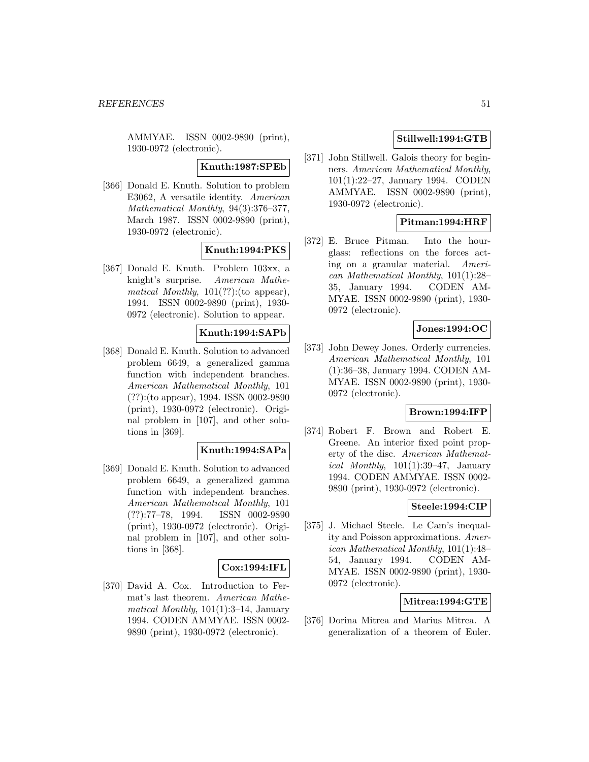AMMYAE. ISSN 0002-9890 (print), 1930-0972 (electronic).

#### **Knuth:1987:SPEb**

[366] Donald E. Knuth. Solution to problem E3062, A versatile identity. American Mathematical Monthly, 94(3):376–377, March 1987. ISSN 0002-9890 (print), 1930-0972 (electronic).

# **Knuth:1994:PKS**

[367] Donald E. Knuth. Problem 103xx, a knight's surprise. American Mathematical Monthly,  $101(??)$ :(to appear), 1994. ISSN 0002-9890 (print), 1930- 0972 (electronic). Solution to appear.

# **Knuth:1994:SAPb**

[368] Donald E. Knuth. Solution to advanced problem 6649, a generalized gamma function with independent branches. American Mathematical Monthly, 101 (??):(to appear), 1994. ISSN 0002-9890 (print), 1930-0972 (electronic). Original problem in [107], and other solutions in [369].

## **Knuth:1994:SAPa**

[369] Donald E. Knuth. Solution to advanced problem 6649, a generalized gamma function with independent branches. American Mathematical Monthly, 101 (??):77–78, 1994. ISSN 0002-9890 (print), 1930-0972 (electronic). Original problem in [107], and other solutions in [368].

## **Cox:1994:IFL**

[370] David A. Cox. Introduction to Fermat's last theorem. American Mathematical Monthly,  $101(1):3-14$ , January 1994. CODEN AMMYAE. ISSN 0002- 9890 (print), 1930-0972 (electronic).

# **Stillwell:1994:GTB**

[371] John Stillwell. Galois theory for beginners. American Mathematical Monthly, 101(1):22–27, January 1994. CODEN AMMYAE. ISSN 0002-9890 (print), 1930-0972 (electronic).

# **Pitman:1994:HRF**

[372] E. Bruce Pitman. Into the hourglass: reflections on the forces acting on a granular material. American Mathematical Monthly, 101(1):28– 35, January 1994. CODEN AM-MYAE. ISSN 0002-9890 (print), 1930- 0972 (electronic).

#### **Jones:1994:OC**

[373] John Dewey Jones. Orderly currencies. American Mathematical Monthly, 101 (1):36–38, January 1994. CODEN AM-MYAE. ISSN 0002-9890 (print), 1930- 0972 (electronic).

## **Brown:1994:IFP**

[374] Robert F. Brown and Robert E. Greene. An interior fixed point property of the disc. American Mathematical Monthly,  $101(1):39-47$ , January 1994. CODEN AMMYAE. ISSN 0002- 9890 (print), 1930-0972 (electronic).

## **Steele:1994:CIP**

[375] J. Michael Steele. Le Cam's inequality and Poisson approximations. American Mathematical Monthly, 101(1):48– 54, January 1994. CODEN AM-MYAE. ISSN 0002-9890 (print), 1930- 0972 (electronic).

## **Mitrea:1994:GTE**

[376] Dorina Mitrea and Marius Mitrea. A generalization of a theorem of Euler.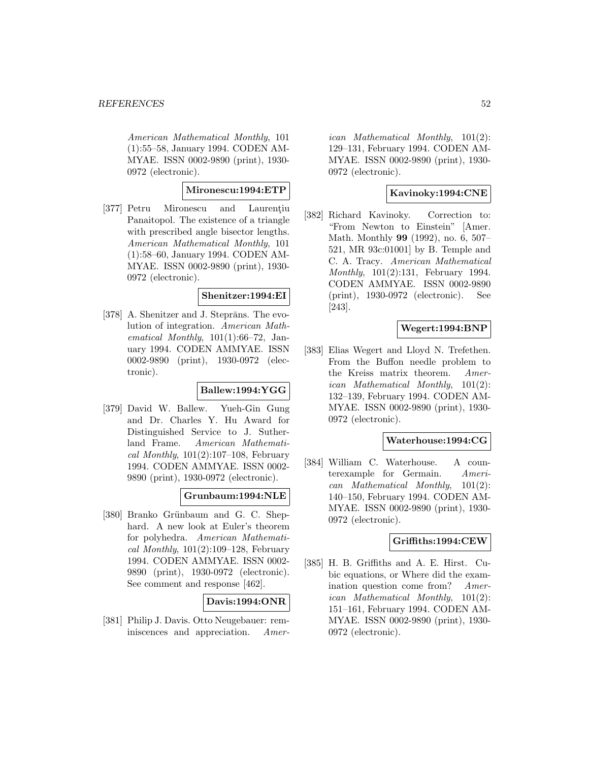American Mathematical Monthly, 101 (1):55–58, January 1994. CODEN AM-MYAE. ISSN 0002-9890 (print), 1930- 0972 (electronic).

# **Mironescu:1994:ETP**

[377] Petru Mironescu and Laurentiu Panaitopol. The existence of a triangle with prescribed angle bisector lengths. American Mathematical Monthly, 101 (1):58–60, January 1994. CODEN AM-MYAE. ISSN 0002-9890 (print), 1930- 0972 (electronic).

## **Shenitzer:1994:EI**

[378] A. Shenitzer and J. Steprāns. The evolution of integration. American Mathematical Monthly,  $101(1):66-72$ , January 1994. CODEN AMMYAE. ISSN 0002-9890 (print), 1930-0972 (electronic).

## **Ballew:1994:YGG**

[379] David W. Ballew. Yueh-Gin Gung and Dr. Charles Y. Hu Award for Distinguished Service to J. Sutherland Frame. American Mathematical Monthly,  $101(2):107-108$ , February 1994. CODEN AMMYAE. ISSN 0002- 9890 (print), 1930-0972 (electronic).

# **Grunbaum:1994:NLE**

[380] Branko Grünbaum and G. C. Shephard. A new look at Euler's theorem for polyhedra. American Mathematical Monthly,  $101(2):109-128$ , February 1994. CODEN AMMYAE. ISSN 0002- 9890 (print), 1930-0972 (electronic). See comment and response [462].

## **Davis:1994:ONR**

[381] Philip J. Davis. Otto Neugebauer: reminiscences and appreciation. Amer-

ican Mathematical Monthly, 101(2): 129–131, February 1994. CODEN AM-MYAE. ISSN 0002-9890 (print), 1930- 0972 (electronic).

# **Kavinoky:1994:CNE**

[382] Richard Kavinoky. Correction to: "From Newton to Einstein" [Amer. Math. Monthly **99** (1992), no. 6, 507– 521, MR 93c:01001] by B. Temple and C. A. Tracy. American Mathematical Monthly, 101(2):131, February 1994. CODEN AMMYAE. ISSN 0002-9890 (print), 1930-0972 (electronic). See [243].

# **Wegert:1994:BNP**

[383] Elias Wegert and Lloyd N. Trefethen. From the Buffon needle problem to the Kreiss matrix theorem. American Mathematical Monthly, 101(2): 132–139, February 1994. CODEN AM-MYAE. ISSN 0002-9890 (print), 1930- 0972 (electronic).

## **Waterhouse:1994:CG**

[384] William C. Waterhouse. A counterexample for Germain. American Mathematical Monthly, 101(2): 140–150, February 1994. CODEN AM-MYAE. ISSN 0002-9890 (print), 1930- 0972 (electronic).

## **Griffiths:1994:CEW**

[385] H. B. Griffiths and A. E. Hirst. Cubic equations, or Where did the examination question come from? American Mathematical Monthly, 101(2): 151–161, February 1994. CODEN AM-MYAE. ISSN 0002-9890 (print), 1930- 0972 (electronic).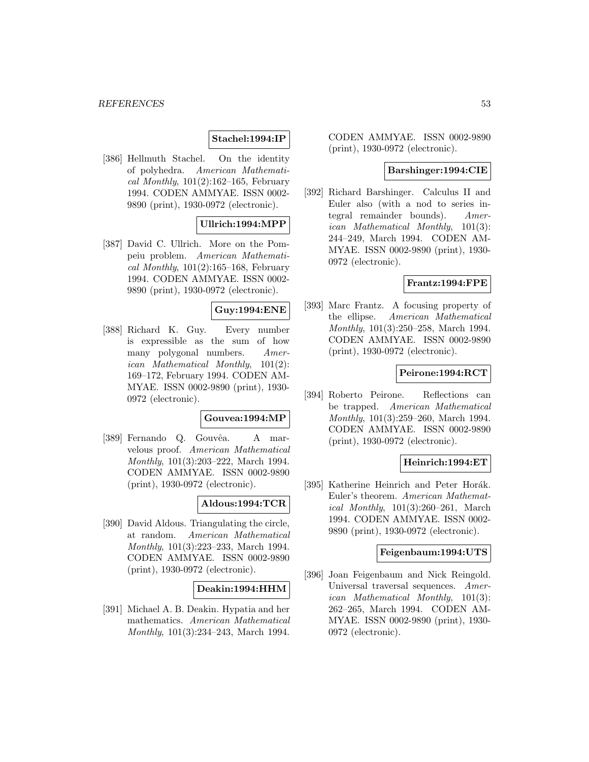# **Stachel:1994:IP**

[386] Hellmuth Stachel. On the identity of polyhedra. American Mathematical Monthly,  $101(2):162-165$ , February 1994. CODEN AMMYAE. ISSN 0002- 9890 (print), 1930-0972 (electronic).

## **Ullrich:1994:MPP**

[387] David C. Ullrich. More on the Pompeiu problem. American Mathematical Monthly,  $101(2):165-168$ , February 1994. CODEN AMMYAE. ISSN 0002- 9890 (print), 1930-0972 (electronic).

## **Guy:1994:ENE**

[388] Richard K. Guy. Every number is expressible as the sum of how many polygonal numbers. American Mathematical Monthly, 101(2): 169–172, February 1994. CODEN AM-MYAE. ISSN 0002-9890 (print), 1930- 0972 (electronic).

#### **Gouvea:1994:MP**

[389] Fernando Q. Gouvêa. A marvelous proof. American Mathematical Monthly, 101(3):203–222, March 1994. CODEN AMMYAE. ISSN 0002-9890 (print), 1930-0972 (electronic).

# **Aldous:1994:TCR**

[390] David Aldous. Triangulating the circle, at random. American Mathematical Monthly, 101(3):223–233, March 1994. CODEN AMMYAE. ISSN 0002-9890 (print), 1930-0972 (electronic).

## **Deakin:1994:HHM**

[391] Michael A. B. Deakin. Hypatia and her mathematics. American Mathematical Monthly, 101(3):234–243, March 1994.

CODEN AMMYAE. ISSN 0002-9890 (print), 1930-0972 (electronic).

## **Barshinger:1994:CIE**

[392] Richard Barshinger. Calculus II and Euler also (with a nod to series integral remainder bounds). American Mathematical Monthly, 101(3): 244–249, March 1994. CODEN AM-MYAE. ISSN 0002-9890 (print), 1930- 0972 (electronic).

#### **Frantz:1994:FPE**

[393] Marc Frantz. A focusing property of the ellipse. American Mathematical Monthly, 101(3):250–258, March 1994. CODEN AMMYAE. ISSN 0002-9890 (print), 1930-0972 (electronic).

#### **Peirone:1994:RCT**

[394] Roberto Peirone. Reflections can be trapped. American Mathematical Monthly, 101(3):259–260, March 1994. CODEN AMMYAE. ISSN 0002-9890 (print), 1930-0972 (electronic).

## **Heinrich:1994:ET**

[395] Katherine Heinrich and Peter Horák. Euler's theorem. American Mathematical Monthly, 101(3):260–261, March 1994. CODEN AMMYAE. ISSN 0002- 9890 (print), 1930-0972 (electronic).

#### **Feigenbaum:1994:UTS**

[396] Joan Feigenbaum and Nick Reingold. Universal traversal sequences. American Mathematical Monthly, 101(3): 262–265, March 1994. CODEN AM-MYAE. ISSN 0002-9890 (print), 1930- 0972 (electronic).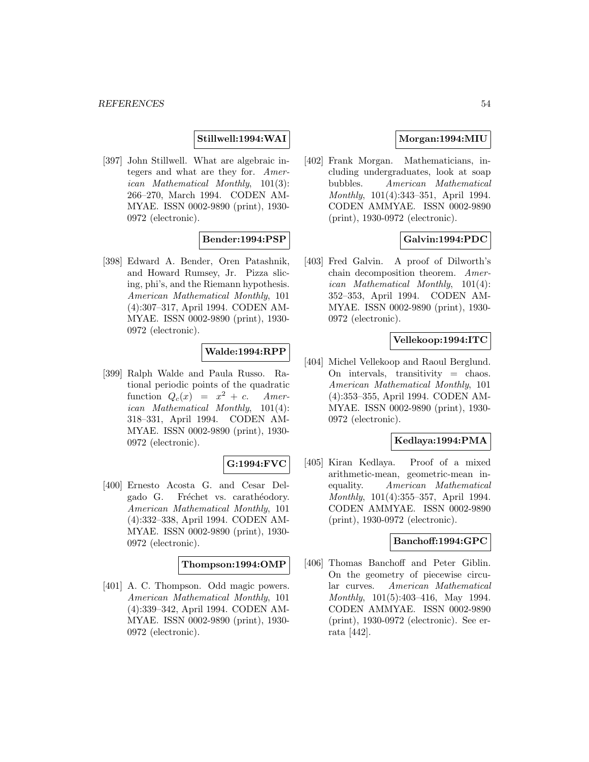# **Stillwell:1994:WAI**

[397] John Stillwell. What are algebraic integers and what are they for. American Mathematical Monthly, 101(3): 266–270, March 1994. CODEN AM-MYAE. ISSN 0002-9890 (print), 1930- 0972 (electronic).

# **Bender:1994:PSP**

[398] Edward A. Bender, Oren Patashnik, and Howard Rumsey, Jr. Pizza slicing, phi's, and the Riemann hypothesis. American Mathematical Monthly, 101 (4):307–317, April 1994. CODEN AM-MYAE. ISSN 0002-9890 (print), 1930- 0972 (electronic).

# **Walde:1994:RPP**

[399] Ralph Walde and Paula Russo. Rational periodic points of the quadratic function  $Q_c(x) = x^2 + c$ . American Mathematical Monthly, 101(4): 318–331, April 1994. CODEN AM-MYAE. ISSN 0002-9890 (print), 1930- 0972 (electronic).

## **G:1994:FVC**

[400] Ernesto Acosta G. and Cesar Delgado G. Fréchet vs. carathéodory. American Mathematical Monthly, 101 (4):332–338, April 1994. CODEN AM-MYAE. ISSN 0002-9890 (print), 1930- 0972 (electronic).

## **Thompson:1994:OMP**

[401] A. C. Thompson. Odd magic powers. American Mathematical Monthly, 101 (4):339–342, April 1994. CODEN AM-MYAE. ISSN 0002-9890 (print), 1930- 0972 (electronic).

# **Morgan:1994:MIU**

[402] Frank Morgan. Mathematicians, including undergraduates, look at soap bubbles. American Mathematical Monthly, 101(4):343–351, April 1994. CODEN AMMYAE. ISSN 0002-9890 (print), 1930-0972 (electronic).

# **Galvin:1994:PDC**

[403] Fred Galvin. A proof of Dilworth's chain decomposition theorem. American Mathematical Monthly, 101(4): 352–353, April 1994. CODEN AM-MYAE. ISSN 0002-9890 (print), 1930- 0972 (electronic).

#### **Vellekoop:1994:ITC**

[404] Michel Vellekoop and Raoul Berglund. On intervals, transitivity = chaos. American Mathematical Monthly, 101 (4):353–355, April 1994. CODEN AM-MYAE. ISSN 0002-9890 (print), 1930- 0972 (electronic).

#### **Kedlaya:1994:PMA**

[405] Kiran Kedlaya. Proof of a mixed arithmetic-mean, geometric-mean inequality. American Mathematical Monthly, 101(4):355–357, April 1994. CODEN AMMYAE. ISSN 0002-9890 (print), 1930-0972 (electronic).

#### **Banchoff:1994:GPC**

[406] Thomas Banchoff and Peter Giblin. On the geometry of piecewise circular curves. American Mathematical Monthly, 101(5):403–416, May 1994. CODEN AMMYAE. ISSN 0002-9890 (print), 1930-0972 (electronic). See errata [442].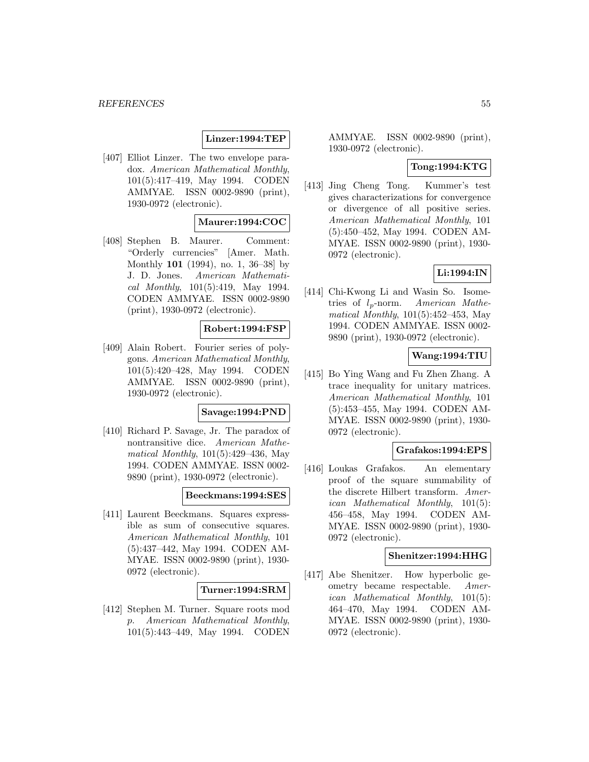# **Linzer:1994:TEP**

[407] Elliot Linzer. The two envelope paradox. American Mathematical Monthly, 101(5):417–419, May 1994. CODEN AMMYAE. ISSN 0002-9890 (print), 1930-0972 (electronic).

## **Maurer:1994:COC**

[408] Stephen B. Maurer. Comment: "Orderly currencies" [Amer. Math. Monthly **101** (1994), no. 1, 36–38] by J. D. Jones. American Mathematical Monthly, 101(5):419, May 1994. CODEN AMMYAE. ISSN 0002-9890 (print), 1930-0972 (electronic).

## **Robert:1994:FSP**

[409] Alain Robert. Fourier series of polygons. American Mathematical Monthly, 101(5):420–428, May 1994. CODEN AMMYAE. ISSN 0002-9890 (print), 1930-0972 (electronic).

## **Savage:1994:PND**

[410] Richard P. Savage, Jr. The paradox of nontransitive dice. American Mathematical Monthly, 101(5):429–436, May 1994. CODEN AMMYAE. ISSN 0002- 9890 (print), 1930-0972 (electronic).

#### **Beeckmans:1994:SES**

[411] Laurent Beeckmans. Squares expressible as sum of consecutive squares. American Mathematical Monthly, 101 (5):437–442, May 1994. CODEN AM-MYAE. ISSN 0002-9890 (print), 1930- 0972 (electronic).

## **Turner:1994:SRM**

[412] Stephen M. Turner. Square roots mod p. American Mathematical Monthly, 101(5):443–449, May 1994. CODEN

AMMYAE. ISSN 0002-9890 (print), 1930-0972 (electronic).

#### **Tong:1994:KTG**

[413] Jing Cheng Tong. Kummer's test gives characterizations for convergence or divergence of all positive series. American Mathematical Monthly, 101 (5):450–452, May 1994. CODEN AM-MYAE. ISSN 0002-9890 (print), 1930- 0972 (electronic).

# **Li:1994:IN**

[414] Chi-Kwong Li and Wasin So. Isometries of  $l_p$ -norm. American Mathematical Monthly, 101(5):452–453, May 1994. CODEN AMMYAE. ISSN 0002- 9890 (print), 1930-0972 (electronic).

## **Wang:1994:TIU**

[415] Bo Ying Wang and Fu Zhen Zhang. A trace inequality for unitary matrices. American Mathematical Monthly, 101 (5):453–455, May 1994. CODEN AM-MYAE. ISSN 0002-9890 (print), 1930- 0972 (electronic).

## **Grafakos:1994:EPS**

[416] Loukas Grafakos. An elementary proof of the square summability of the discrete Hilbert transform. American Mathematical Monthly, 101(5): 456–458, May 1994. CODEN AM-MYAE. ISSN 0002-9890 (print), 1930- 0972 (electronic).

#### **Shenitzer:1994:HHG**

[417] Abe Shenitzer. How hyperbolic geometry became respectable. American Mathematical Monthly, 101(5): 464–470, May 1994. CODEN AM-MYAE. ISSN 0002-9890 (print), 1930- 0972 (electronic).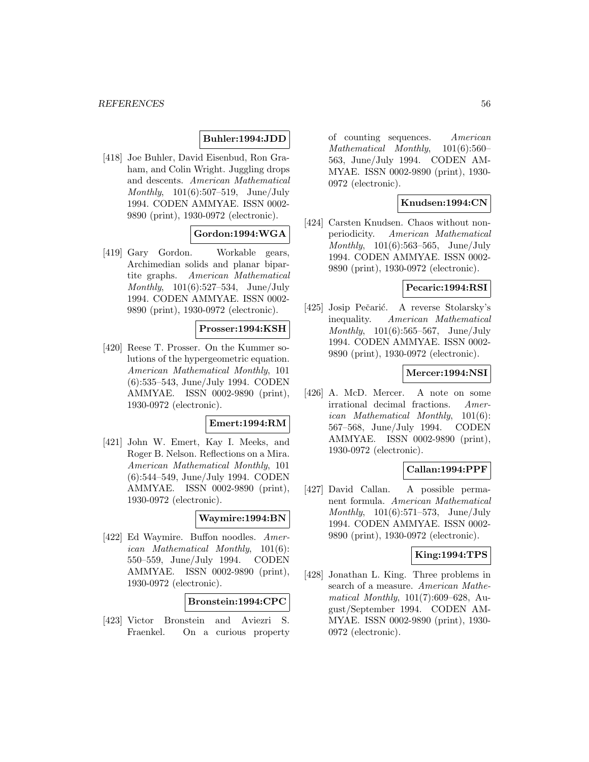## **Buhler:1994:JDD**

[418] Joe Buhler, David Eisenbud, Ron Graham, and Colin Wright. Juggling drops and descents. American Mathematical Monthly, 101(6):507–519, June/July 1994. CODEN AMMYAE. ISSN 0002- 9890 (print), 1930-0972 (electronic).

# **Gordon:1994:WGA**

[419] Gary Gordon. Workable gears, Archimedian solids and planar bipartite graphs. American Mathematical Monthly, 101(6):527–534, June/July 1994. CODEN AMMYAE. ISSN 0002- 9890 (print), 1930-0972 (electronic).

#### **Prosser:1994:KSH**

[420] Reese T. Prosser. On the Kummer solutions of the hypergeometric equation. American Mathematical Monthly, 101 (6):535–543, June/July 1994. CODEN AMMYAE. ISSN 0002-9890 (print), 1930-0972 (electronic).

#### **Emert:1994:RM**

[421] John W. Emert, Kay I. Meeks, and Roger B. Nelson. Reflections on a Mira. American Mathematical Monthly, 101 (6):544–549, June/July 1994. CODEN AMMYAE. ISSN 0002-9890 (print), 1930-0972 (electronic).

## **Waymire:1994:BN**

[422] Ed Waymire. Buffon noodles. American Mathematical Monthly, 101(6): 550–559, June/July 1994. CODEN AMMYAE. ISSN 0002-9890 (print), 1930-0972 (electronic).

## **Bronstein:1994:CPC**

[423] Victor Bronstein and Aviezri S. Fraenkel. On a curious property of counting sequences. American Mathematical Monthly, 101(6):560– 563, June/July 1994. CODEN AM-MYAE. ISSN 0002-9890 (print), 1930- 0972 (electronic).

## **Knudsen:1994:CN**

[424] Carsten Knudsen. Chaos without nonperiodicity. American Mathematical Monthly, 101(6):563–565, June/July 1994. CODEN AMMYAE. ISSN 0002- 9890 (print), 1930-0972 (electronic).

## **Pecaric:1994:RSI**

[425] Josip Pečarić. A reverse Stolarsky's inequality. American Mathematical Monthly, 101(6):565–567, June/July 1994. CODEN AMMYAE. ISSN 0002- 9890 (print), 1930-0972 (electronic).

#### **Mercer:1994:NSI**

[426] A. McD. Mercer. A note on some irrational decimal fractions. American Mathematical Monthly, 101(6): 567–568, June/July 1994. CODEN AMMYAE. ISSN 0002-9890 (print), 1930-0972 (electronic).

#### **Callan:1994:PPF**

[427] David Callan. A possible permanent formula. American Mathematical Monthly, 101(6):571–573, June/July 1994. CODEN AMMYAE. ISSN 0002- 9890 (print), 1930-0972 (electronic).

## **King:1994:TPS**

[428] Jonathan L. King. Three problems in search of a measure. American Mathematical Monthly, 101(7):609–628, August/September 1994. CODEN AM-MYAE. ISSN 0002-9890 (print), 1930- 0972 (electronic).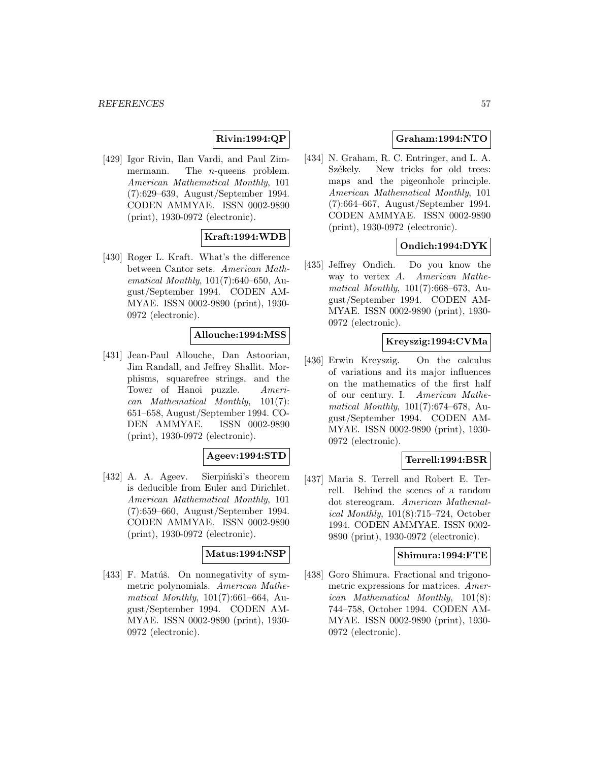# **Rivin:1994:QP**

[429] Igor Rivin, Ilan Vardi, and Paul Zimmermann. The *n*-queens problem. American Mathematical Monthly, 101 (7):629–639, August/September 1994. CODEN AMMYAE. ISSN 0002-9890 (print), 1930-0972 (electronic).

# **Kraft:1994:WDB**

[430] Roger L. Kraft. What's the difference between Cantor sets. American Mathematical Monthly, 101(7):640–650, August/September 1994. CODEN AM-MYAE. ISSN 0002-9890 (print), 1930- 0972 (electronic).

# **Allouche:1994:MSS**

[431] Jean-Paul Allouche, Dan Astoorian, Jim Randall, and Jeffrey Shallit. Morphisms, squarefree strings, and the Tower of Hanoi puzzle. American Mathematical Monthly, 101(7): 651–658, August/September 1994. CO-DEN AMMYAE. ISSN 0002-9890 (print), 1930-0972 (electronic).

## **Ageev:1994:STD**

[432] A. A. Ageev. Sierpiński's theorem is deducible from Euler and Dirichlet. American Mathematical Monthly, 101 (7):659–660, August/September 1994. CODEN AMMYAE. ISSN 0002-9890 (print), 1930-0972 (electronic).

## **Matus:1994:NSP**

[433] F. Matúš. On nonnegativity of symmetric polynomials. American Mathematical Monthly, 101(7):661–664, August/September 1994. CODEN AM-MYAE. ISSN 0002-9890 (print), 1930- 0972 (electronic).

# **Graham:1994:NTO**

[434] N. Graham, R. C. Entringer, and L. A. Székely. New tricks for old trees: maps and the pigeonhole principle. American Mathematical Monthly, 101 (7):664–667, August/September 1994. CODEN AMMYAE. ISSN 0002-9890 (print), 1930-0972 (electronic).

# **Ondich:1994:DYK**

[435] Jeffrey Ondich. Do you know the way to vertex A. American Mathematical Monthly, 101(7):668–673, August/September 1994. CODEN AM-MYAE. ISSN 0002-9890 (print), 1930- 0972 (electronic).

#### **Kreyszig:1994:CVMa**

[436] Erwin Kreyszig. On the calculus of variations and its major influences on the mathematics of the first half of our century. I. American Mathematical Monthly, 101(7):674–678, August/September 1994. CODEN AM-MYAE. ISSN 0002-9890 (print), 1930- 0972 (electronic).

# **Terrell:1994:BSR**

[437] Maria S. Terrell and Robert E. Terrell. Behind the scenes of a random dot stereogram. American Mathematical Monthly, 101(8):715–724, October 1994. CODEN AMMYAE. ISSN 0002- 9890 (print), 1930-0972 (electronic).

## **Shimura:1994:FTE**

[438] Goro Shimura. Fractional and trigonometric expressions for matrices. American Mathematical Monthly, 101(8): 744–758, October 1994. CODEN AM-MYAE. ISSN 0002-9890 (print), 1930- 0972 (electronic).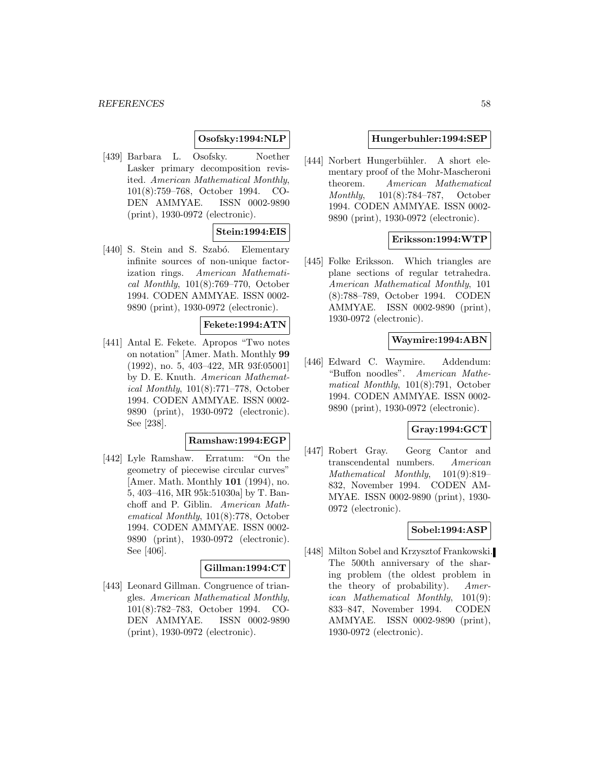## **Osofsky:1994:NLP**

[439] Barbara L. Osofsky. Noether Lasker primary decomposition revisited. American Mathematical Monthly, 101(8):759–768, October 1994. CO-DEN AMMYAE. ISSN 0002-9890 (print), 1930-0972 (electronic).

# **Stein:1994:EIS**

[440] S. Stein and S. Szabó. Elementary infinite sources of non-unique factorization rings. American Mathematical Monthly, 101(8):769–770, October 1994. CODEN AMMYAE. ISSN 0002- 9890 (print), 1930-0972 (electronic).

#### **Fekete:1994:ATN**

[441] Antal E. Fekete. Apropos "Two notes on notation" [Amer. Math. Monthly **99** (1992), no. 5, 403–422, MR 93f:05001] by D. E. Knuth. American Mathematical Monthly, 101(8):771–778, October 1994. CODEN AMMYAE. ISSN 0002- 9890 (print), 1930-0972 (electronic). See [238].

#### **Ramshaw:1994:EGP**

[442] Lyle Ramshaw. Erratum: "On the geometry of piecewise circular curves" [Amer. Math. Monthly **101** (1994), no. 5, 403–416, MR 95k:51030a] by T. Banchoff and P. Giblin. American Mathematical Monthly, 101(8):778, October 1994. CODEN AMMYAE. ISSN 0002- 9890 (print), 1930-0972 (electronic). See [406].

#### **Gillman:1994:CT**

[443] Leonard Gillman. Congruence of triangles. American Mathematical Monthly, 101(8):782–783, October 1994. CO-DEN AMMYAE. ISSN 0002-9890 (print), 1930-0972 (electronic).

#### **Hungerbuhler:1994:SEP**

[444] Norbert Hungerbühler. A short elementary proof of the Mohr-Mascheroni theorem. American Mathematical Monthly, 101(8):784–787, October 1994. CODEN AMMYAE. ISSN 0002- 9890 (print), 1930-0972 (electronic).

## **Eriksson:1994:WTP**

[445] Folke Eriksson. Which triangles are plane sections of regular tetrahedra. American Mathematical Monthly, 101 (8):788–789, October 1994. CODEN AMMYAE. ISSN 0002-9890 (print), 1930-0972 (electronic).

#### **Waymire:1994:ABN**

[446] Edward C. Waymire. Addendum: "Buffon noodles". American Mathematical Monthly, 101(8):791, October 1994. CODEN AMMYAE. ISSN 0002- 9890 (print), 1930-0972 (electronic).

# **Gray:1994:GCT**

[447] Robert Gray. Georg Cantor and transcendental numbers. American Mathematical Monthly, 101(9):819– 832, November 1994. CODEN AM-MYAE. ISSN 0002-9890 (print), 1930- 0972 (electronic).

## **Sobel:1994:ASP**

[448] Milton Sobel and Krzysztof Frankowski. The 500th anniversary of the sharing problem (the oldest problem in the theory of probability). American Mathematical Monthly, 101(9): 833–847, November 1994. CODEN AMMYAE. ISSN 0002-9890 (print), 1930-0972 (electronic).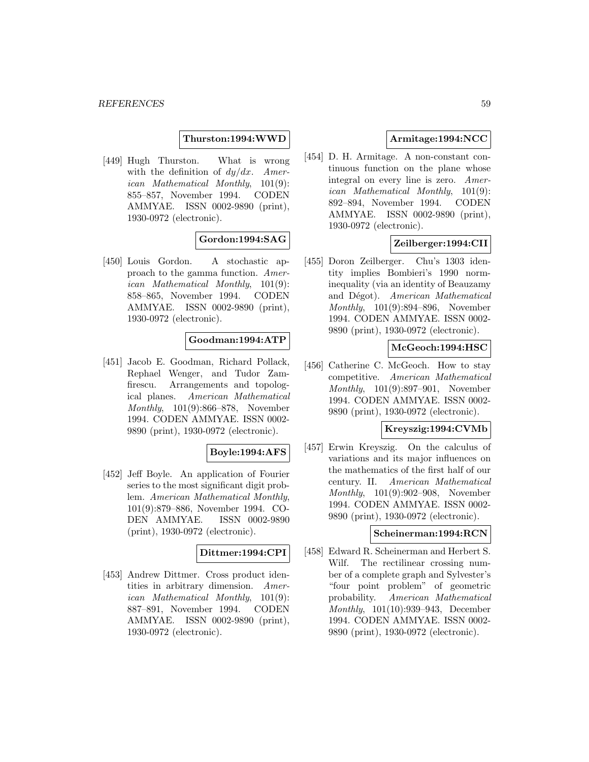#### **Thurston:1994:WWD**

[449] Hugh Thurston. What is wrong with the definition of  $dy/dx$ . American Mathematical Monthly, 101(9): 855–857, November 1994. CODEN AMMYAE. ISSN 0002-9890 (print), 1930-0972 (electronic).

## **Gordon:1994:SAG**

[450] Louis Gordon. A stochastic approach to the gamma function. American Mathematical Monthly, 101(9): 858–865, November 1994. CODEN AMMYAE. ISSN 0002-9890 (print), 1930-0972 (electronic).

#### **Goodman:1994:ATP**

[451] Jacob E. Goodman, Richard Pollack, Rephael Wenger, and Tudor Zamfirescu. Arrangements and topological planes. American Mathematical Monthly, 101(9):866–878, November 1994. CODEN AMMYAE. ISSN 0002- 9890 (print), 1930-0972 (electronic).

#### **Boyle:1994:AFS**

[452] Jeff Boyle. An application of Fourier series to the most significant digit problem. American Mathematical Monthly, 101(9):879–886, November 1994. CO-DEN AMMYAE. ISSN 0002-9890 (print), 1930-0972 (electronic).

# **Dittmer:1994:CPI**

[453] Andrew Dittmer. Cross product identities in arbitrary dimension. American Mathematical Monthly, 101(9): 887–891, November 1994. CODEN AMMYAE. ISSN 0002-9890 (print), 1930-0972 (electronic).

# **Armitage:1994:NCC**

[454] D. H. Armitage. A non-constant continuous function on the plane whose integral on every line is zero. American Mathematical Monthly, 101(9): 892–894, November 1994. CODEN AMMYAE. ISSN 0002-9890 (print), 1930-0972 (electronic).

## **Zeilberger:1994:CII**

[455] Doron Zeilberger. Chu's 1303 identity implies Bombieri's 1990 norminequality (via an identity of Beauzamy and Dégot). American Mathematical Monthly, 101(9):894–896, November 1994. CODEN AMMYAE. ISSN 0002- 9890 (print), 1930-0972 (electronic).

## **McGeoch:1994:HSC**

[456] Catherine C. McGeoch. How to stay competitive. American Mathematical Monthly, 101(9):897–901, November 1994. CODEN AMMYAE. ISSN 0002- 9890 (print), 1930-0972 (electronic).

# **Kreyszig:1994:CVMb**

[457] Erwin Kreyszig. On the calculus of variations and its major influences on the mathematics of the first half of our century. II. American Mathematical Monthly, 101(9):902–908, November 1994. CODEN AMMYAE. ISSN 0002- 9890 (print), 1930-0972 (electronic).

#### **Scheinerman:1994:RCN**

[458] Edward R. Scheinerman and Herbert S. Wilf. The rectilinear crossing number of a complete graph and Sylvester's "four point problem" of geometric probability. American Mathematical Monthly, 101(10):939–943, December 1994. CODEN AMMYAE. ISSN 0002- 9890 (print), 1930-0972 (electronic).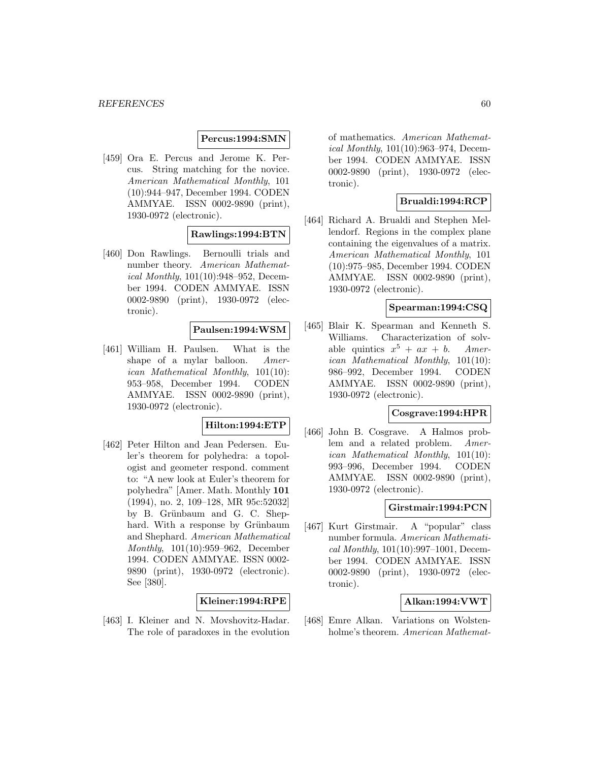## **Percus:1994:SMN**

[459] Ora E. Percus and Jerome K. Percus. String matching for the novice. American Mathematical Monthly, 101 (10):944–947, December 1994. CODEN AMMYAE. ISSN 0002-9890 (print), 1930-0972 (electronic).

#### **Rawlings:1994:BTN**

[460] Don Rawlings. Bernoulli trials and number theory. American Mathematical Monthly, 101(10):948–952, December 1994. CODEN AMMYAE. ISSN 0002-9890 (print), 1930-0972 (electronic).

### **Paulsen:1994:WSM**

[461] William H. Paulsen. What is the shape of a mylar balloon. American Mathematical Monthly, 101(10): 953–958, December 1994. CODEN AMMYAE. ISSN 0002-9890 (print), 1930-0972 (electronic).

#### **Hilton:1994:ETP**

[462] Peter Hilton and Jean Pedersen. Euler's theorem for polyhedra: a topologist and geometer respond. comment to: "A new look at Euler's theorem for polyhedra" [Amer. Math. Monthly **101** (1994), no. 2, 109–128, MR 95c:52032] by B. Grünbaum and G. C. Shephard. With a response by Grünbaum and Shephard. American Mathematical Monthly, 101(10):959–962, December 1994. CODEN AMMYAE. ISSN 0002- 9890 (print), 1930-0972 (electronic). See [380].

## **Kleiner:1994:RPE**

[463] I. Kleiner and N. Movshovitz-Hadar. The role of paradoxes in the evolution

of mathematics. American Mathematical Monthly, 101(10):963–974, December 1994. CODEN AMMYAE. ISSN 0002-9890 (print), 1930-0972 (electronic).

## **Brualdi:1994:RCP**

[464] Richard A. Brualdi and Stephen Mellendorf. Regions in the complex plane containing the eigenvalues of a matrix. American Mathematical Monthly, 101 (10):975–985, December 1994. CODEN AMMYAE. ISSN 0002-9890 (print), 1930-0972 (electronic).

#### **Spearman:1994:CSQ**

[465] Blair K. Spearman and Kenneth S. Williams. Characterization of solvable quintics  $x^5 + ax + b$ . American Mathematical Monthly, 101(10): 986–992, December 1994. CODEN AMMYAE. ISSN 0002-9890 (print), 1930-0972 (electronic).

## **Cosgrave:1994:HPR**

[466] John B. Cosgrave. A Halmos problem and a related problem. American Mathematical Monthly, 101(10): 993–996, December 1994. CODEN AMMYAE. ISSN 0002-9890 (print), 1930-0972 (electronic).

#### **Girstmair:1994:PCN**

[467] Kurt Girstmair. A "popular" class number formula. American Mathematical Monthly, 101(10):997–1001, December 1994. CODEN AMMYAE. ISSN 0002-9890 (print), 1930-0972 (electronic).

#### **Alkan:1994:VWT**

[468] Emre Alkan. Variations on Wolstenholme's theorem. American Mathemat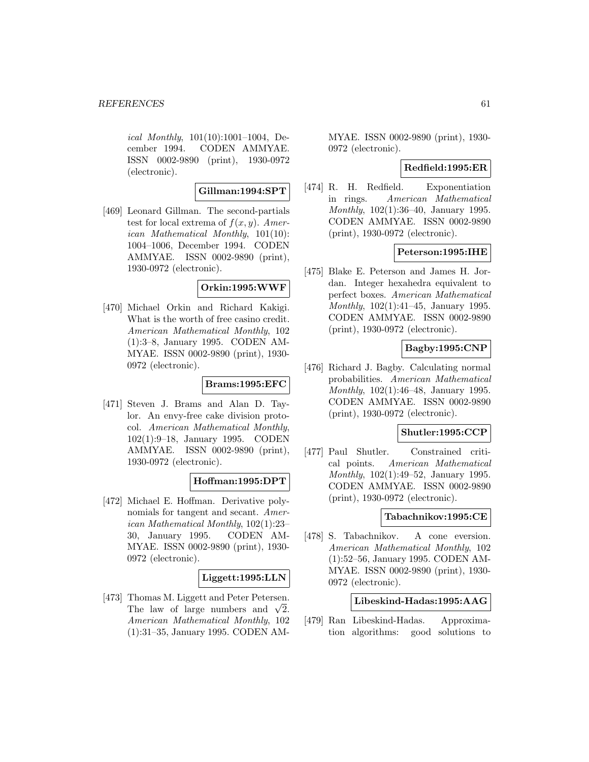ical Monthly, 101(10):1001–1004, December 1994. CODEN AMMYAE. ISSN 0002-9890 (print), 1930-0972 (electronic).

## **Gillman:1994:SPT**

[469] Leonard Gillman. The second-partials test for local extrema of  $f(x, y)$ . American Mathematical Monthly, 101(10): 1004–1006, December 1994. CODEN AMMYAE. ISSN 0002-9890 (print), 1930-0972 (electronic).

#### **Orkin:1995:WWF**

[470] Michael Orkin and Richard Kakigi. What is the worth of free casino credit. American Mathematical Monthly, 102 (1):3–8, January 1995. CODEN AM-MYAE. ISSN 0002-9890 (print), 1930- 0972 (electronic).

## **Brams:1995:EFC**

[471] Steven J. Brams and Alan D. Taylor. An envy-free cake division protocol. American Mathematical Monthly, 102(1):9–18, January 1995. CODEN AMMYAE. ISSN 0002-9890 (print), 1930-0972 (electronic).

# **Hoffman:1995:DPT**

[472] Michael E. Hoffman. Derivative polynomials for tangent and secant. American Mathematical Monthly, 102(1):23– 30, January 1995. CODEN AM-MYAE. ISSN 0002-9890 (print), 1930- 0972 (electronic).

## **Liggett:1995:LLN**

[473] Thomas M. Liggett and Peter Petersen. The law of large numbers and  $\sqrt{2}$ . American Mathematical Monthly, 102 (1):31–35, January 1995. CODEN AM-

MYAE. ISSN 0002-9890 (print), 1930- 0972 (electronic).

# **Redfield:1995:ER**

[474] R. H. Redfield. Exponentiation in rings. American Mathematical Monthly, 102(1):36–40, January 1995. CODEN AMMYAE. ISSN 0002-9890 (print), 1930-0972 (electronic).

## **Peterson:1995:IHE**

[475] Blake E. Peterson and James H. Jordan. Integer hexahedra equivalent to perfect boxes. American Mathematical Monthly, 102(1):41–45, January 1995. CODEN AMMYAE. ISSN 0002-9890 (print), 1930-0972 (electronic).

# **Bagby:1995:CNP**

[476] Richard J. Bagby. Calculating normal probabilities. American Mathematical Monthly, 102(1):46–48, January 1995. CODEN AMMYAE. ISSN 0002-9890 (print), 1930-0972 (electronic).

#### **Shutler:1995:CCP**

[477] Paul Shutler. Constrained critical points. American Mathematical Monthly, 102(1):49–52, January 1995. CODEN AMMYAE. ISSN 0002-9890 (print), 1930-0972 (electronic).

#### **Tabachnikov:1995:CE**

[478] S. Tabachnikov. A cone eversion. American Mathematical Monthly, 102 (1):52–56, January 1995. CODEN AM-MYAE. ISSN 0002-9890 (print), 1930- 0972 (electronic).

## **Libeskind-Hadas:1995:AAG**

[479] Ran Libeskind-Hadas. Approximation algorithms: good solutions to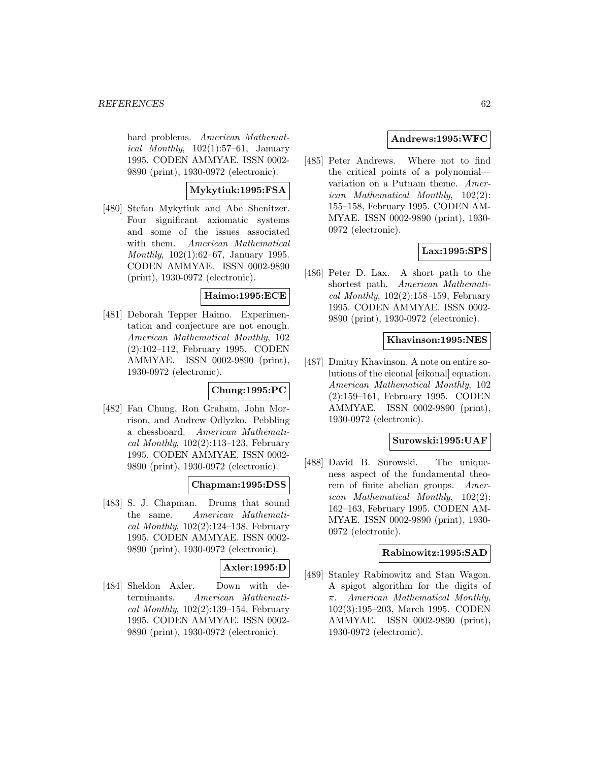hard problems. American Mathematical Monthly,  $102(1):57-61$ , January 1995. CODEN AMMYAE. ISSN 0002- 9890 (print), 1930-0972 (electronic).

# **Mykytiuk:1995:FSA**

[480] Stefan Mykytiuk and Abe Shenitzer. Four significant axiomatic systems and some of the issues associated with them. American Mathematical Monthly, 102(1):62–67, January 1995. CODEN AMMYAE. ISSN 0002-9890 (print), 1930-0972 (electronic).

## **Haimo:1995:ECE**

[481] Deborah Tepper Haimo. Experimentation and conjecture are not enough. American Mathematical Monthly, 102 (2):102–112, February 1995. CODEN AMMYAE. ISSN 0002-9890 (print), 1930-0972 (electronic).

## **Chung:1995:PC**

[482] Fan Chung, Ron Graham, John Morrison, and Andrew Odlyzko. Pebbling a chessboard. American Mathematical Monthly,  $102(2):113-123$ , February 1995. CODEN AMMYAE. ISSN 0002- 9890 (print), 1930-0972 (electronic).

# **Chapman:1995:DSS**

[483] S. J. Chapman. Drums that sound the same. American Mathematical Monthly,  $102(2):124-138$ , February 1995. CODEN AMMYAE. ISSN 0002- 9890 (print), 1930-0972 (electronic).

# **Axler:1995:D**

[484] Sheldon Axler. Down with determinants. American Mathematical Monthly,  $102(2):139-154$ , February 1995. CODEN AMMYAE. ISSN 0002- 9890 (print), 1930-0972 (electronic).

# **Andrews:1995:WFC**

[485] Peter Andrews. Where not to find the critical points of a polynomial variation on a Putnam theme. American Mathematical Monthly, 102(2): 155–158, February 1995. CODEN AM-MYAE. ISSN 0002-9890 (print), 1930- 0972 (electronic).

# **Lax:1995:SPS**

[486] Peter D. Lax. A short path to the shortest path. American Mathematical Monthly,  $102(2):158-159$ , February 1995. CODEN AMMYAE. ISSN 0002- 9890 (print), 1930-0972 (electronic).

#### **Khavinson:1995:NES**

[487] Dmitry Khavinson. A note on entire solutions of the eiconal [eikonal] equation. American Mathematical Monthly, 102 (2):159–161, February 1995. CODEN AMMYAE. ISSN 0002-9890 (print), 1930-0972 (electronic).

#### **Surowski:1995:UAF**

[488] David B. Surowski. The uniqueness aspect of the fundamental theorem of finite abelian groups. American Mathematical Monthly, 102(2): 162–163, February 1995. CODEN AM-MYAE. ISSN 0002-9890 (print), 1930- 0972 (electronic).

#### **Rabinowitz:1995:SAD**

[489] Stanley Rabinowitz and Stan Wagon. A spigot algorithm for the digits of π. American Mathematical Monthly, 102(3):195–203, March 1995. CODEN AMMYAE. ISSN 0002-9890 (print), 1930-0972 (electronic).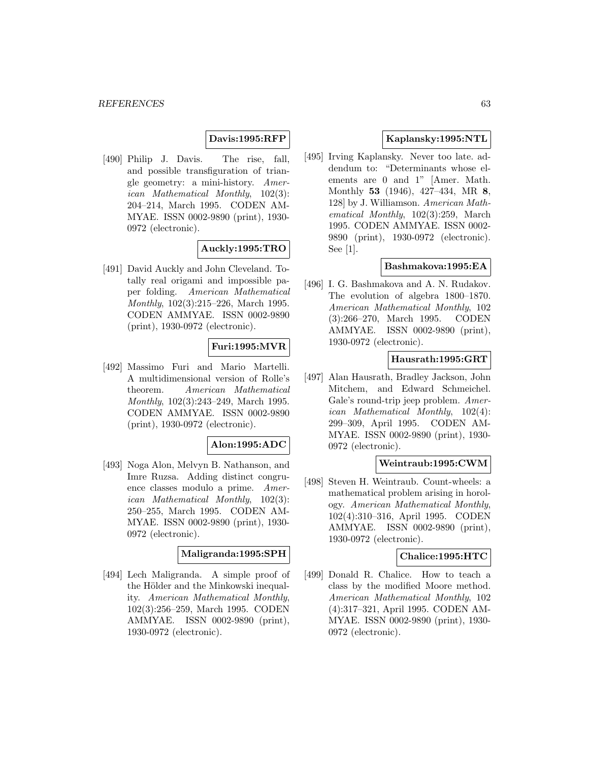#### **Davis:1995:RFP**

[490] Philip J. Davis. The rise, fall, and possible transfiguration of triangle geometry: a mini-history. American Mathematical Monthly, 102(3): 204–214, March 1995. CODEN AM-MYAE. ISSN 0002-9890 (print), 1930- 0972 (electronic).

# **Auckly:1995:TRO**

[491] David Auckly and John Cleveland. Totally real origami and impossible paper folding. American Mathematical Monthly, 102(3):215–226, March 1995. CODEN AMMYAE. ISSN 0002-9890 (print), 1930-0972 (electronic).

## **Furi:1995:MVR**

[492] Massimo Furi and Mario Martelli. A multidimensional version of Rolle's theorem. American Mathematical Monthly, 102(3):243–249, March 1995. CODEN AMMYAE. ISSN 0002-9890 (print), 1930-0972 (electronic).

#### **Alon:1995:ADC**

[493] Noga Alon, Melvyn B. Nathanson, and Imre Ruzsa. Adding distinct congruence classes modulo a prime. American Mathematical Monthly, 102(3): 250–255, March 1995. CODEN AM-MYAE. ISSN 0002-9890 (print), 1930- 0972 (electronic).

## **Maligranda:1995:SPH**

[494] Lech Maligranda. A simple proof of the Hölder and the Minkowski inequality. American Mathematical Monthly, 102(3):256–259, March 1995. CODEN AMMYAE. ISSN 0002-9890 (print), 1930-0972 (electronic).

## **Kaplansky:1995:NTL**

[495] Irving Kaplansky. Never too late. addendum to: "Determinants whose elements are 0 and 1" [Amer. Math. Monthly **53** (1946), 427–434, MR **8**, 128] by J. Williamson. American Mathematical Monthly, 102(3):259, March 1995. CODEN AMMYAE. ISSN 0002- 9890 (print), 1930-0972 (electronic). See [1].

## **Bashmakova:1995:EA**

[496] I. G. Bashmakova and A. N. Rudakov. The evolution of algebra 1800–1870. American Mathematical Monthly, 102 (3):266–270, March 1995. CODEN AMMYAE. ISSN 0002-9890 (print), 1930-0972 (electronic).

#### **Hausrath:1995:GRT**

[497] Alan Hausrath, Bradley Jackson, John Mitchem, and Edward Schmeichel. Gale's round-trip jeep problem. American Mathematical Monthly, 102(4): 299–309, April 1995. CODEN AM-MYAE. ISSN 0002-9890 (print), 1930- 0972 (electronic).

## **Weintraub:1995:CWM**

[498] Steven H. Weintraub. Count-wheels: a mathematical problem arising in horology. American Mathematical Monthly, 102(4):310–316, April 1995. CODEN AMMYAE. ISSN 0002-9890 (print), 1930-0972 (electronic).

#### **Chalice:1995:HTC**

[499] Donald R. Chalice. How to teach a class by the modified Moore method. American Mathematical Monthly, 102 (4):317–321, April 1995. CODEN AM-MYAE. ISSN 0002-9890 (print), 1930- 0972 (electronic).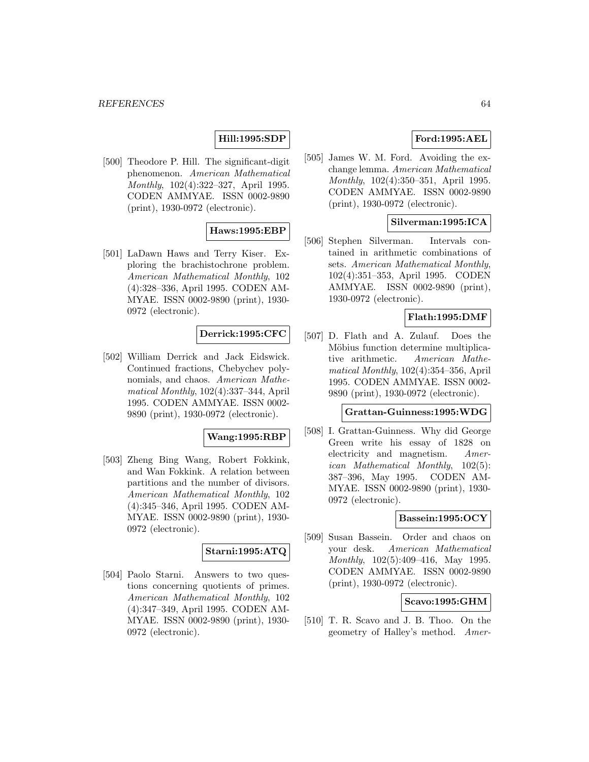# **Hill:1995:SDP**

[500] Theodore P. Hill. The significant-digit phenomenon. American Mathematical Monthly, 102(4):322–327, April 1995. CODEN AMMYAE. ISSN 0002-9890 (print), 1930-0972 (electronic).

## **Haws:1995:EBP**

[501] LaDawn Haws and Terry Kiser. Exploring the brachistochrone problem. American Mathematical Monthly, 102 (4):328–336, April 1995. CODEN AM-MYAE. ISSN 0002-9890 (print), 1930- 0972 (electronic).

## **Derrick:1995:CFC**

[502] William Derrick and Jack Eidswick. Continued fractions, Chebychev polynomials, and chaos. American Mathematical Monthly, 102(4):337–344, April 1995. CODEN AMMYAE. ISSN 0002- 9890 (print), 1930-0972 (electronic).

#### **Wang:1995:RBP**

[503] Zheng Bing Wang, Robert Fokkink, and Wan Fokkink. A relation between partitions and the number of divisors. American Mathematical Monthly, 102 (4):345–346, April 1995. CODEN AM-MYAE. ISSN 0002-9890 (print), 1930- 0972 (electronic).

## **Starni:1995:ATQ**

[504] Paolo Starni. Answers to two questions concerning quotients of primes. American Mathematical Monthly, 102 (4):347–349, April 1995. CODEN AM-MYAE. ISSN 0002-9890 (print), 1930- 0972 (electronic).

# **Ford:1995:AEL**

[505] James W. M. Ford. Avoiding the exchange lemma. American Mathematical Monthly, 102(4):350–351, April 1995. CODEN AMMYAE. ISSN 0002-9890 (print), 1930-0972 (electronic).

# **Silverman:1995:ICA**

[506] Stephen Silverman. Intervals contained in arithmetic combinations of sets. American Mathematical Monthly, 102(4):351–353, April 1995. CODEN AMMYAE. ISSN 0002-9890 (print), 1930-0972 (electronic).

# **Flath:1995:DMF**

[507] D. Flath and A. Zulauf. Does the Möbius function determine multiplicative arithmetic. American Mathematical Monthly, 102(4):354–356, April 1995. CODEN AMMYAE. ISSN 0002- 9890 (print), 1930-0972 (electronic).

# **Grattan-Guinness:1995:WDG**

[508] I. Grattan-Guinness. Why did George Green write his essay of 1828 on electricity and magnetism. American Mathematical Monthly, 102(5): 387–396, May 1995. CODEN AM-MYAE. ISSN 0002-9890 (print), 1930- 0972 (electronic).

## **Bassein:1995:OCY**

[509] Susan Bassein. Order and chaos on your desk. American Mathematical Monthly, 102(5):409–416, May 1995. CODEN AMMYAE. ISSN 0002-9890 (print), 1930-0972 (electronic).

#### **Scavo:1995:GHM**

[510] T. R. Scavo and J. B. Thoo. On the geometry of Halley's method. Amer-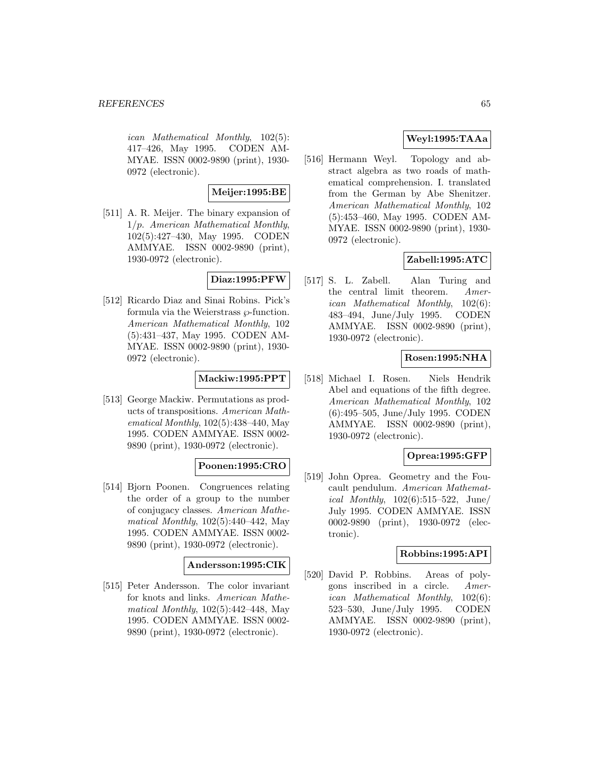ican Mathematical Monthly, 102(5): 417–426, May 1995. CODEN AM-MYAE. ISSN 0002-9890 (print), 1930- 0972 (electronic).

# **Meijer:1995:BE**

[511] A. R. Meijer. The binary expansion of 1/p. American Mathematical Monthly, 102(5):427–430, May 1995. CODEN AMMYAE. ISSN 0002-9890 (print), 1930-0972 (electronic).

# **Diaz:1995:PFW**

[512] Ricardo Diaz and Sinai Robins. Pick's formula via the Weierstrass  $\wp$ -function. American Mathematical Monthly, 102 (5):431–437, May 1995. CODEN AM-MYAE. ISSN 0002-9890 (print), 1930- 0972 (electronic).

## **Mackiw:1995:PPT**

[513] George Mackiw. Permutations as products of transpositions. American Mathematical Monthly, 102(5):438–440, May 1995. CODEN AMMYAE. ISSN 0002- 9890 (print), 1930-0972 (electronic).

# **Poonen:1995:CRO**

[514] Bjorn Poonen. Congruences relating the order of a group to the number of conjugacy classes. American Mathematical Monthly, 102(5):440–442, May 1995. CODEN AMMYAE. ISSN 0002- 9890 (print), 1930-0972 (electronic).

#### **Andersson:1995:CIK**

[515] Peter Andersson. The color invariant for knots and links. American Mathematical Monthly, 102(5):442–448, May 1995. CODEN AMMYAE. ISSN 0002- 9890 (print), 1930-0972 (electronic).

# **Weyl:1995:TAAa**

[516] Hermann Weyl. Topology and abstract algebra as two roads of mathematical comprehension. I. translated from the German by Abe Shenitzer. American Mathematical Monthly, 102 (5):453–460, May 1995. CODEN AM-MYAE. ISSN 0002-9890 (print), 1930- 0972 (electronic).

## **Zabell:1995:ATC**

[517] S. L. Zabell. Alan Turing and the central limit theorem. American Mathematical Monthly, 102(6): 483–494, June/July 1995. CODEN AMMYAE. ISSN 0002-9890 (print), 1930-0972 (electronic).

# **Rosen:1995:NHA**

[518] Michael I. Rosen. Niels Hendrik Abel and equations of the fifth degree. American Mathematical Monthly, 102 (6):495–505, June/July 1995. CODEN AMMYAE. ISSN 0002-9890 (print), 1930-0972 (electronic).

## **Oprea:1995:GFP**

[519] John Oprea. Geometry and the Foucault pendulum. American Mathemat*ical Monthly*,  $102(6):515-522$ , June/ July 1995. CODEN AMMYAE. ISSN 0002-9890 (print), 1930-0972 (electronic).

## **Robbins:1995:API**

[520] David P. Robbins. Areas of polygons inscribed in a circle. American Mathematical Monthly, 102(6): 523–530, June/July 1995. CODEN AMMYAE. ISSN 0002-9890 (print), 1930-0972 (electronic).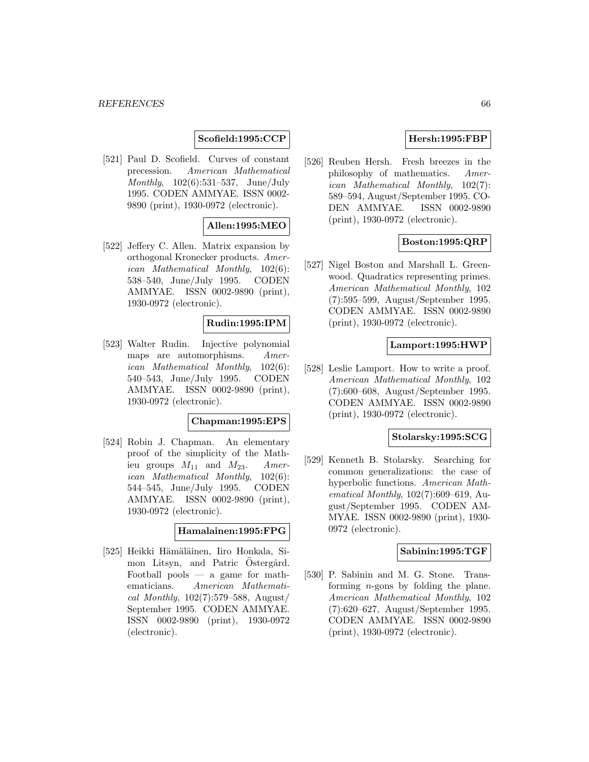## **Scofield:1995:CCP**

[521] Paul D. Scofield. Curves of constant precession. American Mathematical *Monthly*,  $102(6):531-537$ , June/July 1995. CODEN AMMYAE. ISSN 0002- 9890 (print), 1930-0972 (electronic).

# **Allen:1995:MEO**

[522] Jeffery C. Allen. Matrix expansion by orthogonal Kronecker products. American Mathematical Monthly, 102(6): 538–540, June/July 1995. CODEN AMMYAE. ISSN 0002-9890 (print), 1930-0972 (electronic).

## **Rudin:1995:IPM**

[523] Walter Rudin. Injective polynomial maps are automorphisms. American Mathematical Monthly, 102(6): 540–543, June/July 1995. CODEN AMMYAE. ISSN 0002-9890 (print), 1930-0972 (electronic).

#### **Chapman:1995:EPS**

[524] Robin J. Chapman. An elementary proof of the simplicity of the Mathieu groups  $M_{11}$  and  $M_{23}$ . American Mathematical Monthly, 102(6): 544–545, June/July 1995. CODEN AMMYAE. ISSN 0002-9890 (print), 1930-0972 (electronic).

#### **Hamalainen:1995:FPG**

[525] Heikki Hämäläinen, Iiro Honkala, Simon Litsyn, and Patric Ostergård. Football pools  $-$  a game for mathematicians. American Mathematical Monthly,  $102(7):579-588$ , August/ September 1995. CODEN AMMYAE. ISSN 0002-9890 (print), 1930-0972 (electronic).

# **Hersh:1995:FBP**

[526] Reuben Hersh. Fresh breezes in the philosophy of mathematics. American Mathematical Monthly, 102(7): 589–594, August/September 1995. CO-DEN AMMYAE. ISSN 0002-9890 (print), 1930-0972 (electronic).

# **Boston:1995:QRP**

[527] Nigel Boston and Marshall L. Greenwood. Quadratics representing primes. American Mathematical Monthly, 102 (7):595–599, August/September 1995. CODEN AMMYAE. ISSN 0002-9890 (print), 1930-0972 (electronic).

#### **Lamport:1995:HWP**

[528] Leslie Lamport. How to write a proof. American Mathematical Monthly, 102 (7):600–608, August/September 1995. CODEN AMMYAE. ISSN 0002-9890 (print), 1930-0972 (electronic).

#### **Stolarsky:1995:SCG**

[529] Kenneth B. Stolarsky. Searching for common generalizations: the case of hyperbolic functions. American Mathematical Monthly, 102(7):609–619, August/September 1995. CODEN AM-MYAE. ISSN 0002-9890 (print), 1930- 0972 (electronic).

## **Sabinin:1995:TGF**

[530] P. Sabinin and M. G. Stone. Transforming  $n$ -gons by folding the plane. American Mathematical Monthly, 102 (7):620–627, August/September 1995. CODEN AMMYAE. ISSN 0002-9890 (print), 1930-0972 (electronic).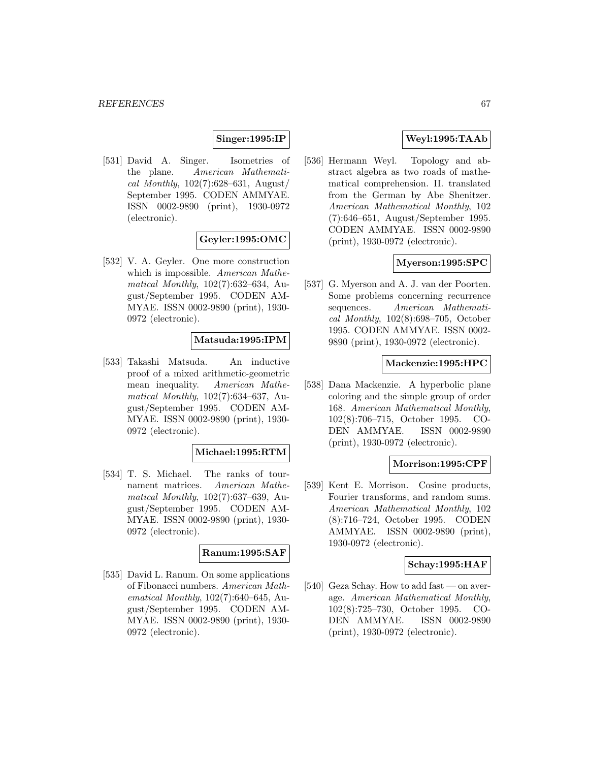# **Singer:1995:IP**

[531] David A. Singer. Isometries of the plane. American Mathematical Monthly,  $102(7):628-631$ , August/ September 1995. CODEN AMMYAE. ISSN 0002-9890 (print), 1930-0972 (electronic).

# **Geyler:1995:OMC**

[532] V. A. Geyler. One more construction which is impossible. American Mathematical Monthly, 102(7):632–634, August/September 1995. CODEN AM-MYAE. ISSN 0002-9890 (print), 1930- 0972 (electronic).

## **Matsuda:1995:IPM**

[533] Takashi Matsuda. An inductive proof of a mixed arithmetic-geometric mean inequality. American Mathematical Monthly, 102(7):634–637, August/September 1995. CODEN AM-MYAE. ISSN 0002-9890 (print), 1930- 0972 (electronic).

#### **Michael:1995:RTM**

[534] T. S. Michael. The ranks of tournament matrices. American Mathematical Monthly, 102(7):637–639, August/September 1995. CODEN AM-MYAE. ISSN 0002-9890 (print), 1930- 0972 (electronic).

## **Ranum:1995:SAF**

[535] David L. Ranum. On some applications of Fibonacci numbers. American Mathematical Monthly, 102(7):640–645, August/September 1995. CODEN AM-MYAE. ISSN 0002-9890 (print), 1930- 0972 (electronic).

# **Weyl:1995:TAAb**

[536] Hermann Weyl. Topology and abstract algebra as two roads of mathematical comprehension. II. translated from the German by Abe Shenitzer. American Mathematical Monthly, 102 (7):646–651, August/September 1995. CODEN AMMYAE. ISSN 0002-9890 (print), 1930-0972 (electronic).

#### **Myerson:1995:SPC**

[537] G. Myerson and A. J. van der Poorten. Some problems concerning recurrence sequences. American Mathematical Monthly, 102(8):698–705, October 1995. CODEN AMMYAE. ISSN 0002- 9890 (print), 1930-0972 (electronic).

#### **Mackenzie:1995:HPC**

[538] Dana Mackenzie. A hyperbolic plane coloring and the simple group of order 168. American Mathematical Monthly, 102(8):706–715, October 1995. CO-DEN AMMYAE. ISSN 0002-9890 (print), 1930-0972 (electronic).

#### **Morrison:1995:CPF**

[539] Kent E. Morrison. Cosine products, Fourier transforms, and random sums. American Mathematical Monthly, 102 (8):716–724, October 1995. CODEN AMMYAE. ISSN 0002-9890 (print), 1930-0972 (electronic).

#### **Schay:1995:HAF**

[540] Geza Schay. How to add fast — on average. American Mathematical Monthly, 102(8):725–730, October 1995. CO-DEN AMMYAE. ISSN 0002-9890 (print), 1930-0972 (electronic).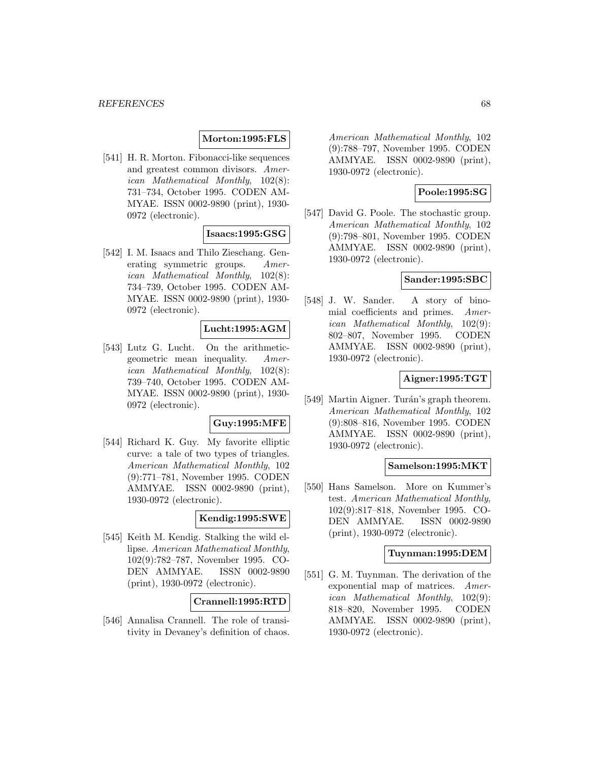#### **Morton:1995:FLS**

[541] H. R. Morton. Fibonacci-like sequences and greatest common divisors. American Mathematical Monthly, 102(8): 731–734, October 1995. CODEN AM-MYAE. ISSN 0002-9890 (print), 1930- 0972 (electronic).

# **Isaacs:1995:GSG**

[542] I. M. Isaacs and Thilo Zieschang. Generating symmetric groups. American Mathematical Monthly, 102(8): 734–739, October 1995. CODEN AM-MYAE. ISSN 0002-9890 (print), 1930- 0972 (electronic).

# **Lucht:1995:AGM**

[543] Lutz G. Lucht. On the arithmeticgeometric mean inequality. American Mathematical Monthly, 102(8): 739–740, October 1995. CODEN AM-MYAE. ISSN 0002-9890 (print), 1930- 0972 (electronic).

## **Guy:1995:MFE**

[544] Richard K. Guy. My favorite elliptic curve: a tale of two types of triangles. American Mathematical Monthly, 102 (9):771–781, November 1995. CODEN AMMYAE. ISSN 0002-9890 (print), 1930-0972 (electronic).

# **Kendig:1995:SWE**

[545] Keith M. Kendig. Stalking the wild ellipse. American Mathematical Monthly, 102(9):782–787, November 1995. CO-DEN AMMYAE. ISSN 0002-9890 (print), 1930-0972 (electronic).

## **Crannell:1995:RTD**

[546] Annalisa Crannell. The role of transitivity in Devaney's definition of chaos.

American Mathematical Monthly, 102 (9):788–797, November 1995. CODEN AMMYAE. ISSN 0002-9890 (print), 1930-0972 (electronic).

#### **Poole:1995:SG**

[547] David G. Poole. The stochastic group. American Mathematical Monthly, 102 (9):798–801, November 1995. CODEN AMMYAE. ISSN 0002-9890 (print), 1930-0972 (electronic).

# **Sander:1995:SBC**

[548] J. W. Sander. A story of binomial coefficients and primes. American Mathematical Monthly, 102(9): 802–807, November 1995. CODEN AMMYAE. ISSN 0002-9890 (print), 1930-0972 (electronic).

# **Aigner:1995:TGT**

[549] Martin Aigner. Turán's graph theorem. American Mathematical Monthly, 102 (9):808–816, November 1995. CODEN AMMYAE. ISSN 0002-9890 (print), 1930-0972 (electronic).

### **Samelson:1995:MKT**

[550] Hans Samelson. More on Kummer's test. American Mathematical Monthly, 102(9):817–818, November 1995. CO-DEN AMMYAE. ISSN 0002-9890 (print), 1930-0972 (electronic).

#### **Tuynman:1995:DEM**

[551] G. M. Tuynman. The derivation of the exponential map of matrices. American Mathematical Monthly, 102(9): 818–820, November 1995. CODEN AMMYAE. ISSN 0002-9890 (print), 1930-0972 (electronic).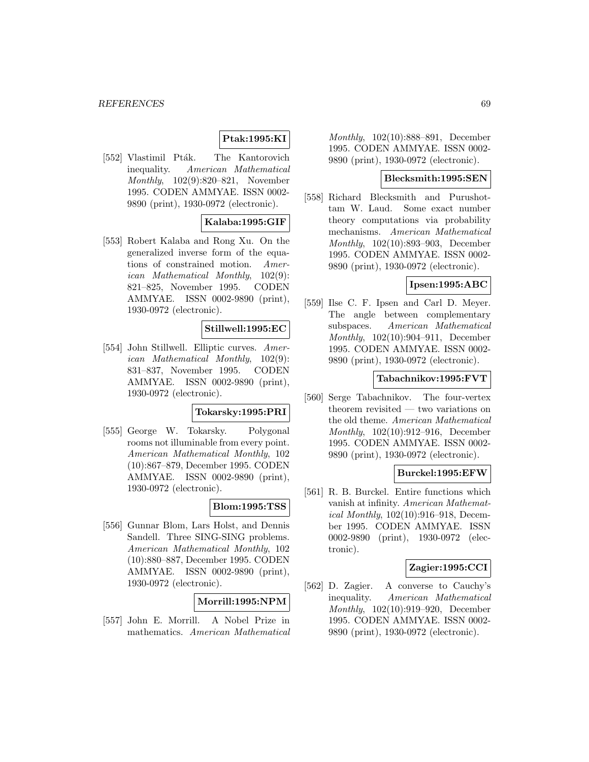# **Ptak:1995:KI**

[552] Vlastimil Pták. The Kantorovich inequality. American Mathematical Monthly, 102(9):820–821, November 1995. CODEN AMMYAE. ISSN 0002- 9890 (print), 1930-0972 (electronic).

## **Kalaba:1995:GIF**

[553] Robert Kalaba and Rong Xu. On the generalized inverse form of the equations of constrained motion. American Mathematical Monthly, 102(9): 821–825, November 1995. CODEN AMMYAE. ISSN 0002-9890 (print), 1930-0972 (electronic).

## **Stillwell:1995:EC**

[554] John Stillwell. Elliptic curves. American Mathematical Monthly, 102(9): 831–837, November 1995. CODEN AMMYAE. ISSN 0002-9890 (print), 1930-0972 (electronic).

# **Tokarsky:1995:PRI**

[555] George W. Tokarsky. Polygonal rooms not illuminable from every point. American Mathematical Monthly, 102 (10):867–879, December 1995. CODEN AMMYAE. ISSN 0002-9890 (print), 1930-0972 (electronic).

## **Blom:1995:TSS**

[556] Gunnar Blom, Lars Holst, and Dennis Sandell. Three SING-SING problems. American Mathematical Monthly, 102 (10):880–887, December 1995. CODEN AMMYAE. ISSN 0002-9890 (print), 1930-0972 (electronic).

#### **Morrill:1995:NPM**

[557] John E. Morrill. A Nobel Prize in mathematics. American Mathematical

Monthly, 102(10):888–891, December 1995. CODEN AMMYAE. ISSN 0002- 9890 (print), 1930-0972 (electronic).

## **Blecksmith:1995:SEN**

[558] Richard Blecksmith and Purushottam W. Laud. Some exact number theory computations via probability mechanisms. American Mathematical Monthly, 102(10):893–903, December 1995. CODEN AMMYAE. ISSN 0002- 9890 (print), 1930-0972 (electronic).

#### **Ipsen:1995:ABC**

[559] Ilse C. F. Ipsen and Carl D. Meyer. The angle between complementary subspaces. American Mathematical Monthly, 102(10):904–911, December 1995. CODEN AMMYAE. ISSN 0002- 9890 (print), 1930-0972 (electronic).

#### **Tabachnikov:1995:FVT**

[560] Serge Tabachnikov. The four-vertex theorem revisited — two variations on the old theme. American Mathematical Monthly, 102(10):912–916, December 1995. CODEN AMMYAE. ISSN 0002- 9890 (print), 1930-0972 (electronic).

#### **Burckel:1995:EFW**

[561] R. B. Burckel. Entire functions which vanish at infinity. American Mathemat*ical Monthly*,  $102(10):916-918$ , December 1995. CODEN AMMYAE. ISSN 0002-9890 (print), 1930-0972 (electronic).

#### **Zagier:1995:CCI**

[562] D. Zagier. A converse to Cauchy's inequality. American Mathematical Monthly, 102(10):919–920, December 1995. CODEN AMMYAE. ISSN 0002- 9890 (print), 1930-0972 (electronic).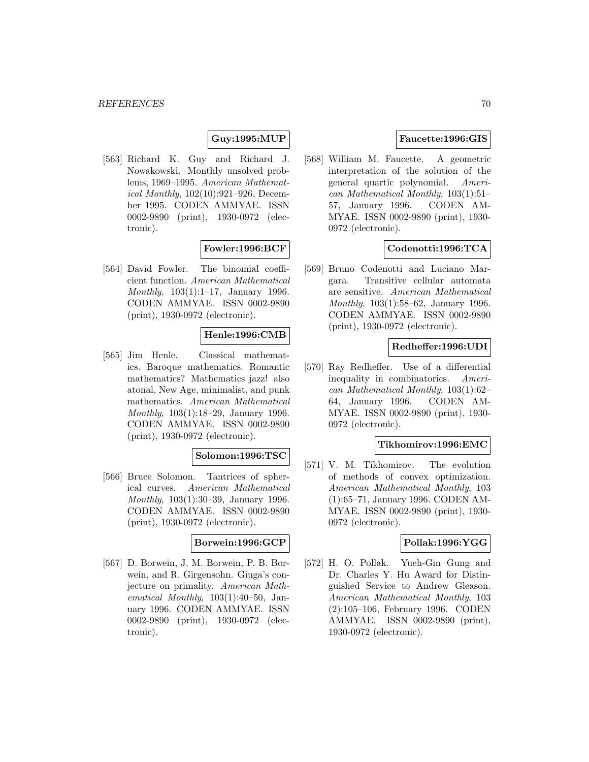#### **Guy:1995:MUP**

[563] Richard K. Guy and Richard J. Nowakowski. Monthly unsolved problems, 1969–1995. American Mathematical Monthly, 102(10):921–926, December 1995. CODEN AMMYAE. ISSN 0002-9890 (print), 1930-0972 (electronic).

# **Fowler:1996:BCF**

[564] David Fowler. The binomial coefficient function. American Mathematical Monthly, 103(1):1–17, January 1996. CODEN AMMYAE. ISSN 0002-9890 (print), 1930-0972 (electronic).

# **Henle:1996:CMB**

[565] Jim Henle. Classical mathematics. Baroque mathematics. Romantic mathematics? Mathematics jazz! also atonal, New Age, minimalist, and punk mathematics. American Mathematical Monthly, 103(1):18–29, January 1996. CODEN AMMYAE. ISSN 0002-9890 (print), 1930-0972 (electronic).

#### **Solomon:1996:TSC**

[566] Bruce Solomon. Tantrices of spherical curves. American Mathematical Monthly, 103(1):30–39, January 1996. CODEN AMMYAE. ISSN 0002-9890 (print), 1930-0972 (electronic).

#### **Borwein:1996:GCP**

[567] D. Borwein, J. M. Borwein, P. B. Borwein, and R. Girgensohn. Giuga's conjecture on primality. American Mathematical Monthly, 103(1):40–50, January 1996. CODEN AMMYAE. ISSN 0002-9890 (print), 1930-0972 (electronic).

# **Faucette:1996:GIS**

[568] William M. Faucette. A geometric interpretation of the solution of the general quartic polynomial. American Mathematical Monthly, 103(1):51– 57, January 1996. CODEN AM-MYAE. ISSN 0002-9890 (print), 1930- 0972 (electronic).

# **Codenotti:1996:TCA**

[569] Bruno Codenotti and Luciano Margara. Transitive cellular automata are sensitive. American Mathematical Monthly, 103(1):58–62, January 1996. CODEN AMMYAE. ISSN 0002-9890 (print), 1930-0972 (electronic).

## **Redheffer:1996:UDI**

[570] Ray Redheffer. Use of a differential inequality in combinatorics. American Mathematical Monthly, 103(1):62– 64, January 1996. CODEN AM-MYAE. ISSN 0002-9890 (print), 1930- 0972 (electronic).

#### **Tikhomirov:1996:EMC**

[571] V. M. Tikhomirov. The evolution of methods of convex optimization. American Mathematical Monthly, 103 (1):65–71, January 1996. CODEN AM-MYAE. ISSN 0002-9890 (print), 1930- 0972 (electronic).

## **Pollak:1996:YGG**

[572] H. O. Pollak. Yueh-Gin Gung and Dr. Charles Y. Hu Award for Distinguished Service to Andrew Gleason. American Mathematical Monthly, 103 (2):105–106, February 1996. CODEN AMMYAE. ISSN 0002-9890 (print), 1930-0972 (electronic).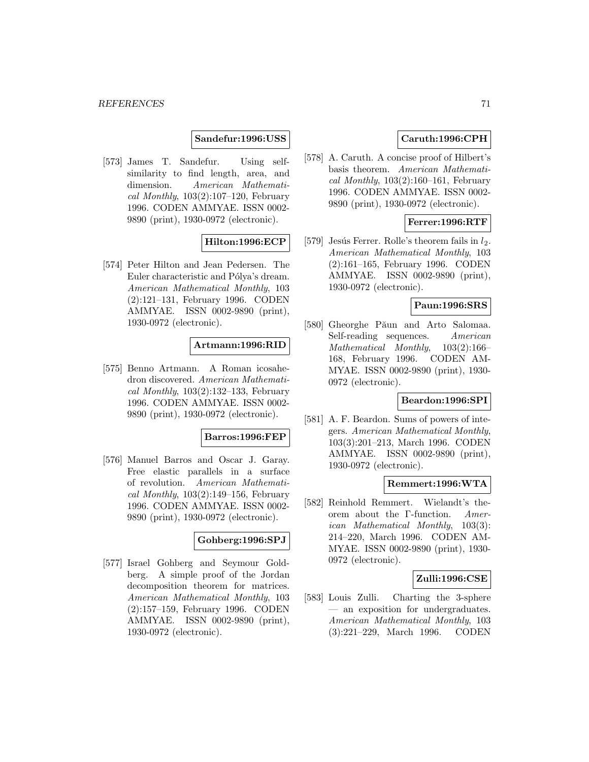## **Sandefur:1996:USS**

[573] James T. Sandefur. Using selfsimilarity to find length, area, and dimension. American Mathematical Monthly,  $103(2):107-120$ , February 1996. CODEN AMMYAE. ISSN 0002- 9890 (print), 1930-0972 (electronic).

## **Hilton:1996:ECP**

[574] Peter Hilton and Jean Pedersen. The Euler characteristic and Pólya's dream. American Mathematical Monthly, 103 (2):121–131, February 1996. CODEN AMMYAE. ISSN 0002-9890 (print), 1930-0972 (electronic).

# **Artmann:1996:RID**

[575] Benno Artmann. A Roman icosahedron discovered. American Mathematical Monthly,  $103(2):132-133$ , February 1996. CODEN AMMYAE. ISSN 0002- 9890 (print), 1930-0972 (electronic).

#### **Barros:1996:FEP**

[576] Manuel Barros and Oscar J. Garay. Free elastic parallels in a surface of revolution. American Mathematical Monthly,  $103(2):149-156$ , February 1996. CODEN AMMYAE. ISSN 0002- 9890 (print), 1930-0972 (electronic).

#### **Gohberg:1996:SPJ**

[577] Israel Gohberg and Seymour Goldberg. A simple proof of the Jordan decomposition theorem for matrices. American Mathematical Monthly, 103 (2):157–159, February 1996. CODEN AMMYAE. ISSN 0002-9890 (print), 1930-0972 (electronic).

## **Caruth:1996:CPH**

[578] A. Caruth. A concise proof of Hilbert's basis theorem. American Mathematical Monthly,  $103(2):160-161$ , February 1996. CODEN AMMYAE. ISSN 0002- 9890 (print), 1930-0972 (electronic).

## **Ferrer:1996:RTF**

[579] Jesús Ferrer. Rolle's theorem fails in  $l_2$ . American Mathematical Monthly, 103 (2):161–165, February 1996. CODEN AMMYAE. ISSN 0002-9890 (print), 1930-0972 (electronic).

# **Paun:1996:SRS**

[580] Gheorghe Păun and Arto Salomaa. Self-reading sequences. American Mathematical Monthly, 103(2):166– 168, February 1996. CODEN AM-MYAE. ISSN 0002-9890 (print), 1930- 0972 (electronic).

#### **Beardon:1996:SPI**

[581] A. F. Beardon. Sums of powers of integers. American Mathematical Monthly, 103(3):201–213, March 1996. CODEN AMMYAE. ISSN 0002-9890 (print), 1930-0972 (electronic).

#### **Remmert:1996:WTA**

[582] Reinhold Remmert. Wielandt's theorem about the Γ-function. American Mathematical Monthly, 103(3): 214–220, March 1996. CODEN AM-MYAE. ISSN 0002-9890 (print), 1930- 0972 (electronic).

#### **Zulli:1996:CSE**

[583] Louis Zulli. Charting the 3-sphere — an exposition for undergraduates. American Mathematical Monthly, 103 (3):221–229, March 1996. CODEN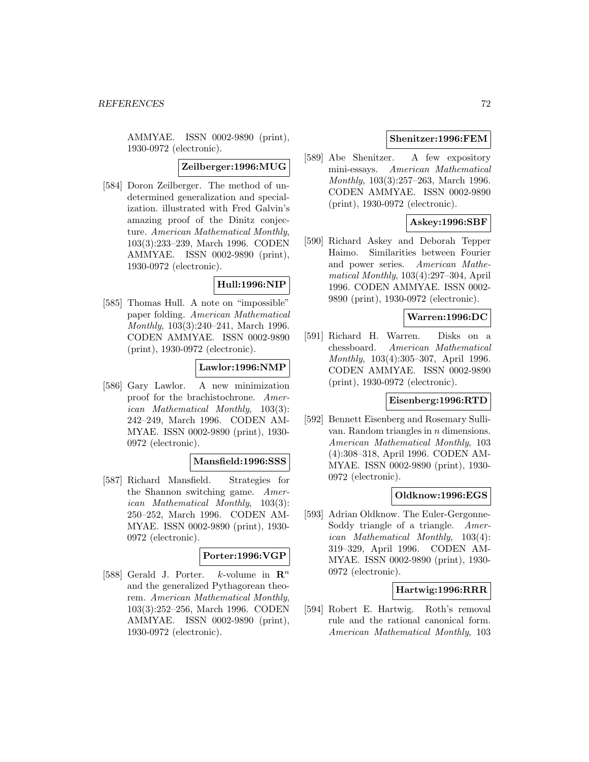AMMYAE. ISSN 0002-9890 (print), 1930-0972 (electronic).

## **Zeilberger:1996:MUG**

[584] Doron Zeilberger. The method of undetermined generalization and specialization. illustrated with Fred Galvin's amazing proof of the Dinitz conjecture. American Mathematical Monthly, 103(3):233–239, March 1996. CODEN AMMYAE. ISSN 0002-9890 (print), 1930-0972 (electronic).

## **Hull:1996:NIP**

[585] Thomas Hull. A note on "impossible" paper folding. American Mathematical Monthly, 103(3):240–241, March 1996. CODEN AMMYAE. ISSN 0002-9890 (print), 1930-0972 (electronic).

#### **Lawlor:1996:NMP**

[586] Gary Lawlor. A new minimization proof for the brachistochrone. American Mathematical Monthly, 103(3): 242–249, March 1996. CODEN AM-MYAE. ISSN 0002-9890 (print), 1930- 0972 (electronic).

#### **Mansfield:1996:SSS**

[587] Richard Mansfield. Strategies for the Shannon switching game. American Mathematical Monthly, 103(3): 250–252, March 1996. CODEN AM-MYAE. ISSN 0002-9890 (print), 1930- 0972 (electronic).

#### **Porter:1996:VGP**

[588] Gerald J. Porter. k-volume in  $\mathbb{R}^n$ and the generalized Pythagorean theorem. American Mathematical Monthly, 103(3):252–256, March 1996. CODEN AMMYAE. ISSN 0002-9890 (print), 1930-0972 (electronic).

## **Shenitzer:1996:FEM**

[589] Abe Shenitzer. A few expository mini-essays. American Mathematical Monthly, 103(3):257–263, March 1996. CODEN AMMYAE. ISSN 0002-9890 (print), 1930-0972 (electronic).

# **Askey:1996:SBF**

[590] Richard Askey and Deborah Tepper Haimo. Similarities between Fourier and power series. American Mathematical Monthly, 103(4):297–304, April 1996. CODEN AMMYAE. ISSN 0002- 9890 (print), 1930-0972 (electronic).

### **Warren:1996:DC**

[591] Richard H. Warren. Disks on a chessboard. American Mathematical Monthly, 103(4):305–307, April 1996. CODEN AMMYAE. ISSN 0002-9890 (print), 1930-0972 (electronic).

#### **Eisenberg:1996:RTD**

[592] Bennett Eisenberg and Rosemary Sullivan. Random triangles in n dimensions. American Mathematical Monthly, 103 (4):308–318, April 1996. CODEN AM-MYAE. ISSN 0002-9890 (print), 1930- 0972 (electronic).

#### **Oldknow:1996:EGS**

[593] Adrian Oldknow. The Euler-Gergonne-Soddy triangle of a triangle. American Mathematical Monthly, 103(4): 319–329, April 1996. CODEN AM-MYAE. ISSN 0002-9890 (print), 1930- 0972 (electronic).

## **Hartwig:1996:RRR**

[594] Robert E. Hartwig. Roth's removal rule and the rational canonical form. American Mathematical Monthly, 103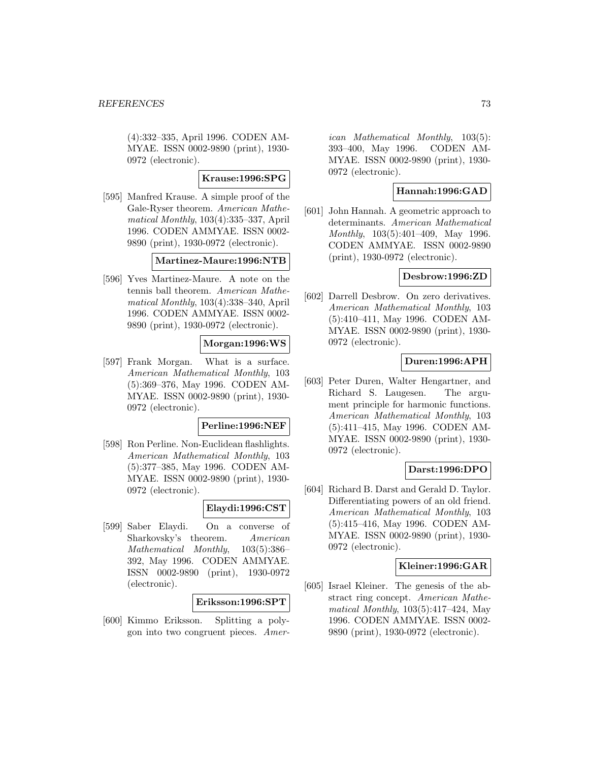(4):332–335, April 1996. CODEN AM-MYAE. ISSN 0002-9890 (print), 1930- 0972 (electronic).

## **Krause:1996:SPG**

[595] Manfred Krause. A simple proof of the Gale-Ryser theorem. American Mathematical Monthly, 103(4):335–337, April 1996. CODEN AMMYAE. ISSN 0002- 9890 (print), 1930-0972 (electronic).

### **Martinez-Maure:1996:NTB**

[596] Yves Martinez-Maure. A note on the tennis ball theorem. American Mathematical Monthly, 103(4):338–340, April 1996. CODEN AMMYAE. ISSN 0002- 9890 (print), 1930-0972 (electronic).

# **Morgan:1996:WS**

[597] Frank Morgan. What is a surface. American Mathematical Monthly, 103 (5):369–376, May 1996. CODEN AM-MYAE. ISSN 0002-9890 (print), 1930- 0972 (electronic).

#### **Perline:1996:NEF**

[598] Ron Perline. Non-Euclidean flashlights. American Mathematical Monthly, 103 (5):377–385, May 1996. CODEN AM-MYAE. ISSN 0002-9890 (print), 1930- 0972 (electronic).

## **Elaydi:1996:CST**

[599] Saber Elaydi. On a converse of Sharkovsky's theorem. American Mathematical Monthly, 103(5):386– 392, May 1996. CODEN AMMYAE. ISSN 0002-9890 (print), 1930-0972 (electronic).

### **Eriksson:1996:SPT**

[600] Kimmo Eriksson. Splitting a polygon into two congruent pieces. Amer-

ican Mathematical Monthly, 103(5): 393–400, May 1996. CODEN AM-MYAE. ISSN 0002-9890 (print), 1930- 0972 (electronic).

# **Hannah:1996:GAD**

[601] John Hannah. A geometric approach to determinants. American Mathematical Monthly, 103(5):401–409, May 1996. CODEN AMMYAE. ISSN 0002-9890 (print), 1930-0972 (electronic).

### **Desbrow:1996:ZD**

[602] Darrell Desbrow. On zero derivatives. American Mathematical Monthly, 103 (5):410–411, May 1996. CODEN AM-MYAE. ISSN 0002-9890 (print), 1930- 0972 (electronic).

## **Duren:1996:APH**

[603] Peter Duren, Walter Hengartner, and Richard S. Laugesen. The argument principle for harmonic functions. American Mathematical Monthly, 103 (5):411–415, May 1996. CODEN AM-MYAE. ISSN 0002-9890 (print), 1930- 0972 (electronic).

## **Darst:1996:DPO**

[604] Richard B. Darst and Gerald D. Taylor. Differentiating powers of an old friend. American Mathematical Monthly, 103 (5):415–416, May 1996. CODEN AM-MYAE. ISSN 0002-9890 (print), 1930- 0972 (electronic).

## **Kleiner:1996:GAR**

[605] Israel Kleiner. The genesis of the abstract ring concept. American Mathematical Monthly, 103(5):417–424, May 1996. CODEN AMMYAE. ISSN 0002- 9890 (print), 1930-0972 (electronic).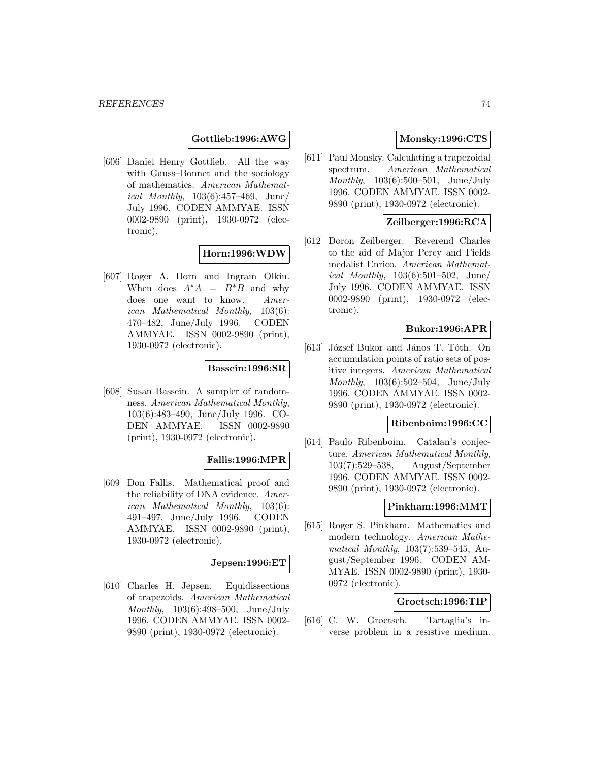## **Gottlieb:1996:AWG**

[606] Daniel Henry Gottlieb. All the way with Gauss–Bonnet and the sociology of mathematics. American Mathematical Monthly, 103(6):457–469, June/ July 1996. CODEN AMMYAE. ISSN 0002-9890 (print), 1930-0972 (electronic).

## **Horn:1996:WDW**

[607] Roger A. Horn and Ingram Olkin. When does  $A^*A = B^*B$  and why does one want to know. American Mathematical Monthly, 103(6): 470–482, June/July 1996. CODEN AMMYAE. ISSN 0002-9890 (print), 1930-0972 (electronic).

## **Bassein:1996:SR**

[608] Susan Bassein. A sampler of randomness. American Mathematical Monthly, 103(6):483–490, June/July 1996. CO-DEN AMMYAE. ISSN 0002-9890 (print), 1930-0972 (electronic).

## **Fallis:1996:MPR**

[609] Don Fallis. Mathematical proof and the reliability of DNA evidence. American Mathematical Monthly, 103(6): 491–497, June/July 1996. CODEN AMMYAE. ISSN 0002-9890 (print), 1930-0972 (electronic).

#### **Jepsen:1996:ET**

[610] Charles H. Jepsen. Equidissections of trapezoids. American Mathematical Monthly, 103(6):498–500, June/July 1996. CODEN AMMYAE. ISSN 0002- 9890 (print), 1930-0972 (electronic).

# **Monsky:1996:CTS**

[611] Paul Monsky. Calculating a trapezoidal spectrum. American Mathematical Monthly, 103(6):500–501, June/July 1996. CODEN AMMYAE. ISSN 0002- 9890 (print), 1930-0972 (electronic).

## **Zeilberger:1996:RCA**

[612] Doron Zeilberger. Reverend Charles to the aid of Major Percy and Fields medalist Enrico. American Mathemat*ical Monthly*,  $103(6):501-502$ , June/ July 1996. CODEN AMMYAE. ISSN 0002-9890 (print), 1930-0972 (electronic).

### **Bukor:1996:APR**

[613] József Bukor and János T. Tóth. On accumulation points of ratio sets of positive integers. American Mathematical Monthly, 103(6):502–504, June/July 1996. CODEN AMMYAE. ISSN 0002- 9890 (print), 1930-0972 (electronic).

#### **Ribenboim:1996:CC**

[614] Paulo Ribenboim. Catalan's conjecture. American Mathematical Monthly, 103(7):529–538, August/September 1996. CODEN AMMYAE. ISSN 0002- 9890 (print), 1930-0972 (electronic).

### **Pinkham:1996:MMT**

[615] Roger S. Pinkham. Mathematics and modern technology. American Mathematical Monthly, 103(7):539–545, August/September 1996. CODEN AM-MYAE. ISSN 0002-9890 (print), 1930- 0972 (electronic).

## **Groetsch:1996:TIP**

[616] C. W. Groetsch. Tartaglia's inverse problem in a resistive medium.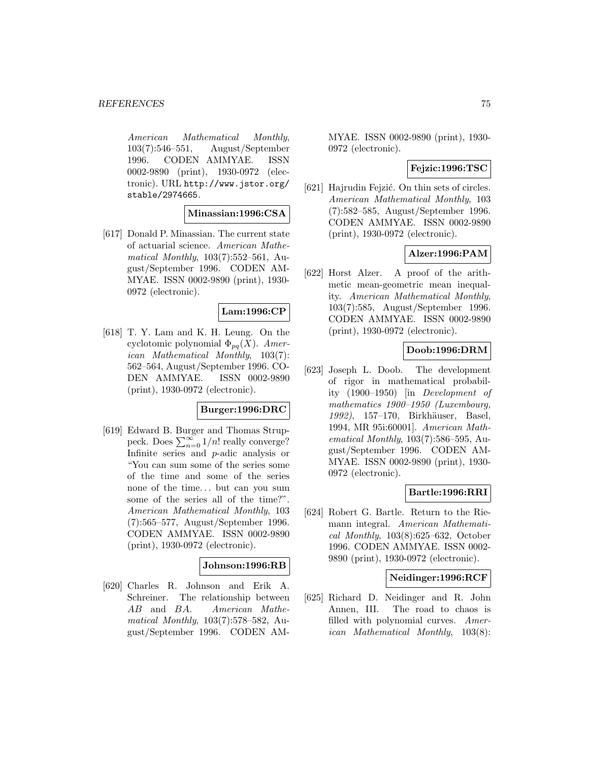American Mathematical Monthly, 103(7):546–551, August/September 1996. CODEN AMMYAE. ISSN 0002-9890 (print), 1930-0972 (electronic). URL http://www.jstor.org/ stable/2974665.

### **Minassian:1996:CSA**

[617] Donald P. Minassian. The current state of actuarial science. American Mathematical Monthly, 103(7):552–561, August/September 1996. CODEN AM-MYAE. ISSN 0002-9890 (print), 1930- 0972 (electronic).

## **Lam:1996:CP**

[618] T. Y. Lam and K. H. Leung. On the cyclotomic polynomial  $\Phi_{pq}(X)$ . American Mathematical Monthly, 103(7): 562–564, August/September 1996. CO-DEN AMMYAE. ISSN 0002-9890 (print), 1930-0972 (electronic).

## **Burger:1996:DRC**

[619] Edward B. Burger and Thomas Struppeck. Does  $\sum_{n=0}^{\infty} 1/n!$  really converge? Infinite series and p-adic analysis or "You can sum some of the series some of the time and some of the series none of the time... but can you sum some of the series all of the time?". American Mathematical Monthly, 103 (7):565–577, August/September 1996. CODEN AMMYAE. ISSN 0002-9890 (print), 1930-0972 (electronic).

## **Johnson:1996:RB**

[620] Charles R. Johnson and Erik A. Schreiner. The relationship between AB and BA. American Mathematical Monthly, 103(7):578–582, August/September 1996. CODEN AM- MYAE. ISSN 0002-9890 (print), 1930- 0972 (electronic).

## **Fejzic:1996:TSC**

[621] Hajrudin Fejzić. On thin sets of circles. American Mathematical Monthly, 103 (7):582–585, August/September 1996. CODEN AMMYAE. ISSN 0002-9890 (print), 1930-0972 (electronic).

## **Alzer:1996:PAM**

[622] Horst Alzer. A proof of the arithmetic mean-geometric mean inequality. American Mathematical Monthly, 103(7):585, August/September 1996. CODEN AMMYAE. ISSN 0002-9890 (print), 1930-0972 (electronic).

# **Doob:1996:DRM**

[623] Joseph L. Doob. The development of rigor in mathematical probability (1900–1950) [in Development of mathematics 1900–1950 (Luxembourg, 1992), 157–170, Birkhäuser, Basel, 1994, MR 95i:60001]. American Mathematical Monthly, 103(7):586–595, August/September 1996. CODEN AM-MYAE. ISSN 0002-9890 (print), 1930- 0972 (electronic).

## **Bartle:1996:RRI**

[624] Robert G. Bartle. Return to the Riemann integral. American Mathematical Monthly, 103(8):625–632, October 1996. CODEN AMMYAE. ISSN 0002- 9890 (print), 1930-0972 (electronic).

### **Neidinger:1996:RCF**

[625] Richard D. Neidinger and R. John Annen, III. The road to chaos is filled with polynomial curves. American Mathematical Monthly, 103(8):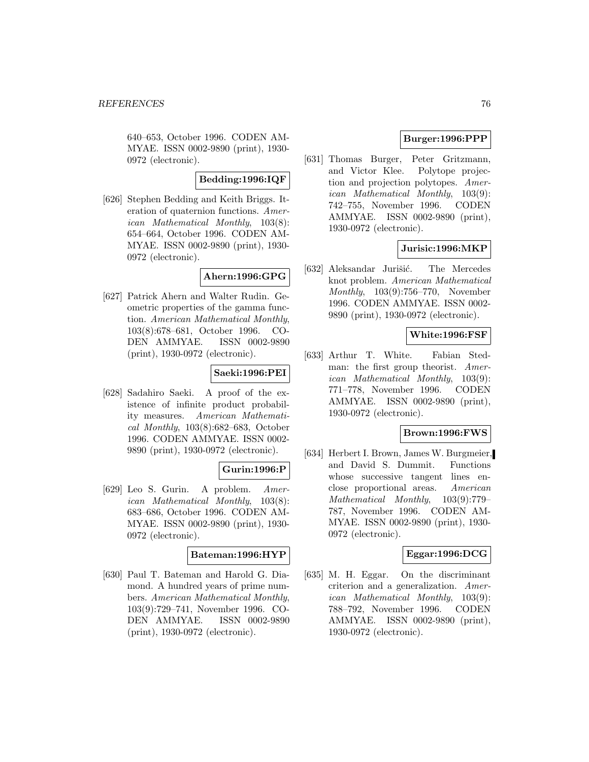640–653, October 1996. CODEN AM-MYAE. ISSN 0002-9890 (print), 1930- 0972 (electronic).

### **Bedding:1996:IQF**

[626] Stephen Bedding and Keith Briggs. Iteration of quaternion functions. American Mathematical Monthly, 103(8): 654–664, October 1996. CODEN AM-MYAE. ISSN 0002-9890 (print), 1930- 0972 (electronic).

## **Ahern:1996:GPG**

[627] Patrick Ahern and Walter Rudin. Geometric properties of the gamma function. American Mathematical Monthly, 103(8):678–681, October 1996. CO-DEN AMMYAE. ISSN 0002-9890 (print), 1930-0972 (electronic).

## **Saeki:1996:PEI**

[628] Sadahiro Saeki. A proof of the existence of infinite product probability measures. American Mathematical Monthly, 103(8):682–683, October 1996. CODEN AMMYAE. ISSN 0002- 9890 (print), 1930-0972 (electronic).

## **Gurin:1996:P**

[629] Leo S. Gurin. A problem. American Mathematical Monthly, 103(8): 683–686, October 1996. CODEN AM-MYAE. ISSN 0002-9890 (print), 1930- 0972 (electronic).

## **Bateman:1996:HYP**

[630] Paul T. Bateman and Harold G. Diamond. A hundred years of prime numbers. American Mathematical Monthly, 103(9):729–741, November 1996. CO-DEN AMMYAE. ISSN 0002-9890 (print), 1930-0972 (electronic).

# **Burger:1996:PPP**

[631] Thomas Burger, Peter Gritzmann, and Victor Klee. Polytope projection and projection polytopes. American Mathematical Monthly, 103(9): 742–755, November 1996. CODEN AMMYAE. ISSN 0002-9890 (print), 1930-0972 (electronic).

## **Jurisic:1996:MKP**

[632] Aleksandar Jurišić. The Mercedes knot problem. American Mathematical Monthly, 103(9):756–770, November 1996. CODEN AMMYAE. ISSN 0002- 9890 (print), 1930-0972 (electronic).

## **White:1996:FSF**

[633] Arthur T. White. Fabian Stedman: the first group theorist. American Mathematical Monthly, 103(9): 771–778, November 1996. CODEN AMMYAE. ISSN 0002-9890 (print), 1930-0972 (electronic).

## **Brown:1996:FWS**

[634] Herbert I. Brown, James W. Burgmeier, and David S. Dummit. Functions whose successive tangent lines enclose proportional areas. American Mathematical Monthly, 103(9):779– 787, November 1996. CODEN AM-MYAE. ISSN 0002-9890 (print), 1930- 0972 (electronic).

# **Eggar:1996:DCG**

[635] M. H. Eggar. On the discriminant criterion and a generalization. American Mathematical Monthly, 103(9): 788–792, November 1996. CODEN AMMYAE. ISSN 0002-9890 (print), 1930-0972 (electronic).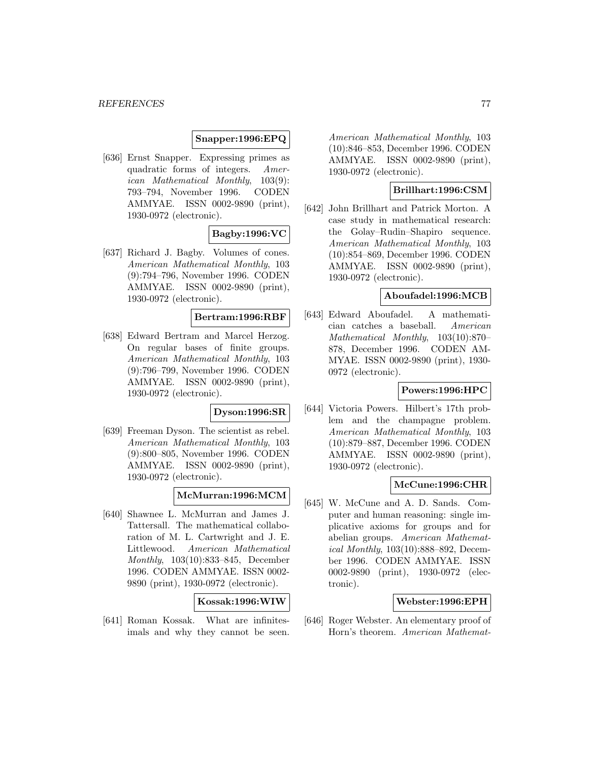## **Snapper:1996:EPQ**

[636] Ernst Snapper. Expressing primes as quadratic forms of integers. American Mathematical Monthly, 103(9): 793–794, November 1996. CODEN AMMYAE. ISSN 0002-9890 (print), 1930-0972 (electronic).

## **Bagby:1996:VC**

[637] Richard J. Bagby. Volumes of cones. American Mathematical Monthly, 103 (9):794–796, November 1996. CODEN AMMYAE. ISSN 0002-9890 (print), 1930-0972 (electronic).

## **Bertram:1996:RBF**

[638] Edward Bertram and Marcel Herzog. On regular bases of finite groups. American Mathematical Monthly, 103 (9):796–799, November 1996. CODEN AMMYAE. ISSN 0002-9890 (print), 1930-0972 (electronic).

#### **Dyson:1996:SR**

[639] Freeman Dyson. The scientist as rebel. American Mathematical Monthly, 103 (9):800–805, November 1996. CODEN AMMYAE. ISSN 0002-9890 (print), 1930-0972 (electronic).

## **McMurran:1996:MCM**

[640] Shawnee L. McMurran and James J. Tattersall. The mathematical collaboration of M. L. Cartwright and J. E. Littlewood. American Mathematical Monthly, 103(10):833–845, December 1996. CODEN AMMYAE. ISSN 0002- 9890 (print), 1930-0972 (electronic).

### **Kossak:1996:WIW**

[641] Roman Kossak. What are infinitesimals and why they cannot be seen.

American Mathematical Monthly, 103 (10):846–853, December 1996. CODEN AMMYAE. ISSN 0002-9890 (print), 1930-0972 (electronic).

## **Brillhart:1996:CSM**

[642] John Brillhart and Patrick Morton. A case study in mathematical research: the Golay–Rudin–Shapiro sequence. American Mathematical Monthly, 103 (10):854–869, December 1996. CODEN AMMYAE. ISSN 0002-9890 (print), 1930-0972 (electronic).

### **Aboufadel:1996:MCB**

[643] Edward Aboufadel. A mathematician catches a baseball. American Mathematical Monthly, 103(10):870– 878, December 1996. CODEN AM-MYAE. ISSN 0002-9890 (print), 1930- 0972 (electronic).

## **Powers:1996:HPC**

[644] Victoria Powers. Hilbert's 17th problem and the champagne problem. American Mathematical Monthly, 103 (10):879–887, December 1996. CODEN AMMYAE. ISSN 0002-9890 (print), 1930-0972 (electronic).

#### **McCune:1996:CHR**

[645] W. McCune and A. D. Sands. Computer and human reasoning: single implicative axioms for groups and for abelian groups. American Mathematical Monthly, 103(10):888–892, December 1996. CODEN AMMYAE. ISSN 0002-9890 (print), 1930-0972 (electronic).

## **Webster:1996:EPH**

[646] Roger Webster. An elementary proof of Horn's theorem. American Mathemat-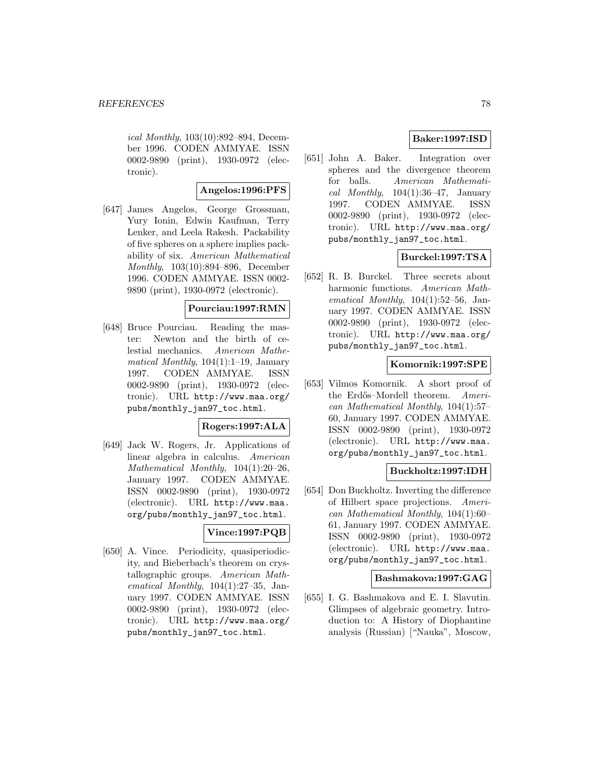ical Monthly, 103(10):892–894, December 1996. CODEN AMMYAE. ISSN 0002-9890 (print), 1930-0972 (electronic).

## **Angelos:1996:PFS**

[647] James Angelos, George Grossman, Yury Ionin, Edwin Kaufman, Terry Lenker, and Leela Rakesh. Packability of five spheres on a sphere implies packability of six. American Mathematical Monthly, 103(10):894–896, December 1996. CODEN AMMYAE. ISSN 0002- 9890 (print), 1930-0972 (electronic).

## **Pourciau:1997:RMN**

[648] Bruce Pourciau. Reading the master: Newton and the birth of celestial mechanics. American Mathematical Monthly,  $104(1):1-19$ , January 1997. CODEN AMMYAE. ISSN 0002-9890 (print), 1930-0972 (electronic). URL http://www.maa.org/ pubs/monthly\_jan97\_toc.html.

### **Rogers:1997:ALA**

[649] Jack W. Rogers, Jr. Applications of linear algebra in calculus. American Mathematical Monthly, 104(1):20–26, January 1997. CODEN AMMYAE. ISSN 0002-9890 (print), 1930-0972 (electronic). URL http://www.maa. org/pubs/monthly\_jan97\_toc.html.

# **Vince:1997:PQB**

[650] A. Vince. Periodicity, quasiperiodicity, and Bieberbach's theorem on crystallographic groups. American Mathematical Monthly, 104(1):27–35, January 1997. CODEN AMMYAE. ISSN 0002-9890 (print), 1930-0972 (electronic). URL http://www.maa.org/ pubs/monthly\_jan97\_toc.html.

## **Baker:1997:ISD**

[651] John A. Baker. Integration over spheres and the divergence theorem for balls. American Mathematical Monthly,  $104(1):36-47$ , January 1997. CODEN AMMYAE. ISSN 0002-9890 (print), 1930-0972 (electronic). URL http://www.maa.org/ pubs/monthly\_jan97\_toc.html.

# **Burckel:1997:TSA**

[652] R. B. Burckel. Three secrets about harmonic functions. American Mathematical Monthly,  $104(1):52-56$ , January 1997. CODEN AMMYAE. ISSN 0002-9890 (print), 1930-0972 (electronic). URL http://www.maa.org/ pubs/monthly\_jan97\_toc.html.

## **Komornik:1997:SPE**

[653] Vilmos Komornik. A short proof of the Erdős–Mordell theorem. American Mathematical Monthly, 104(1):57– 60, January 1997. CODEN AMMYAE. ISSN 0002-9890 (print), 1930-0972 (electronic). URL http://www.maa. org/pubs/monthly\_jan97\_toc.html.

## **Buckholtz:1997:IDH**

[654] Don Buckholtz. Inverting the difference of Hilbert space projections. American Mathematical Monthly, 104(1):60– 61, January 1997. CODEN AMMYAE. ISSN 0002-9890 (print), 1930-0972 (electronic). URL http://www.maa. org/pubs/monthly\_jan97\_toc.html.

### **Bashmakova:1997:GAG**

[655] I. G. Bashmakova and E. I. Slavutin. Glimpses of algebraic geometry. Introduction to: A History of Diophantine analysis (Russian) ["Nauka", Moscow,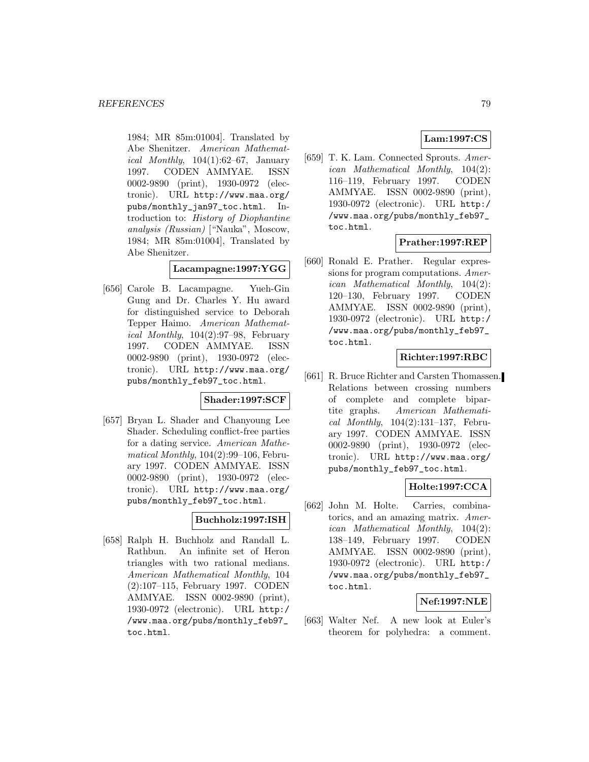1984; MR 85m:01004]. Translated by Abe Shenitzer. American Mathematical Monthly,  $104(1):62-67$ , January 1997. CODEN AMMYAE. ISSN 0002-9890 (print), 1930-0972 (electronic). URL http://www.maa.org/ pubs/monthly\_jan97\_toc.html. Introduction to: History of Diophantine analysis (Russian) ["Nauka", Moscow, 1984; MR 85m:01004], Translated by Abe Shenitzer.

## **Lacampagne:1997:YGG**

[656] Carole B. Lacampagne. Yueh-Gin Gung and Dr. Charles Y. Hu award for distinguished service to Deborah Tepper Haimo. American Mathematical Monthly, 104(2):97–98, February 1997. CODEN AMMYAE. ISSN 0002-9890 (print), 1930-0972 (electronic). URL http://www.maa.org/ pubs/monthly\_feb97\_toc.html.

## **Shader:1997:SCF**

[657] Bryan L. Shader and Chanyoung Lee Shader. Scheduling conflict-free parties for a dating service. American Mathematical Monthly, 104(2):99–106, February 1997. CODEN AMMYAE. ISSN 0002-9890 (print), 1930-0972 (electronic). URL http://www.maa.org/ pubs/monthly\_feb97\_toc.html.

## **Buchholz:1997:ISH**

[658] Ralph H. Buchholz and Randall L. Rathbun. An infinite set of Heron triangles with two rational medians. American Mathematical Monthly, 104 (2):107–115, February 1997. CODEN AMMYAE. ISSN 0002-9890 (print), 1930-0972 (electronic). URL http:/ /www.maa.org/pubs/monthly\_feb97\_ toc.html.

# **Lam:1997:CS**

[659] T. K. Lam. Connected Sprouts. American Mathematical Monthly, 104(2): 116–119, February 1997. CODEN AMMYAE. ISSN 0002-9890 (print), 1930-0972 (electronic). URL http:/ /www.maa.org/pubs/monthly\_feb97\_ toc.html.

## **Prather:1997:REP**

[660] Ronald E. Prather. Regular expressions for program computations. American Mathematical Monthly, 104(2): 120–130, February 1997. CODEN AMMYAE. ISSN 0002-9890 (print), 1930-0972 (electronic). URL http:/ /www.maa.org/pubs/monthly\_feb97\_ toc.html.

## **Richter:1997:RBC**

[661] R. Bruce Richter and Carsten Thomassen. Relations between crossing numbers of complete and complete bipartite graphs. American Mathematical Monthly, 104(2):131–137, February 1997. CODEN AMMYAE. ISSN 0002-9890 (print), 1930-0972 (electronic). URL http://www.maa.org/ pubs/monthly\_feb97\_toc.html.

## **Holte:1997:CCA**

[662] John M. Holte. Carries, combinatorics, and an amazing matrix. American Mathematical Monthly, 104(2): 138–149, February 1997. CODEN AMMYAE. ISSN 0002-9890 (print), 1930-0972 (electronic). URL http:/ /www.maa.org/pubs/monthly\_feb97\_ toc.html.

#### **Nef:1997:NLE**

[663] Walter Nef. A new look at Euler's theorem for polyhedra: a comment.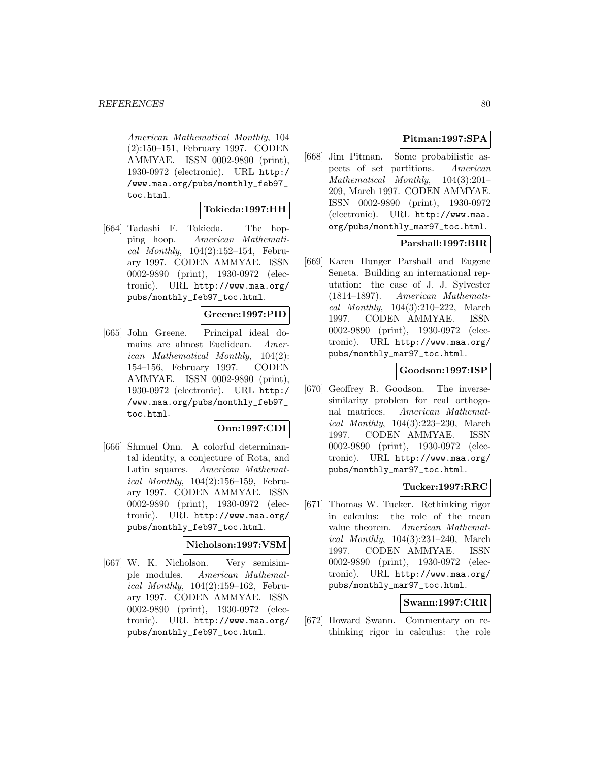American Mathematical Monthly, 104 (2):150–151, February 1997. CODEN AMMYAE. ISSN 0002-9890 (print), 1930-0972 (electronic). URL http:/ /www.maa.org/pubs/monthly\_feb97\_ toc.html.

## **Tokieda:1997:HH**

[664] Tadashi F. Tokieda. The hopping hoop. American Mathematical Monthly,  $104(2):152-154$ , February 1997. CODEN AMMYAE. ISSN 0002-9890 (print), 1930-0972 (electronic). URL http://www.maa.org/ pubs/monthly\_feb97\_toc.html.

## **Greene:1997:PID**

[665] John Greene. Principal ideal domains are almost Euclidean. American Mathematical Monthly, 104(2): 154–156, February 1997. CODEN AMMYAE. ISSN 0002-9890 (print), 1930-0972 (electronic). URL http:/ /www.maa.org/pubs/monthly\_feb97\_ toc.html.

## **Onn:1997:CDI**

[666] Shmuel Onn. A colorful determinantal identity, a conjecture of Rota, and Latin squares. American Mathematical Monthly, 104(2):156–159, February 1997. CODEN AMMYAE. ISSN 0002-9890 (print), 1930-0972 (electronic). URL http://www.maa.org/ pubs/monthly\_feb97\_toc.html.

### **Nicholson:1997:VSM**

[667] W. K. Nicholson. Very semisimple modules. American Mathematical Monthly, 104(2):159–162, February 1997. CODEN AMMYAE. ISSN 0002-9890 (print), 1930-0972 (electronic). URL http://www.maa.org/ pubs/monthly\_feb97\_toc.html.

# **Pitman:1997:SPA**

[668] Jim Pitman. Some probabilistic aspects of set partitions. American Mathematical Monthly, 104(3):201– 209, March 1997. CODEN AMMYAE. ISSN 0002-9890 (print), 1930-0972 (electronic). URL http://www.maa. org/pubs/monthly\_mar97\_toc.html.

# **Parshall:1997:BIR**

[669] Karen Hunger Parshall and Eugene Seneta. Building an international reputation: the case of J. J. Sylvester (1814–1897). American Mathematical Monthly, 104(3):210–222, March 1997. CODEN AMMYAE. ISSN 0002-9890 (print), 1930-0972 (electronic). URL http://www.maa.org/ pubs/monthly\_mar97\_toc.html.

## **Goodson:1997:ISP**

[670] Geoffrey R. Goodson. The inversesimilarity problem for real orthogonal matrices. American Mathematical Monthly, 104(3):223–230, March 1997. CODEN AMMYAE. ISSN 0002-9890 (print), 1930-0972 (electronic). URL http://www.maa.org/ pubs/monthly\_mar97\_toc.html.

# **Tucker:1997:RRC**

[671] Thomas W. Tucker. Rethinking rigor in calculus: the role of the mean value theorem. American Mathematical Monthly, 104(3):231–240, March 1997. CODEN AMMYAE. ISSN 0002-9890 (print), 1930-0972 (electronic). URL http://www.maa.org/ pubs/monthly\_mar97\_toc.html.

# **Swann:1997:CRR**

[672] Howard Swann. Commentary on rethinking rigor in calculus: the role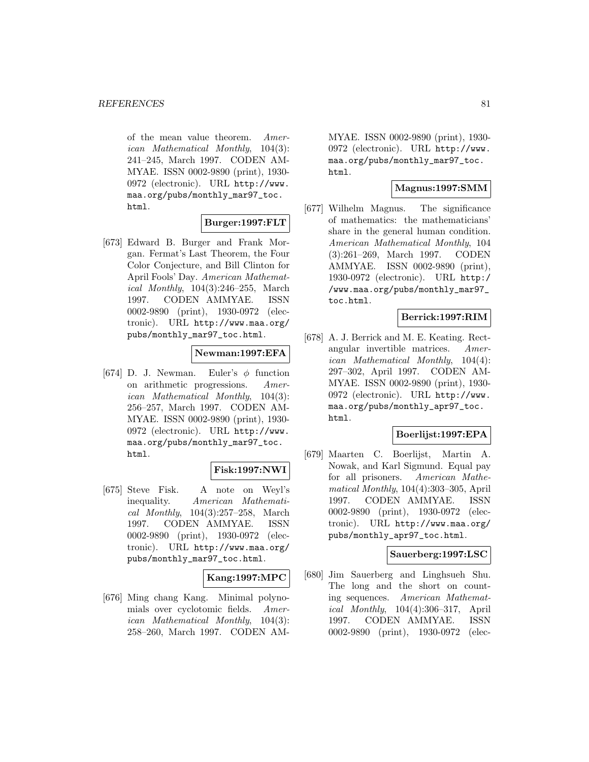of the mean value theorem. American Mathematical Monthly, 104(3): 241–245, March 1997. CODEN AM-MYAE. ISSN 0002-9890 (print), 1930- 0972 (electronic). URL http://www. maa.org/pubs/monthly\_mar97\_toc. html.

## **Burger:1997:FLT**

[673] Edward B. Burger and Frank Morgan. Fermat's Last Theorem, the Four Color Conjecture, and Bill Clinton for April Fools' Day. American Mathematical Monthly, 104(3):246–255, March 1997. CODEN AMMYAE. ISSN 0002-9890 (print), 1930-0972 (electronic). URL http://www.maa.org/ pubs/monthly\_mar97\_toc.html.

## **Newman:1997:EFA**

[674] D. J. Newman. Euler's  $\phi$  function on arithmetic progressions. American Mathematical Monthly, 104(3): 256–257, March 1997. CODEN AM-MYAE. ISSN 0002-9890 (print), 1930- 0972 (electronic). URL http://www. maa.org/pubs/monthly\_mar97\_toc. html.

## **Fisk:1997:NWI**

[675] Steve Fisk. A note on Weyl's inequality. American Mathematical Monthly, 104(3):257–258, March 1997. CODEN AMMYAE. ISSN 0002-9890 (print), 1930-0972 (electronic). URL http://www.maa.org/ pubs/monthly\_mar97\_toc.html.

## **Kang:1997:MPC**

[676] Ming chang Kang. Minimal polynomials over cyclotomic fields. American Mathematical Monthly, 104(3): 258–260, March 1997. CODEN AM-

MYAE. ISSN 0002-9890 (print), 1930- 0972 (electronic). URL http://www. maa.org/pubs/monthly\_mar97\_toc. html.

## **Magnus:1997:SMM**

[677] Wilhelm Magnus. The significance of mathematics: the mathematicians' share in the general human condition. American Mathematical Monthly, 104 (3):261–269, March 1997. CODEN AMMYAE. ISSN 0002-9890 (print), 1930-0972 (electronic). URL http:/ /www.maa.org/pubs/monthly\_mar97\_ toc.html.

## **Berrick:1997:RIM**

[678] A. J. Berrick and M. E. Keating. Rectangular invertible matrices. American Mathematical Monthly, 104(4): 297–302, April 1997. CODEN AM-MYAE. ISSN 0002-9890 (print), 1930- 0972 (electronic). URL http://www. maa.org/pubs/monthly\_apr97\_toc. html.

## **Boerlijst:1997:EPA**

[679] Maarten C. Boerlijst, Martin A. Nowak, and Karl Sigmund. Equal pay for all prisoners. American Mathematical Monthly, 104(4):303–305, April 1997. CODEN AMMYAE. ISSN 0002-9890 (print), 1930-0972 (electronic). URL http://www.maa.org/ pubs/monthly\_apr97\_toc.html.

## **Sauerberg:1997:LSC**

[680] Jim Sauerberg and Linghsueh Shu. The long and the short on counting sequences. American Mathematical Monthly, 104(4):306–317, April 1997. CODEN AMMYAE. ISSN 0002-9890 (print), 1930-0972 (elec-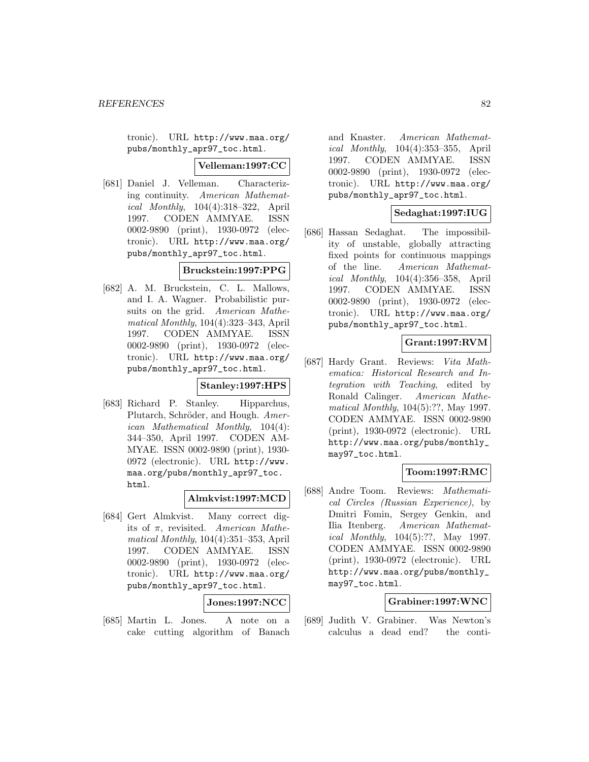tronic). URL http://www.maa.org/ pubs/monthly\_apr97\_toc.html.

### **Velleman:1997:CC**

[681] Daniel J. Velleman. Characterizing continuity. American Mathematical Monthly, 104(4):318–322, April 1997. CODEN AMMYAE. ISSN 0002-9890 (print), 1930-0972 (electronic). URL http://www.maa.org/ pubs/monthly\_apr97\_toc.html.

# **Bruckstein:1997:PPG**

[682] A. M. Bruckstein, C. L. Mallows, and I. A. Wagner. Probabilistic pursuits on the grid. American Mathematical Monthly, 104(4):323–343, April 1997. CODEN AMMYAE. ISSN 0002-9890 (print), 1930-0972 (electronic). URL http://www.maa.org/ pubs/monthly\_apr97\_toc.html.

### **Stanley:1997:HPS**

[683] Richard P. Stanley. Hipparchus, Plutarch, Schröder, and Hough. American Mathematical Monthly, 104(4): 344–350, April 1997. CODEN AM-MYAE. ISSN 0002-9890 (print), 1930- 0972 (electronic). URL http://www. maa.org/pubs/monthly\_apr97\_toc. html.

#### **Almkvist:1997:MCD**

[684] Gert Almkvist. Many correct digits of  $\pi$ , revisited. American Mathematical Monthly, 104(4):351–353, April 1997. CODEN AMMYAE. ISSN 0002-9890 (print), 1930-0972 (electronic). URL http://www.maa.org/ pubs/monthly\_apr97\_toc.html.

**Jones:1997:NCC**

[685] Martin L. Jones. A note on a cake cutting algorithm of Banach

and Knaster. American Mathematical Monthly, 104(4):353–355, April 1997. CODEN AMMYAE. ISSN 0002-9890 (print), 1930-0972 (electronic). URL http://www.maa.org/ pubs/monthly\_apr97\_toc.html.

### **Sedaghat:1997:IUG**

[686] Hassan Sedaghat. The impossibility of unstable, globally attracting fixed points for continuous mappings of the line. American Mathematical Monthly, 104(4):356–358, April 1997. CODEN AMMYAE. ISSN 0002-9890 (print), 1930-0972 (electronic). URL http://www.maa.org/ pubs/monthly\_apr97\_toc.html.

## **Grant:1997:RVM**

[687] Hardy Grant. Reviews: Vita Mathematica: Historical Research and Integration with Teaching, edited by Ronald Calinger. American Mathematical Monthly, 104(5):??, May 1997. CODEN AMMYAE. ISSN 0002-9890 (print), 1930-0972 (electronic). URL http://www.maa.org/pubs/monthly\_ may97\_toc.html.

## **Toom:1997:RMC**

[688] Andre Toom. Reviews: Mathematical Circles (Russian Experience), by Dmitri Fomin, Sergey Genkin, and Ilia Itenberg. American Mathematical Monthly, 104(5):??, May 1997. CODEN AMMYAE. ISSN 0002-9890 (print), 1930-0972 (electronic). URL http://www.maa.org/pubs/monthly\_ may97\_toc.html.

## **Grabiner:1997:WNC**

[689] Judith V. Grabiner. Was Newton's calculus a dead end? the conti-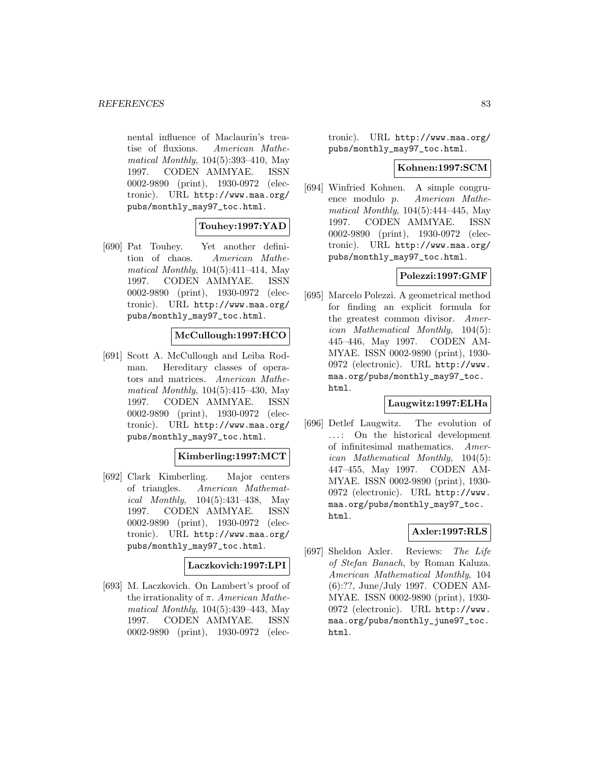nental influence of Maclaurin's treatise of fluxions. American Mathematical Monthly, 104(5):393–410, May 1997. CODEN AMMYAE. ISSN 0002-9890 (print), 1930-0972 (electronic). URL http://www.maa.org/ pubs/monthly\_may97\_toc.html.

## **Touhey:1997:YAD**

[690] Pat Touhey. Yet another definition of chaos. American Mathematical Monthly, 104(5):411–414, May 1997. CODEN AMMYAE. ISSN 0002-9890 (print), 1930-0972 (electronic). URL http://www.maa.org/ pubs/monthly\_may97\_toc.html.

## **McCullough:1997:HCO**

[691] Scott A. McCullough and Leiba Rodman. Hereditary classes of operators and matrices. American Mathematical Monthly, 104(5):415–430, May 1997. CODEN AMMYAE. ISSN 0002-9890 (print), 1930-0972 (electronic). URL http://www.maa.org/ pubs/monthly\_may97\_toc.html.

## **Kimberling:1997:MCT**

[692] Clark Kimberling. Major centers of triangles. American Mathematical Monthly, 104(5):431–438, May 1997. CODEN AMMYAE. ISSN 0002-9890 (print), 1930-0972 (electronic). URL http://www.maa.org/ pubs/monthly\_may97\_toc.html.

## **Laczkovich:1997:LPI**

[693] M. Laczkovich. On Lambert's proof of the irrationality of  $\pi$ . American Mathematical Monthly, 104(5):439–443, May 1997. CODEN AMMYAE. ISSN 0002-9890 (print), 1930-0972 (elec-

tronic). URL http://www.maa.org/ pubs/monthly\_may97\_toc.html.

### **Kohnen:1997:SCM**

[694] Winfried Kohnen. A simple congruence modulo p. American Mathematical Monthly, 104(5):444–445, May 1997. CODEN AMMYAE. ISSN 0002-9890 (print), 1930-0972 (electronic). URL http://www.maa.org/ pubs/monthly\_may97\_toc.html.

## **Polezzi:1997:GMF**

[695] Marcelo Polezzi. A geometrical method for finding an explicit formula for the greatest common divisor. American Mathematical Monthly, 104(5): 445–446, May 1997. CODEN AM-MYAE. ISSN 0002-9890 (print), 1930- 0972 (electronic). URL http://www. maa.org/pubs/monthly\_may97\_toc. html.

## **Laugwitz:1997:ELHa**

[696] Detlef Laugwitz. The evolution of ... : On the historical development of infinitesimal mathematics. American Mathematical Monthly, 104(5): 447–455, May 1997. CODEN AM-MYAE. ISSN 0002-9890 (print), 1930- 0972 (electronic). URL http://www. maa.org/pubs/monthly\_may97\_toc. html.

## **Axler:1997:RLS**

[697] Sheldon Axler. Reviews: The Life of Stefan Banach, by Roman Kaluza. American Mathematical Monthly, 104 (6):??, June/July 1997. CODEN AM-MYAE. ISSN 0002-9890 (print), 1930- 0972 (electronic). URL http://www. maa.org/pubs/monthly\_june97\_toc. html.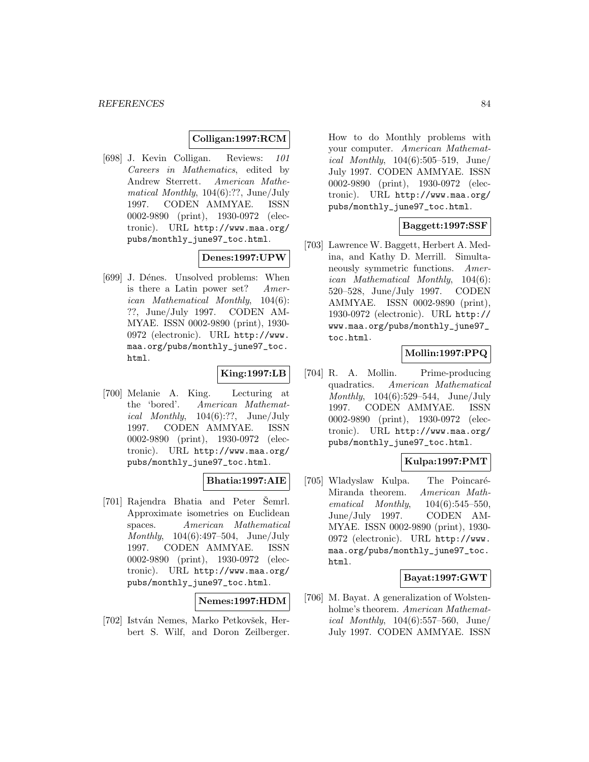## **Colligan:1997:RCM**

[698] J. Kevin Colligan. Reviews: 101 Careers in Mathematics, edited by Andrew Sterrett. American Mathematical Monthly, 104(6):??, June/July 1997. CODEN AMMYAE. ISSN 0002-9890 (print), 1930-0972 (electronic). URL http://www.maa.org/ pubs/monthly\_june97\_toc.html.

## **Denes:1997:UPW**

[699] J. Dénes. Unsolved problems: When is there a Latin power set? American Mathematical Monthly, 104(6): ??, June/July 1997. CODEN AM-MYAE. ISSN 0002-9890 (print), 1930- 0972 (electronic). URL http://www. maa.org/pubs/monthly\_june97\_toc. html.

### **King:1997:LB**

[700] Melanie A. King. Lecturing at the 'bored'. American Mathematical Monthly,  $104(6)$ :??, June/July 1997. CODEN AMMYAE. ISSN 0002-9890 (print), 1930-0972 (electronic). URL http://www.maa.org/ pubs/monthly\_june97\_toc.html.

## **Bhatia:1997:AIE**

[701] Rajendra Bhatia and Peter Semrl. Approximate isometries on Euclidean spaces. American Mathematical Monthly, 104(6):497–504, June/July 1997. CODEN AMMYAE. ISSN 0002-9890 (print), 1930-0972 (electronic). URL http://www.maa.org/ pubs/monthly\_june97\_toc.html.

#### **Nemes:1997:HDM**

[702] István Nemes, Marko Petkovšek, Herbert S. Wilf, and Doron Zeilberger. How to do Monthly problems with your computer. American Mathematical Monthly,  $104(6):505-519$ , June/ July 1997. CODEN AMMYAE. ISSN 0002-9890 (print), 1930-0972 (electronic). URL http://www.maa.org/ pubs/monthly\_june97\_toc.html.

# **Baggett:1997:SSF**

[703] Lawrence W. Baggett, Herbert A. Medina, and Kathy D. Merrill. Simultaneously symmetric functions. American Mathematical Monthly, 104(6): 520–528, June/July 1997. CODEN AMMYAE. ISSN 0002-9890 (print), 1930-0972 (electronic). URL http:// www.maa.org/pubs/monthly\_june97\_ toc.html.

## **Mollin:1997:PPQ**

[704] R. A. Mollin. Prime-producing quadratics. American Mathematical Monthly, 104(6):529–544, June/July 1997. CODEN AMMYAE. ISSN 0002-9890 (print), 1930-0972 (electronic). URL http://www.maa.org/ pubs/monthly\_june97\_toc.html.

## **Kulpa:1997:PMT**

[705] Wladyslaw Kulpa. The Poincaré-Miranda theorem. American Mathematical Monthly, 104(6):545–550, June/July 1997. CODEN AM-MYAE. ISSN 0002-9890 (print), 1930- 0972 (electronic). URL http://www. maa.org/pubs/monthly\_june97\_toc. html.

# **Bayat:1997:GWT**

[706] M. Bayat. A generalization of Wolstenholme's theorem. American Mathematical Monthly, 104(6):557–560, June/ July 1997. CODEN AMMYAE. ISSN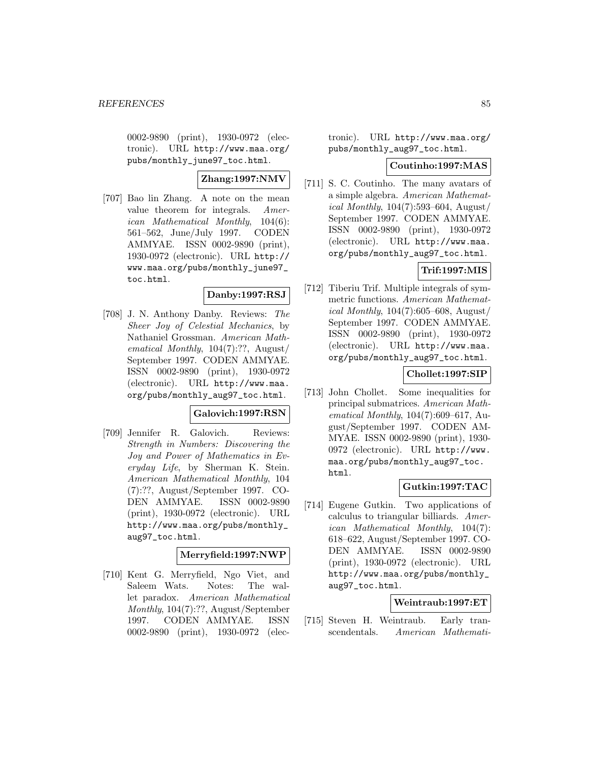0002-9890 (print), 1930-0972 (electronic). URL http://www.maa.org/ pubs/monthly\_june97\_toc.html.

# **Zhang:1997:NMV**

[707] Bao lin Zhang. A note on the mean value theorem for integrals. American Mathematical Monthly, 104(6): 561–562, June/July 1997. CODEN AMMYAE. ISSN 0002-9890 (print), 1930-0972 (electronic). URL http:// www.maa.org/pubs/monthly\_june97\_ toc.html.

## **Danby:1997:RSJ**

[708] J. N. Anthony Danby. Reviews: The Sheer Joy of Celestial Mechanics, by Nathaniel Grossman. American Mathematical Monthly, 104(7):??, August/ September 1997. CODEN AMMYAE. ISSN 0002-9890 (print), 1930-0972 (electronic). URL http://www.maa. org/pubs/monthly\_aug97\_toc.html.

## **Galovich:1997:RSN**

[709] Jennifer R. Galovich. Reviews: Strength in Numbers: Discovering the Joy and Power of Mathematics in Everyday Life, by Sherman K. Stein. American Mathematical Monthly, 104 (7):??, August/September 1997. CO-DEN AMMYAE. ISSN 0002-9890 (print), 1930-0972 (electronic). URL http://www.maa.org/pubs/monthly\_ aug97\_toc.html.

## **Merryfield:1997:NWP**

[710] Kent G. Merryfield, Ngo Viet, and Saleem Wats. Notes: The wallet paradox. American Mathematical Monthly, 104(7):??, August/September 1997. CODEN AMMYAE. ISSN 0002-9890 (print), 1930-0972 (electronic). URL http://www.maa.org/ pubs/monthly\_aug97\_toc.html.

### **Coutinho:1997:MAS**

[711] S. C. Coutinho. The many avatars of a simple algebra. American Mathemat*ical Monthly*,  $104(7):593-604$ , August/ September 1997. CODEN AMMYAE. ISSN 0002-9890 (print), 1930-0972 (electronic). URL http://www.maa. org/pubs/monthly\_aug97\_toc.html.

# **Trif:1997:MIS**

[712] Tiberiu Trif. Multiple integrals of symmetric functions. American Mathematical Monthly, 104(7):605–608, August/ September 1997. CODEN AMMYAE. ISSN 0002-9890 (print), 1930-0972 (electronic). URL http://www.maa. org/pubs/monthly\_aug97\_toc.html.

## **Chollet:1997:SIP**

[713] John Chollet. Some inequalities for principal submatrices. American Mathematical Monthly,  $104(7)$ :609–617, August/September 1997. CODEN AM-MYAE. ISSN 0002-9890 (print), 1930- 0972 (electronic). URL http://www. maa.org/pubs/monthly\_aug97\_toc. html.

# **Gutkin:1997:TAC**

[714] Eugene Gutkin. Two applications of calculus to triangular billiards. American Mathematical Monthly, 104(7): 618–622, August/September 1997. CO-DEN AMMYAE. ISSN 0002-9890 (print), 1930-0972 (electronic). URL http://www.maa.org/pubs/monthly\_ aug97\_toc.html.

## **Weintraub:1997:ET**

[715] Steven H. Weintraub. Early transcendentals. American Mathemati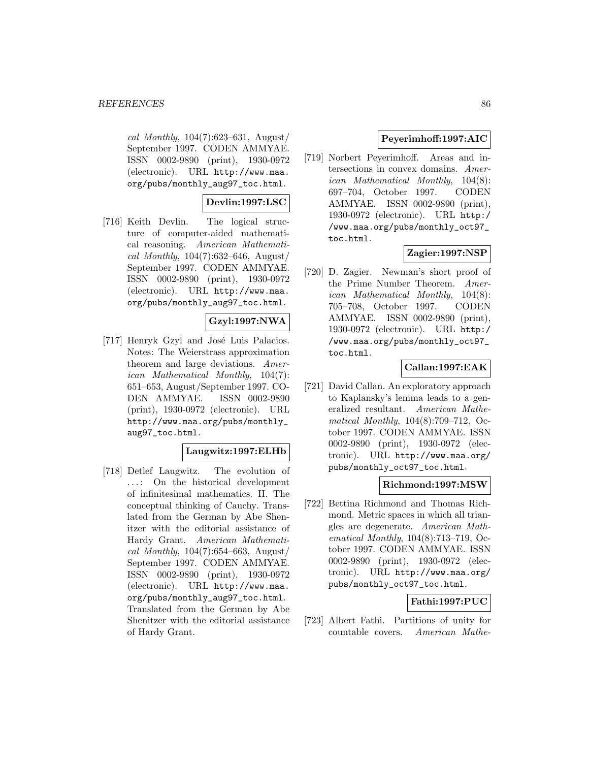cal Monthly,  $104(7):623-631$ , August/ September 1997. CODEN AMMYAE. ISSN 0002-9890 (print), 1930-0972 (electronic). URL http://www.maa. org/pubs/monthly\_aug97\_toc.html.

# **Devlin:1997:LSC**

[716] Keith Devlin. The logical structure of computer-aided mathematical reasoning. American Mathematical Monthly,  $104(7)$ :632–646, August/ September 1997. CODEN AMMYAE. ISSN 0002-9890 (print), 1930-0972 (electronic). URL http://www.maa. org/pubs/monthly\_aug97\_toc.html.

# **Gzyl:1997:NWA**

[717] Henryk Gzyl and José Luis Palacios. Notes: The Weierstrass approximation theorem and large deviations. American Mathematical Monthly, 104(7): 651–653, August/September 1997. CO-DEN AMMYAE. ISSN 0002-9890 (print), 1930-0972 (electronic). URL http://www.maa.org/pubs/monthly\_ aug97\_toc.html.

## **Laugwitz:1997:ELHb**

[718] Detlef Laugwitz. The evolution of ... : On the historical development of infinitesimal mathematics. II. The conceptual thinking of Cauchy. Translated from the German by Abe Shenitzer with the editorial assistance of Hardy Grant. American Mathematical Monthly,  $104(7):654-663$ , August/ September 1997. CODEN AMMYAE. ISSN 0002-9890 (print), 1930-0972 (electronic). URL http://www.maa. org/pubs/monthly\_aug97\_toc.html. Translated from the German by Abe Shenitzer with the editorial assistance of Hardy Grant.

# **Peyerimhoff:1997:AIC**

[719] Norbert Peyerimhoff. Areas and intersections in convex domains. American Mathematical Monthly, 104(8): 697–704, October 1997. CODEN AMMYAE. ISSN 0002-9890 (print), 1930-0972 (electronic). URL http:/ /www.maa.org/pubs/monthly\_oct97\_ toc.html.

# **Zagier:1997:NSP**

[720] D. Zagier. Newman's short proof of the Prime Number Theorem. American Mathematical Monthly, 104(8): 705–708, October 1997. CODEN AMMYAE. ISSN 0002-9890 (print), 1930-0972 (electronic). URL http:/ /www.maa.org/pubs/monthly\_oct97\_ toc.html.

# **Callan:1997:EAK**

[721] David Callan. An exploratory approach to Kaplansky's lemma leads to a generalized resultant. American Mathematical Monthly, 104(8):709–712, October 1997. CODEN AMMYAE. ISSN 0002-9890 (print), 1930-0972 (electronic). URL http://www.maa.org/ pubs/monthly\_oct97\_toc.html.

## **Richmond:1997:MSW**

[722] Bettina Richmond and Thomas Richmond. Metric spaces in which all triangles are degenerate. American Mathematical Monthly, 104(8):713–719, October 1997. CODEN AMMYAE. ISSN 0002-9890 (print), 1930-0972 (electronic). URL http://www.maa.org/ pubs/monthly\_oct97\_toc.html.

# **Fathi:1997:PUC**

[723] Albert Fathi. Partitions of unity for countable covers. American Mathe-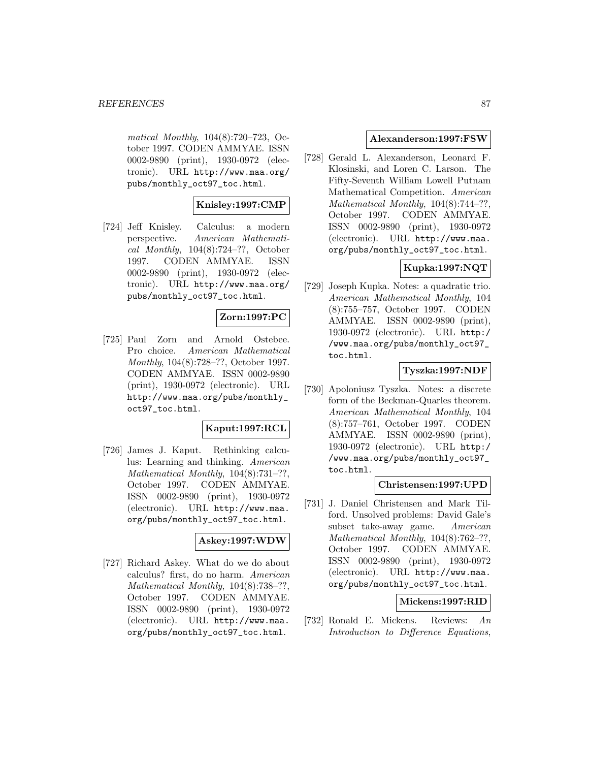matical Monthly, 104(8):720–723, October 1997. CODEN AMMYAE. ISSN 0002-9890 (print), 1930-0972 (electronic). URL http://www.maa.org/ pubs/monthly\_oct97\_toc.html.

## **Knisley:1997:CMP**

[724] Jeff Knisley. Calculus: a modern perspective. American Mathematical Monthly, 104(8):724–??, October 1997. CODEN AMMYAE. ISSN 0002-9890 (print), 1930-0972 (electronic). URL http://www.maa.org/ pubs/monthly\_oct97\_toc.html.

# **Zorn:1997:PC**

[725] Paul Zorn and Arnold Ostebee. Pro choice. American Mathematical Monthly, 104(8):728–??, October 1997. CODEN AMMYAE. ISSN 0002-9890 (print), 1930-0972 (electronic). URL http://www.maa.org/pubs/monthly\_ oct97\_toc.html.

# **Kaput:1997:RCL**

[726] James J. Kaput. Rethinking calculus: Learning and thinking. American Mathematical Monthly, 104(8):731–??, October 1997. CODEN AMMYAE. ISSN 0002-9890 (print), 1930-0972 (electronic). URL http://www.maa. org/pubs/monthly\_oct97\_toc.html.

#### **Askey:1997:WDW**

[727] Richard Askey. What do we do about calculus? first, do no harm. American Mathematical Monthly, 104(8):738–??, October 1997. CODEN AMMYAE. ISSN 0002-9890 (print), 1930-0972 (electronic). URL http://www.maa. org/pubs/monthly\_oct97\_toc.html.

## **Alexanderson:1997:FSW**

[728] Gerald L. Alexanderson, Leonard F. Klosinski, and Loren C. Larson. The Fifty-Seventh William Lowell Putnam Mathematical Competition. American Mathematical Monthly, 104(8):744–??, October 1997. CODEN AMMYAE. ISSN 0002-9890 (print), 1930-0972 (electronic). URL http://www.maa. org/pubs/monthly\_oct97\_toc.html.

# **Kupka:1997:NQT**

[729] Joseph Kupka. Notes: a quadratic trio. American Mathematical Monthly, 104 (8):755–757, October 1997. CODEN AMMYAE. ISSN 0002-9890 (print), 1930-0972 (electronic). URL http:/ /www.maa.org/pubs/monthly\_oct97\_ toc.html.

## **Tyszka:1997:NDF**

[730] Apoloniusz Tyszka. Notes: a discrete form of the Beckman-Quarles theorem. American Mathematical Monthly, 104 (8):757–761, October 1997. CODEN AMMYAE. ISSN 0002-9890 (print), 1930-0972 (electronic). URL http:/ /www.maa.org/pubs/monthly\_oct97\_ toc.html.

## **Christensen:1997:UPD**

[731] J. Daniel Christensen and Mark Tilford. Unsolved problems: David Gale's subset take-away game. American Mathematical Monthly,  $104(8)$ :762-??, October 1997. CODEN AMMYAE. ISSN 0002-9890 (print), 1930-0972 (electronic). URL http://www.maa. org/pubs/monthly\_oct97\_toc.html.

## **Mickens:1997:RID**

[732] Ronald E. Mickens. Reviews: An Introduction to Difference Equations,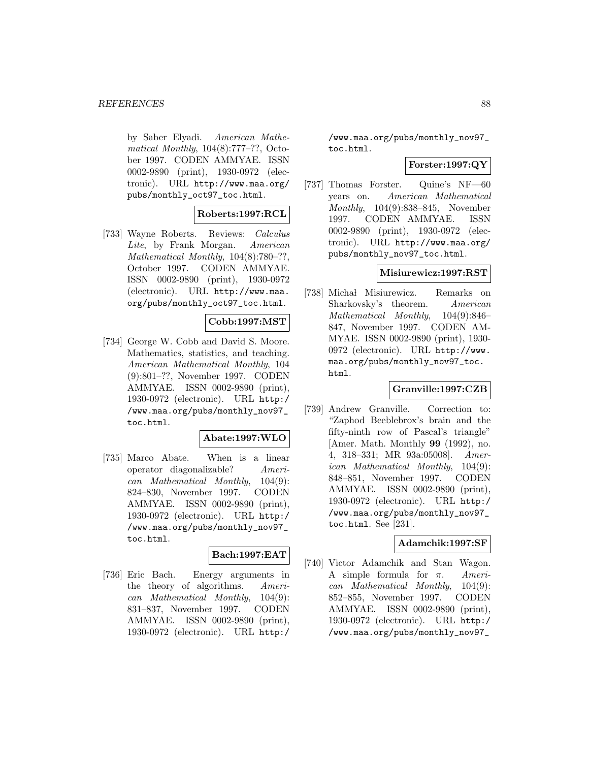by Saber Elyadi. American Mathematical Monthly,  $104(8):777-??$ , October 1997. CODEN AMMYAE. ISSN 0002-9890 (print), 1930-0972 (electronic). URL http://www.maa.org/ pubs/monthly\_oct97\_toc.html.

## **Roberts:1997:RCL**

[733] Wayne Roberts. Reviews: Calculus Lite, by Frank Morgan. American Mathematical Monthly, 104(8):780–??, October 1997. CODEN AMMYAE. ISSN 0002-9890 (print), 1930-0972 (electronic). URL http://www.maa. org/pubs/monthly\_oct97\_toc.html.

## **Cobb:1997:MST**

[734] George W. Cobb and David S. Moore. Mathematics, statistics, and teaching. American Mathematical Monthly, 104 (9):801–??, November 1997. CODEN AMMYAE. ISSN 0002-9890 (print), 1930-0972 (electronic). URL http:/ /www.maa.org/pubs/monthly\_nov97\_ toc.html.

## **Abate:1997:WLO**

[735] Marco Abate. When is a linear operator diagonalizable? American Mathematical Monthly, 104(9): 824–830, November 1997. CODEN AMMYAE. ISSN 0002-9890 (print), 1930-0972 (electronic). URL http:/ /www.maa.org/pubs/monthly\_nov97\_ toc.html.

# **Bach:1997:EAT**

[736] Eric Bach. Energy arguments in the theory of algorithms. American Mathematical Monthly, 104(9): 831–837, November 1997. CODEN AMMYAE. ISSN 0002-9890 (print), 1930-0972 (electronic). URL http:/

/www.maa.org/pubs/monthly\_nov97\_ toc.html.

## **Forster:1997:QY**

[737] Thomas Forster. Quine's NF—60 years on. American Mathematical Monthly, 104(9):838–845, November 1997. CODEN AMMYAE. ISSN 0002-9890 (print), 1930-0972 (electronic). URL http://www.maa.org/ pubs/monthly\_nov97\_toc.html.

## **Misiurewicz:1997:RST**

[738] Michał Misiurewicz. Remarks on Sharkovsky's theorem. American Mathematical Monthly, 104(9):846– 847, November 1997. CODEN AM-MYAE. ISSN 0002-9890 (print), 1930- 0972 (electronic). URL http://www. maa.org/pubs/monthly\_nov97\_toc. html.

## **Granville:1997:CZB**

[739] Andrew Granville. Correction to: "Zaphod Beeblebrox's brain and the fifty-ninth row of Pascal's triangle" [Amer. Math. Monthly **99** (1992), no. 4, 318–331; MR 93a:05008]. American Mathematical Monthly, 104(9): 848–851, November 1997. CODEN AMMYAE. ISSN 0002-9890 (print), 1930-0972 (electronic). URL http:/ /www.maa.org/pubs/monthly\_nov97\_ toc.html. See [231].

## **Adamchik:1997:SF**

[740] Victor Adamchik and Stan Wagon. A simple formula for  $\pi$ . American Mathematical Monthly, 104(9): 852–855, November 1997. CODEN AMMYAE. ISSN 0002-9890 (print), 1930-0972 (electronic). URL http:/ /www.maa.org/pubs/monthly\_nov97\_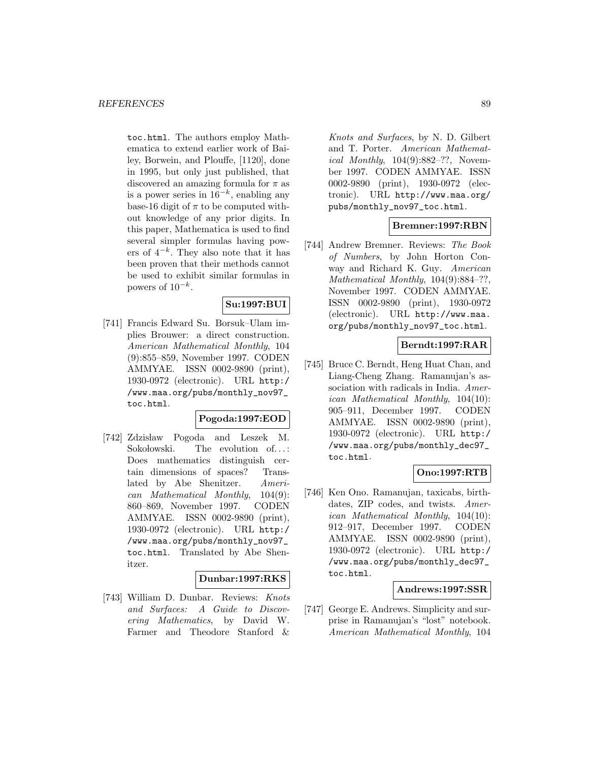toc.html. The authors employ Mathematica to extend earlier work of Bailey, Borwein, and Plouffe, [1120], done in 1995, but only just published, that discovered an amazing formula for  $\pi$  as is a power series in  $16^{-k}$ , enabling any base-16 digit of  $\pi$  to be computed without knowledge of any prior digits. In this paper, Mathematica is used to find several simpler formulas having powers of  $4^{-k}$ . They also note that it has been proven that their methods cannot be used to exhibit similar formulas in powers of  $10^{-k}$ .

## **Su:1997:BUI**

[741] Francis Edward Su. Borsuk–Ulam implies Brouwer: a direct construction. American Mathematical Monthly, 104 (9):855–859, November 1997. CODEN AMMYAE. ISSN 0002-9890 (print), 1930-0972 (electronic). URL http:/ /www.maa.org/pubs/monthly\_nov97\_ toc.html.

#### **Pogoda:1997:EOD**

[742] Zdzisław Pogoda and Leszek M. Sokolowski. The evolution of... Does mathematics distinguish certain dimensions of spaces? Translated by Abe Shenitzer. American Mathematical Monthly, 104(9): 860–869, November 1997. CODEN AMMYAE. ISSN 0002-9890 (print), 1930-0972 (electronic). URL http:/ /www.maa.org/pubs/monthly\_nov97\_ toc.html. Translated by Abe Shenitzer.

#### **Dunbar:1997:RKS**

[743] William D. Dunbar. Reviews: Knots and Surfaces: A Guide to Discovering Mathematics, by David W. Farmer and Theodore Stanford &

Knots and Surfaces, by N. D. Gilbert and T. Porter. American Mathematical Monthly, 104(9):882–??, November 1997. CODEN AMMYAE. ISSN 0002-9890 (print), 1930-0972 (electronic). URL http://www.maa.org/ pubs/monthly\_nov97\_toc.html.

## **Bremner:1997:RBN**

[744] Andrew Bremner. Reviews: The Book of Numbers, by John Horton Conway and Richard K. Guy. American Mathematical Monthly, 104(9):884–??, November 1997. CODEN AMMYAE. ISSN 0002-9890 (print), 1930-0972 (electronic). URL http://www.maa. org/pubs/monthly\_nov97\_toc.html.

## **Berndt:1997:RAR**

[745] Bruce C. Berndt, Heng Huat Chan, and Liang-Cheng Zhang. Ramanujan's association with radicals in India. American Mathematical Monthly, 104(10): 905–911, December 1997. CODEN AMMYAE. ISSN 0002-9890 (print), 1930-0972 (electronic). URL http:/ /www.maa.org/pubs/monthly\_dec97\_ toc.html.

## **Ono:1997:RTB**

[746] Ken Ono. Ramanujan, taxicabs, birthdates, ZIP codes, and twists. American Mathematical Monthly, 104(10): 912–917, December 1997. CODEN AMMYAE. ISSN 0002-9890 (print), 1930-0972 (electronic). URL http:/ /www.maa.org/pubs/monthly\_dec97\_ toc.html.

## **Andrews:1997:SSR**

[747] George E. Andrews. Simplicity and surprise in Ramanujan's "lost" notebook. American Mathematical Monthly, 104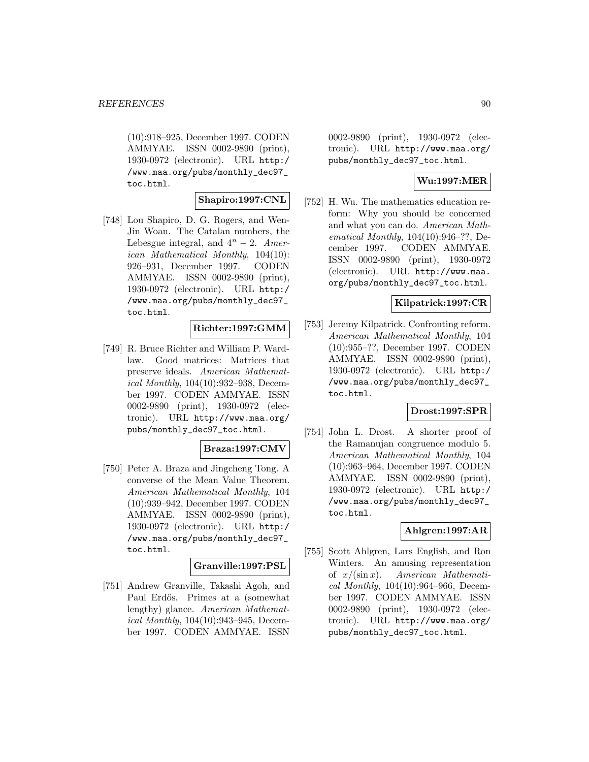(10):918–925, December 1997. CODEN AMMYAE. ISSN 0002-9890 (print), 1930-0972 (electronic). URL http:/ /www.maa.org/pubs/monthly\_dec97\_ toc.html.

# **Shapiro:1997:CNL**

[748] Lou Shapiro, D. G. Rogers, and Wen-Jin Woan. The Catalan numbers, the Lebesgue integral, and  $4^n - 2$ . American Mathematical Monthly, 104(10): 926–931, December 1997. CODEN AMMYAE. ISSN 0002-9890 (print), 1930-0972 (electronic). URL http:/ /www.maa.org/pubs/monthly\_dec97\_ toc.html.

## **Richter:1997:GMM**

[749] R. Bruce Richter and William P. Wardlaw. Good matrices: Matrices that preserve ideals. American Mathematical Monthly, 104(10):932–938, December 1997. CODEN AMMYAE. ISSN 0002-9890 (print), 1930-0972 (electronic). URL http://www.maa.org/ pubs/monthly\_dec97\_toc.html.

## **Braza:1997:CMV**

[750] Peter A. Braza and Jingcheng Tong. A converse of the Mean Value Theorem. American Mathematical Monthly, 104 (10):939–942, December 1997. CODEN AMMYAE. ISSN 0002-9890 (print), 1930-0972 (electronic). URL http:/ /www.maa.org/pubs/monthly\_dec97\_ toc.html.

#### **Granville:1997:PSL**

[751] Andrew Granville, Takashi Agoh, and Paul Erdős. Primes at a (somewhat lengthy) glance. American Mathematical Monthly, 104(10):943–945, December 1997. CODEN AMMYAE. ISSN

0002-9890 (print), 1930-0972 (electronic). URL http://www.maa.org/ pubs/monthly\_dec97\_toc.html.

# **Wu:1997:MER**

[752] H. Wu. The mathematics education reform: Why you should be concerned and what you can do. American Mathematical Monthly, 104(10):946–??, December 1997. CODEN AMMYAE. ISSN 0002-9890 (print), 1930-0972 (electronic). URL http://www.maa. org/pubs/monthly\_dec97\_toc.html.

# **Kilpatrick:1997:CR**

[753] Jeremy Kilpatrick. Confronting reform. American Mathematical Monthly, 104 (10):955–??, December 1997. CODEN AMMYAE. ISSN 0002-9890 (print), 1930-0972 (electronic). URL http:/ /www.maa.org/pubs/monthly\_dec97\_ toc.html.

#### **Drost:1997:SPR**

[754] John L. Drost. A shorter proof of the Ramanujan congruence modulo 5. American Mathematical Monthly, 104 (10):963–964, December 1997. CODEN AMMYAE. ISSN 0002-9890 (print), 1930-0972 (electronic). URL http:/ /www.maa.org/pubs/monthly\_dec97\_ toc.html.

## **Ahlgren:1997:AR**

[755] Scott Ahlgren, Lars English, and Ron Winters. An amusing representation of  $x/(\sin x)$ . American Mathematical Monthly, 104(10):964–966, December 1997. CODEN AMMYAE. ISSN 0002-9890 (print), 1930-0972 (electronic). URL http://www.maa.org/ pubs/monthly\_dec97\_toc.html.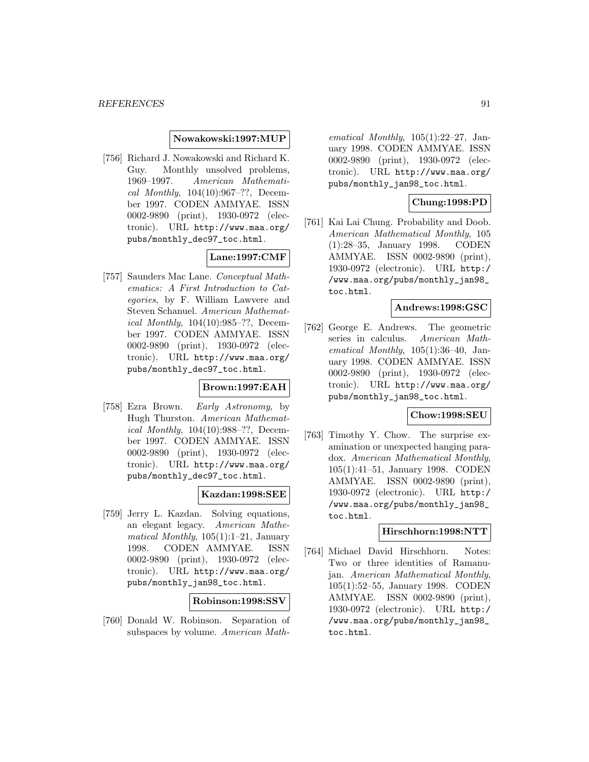### **Nowakowski:1997:MUP**

[756] Richard J. Nowakowski and Richard K. Guy. Monthly unsolved problems, 1969–1997. American Mathematical Monthly, 104(10):967–??, December 1997. CODEN AMMYAE. ISSN 0002-9890 (print), 1930-0972 (electronic). URL http://www.maa.org/ pubs/monthly\_dec97\_toc.html.

# **Lane:1997:CMF**

[757] Saunders Mac Lane. Conceptual Mathematics: A First Introduction to Categories, by F. William Lawvere and Steven Schanuel. American Mathematical Monthly, 104(10):985–??, December 1997. CODEN AMMYAE. ISSN 0002-9890 (print), 1930-0972 (electronic). URL http://www.maa.org/ pubs/monthly\_dec97\_toc.html.

## **Brown:1997:EAH**

[758] Ezra Brown. Early Astronomy, by Hugh Thurston. American Mathematical Monthly, 104(10):988–??, December 1997. CODEN AMMYAE. ISSN 0002-9890 (print), 1930-0972 (electronic). URL http://www.maa.org/ pubs/monthly\_dec97\_toc.html.

## **Kazdan:1998:SEE**

[759] Jerry L. Kazdan. Solving equations, an elegant legacy. American Mathematical Monthly,  $105(1):1-21$ , January 1998. CODEN AMMYAE. ISSN 0002-9890 (print), 1930-0972 (electronic). URL http://www.maa.org/ pubs/monthly\_jan98\_toc.html.

#### **Robinson:1998:SSV**

[760] Donald W. Robinson. Separation of subspaces by volume. American Math-

ematical Monthly,  $105(1):22-27$ , January 1998. CODEN AMMYAE. ISSN 0002-9890 (print), 1930-0972 (electronic). URL http://www.maa.org/ pubs/monthly\_jan98\_toc.html.

## **Chung:1998:PD**

[761] Kai Lai Chung. Probability and Doob. American Mathematical Monthly, 105 (1):28–35, January 1998. CODEN AMMYAE. ISSN 0002-9890 (print), 1930-0972 (electronic). URL http:/ /www.maa.org/pubs/monthly\_jan98\_ toc.html.

### **Andrews:1998:GSC**

[762] George E. Andrews. The geometric series in calculus. American Mathematical Monthly,  $105(1):36-40$ , January 1998. CODEN AMMYAE. ISSN 0002-9890 (print), 1930-0972 (electronic). URL http://www.maa.org/ pubs/monthly\_jan98\_toc.html.

#### **Chow:1998:SEU**

[763] Timothy Y. Chow. The surprise examination or unexpected hanging paradox. American Mathematical Monthly, 105(1):41–51, January 1998. CODEN AMMYAE. ISSN 0002-9890 (print), 1930-0972 (electronic). URL http:/ /www.maa.org/pubs/monthly\_jan98\_ toc.html.

### **Hirschhorn:1998:NTT**

[764] Michael David Hirschhorn. Notes: Two or three identities of Ramanujan. American Mathematical Monthly, 105(1):52–55, January 1998. CODEN AMMYAE. ISSN 0002-9890 (print), 1930-0972 (electronic). URL http:/ /www.maa.org/pubs/monthly\_jan98\_ toc.html.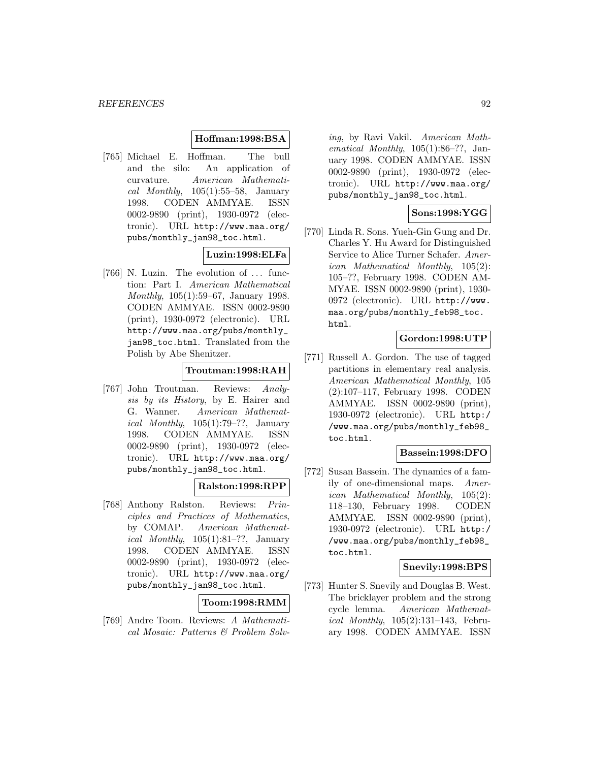### **Hoffman:1998:BSA**

[765] Michael E. Hoffman. The bull and the silo: An application of curvature. American Mathematical Monthly,  $105(1):55-58$ , January 1998. CODEN AMMYAE. ISSN 0002-9890 (print), 1930-0972 (electronic). URL http://www.maa.org/ pubs/monthly\_jan98\_toc.html.

## **Luzin:1998:ELFa**

[766] N. Luzin. The evolution of ... function: Part I. American Mathematical Monthly, 105(1):59–67, January 1998. CODEN AMMYAE. ISSN 0002-9890 (print), 1930-0972 (electronic). URL http://www.maa.org/pubs/monthly\_ jan98\_toc.html. Translated from the Polish by Abe Shenitzer.

## **Troutman:1998:RAH**

[767] John Troutman. Reviews: Analysis by its History, by E. Hairer and G. Wanner. American Mathematical Monthly,  $105(1):79-??$ , January 1998. CODEN AMMYAE. ISSN 0002-9890 (print), 1930-0972 (electronic). URL http://www.maa.org/ pubs/monthly\_jan98\_toc.html.

## **Ralston:1998:RPP**

[768] Anthony Ralston. Reviews: Principles and Practices of Mathematics, by COMAP. American Mathematical Monthly,  $105(1):81-??$ , January 1998. CODEN AMMYAE. ISSN 0002-9890 (print), 1930-0972 (electronic). URL http://www.maa.org/ pubs/monthly\_jan98\_toc.html.

## **Toom:1998:RMM**

[769] Andre Toom. Reviews: A Mathematical Mosaic: Patterns & Problem Solv-

ing, by Ravi Vakil. American Mathematical Monthly, 105(1):86–??, January 1998. CODEN AMMYAE. ISSN 0002-9890 (print), 1930-0972 (electronic). URL http://www.maa.org/ pubs/monthly\_jan98\_toc.html.

## **Sons:1998:YGG**

[770] Linda R. Sons. Yueh-Gin Gung and Dr. Charles Y. Hu Award for Distinguished Service to Alice Turner Schafer. American Mathematical Monthly, 105(2): 105–??, February 1998. CODEN AM-MYAE. ISSN 0002-9890 (print), 1930- 0972 (electronic). URL http://www. maa.org/pubs/monthly\_feb98\_toc. html.

## **Gordon:1998:UTP**

[771] Russell A. Gordon. The use of tagged partitions in elementary real analysis. American Mathematical Monthly, 105 (2):107–117, February 1998. CODEN AMMYAE. ISSN 0002-9890 (print), 1930-0972 (electronic). URL http:/ /www.maa.org/pubs/monthly\_feb98\_ toc.html.

## **Bassein:1998:DFO**

[772] Susan Bassein. The dynamics of a family of one-dimensional maps. American Mathematical Monthly, 105(2): 118–130, February 1998. CODEN AMMYAE. ISSN 0002-9890 (print), 1930-0972 (electronic). URL http:/ /www.maa.org/pubs/monthly\_feb98\_ toc.html.

## **Snevily:1998:BPS**

[773] Hunter S. Snevily and Douglas B. West. The bricklayer problem and the strong cycle lemma. American Mathematical Monthly, 105(2):131–143, February 1998. CODEN AMMYAE. ISSN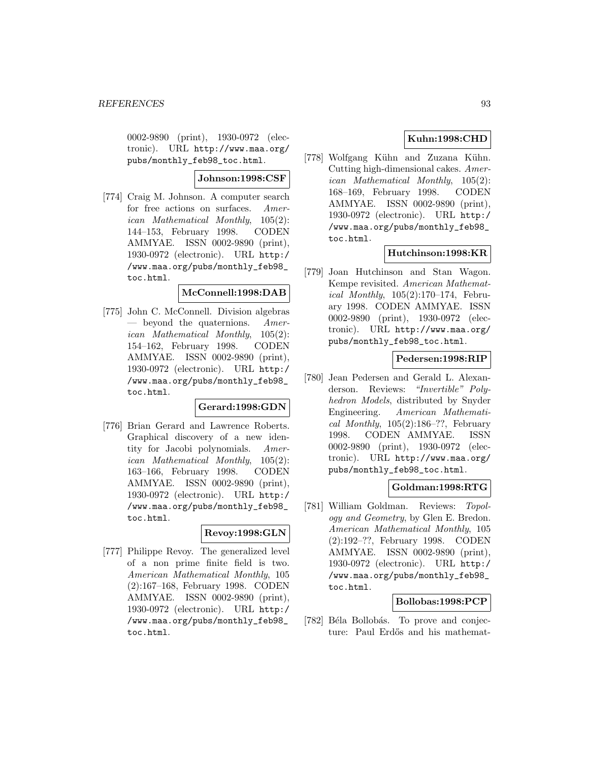0002-9890 (print), 1930-0972 (electronic). URL http://www.maa.org/ pubs/monthly\_feb98\_toc.html.

## **Johnson:1998:CSF**

[774] Craig M. Johnson. A computer search for free actions on surfaces. American Mathematical Monthly, 105(2): 144–153, February 1998. CODEN AMMYAE. ISSN 0002-9890 (print), 1930-0972 (electronic). URL http:/ /www.maa.org/pubs/monthly\_feb98\_ toc.html.

### **McConnell:1998:DAB**

[775] John C. McConnell. Division algebras — beyond the quaternions.  $A$ merican Mathematical Monthly, 105(2): 154–162, February 1998. CODEN AMMYAE. ISSN 0002-9890 (print), 1930-0972 (electronic). URL http:/ /www.maa.org/pubs/monthly\_feb98\_ toc.html.

### **Gerard:1998:GDN**

[776] Brian Gerard and Lawrence Roberts. Graphical discovery of a new identity for Jacobi polynomials. American Mathematical Monthly, 105(2): 163–166, February 1998. CODEN AMMYAE. ISSN 0002-9890 (print), 1930-0972 (electronic). URL http:/ /www.maa.org/pubs/monthly\_feb98\_ toc.html.

## **Revoy:1998:GLN**

[777] Philippe Revoy. The generalized level of a non prime finite field is two. American Mathematical Monthly, 105 (2):167–168, February 1998. CODEN AMMYAE. ISSN 0002-9890 (print), 1930-0972 (electronic). URL http:/ /www.maa.org/pubs/monthly\_feb98\_ toc.html.

## **Kuhn:1998:CHD**

[778] Wolfgang Kühn and Zuzana Kühn. Cutting high-dimensional cakes. American Mathematical Monthly, 105(2): 168–169, February 1998. CODEN AMMYAE. ISSN 0002-9890 (print), 1930-0972 (electronic). URL http:/ /www.maa.org/pubs/monthly\_feb98\_ toc.html.

## **Hutchinson:1998:KR**

[779] Joan Hutchinson and Stan Wagon. Kempe revisited. American Mathematical Monthly, 105(2):170–174, February 1998. CODEN AMMYAE. ISSN 0002-9890 (print), 1930-0972 (electronic). URL http://www.maa.org/ pubs/monthly\_feb98\_toc.html.

## **Pedersen:1998:RIP**

[780] Jean Pedersen and Gerald L. Alexanderson. Reviews: "Invertible" Polyhedron Models, distributed by Snyder Engineering. American Mathematical Monthly,  $105(2):186-??$ , February 1998. CODEN AMMYAE. ISSN 0002-9890 (print), 1930-0972 (electronic). URL http://www.maa.org/ pubs/monthly\_feb98\_toc.html.

## **Goldman:1998:RTG**

[781] William Goldman. Reviews: Topology and Geometry, by Glen E. Bredon. American Mathematical Monthly, 105 (2):192–??, February 1998. CODEN AMMYAE. ISSN 0002-9890 (print), 1930-0972 (electronic). URL http:/ /www.maa.org/pubs/monthly\_feb98\_ toc.html.

## **Bollobas:1998:PCP**

[782] Béla Bollobás. To prove and conjecture: Paul Erdős and his mathemat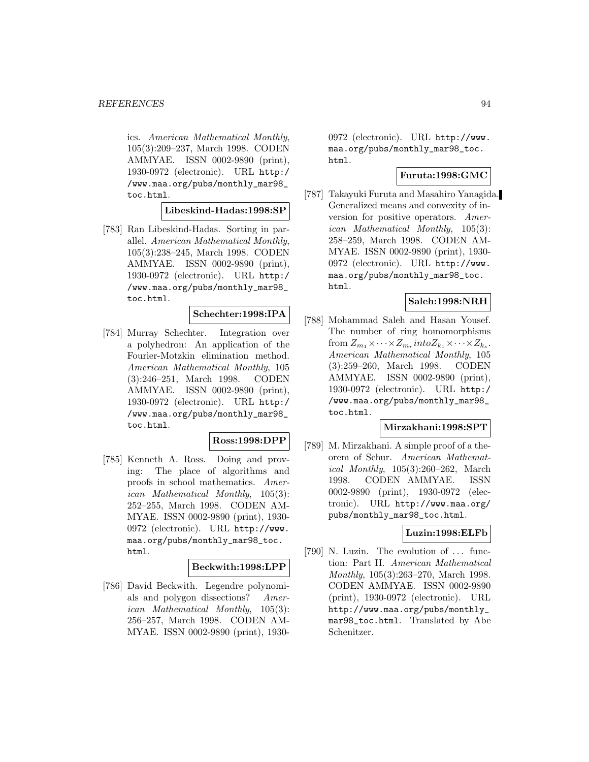ics. American Mathematical Monthly, 105(3):209–237, March 1998. CODEN AMMYAE. ISSN 0002-9890 (print), 1930-0972 (electronic). URL http:/ /www.maa.org/pubs/monthly\_mar98\_ toc.html.

### **Libeskind-Hadas:1998:SP**

[783] Ran Libeskind-Hadas. Sorting in parallel. American Mathematical Monthly, 105(3):238–245, March 1998. CODEN AMMYAE. ISSN 0002-9890 (print), 1930-0972 (electronic). URL http:/ /www.maa.org/pubs/monthly\_mar98\_ toc.html.

### **Schechter:1998:IPA**

[784] Murray Schechter. Integration over a polyhedron: An application of the Fourier-Motzkin elimination method. American Mathematical Monthly, 105 (3):246–251, March 1998. CODEN AMMYAE. ISSN 0002-9890 (print), 1930-0972 (electronic). URL http:/ /www.maa.org/pubs/monthly\_mar98\_ toc.html.

#### **Ross:1998:DPP**

[785] Kenneth A. Ross. Doing and proving: The place of algorithms and proofs in school mathematics. American Mathematical Monthly, 105(3): 252–255, March 1998. CODEN AM-MYAE. ISSN 0002-9890 (print), 1930- 0972 (electronic). URL http://www. maa.org/pubs/monthly\_mar98\_toc. html.

#### **Beckwith:1998:LPP**

[786] David Beckwith. Legendre polynomials and polygon dissections? American Mathematical Monthly, 105(3): 256–257, March 1998. CODEN AM-MYAE. ISSN 0002-9890 (print), 1930-

0972 (electronic). URL http://www. maa.org/pubs/monthly\_mar98\_toc. html.

# **Furuta:1998:GMC**

[787] Takayuki Furuta and Masahiro Yanagida. Generalized means and convexity of inversion for positive operators. American Mathematical Monthly, 105(3): 258–259, March 1998. CODEN AM-MYAE. ISSN 0002-9890 (print), 1930- 0972 (electronic). URL http://www. maa.org/pubs/monthly\_mar98\_toc. html.

# **Saleh:1998:NRH**

[788] Mohammad Saleh and Hasan Yousef. The number of ring homomorphisms from  $Z_{m_1}\times\cdots\times Z_{m_r}$  into  $Z_{k_1}\times\cdots\times Z_{k_s}$ . American Mathematical Monthly, 105 (3):259–260, March 1998. CODEN AMMYAE. ISSN 0002-9890 (print), 1930-0972 (electronic). URL http:/ /www.maa.org/pubs/monthly\_mar98\_ toc.html.

## **Mirzakhani:1998:SPT**

[789] M. Mirzakhani. A simple proof of a theorem of Schur. American Mathematical Monthly, 105(3):260–262, March 1998. CODEN AMMYAE. ISSN 0002-9890 (print), 1930-0972 (electronic). URL http://www.maa.org/ pubs/monthly\_mar98\_toc.html.

## **Luzin:1998:ELFb**

[790] N. Luzin. The evolution of ... function: Part II. American Mathematical Monthly, 105(3):263–270, March 1998. CODEN AMMYAE. ISSN 0002-9890 (print), 1930-0972 (electronic). URL http://www.maa.org/pubs/monthly\_ mar98\_toc.html. Translated by Abe Schenitzer.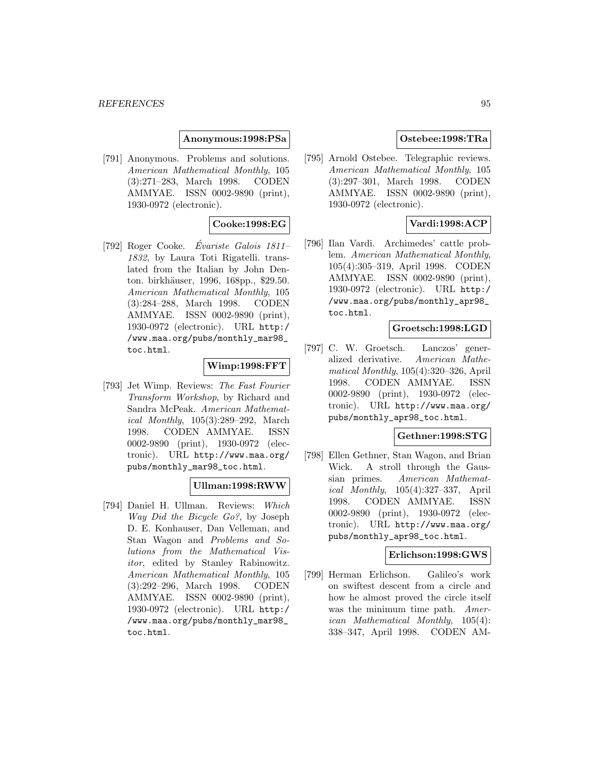### **Anonymous:1998:PSa**

[791] Anonymous. Problems and solutions. American Mathematical Monthly, 105 (3):271–283, March 1998. CODEN AMMYAE. ISSN 0002-9890 (print), 1930-0972 (electronic).

## **Cooke:1998:EG**

[792] Roger Cooke. *Évariste Galois*  $1811-$ 1832, by Laura Toti Rigatelli. translated from the Italian by John Denton. birkhäuser, 1996, 168pp., \$29.50. American Mathematical Monthly, 105 (3):284–288, March 1998. CODEN AMMYAE. ISSN 0002-9890 (print), 1930-0972 (electronic). URL http:/ /www.maa.org/pubs/monthly\_mar98\_ toc.html.

### **Wimp:1998:FFT**

[793] Jet Wimp. Reviews: The Fast Fourier Transform Workshop, by Richard and Sandra McPeak. American Mathematical Monthly, 105(3):289–292, March 1998. CODEN AMMYAE. ISSN 0002-9890 (print), 1930-0972 (electronic). URL http://www.maa.org/ pubs/monthly\_mar98\_toc.html.

## **Ullman:1998:RWW**

[794] Daniel H. Ullman. Reviews: Which Way Did the Bicycle Go?, by Joseph D. E. Konhauser, Dan Velleman, and Stan Wagon and Problems and Solutions from the Mathematical Visitor, edited by Stanley Rabinowitz. American Mathematical Monthly, 105 (3):292–296, March 1998. CODEN AMMYAE. ISSN 0002-9890 (print), 1930-0972 (electronic). URL http:/ /www.maa.org/pubs/monthly\_mar98\_ toc.html.

## **Ostebee:1998:TRa**

[795] Arnold Ostebee. Telegraphic reviews. American Mathematical Monthly, 105 (3):297–301, March 1998. CODEN AMMYAE. ISSN 0002-9890 (print), 1930-0972 (electronic).

## **Vardi:1998:ACP**

[796] Ilan Vardi. Archimedes' cattle problem. American Mathematical Monthly, 105(4):305–319, April 1998. CODEN AMMYAE. ISSN 0002-9890 (print), 1930-0972 (electronic). URL http:/ /www.maa.org/pubs/monthly\_apr98\_ toc.html.

### **Groetsch:1998:LGD**

[797] C. W. Groetsch. Lanczos' generalized derivative. American Mathematical Monthly, 105(4):320–326, April 1998. CODEN AMMYAE. ISSN 0002-9890 (print), 1930-0972 (electronic). URL http://www.maa.org/ pubs/monthly\_apr98\_toc.html.

### **Gethner:1998:STG**

[798] Ellen Gethner, Stan Wagon, and Brian Wick. A stroll through the Gaussian primes. American Mathematical Monthly, 105(4):327–337, April 1998. CODEN AMMYAE. ISSN 0002-9890 (print), 1930-0972 (electronic). URL http://www.maa.org/ pubs/monthly\_apr98\_toc.html.

### **Erlichson:1998:GWS**

[799] Herman Erlichson. Galileo's work on swiftest descent from a circle and how he almost proved the circle itself was the minimum time path. American Mathematical Monthly, 105(4): 338–347, April 1998. CODEN AM-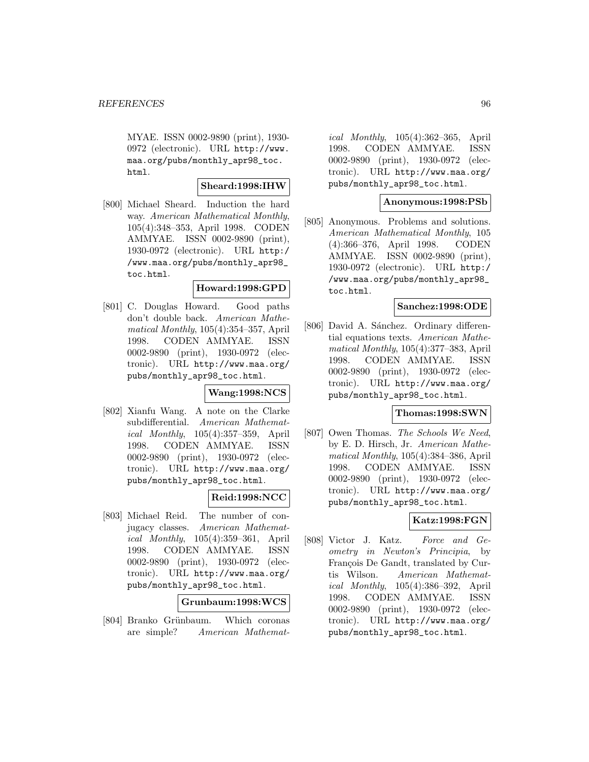MYAE. ISSN 0002-9890 (print), 1930- 0972 (electronic). URL http://www. maa.org/pubs/monthly\_apr98\_toc. html.

## **Sheard:1998:IHW**

[800] Michael Sheard. Induction the hard way. American Mathematical Monthly, 105(4):348–353, April 1998. CODEN AMMYAE. ISSN 0002-9890 (print), 1930-0972 (electronic). URL http:/ /www.maa.org/pubs/monthly\_apr98\_ toc.html.

## **Howard:1998:GPD**

[801] C. Douglas Howard. Good paths don't double back. American Mathematical Monthly, 105(4):354–357, April 1998. CODEN AMMYAE. ISSN 0002-9890 (print), 1930-0972 (electronic). URL http://www.maa.org/ pubs/monthly\_apr98\_toc.html.

### **Wang:1998:NCS**

[802] Xianfu Wang. A note on the Clarke subdifferential. American Mathematical Monthly, 105(4):357–359, April 1998. CODEN AMMYAE. ISSN 0002-9890 (print), 1930-0972 (electronic). URL http://www.maa.org/ pubs/monthly\_apr98\_toc.html.

## **Reid:1998:NCC**

[803] Michael Reid. The number of conjugacy classes. American Mathematical Monthly, 105(4):359–361, April 1998. CODEN AMMYAE. ISSN 0002-9890 (print), 1930-0972 (electronic). URL http://www.maa.org/ pubs/monthly\_apr98\_toc.html.

## **Grunbaum:1998:WCS**

[804] Branko Grünbaum. Which coronas are simple? American Mathemat-

ical Monthly, 105(4):362–365, April 1998. CODEN AMMYAE. ISSN 0002-9890 (print), 1930-0972 (electronic). URL http://www.maa.org/ pubs/monthly\_apr98\_toc.html.

## **Anonymous:1998:PSb**

[805] Anonymous. Problems and solutions. American Mathematical Monthly, 105 (4):366–376, April 1998. CODEN AMMYAE. ISSN 0002-9890 (print), 1930-0972 (electronic). URL http:/ /www.maa.org/pubs/monthly\_apr98\_ toc.html.

### **Sanchez:1998:ODE**

[806] David A. Sánchez. Ordinary differential equations texts. American Mathematical Monthly, 105(4):377–383, April 1998. CODEN AMMYAE. ISSN 0002-9890 (print), 1930-0972 (electronic). URL http://www.maa.org/ pubs/monthly\_apr98\_toc.html.

## **Thomas:1998:SWN**

[807] Owen Thomas. The Schools We Need, by E. D. Hirsch, Jr. American Mathematical Monthly, 105(4):384–386, April 1998. CODEN AMMYAE. ISSN 0002-9890 (print), 1930-0972 (electronic). URL http://www.maa.org/ pubs/monthly\_apr98\_toc.html.

# **Katz:1998:FGN**

[808] Victor J. Katz. Force and Geometry in Newton's Principia, by François De Gandt, translated by Curtis Wilson. American Mathematical Monthly, 105(4):386–392, April 1998. CODEN AMMYAE. ISSN 0002-9890 (print), 1930-0972 (electronic). URL http://www.maa.org/ pubs/monthly\_apr98\_toc.html.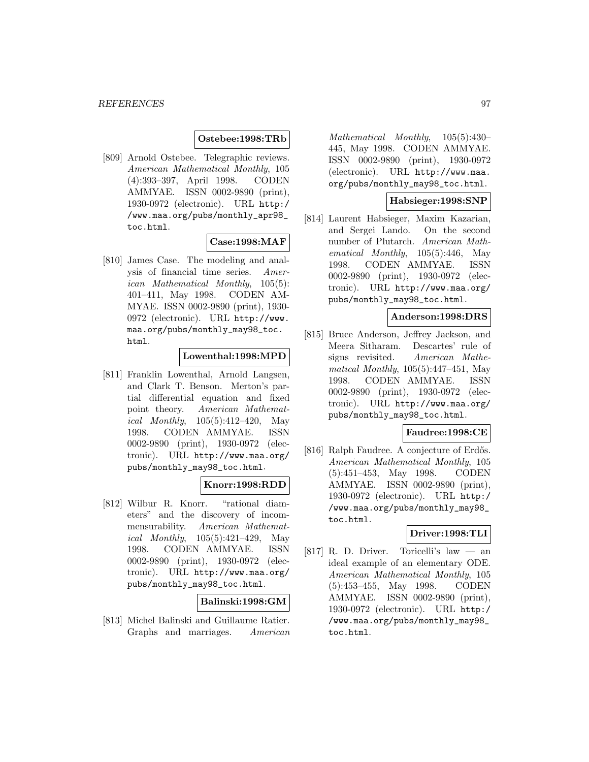### **Ostebee:1998:TRb**

[809] Arnold Ostebee. Telegraphic reviews. American Mathematical Monthly, 105 (4):393–397, April 1998. CODEN AMMYAE. ISSN 0002-9890 (print), 1930-0972 (electronic). URL http:/ /www.maa.org/pubs/monthly\_apr98\_ toc.html.

### **Case:1998:MAF**

[810] James Case. The modeling and analysis of financial time series. American Mathematical Monthly, 105(5): 401–411, May 1998. CODEN AM-MYAE. ISSN 0002-9890 (print), 1930- 0972 (electronic). URL http://www. maa.org/pubs/monthly\_may98\_toc. html.

## **Lowenthal:1998:MPD**

[811] Franklin Lowenthal, Arnold Langsen, and Clark T. Benson. Merton's partial differential equation and fixed point theory. American Mathematical Monthly, 105(5):412–420, May 1998. CODEN AMMYAE. ISSN 0002-9890 (print), 1930-0972 (electronic). URL http://www.maa.org/ pubs/monthly\_may98\_toc.html.

## **Knorr:1998:RDD**

[812] Wilbur R. Knorr. "rational diameters" and the discovery of incommensurability. American Mathemat*ical Monthly*,  $105(5):421-429$ , May 1998. CODEN AMMYAE. ISSN 0002-9890 (print), 1930-0972 (electronic). URL http://www.maa.org/ pubs/monthly\_may98\_toc.html.

#### **Balinski:1998:GM**

[813] Michel Balinski and Guillaume Ratier. Graphs and marriages. American

Mathematical Monthly, 105(5):430– 445, May 1998. CODEN AMMYAE. ISSN 0002-9890 (print), 1930-0972 (electronic). URL http://www.maa. org/pubs/monthly\_may98\_toc.html.

### **Habsieger:1998:SNP**

[814] Laurent Habsieger, Maxim Kazarian, and Sergei Lando. On the second number of Plutarch. American Mathematical Monthly, 105(5):446, May 1998. CODEN AMMYAE. ISSN 0002-9890 (print), 1930-0972 (electronic). URL http://www.maa.org/ pubs/monthly\_may98\_toc.html.

### **Anderson:1998:DRS**

[815] Bruce Anderson, Jeffrey Jackson, and Meera Sitharam. Descartes' rule of signs revisited. American Mathematical Monthly, 105(5):447–451, May 1998. CODEN AMMYAE. ISSN 0002-9890 (print), 1930-0972 (electronic). URL http://www.maa.org/ pubs/monthly\_may98\_toc.html.

## **Faudree:1998:CE**

[816] Ralph Faudree. A conjecture of Erdős. American Mathematical Monthly, 105 (5):451–453, May 1998. CODEN AMMYAE. ISSN 0002-9890 (print), 1930-0972 (electronic). URL http:/ /www.maa.org/pubs/monthly\_may98\_ toc.html.

## **Driver:1998:TLI**

[817] R. D. Driver. Toricelli's law — an ideal example of an elementary ODE. American Mathematical Monthly, 105 (5):453–455, May 1998. CODEN AMMYAE. ISSN 0002-9890 (print), 1930-0972 (electronic). URL http:/ /www.maa.org/pubs/monthly\_may98\_ toc.html.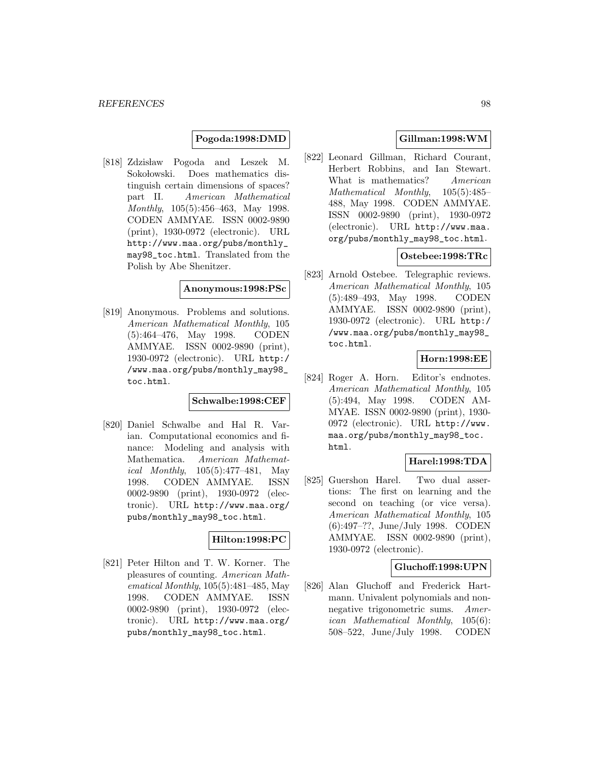### **Pogoda:1998:DMD**

[818] Zdzisław Pogoda and Leszek M. Sokołowski. Does mathematics distinguish certain dimensions of spaces? part II. American Mathematical Monthly, 105(5):456–463, May 1998. CODEN AMMYAE. ISSN 0002-9890 (print), 1930-0972 (electronic). URL http://www.maa.org/pubs/monthly\_ may98\_toc.html. Translated from the Polish by Abe Shenitzer.

#### **Anonymous:1998:PSc**

[819] Anonymous. Problems and solutions. American Mathematical Monthly, 105 (5):464–476, May 1998. CODEN AMMYAE. ISSN 0002-9890 (print), 1930-0972 (electronic). URL http:/ /www.maa.org/pubs/monthly\_may98\_ toc.html.

### **Schwalbe:1998:CEF**

[820] Daniel Schwalbe and Hal R. Varian. Computational economics and finance: Modeling and analysis with Mathematica. American Mathematical Monthly, 105(5):477–481, May 1998. CODEN AMMYAE. ISSN 0002-9890 (print), 1930-0972 (electronic). URL http://www.maa.org/ pubs/monthly\_may98\_toc.html.

# **Hilton:1998:PC**

[821] Peter Hilton and T. W. Korner. The pleasures of counting. American Mathematical Monthly, 105(5):481–485, May 1998. CODEN AMMYAE. ISSN 0002-9890 (print), 1930-0972 (electronic). URL http://www.maa.org/ pubs/monthly\_may98\_toc.html.

## **Gillman:1998:WM**

[822] Leonard Gillman, Richard Courant, Herbert Robbins, and Ian Stewart. What is mathematics? American Mathematical Monthly, 105(5):485– 488, May 1998. CODEN AMMYAE. ISSN 0002-9890 (print), 1930-0972 (electronic). URL http://www.maa. org/pubs/monthly\_may98\_toc.html.

## **Ostebee:1998:TRc**

[823] Arnold Ostebee. Telegraphic reviews. American Mathematical Monthly, 105 (5):489–493, May 1998. CODEN AMMYAE. ISSN 0002-9890 (print), 1930-0972 (electronic). URL http:/ /www.maa.org/pubs/monthly\_may98\_ toc.html.

## **Horn:1998:EE**

[824] Roger A. Horn. Editor's endnotes. American Mathematical Monthly, 105 (5):494, May 1998. CODEN AM-MYAE. ISSN 0002-9890 (print), 1930- 0972 (electronic). URL http://www. maa.org/pubs/monthly\_may98\_toc. html.

## **Harel:1998:TDA**

[825] Guershon Harel. Two dual assertions: The first on learning and the second on teaching (or vice versa). American Mathematical Monthly, 105 (6):497–??, June/July 1998. CODEN AMMYAE. ISSN 0002-9890 (print), 1930-0972 (electronic).

#### **Gluchoff:1998:UPN**

[826] Alan Gluchoff and Frederick Hartmann. Univalent polynomials and nonnegative trigonometric sums. American Mathematical Monthly, 105(6): 508–522, June/July 1998. CODEN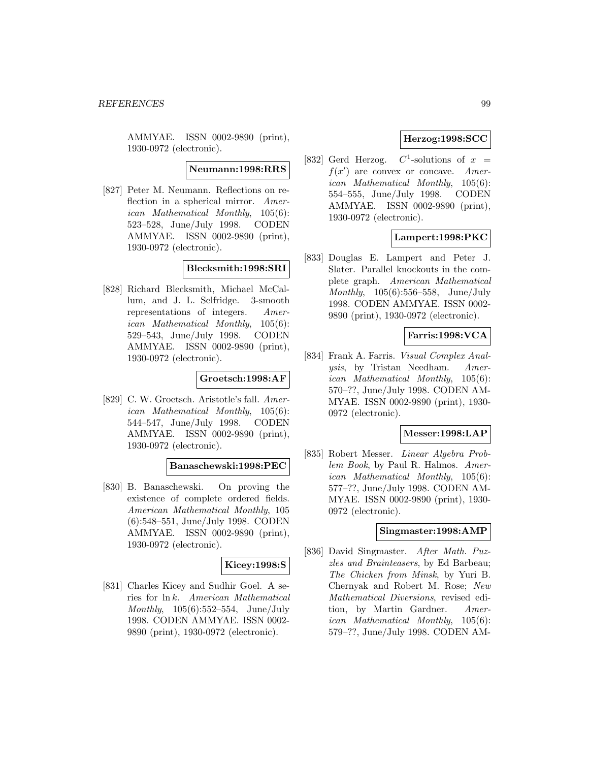AMMYAE. ISSN 0002-9890 (print), 1930-0972 (electronic).

**Neumann:1998:RRS**

[827] Peter M. Neumann. Reflections on reflection in a spherical mirror. American Mathematical Monthly, 105(6): 523–528, June/July 1998. CODEN AMMYAE. ISSN 0002-9890 (print), 1930-0972 (electronic).

**Blecksmith:1998:SRI**

[828] Richard Blecksmith, Michael McCallum, and J. L. Selfridge. 3-smooth representations of integers. American Mathematical Monthly, 105(6): 529–543, June/July 1998. CODEN AMMYAE. ISSN 0002-9890 (print), 1930-0972 (electronic).

## **Groetsch:1998:AF**

[829] C. W. Groetsch. Aristotle's fall. American Mathematical Monthly, 105(6): 544–547, June/July 1998. CODEN AMMYAE. ISSN 0002-9890 (print), 1930-0972 (electronic).

### **Banaschewski:1998:PEC**

[830] B. Banaschewski. On proving the existence of complete ordered fields. American Mathematical Monthly, 105 (6):548–551, June/July 1998. CODEN AMMYAE. ISSN 0002-9890 (print), 1930-0972 (electronic).

## **Kicey:1998:S**

[831] Charles Kicey and Sudhir Goel. A series for ln k. American Mathematical Monthly, 105(6):552–554, June/July 1998. CODEN AMMYAE. ISSN 0002- 9890 (print), 1930-0972 (electronic).

## **Herzog:1998:SCC**

[832] Gerd Herzog.  $C^1$ -solutions of  $x =$  $f(x')$  are convex or concave. American Mathematical Monthly, 105(6): 554–555, June/July 1998. CODEN AMMYAE. ISSN 0002-9890 (print), 1930-0972 (electronic).

# **Lampert:1998:PKC**

[833] Douglas E. Lampert and Peter J. Slater. Parallel knockouts in the complete graph. American Mathematical Monthly, 105(6):556–558, June/July 1998. CODEN AMMYAE. ISSN 0002- 9890 (print), 1930-0972 (electronic).

## **Farris:1998:VCA**

[834] Frank A. Farris. Visual Complex Analysis, by Tristan Needham. American Mathematical Monthly, 105(6): 570–??, June/July 1998. CODEN AM-MYAE. ISSN 0002-9890 (print), 1930- 0972 (electronic).

### **Messer:1998:LAP**

[835] Robert Messer. Linear Algebra Problem Book, by Paul R. Halmos. American Mathematical Monthly, 105(6): 577–??, June/July 1998. CODEN AM-MYAE. ISSN 0002-9890 (print), 1930- 0972 (electronic).

#### **Singmaster:1998:AMP**

[836] David Singmaster. After Math. Puzzles and Brainteasers, by Ed Barbeau; The Chicken from Minsk, by Yuri B. Chernyak and Robert M. Rose; New Mathematical Diversions, revised edition, by Martin Gardner. American Mathematical Monthly, 105(6): 579–??, June/July 1998. CODEN AM-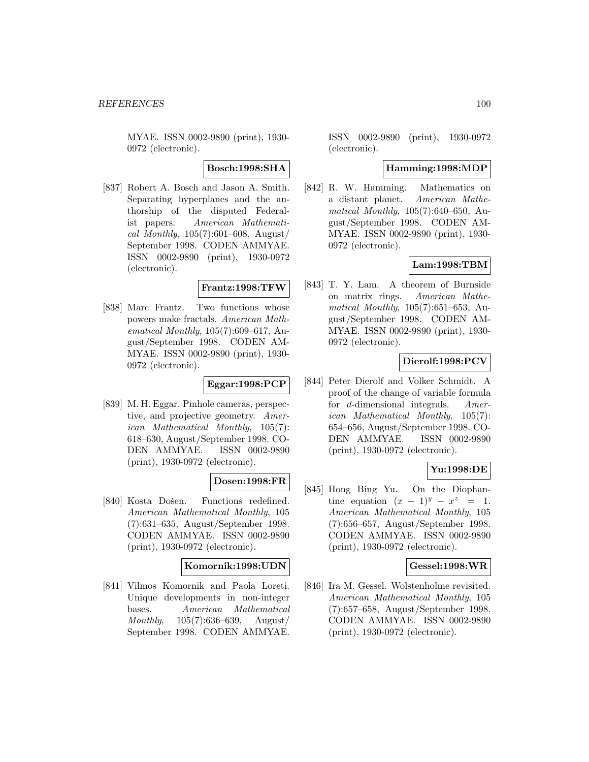MYAE. ISSN 0002-9890 (print), 1930- 0972 (electronic).

**Bosch:1998:SHA**

[837] Robert A. Bosch and Jason A. Smith. Separating hyperplanes and the authorship of the disputed Federalist papers. American Mathematical Monthly,  $105(7):601-608$ , August/ September 1998. CODEN AMMYAE. ISSN 0002-9890 (print), 1930-0972 (electronic).

#### **Frantz:1998:TFW**

[838] Marc Frantz. Two functions whose powers make fractals. American Mathematical Monthly, 105(7):609–617, August/September 1998. CODEN AM-MYAE. ISSN 0002-9890 (print), 1930- 0972 (electronic).

# **Eggar:1998:PCP**

[839] M. H. Eggar. Pinhole cameras, perspective, and projective geometry. American Mathematical Monthly, 105(7): 618–630, August/September 1998. CO-DEN AMMYAE. ISSN 0002-9890 (print), 1930-0972 (electronic).

## **Dosen:1998:FR**

[840] Kosta Došen. Functions redefined. American Mathematical Monthly, 105 (7):631–635, August/September 1998. CODEN AMMYAE. ISSN 0002-9890 (print), 1930-0972 (electronic).

## **Komornik:1998:UDN**

[841] Vilmos Komornik and Paola Loreti. Unique developments in non-integer bases. American Mathematical Monthly, 105(7):636–639, August/ September 1998. CODEN AMMYAE.

ISSN 0002-9890 (print), 1930-0972 (electronic).

## **Hamming:1998:MDP**

[842] R. W. Hamming. Mathematics on a distant planet. American Mathematical Monthly, 105(7):640–650, August/September 1998. CODEN AM-MYAE. ISSN 0002-9890 (print), 1930- 0972 (electronic).

# **Lam:1998:TBM**

[843] T. Y. Lam. A theorem of Burnside on matrix rings. American Mathematical Monthly, 105(7):651–653, August/September 1998. CODEN AM-MYAE. ISSN 0002-9890 (print), 1930- 0972 (electronic).

# **Dierolf:1998:PCV**

[844] Peter Dierolf and Volker Schmidt. A proof of the change of variable formula for d-dimensional integrals. American Mathematical Monthly, 105(7): 654–656, August/September 1998. CO-DEN AMMYAE. ISSN 0002-9890 (print), 1930-0972 (electronic).

## **Yu:1998:DE**

[845] Hong Bing Yu. On the Diophantine equation  $(x + 1)^y - x^z = 1$ . American Mathematical Monthly, 105 (7):656–657, August/September 1998. CODEN AMMYAE. ISSN 0002-9890 (print), 1930-0972 (electronic).

## **Gessel:1998:WR**

[846] Ira M. Gessel. Wolstenholme revisited. American Mathematical Monthly, 105 (7):657–658, August/September 1998. CODEN AMMYAE. ISSN 0002-9890 (print), 1930-0972 (electronic).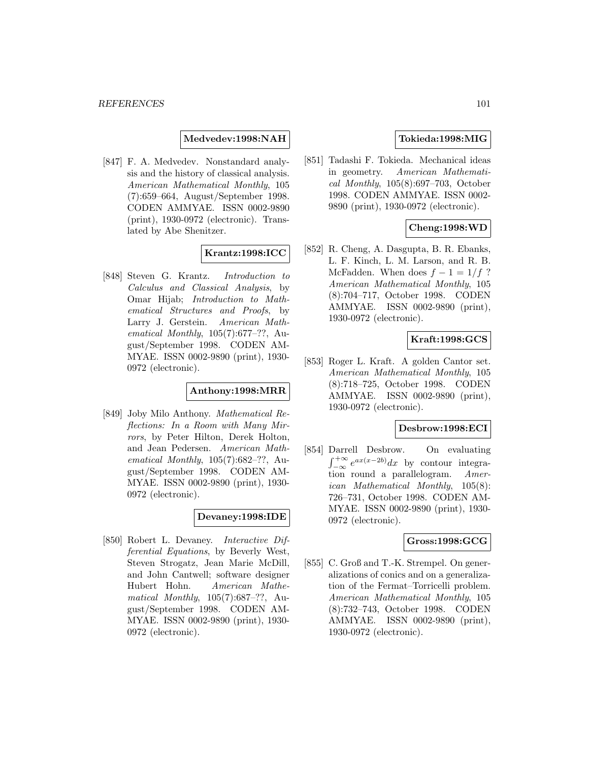**Medvedev:1998:NAH**

[847] F. A. Medvedev. Nonstandard analysis and the history of classical analysis. American Mathematical Monthly, 105 (7):659–664, August/September 1998. CODEN AMMYAE. ISSN 0002-9890 (print), 1930-0972 (electronic). Translated by Abe Shenitzer.

## **Krantz:1998:ICC**

[848] Steven G. Krantz. Introduction to Calculus and Classical Analysis, by Omar Hijab; Introduction to Mathematical Structures and Proofs, by Larry J. Gerstein. American Mathematical Monthly, 105(7):677–??, August/September 1998. CODEN AM-MYAE. ISSN 0002-9890 (print), 1930- 0972 (electronic).

## **Anthony:1998:MRR**

[849] Joby Milo Anthony. Mathematical Reflections: In a Room with Many Mirrors, by Peter Hilton, Derek Holton, and Jean Pedersen. American Mathematical Monthly, 105(7):682–??, August/September 1998. CODEN AM-MYAE. ISSN 0002-9890 (print), 1930- 0972 (electronic).

## **Devaney:1998:IDE**

[850] Robert L. Devaney. Interactive Differential Equations, by Beverly West, Steven Strogatz, Jean Marie McDill, and John Cantwell; software designer Hubert Hohn. American Mathematical Monthly, 105(7):687–??, August/September 1998. CODEN AM-MYAE. ISSN 0002-9890 (print), 1930- 0972 (electronic).

# **Tokieda:1998:MIG**

[851] Tadashi F. Tokieda. Mechanical ideas in geometry. American Mathematical Monthly, 105(8):697–703, October 1998. CODEN AMMYAE. ISSN 0002- 9890 (print), 1930-0972 (electronic).

## **Cheng:1998:WD**

[852] R. Cheng, A. Dasgupta, B. R. Ebanks, L. F. Kinch, L. M. Larson, and R. B. McFadden. When does  $f - 1 = 1/f$  ? American Mathematical Monthly, 105 (8):704–717, October 1998. CODEN AMMYAE. ISSN 0002-9890 (print), 1930-0972 (electronic).

### **Kraft:1998:GCS**

[853] Roger L. Kraft. A golden Cantor set. American Mathematical Monthly, 105 (8):718–725, October 1998. CODEN AMMYAE. ISSN 0002-9890 (print), 1930-0972 (electronic).

## **Desbrow:1998:ECI**

[854] Darrell Desbrow. On evaluating  $\int_{-\infty}^{+\infty} e^{ax(x-2b)}dx$  by contour integration round a parallelogram. American Mathematical Monthly, 105(8): 726–731, October 1998. CODEN AM-MYAE. ISSN 0002-9890 (print), 1930- 0972 (electronic).

#### **Gross:1998:GCG**

[855] C. Groß and T.-K. Strempel. On generalizations of conics and on a generalization of the Fermat–Torricelli problem. American Mathematical Monthly, 105 (8):732–743, October 1998. CODEN AMMYAE. ISSN 0002-9890 (print), 1930-0972 (electronic).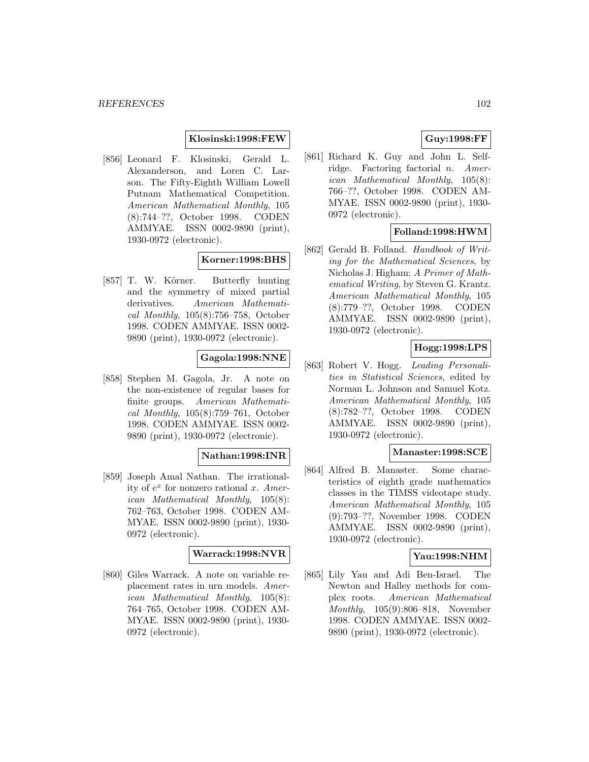## **Klosinski:1998:FEW**

[856] Leonard F. Klosinski, Gerald L. Alexanderson, and Loren C. Larson. The Fifty-Eighth William Lowell Putnam Mathematical Competition. American Mathematical Monthly, 105 (8):744–??, October 1998. CODEN AMMYAE. ISSN 0002-9890 (print), 1930-0972 (electronic).

## **Korner:1998:BHS**

[857] T. W. Körner. Butterfly hunting and the symmetry of mixed partial derivatives. American Mathematical Monthly, 105(8):756–758, October 1998. CODEN AMMYAE. ISSN 0002- 9890 (print), 1930-0972 (electronic).

### **Gagola:1998:NNE**

[858] Stephen M. Gagola, Jr. A note on the non-existence of regular bases for finite groups. American Mathematical Monthly, 105(8):759–761, October 1998. CODEN AMMYAE. ISSN 0002- 9890 (print), 1930-0972 (electronic).

## **Nathan:1998:INR**

[859] Joseph Amal Nathan. The irrationality of  $e^x$  for nonzero rational x. American Mathematical Monthly, 105(8): 762–763, October 1998. CODEN AM-MYAE. ISSN 0002-9890 (print), 1930- 0972 (electronic).

### **Warrack:1998:NVR**

[860] Giles Warrack. A note on variable replacement rates in urn models. American Mathematical Monthly, 105(8): 764–765, October 1998. CODEN AM-MYAE. ISSN 0002-9890 (print), 1930- 0972 (electronic).

# **Guy:1998:FF**

[861] Richard K. Guy and John L. Selfridge. Factoring factorial n. American Mathematical Monthly, 105(8): 766–??, October 1998. CODEN AM-MYAE. ISSN 0002-9890 (print), 1930- 0972 (electronic).

## **Folland:1998:HWM**

[862] Gerald B. Folland. Handbook of Writing for the Mathematical Sciences, by Nicholas J. Higham; A Primer of Mathematical Writing, by Steven G. Krantz. American Mathematical Monthly, 105 (8):779–??, October 1998. CODEN AMMYAE. ISSN 0002-9890 (print), 1930-0972 (electronic).

# **Hogg:1998:LPS**

[863] Robert V. Hogg. Leading Personalities in Statistical Sciences, edited by Norman L. Johnson and Samuel Kotz. American Mathematical Monthly, 105 (8):782–??, October 1998. CODEN AMMYAE. ISSN 0002-9890 (print), 1930-0972 (electronic).

### **Manaster:1998:SCE**

[864] Alfred B. Manaster. Some characteristics of eighth grade mathematics classes in the TIMSS videotape study. American Mathematical Monthly, 105 (9):793–??, November 1998. CODEN AMMYAE. ISSN 0002-9890 (print), 1930-0972 (electronic).

## **Yau:1998:NHM**

[865] Lily Yau and Adi Ben-Israel. The Newton and Halley methods for complex roots. American Mathematical Monthly, 105(9):806–818, November 1998. CODEN AMMYAE. ISSN 0002- 9890 (print), 1930-0972 (electronic).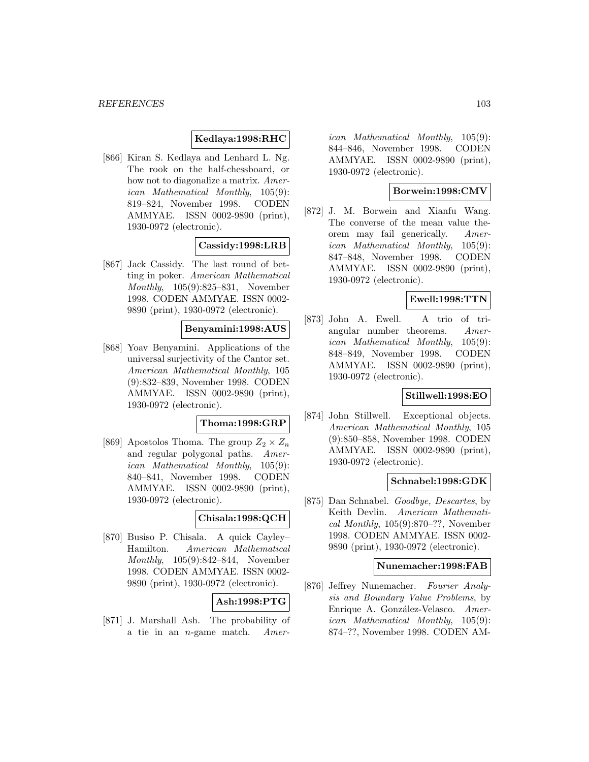## **Kedlaya:1998:RHC**

[866] Kiran S. Kedlaya and Lenhard L. Ng. The rook on the half-chessboard, or how not to diagonalize a matrix. American Mathematical Monthly, 105(9): 819–824, November 1998. CODEN AMMYAE. ISSN 0002-9890 (print), 1930-0972 (electronic).

### **Cassidy:1998:LRB**

[867] Jack Cassidy. The last round of betting in poker. American Mathematical Monthly, 105(9):825–831, November 1998. CODEN AMMYAE. ISSN 0002- 9890 (print), 1930-0972 (electronic).

### **Benyamini:1998:AUS**

[868] Yoav Benyamini. Applications of the universal surjectivity of the Cantor set. American Mathematical Monthly, 105 (9):832–839, November 1998. CODEN AMMYAE. ISSN 0002-9890 (print), 1930-0972 (electronic).

#### **Thoma:1998:GRP**

[869] Apostolos Thoma. The group  $Z_2 \times Z_n$ and regular polygonal paths. American Mathematical Monthly, 105(9): 840–841, November 1998. CODEN AMMYAE. ISSN 0002-9890 (print), 1930-0972 (electronic).

## **Chisala:1998:QCH**

[870] Busiso P. Chisala. A quick Cayley– Hamilton. American Mathematical Monthly, 105(9):842–844, November 1998. CODEN AMMYAE. ISSN 0002- 9890 (print), 1930-0972 (electronic).

#### **Ash:1998:PTG**

[871] J. Marshall Ash. The probability of a tie in an n-game match. Amer-

ican Mathematical Monthly, 105(9): 844–846, November 1998. CODEN AMMYAE. ISSN 0002-9890 (print), 1930-0972 (electronic).

## **Borwein:1998:CMV**

[872] J. M. Borwein and Xianfu Wang. The converse of the mean value theorem may fail generically. American Mathematical Monthly, 105(9): 847–848, November 1998. CODEN AMMYAE. ISSN 0002-9890 (print), 1930-0972 (electronic).

### **Ewell:1998:TTN**

[873] John A. Ewell. A trio of triangular number theorems. American Mathematical Monthly, 105(9): 848–849, November 1998. CODEN AMMYAE. ISSN 0002-9890 (print), 1930-0972 (electronic).

## **Stillwell:1998:EO**

[874] John Stillwell. Exceptional objects. American Mathematical Monthly, 105 (9):850–858, November 1998. CODEN AMMYAE. ISSN 0002-9890 (print), 1930-0972 (electronic).

### **Schnabel:1998:GDK**

[875] Dan Schnabel. Goodbye, Descartes, by Keith Devlin. American Mathematical Monthly,  $105(9):870-??$ , November 1998. CODEN AMMYAE. ISSN 0002- 9890 (print), 1930-0972 (electronic).

#### **Nunemacher:1998:FAB**

[876] Jeffrey Nunemacher. Fourier Analysis and Boundary Value Problems, by Enrique A. González-Velasco. American Mathematical Monthly, 105(9): 874–??, November 1998. CODEN AM-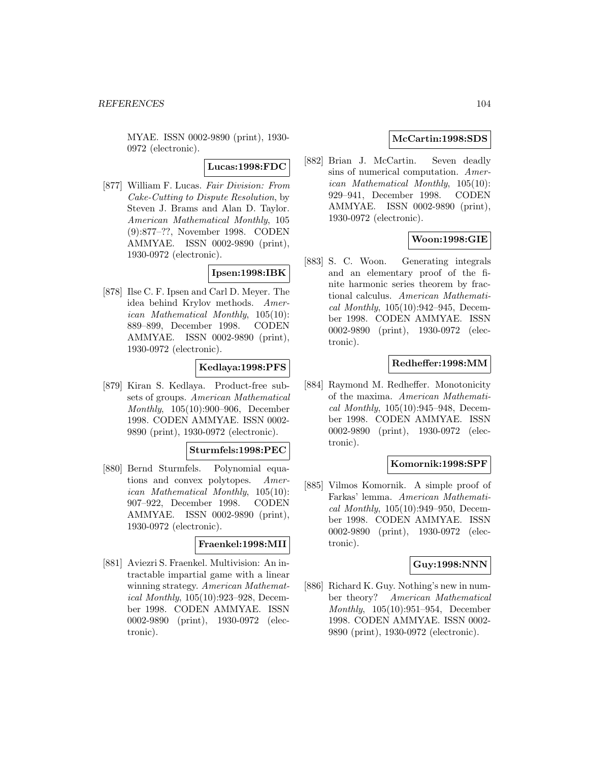MYAE. ISSN 0002-9890 (print), 1930- 0972 (electronic).

**Lucas:1998:FDC**

[877] William F. Lucas. Fair Division: From Cake-Cutting to Dispute Resolution, by Steven J. Brams and Alan D. Taylor. American Mathematical Monthly, 105 (9):877–??, November 1998. CODEN AMMYAE. ISSN 0002-9890 (print), 1930-0972 (electronic).

## **Ipsen:1998:IBK**

[878] Ilse C. F. Ipsen and Carl D. Meyer. The idea behind Krylov methods. American Mathematical Monthly, 105(10): 889–899, December 1998. CODEN AMMYAE. ISSN 0002-9890 (print), 1930-0972 (electronic).

## **Kedlaya:1998:PFS**

[879] Kiran S. Kedlaya. Product-free subsets of groups. American Mathematical Monthly, 105(10):900–906, December 1998. CODEN AMMYAE. ISSN 0002- 9890 (print), 1930-0972 (electronic).

### **Sturmfels:1998:PEC**

[880] Bernd Sturmfels. Polynomial equations and convex polytopes. American Mathematical Monthly, 105(10): 907–922, December 1998. CODEN AMMYAE. ISSN 0002-9890 (print), 1930-0972 (electronic).

#### **Fraenkel:1998:MII**

[881] Aviezri S. Fraenkel. Multivision: An intractable impartial game with a linear winning strategy. American Mathematical Monthly, 105(10):923–928, December 1998. CODEN AMMYAE. ISSN 0002-9890 (print), 1930-0972 (electronic).

## **McCartin:1998:SDS**

[882] Brian J. McCartin. Seven deadly sins of numerical computation. American Mathematical Monthly, 105(10): 929–941, December 1998. CODEN AMMYAE. ISSN 0002-9890 (print), 1930-0972 (electronic).

## **Woon:1998:GIE**

[883] S. C. Woon. Generating integrals and an elementary proof of the finite harmonic series theorem by fractional calculus. American Mathematical Monthly, 105(10):942–945, December 1998. CODEN AMMYAE. ISSN 0002-9890 (print), 1930-0972 (electronic).

## **Redheffer:1998:MM**

[884] Raymond M. Redheffer. Monotonicity of the maxima. American Mathematical Monthly, 105(10):945–948, December 1998. CODEN AMMYAE. ISSN 0002-9890 (print), 1930-0972 (electronic).

### **Komornik:1998:SPF**

[885] Vilmos Komornik. A simple proof of Farkas' lemma. American Mathematical Monthly, 105(10):949–950, December 1998. CODEN AMMYAE. ISSN 0002-9890 (print), 1930-0972 (electronic).

## **Guy:1998:NNN**

[886] Richard K. Guy. Nothing's new in number theory? American Mathematical Monthly, 105(10):951–954, December 1998. CODEN AMMYAE. ISSN 0002- 9890 (print), 1930-0972 (electronic).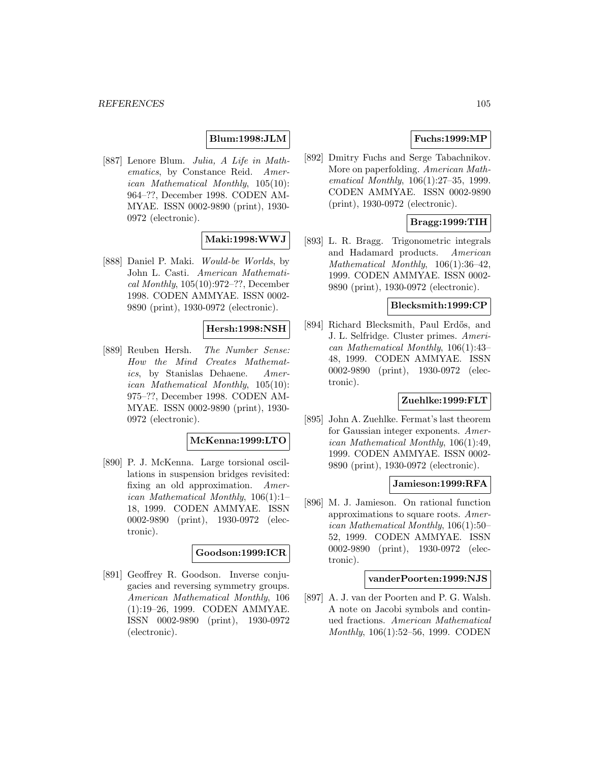## **Blum:1998:JLM**

[887] Lenore Blum. Julia, A Life in Mathematics, by Constance Reid. American Mathematical Monthly, 105(10): 964–??, December 1998. CODEN AM-MYAE. ISSN 0002-9890 (print), 1930- 0972 (electronic).

## **Maki:1998:WWJ**

[888] Daniel P. Maki. Would-be Worlds, by John L. Casti. American Mathematical Monthly, 105(10):972–??, December 1998. CODEN AMMYAE. ISSN 0002- 9890 (print), 1930-0972 (electronic).

## **Hersh:1998:NSH**

[889] Reuben Hersh. The Number Sense: How the Mind Creates Mathematics, by Stanislas Dehaene. American Mathematical Monthly, 105(10): 975–??, December 1998. CODEN AM-MYAE. ISSN 0002-9890 (print), 1930- 0972 (electronic).

#### **McKenna:1999:LTO**

[890] P. J. McKenna. Large torsional oscillations in suspension bridges revisited: fixing an old approximation. American Mathematical Monthly, 106(1):1– 18, 1999. CODEN AMMYAE. ISSN 0002-9890 (print), 1930-0972 (electronic).

#### **Goodson:1999:ICR**

[891] Geoffrey R. Goodson. Inverse conjugacies and reversing symmetry groups. American Mathematical Monthly, 106 (1):19–26, 1999. CODEN AMMYAE. ISSN 0002-9890 (print), 1930-0972 (electronic).

# **Fuchs:1999:MP**

[892] Dmitry Fuchs and Serge Tabachnikov. More on paperfolding. American Mathematical Monthly, 106(1):27–35, 1999. CODEN AMMYAE. ISSN 0002-9890 (print), 1930-0972 (electronic).

# **Bragg:1999:TIH**

[893] L. R. Bragg. Trigonometric integrals and Hadamard products. American Mathematical Monthly, 106(1):36–42, 1999. CODEN AMMYAE. ISSN 0002- 9890 (print), 1930-0972 (electronic).

## **Blecksmith:1999:CP**

[894] Richard Blecksmith, Paul Erdős, and J. L. Selfridge. Cluster primes. American Mathematical Monthly, 106(1):43– 48, 1999. CODEN AMMYAE. ISSN 0002-9890 (print), 1930-0972 (electronic).

## **Zuehlke:1999:FLT**

[895] John A. Zuehlke. Fermat's last theorem for Gaussian integer exponents. American Mathematical Monthly, 106(1):49, 1999. CODEN AMMYAE. ISSN 0002- 9890 (print), 1930-0972 (electronic).

#### **Jamieson:1999:RFA**

[896] M. J. Jamieson. On rational function approximations to square roots. American Mathematical Monthly, 106(1):50– 52, 1999. CODEN AMMYAE. ISSN 0002-9890 (print), 1930-0972 (electronic).

#### **vanderPoorten:1999:NJS**

[897] A. J. van der Poorten and P. G. Walsh. A note on Jacobi symbols and continued fractions. American Mathematical Monthly, 106(1):52–56, 1999. CODEN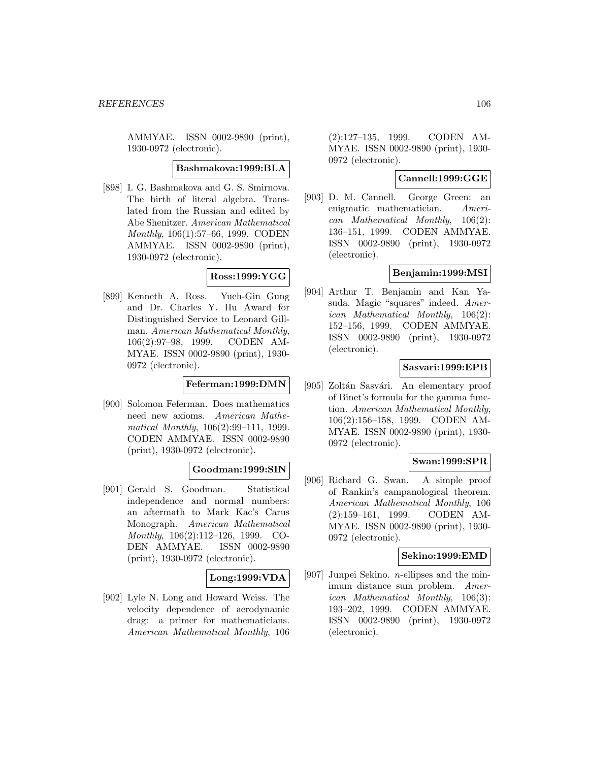AMMYAE. ISSN 0002-9890 (print), 1930-0972 (electronic).

### **Bashmakova:1999:BLA**

[898] I. G. Bashmakova and G. S. Smirnova. The birth of literal algebra. Translated from the Russian and edited by Abe Shenitzer. American Mathematical Monthly, 106(1):57–66, 1999. CODEN AMMYAE. ISSN 0002-9890 (print), 1930-0972 (electronic).

## **Ross:1999:YGG**

[899] Kenneth A. Ross. Yueh-Gin Gung and Dr. Charles Y. Hu Award for Distinguished Service to Leonard Gillman. American Mathematical Monthly, 106(2):97–98, 1999. CODEN AM-MYAE. ISSN 0002-9890 (print), 1930- 0972 (electronic).

## **Feferman:1999:DMN**

[900] Solomon Feferman. Does mathematics need new axioms. American Mathematical Monthly, 106(2):99–111, 1999. CODEN AMMYAE. ISSN 0002-9890 (print), 1930-0972 (electronic).

## **Goodman:1999:SIN**

[901] Gerald S. Goodman. Statistical independence and normal numbers: an aftermath to Mark Kac's Carus Monograph. American Mathematical Monthly, 106(2):112–126, 1999. CO-DEN AMMYAE. ISSN 0002-9890 (print), 1930-0972 (electronic).

## **Long:1999:VDA**

[902] Lyle N. Long and Howard Weiss. The velocity dependence of aerodynamic drag: a primer for mathematicians. American Mathematical Monthly, 106

(2):127–135, 1999. CODEN AM-MYAE. ISSN 0002-9890 (print), 1930- 0972 (electronic).

# **Cannell:1999:GGE**

[903] D. M. Cannell. George Green: an enigmatic mathematician. American Mathematical Monthly, 106(2): 136–151, 1999. CODEN AMMYAE. ISSN 0002-9890 (print), 1930-0972 (electronic).

## **Benjamin:1999:MSI**

[904] Arthur T. Benjamin and Kan Yasuda. Magic "squares" indeed. American Mathematical Monthly, 106(2): 152–156, 1999. CODEN AMMYAE. ISSN 0002-9890 (print), 1930-0972 (electronic).

## **Sasvari:1999:EPB**

[905] Zoltán Sasvári. An elementary proof of Binet's formula for the gamma function. American Mathematical Monthly, 106(2):156–158, 1999. CODEN AM-MYAE. ISSN 0002-9890 (print), 1930- 0972 (electronic).

## **Swan:1999:SPR**

[906] Richard G. Swan. A simple proof of Rankin's campanological theorem. American Mathematical Monthly, 106 (2):159–161, 1999. CODEN AM-MYAE. ISSN 0002-9890 (print), 1930- 0972 (electronic).

### **Sekino:1999:EMD**

[907] Junpei Sekino. n-ellipses and the minimum distance sum problem. American Mathematical Monthly, 106(3): 193–202, 1999. CODEN AMMYAE. ISSN 0002-9890 (print), 1930-0972 (electronic).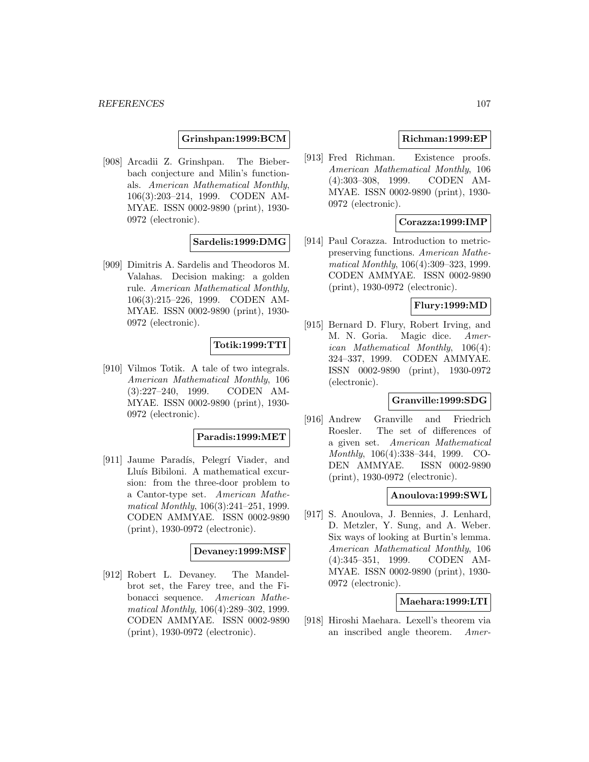## **Grinshpan:1999:BCM**

[908] Arcadii Z. Grinshpan. The Bieberbach conjecture and Milin's functionals. American Mathematical Monthly, 106(3):203–214, 1999. CODEN AM-MYAE. ISSN 0002-9890 (print), 1930- 0972 (electronic).

## **Sardelis:1999:DMG**

[909] Dimitris A. Sardelis and Theodoros M. Valahas. Decision making: a golden rule. American Mathematical Monthly, 106(3):215–226, 1999. CODEN AM-MYAE. ISSN 0002-9890 (print), 1930- 0972 (electronic).

## **Totik:1999:TTI**

[910] Vilmos Totik. A tale of two integrals. American Mathematical Monthly, 106 (3):227–240, 1999. CODEN AM-MYAE. ISSN 0002-9890 (print), 1930- 0972 (electronic).

#### **Paradis:1999:MET**

[911] Jaume Paradís, Pelegrí Viader, and Lluís Bibiloni. A mathematical excursion: from the three-door problem to a Cantor-type set. American Mathematical Monthly, 106(3):241–251, 1999. CODEN AMMYAE. ISSN 0002-9890 (print), 1930-0972 (electronic).

#### **Devaney:1999:MSF**

[912] Robert L. Devaney. The Mandelbrot set, the Farey tree, and the Fibonacci sequence. American Mathematical Monthly, 106(4):289–302, 1999. CODEN AMMYAE. ISSN 0002-9890 (print), 1930-0972 (electronic).

# **Richman:1999:EP**

[913] Fred Richman. Existence proofs. American Mathematical Monthly, 106 (4):303–308, 1999. CODEN AM-MYAE. ISSN 0002-9890 (print), 1930- 0972 (electronic).

## **Corazza:1999:IMP**

[914] Paul Corazza. Introduction to metricpreserving functions. American Mathematical Monthly, 106(4):309–323, 1999. CODEN AMMYAE. ISSN 0002-9890 (print), 1930-0972 (electronic).

## **Flury:1999:MD**

[915] Bernard D. Flury, Robert Irving, and M. N. Goria. Magic dice. American Mathematical Monthly, 106(4): 324–337, 1999. CODEN AMMYAE. ISSN 0002-9890 (print), 1930-0972 (electronic).

## **Granville:1999:SDG**

[916] Andrew Granville and Friedrich Roesler. The set of differences of a given set. American Mathematical Monthly, 106(4):338–344, 1999. CO-DEN AMMYAE. ISSN 0002-9890 (print), 1930-0972 (electronic).

#### **Anoulova:1999:SWL**

[917] S. Anoulova, J. Bennies, J. Lenhard, D. Metzler, Y. Sung, and A. Weber. Six ways of looking at Burtin's lemma. American Mathematical Monthly, 106 (4):345–351, 1999. CODEN AM-MYAE. ISSN 0002-9890 (print), 1930- 0972 (electronic).

## **Maehara:1999:LTI**

[918] Hiroshi Maehara. Lexell's theorem via an inscribed angle theorem. Amer-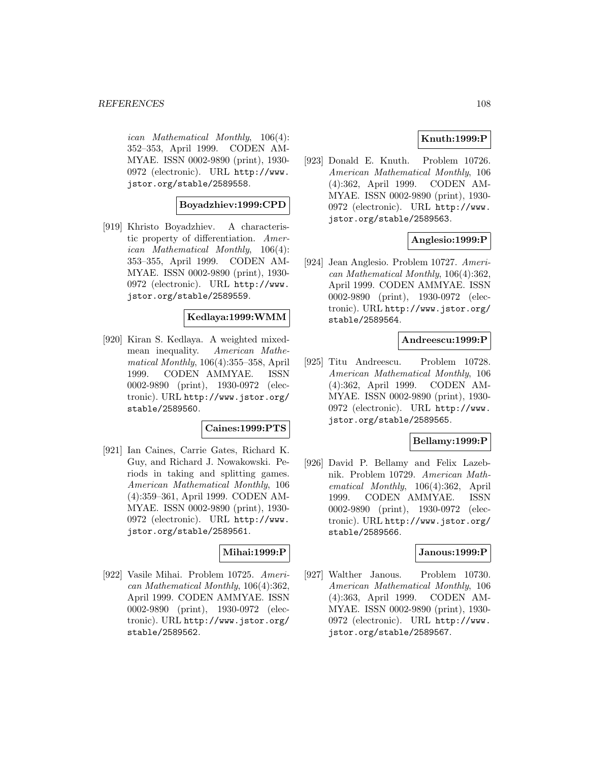ican Mathematical Monthly, 106(4): 352–353, April 1999. CODEN AM-MYAE. ISSN 0002-9890 (print), 1930- 0972 (electronic). URL http://www. jstor.org/stable/2589558.

## **Boyadzhiev:1999:CPD**

[919] Khristo Boyadzhiev. A characteristic property of differentiation. American Mathematical Monthly, 106(4): 353–355, April 1999. CODEN AM-MYAE. ISSN 0002-9890 (print), 1930- 0972 (electronic). URL http://www. jstor.org/stable/2589559.

## **Kedlaya:1999:WMM**

[920] Kiran S. Kedlaya. A weighted mixedmean inequality. American Mathematical Monthly, 106(4):355–358, April 1999. CODEN AMMYAE. ISSN 0002-9890 (print), 1930-0972 (electronic). URL http://www.jstor.org/ stable/2589560.

## **Caines:1999:PTS**

[921] Ian Caines, Carrie Gates, Richard K. Guy, and Richard J. Nowakowski. Periods in taking and splitting games. American Mathematical Monthly, 106 (4):359–361, April 1999. CODEN AM-MYAE. ISSN 0002-9890 (print), 1930- 0972 (electronic). URL http://www. jstor.org/stable/2589561.

## **Mihai:1999:P**

[922] Vasile Mihai. Problem 10725. American Mathematical Monthly, 106(4):362, April 1999. CODEN AMMYAE. ISSN 0002-9890 (print), 1930-0972 (electronic). URL http://www.jstor.org/ stable/2589562.

# **Knuth:1999:P**

[923] Donald E. Knuth. Problem 10726. American Mathematical Monthly, 106 (4):362, April 1999. CODEN AM-MYAE. ISSN 0002-9890 (print), 1930- 0972 (electronic). URL http://www. jstor.org/stable/2589563.

## **Anglesio:1999:P**

[924] Jean Anglesio. Problem 10727. American Mathematical Monthly, 106(4):362, April 1999. CODEN AMMYAE. ISSN 0002-9890 (print), 1930-0972 (electronic). URL http://www.jstor.org/ stable/2589564.

## **Andreescu:1999:P**

[925] Titu Andreescu. Problem 10728. American Mathematical Monthly, 106 (4):362, April 1999. CODEN AM-MYAE. ISSN 0002-9890 (print), 1930- 0972 (electronic). URL http://www. jstor.org/stable/2589565.

## **Bellamy:1999:P**

[926] David P. Bellamy and Felix Lazebnik. Problem 10729. American Mathematical Monthly, 106(4):362, April 1999. CODEN AMMYAE. ISSN 0002-9890 (print), 1930-0972 (electronic). URL http://www.jstor.org/ stable/2589566.

#### **Janous:1999:P**

[927] Walther Janous. Problem 10730. American Mathematical Monthly, 106 (4):363, April 1999. CODEN AM-MYAE. ISSN 0002-9890 (print), 1930- 0972 (electronic). URL http://www. jstor.org/stable/2589567.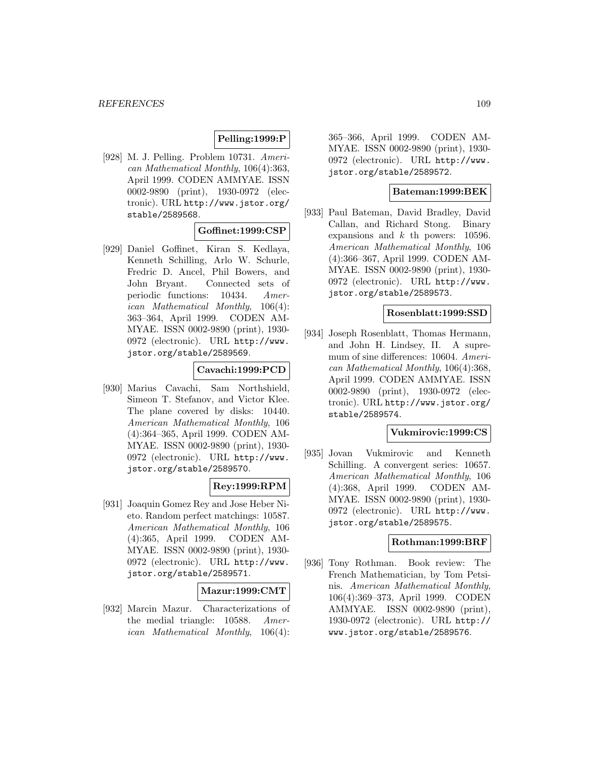# **Pelling:1999:P**

[928] M. J. Pelling. Problem 10731. American Mathematical Monthly, 106(4):363, April 1999. CODEN AMMYAE. ISSN 0002-9890 (print), 1930-0972 (electronic). URL http://www.jstor.org/ stable/2589568.

#### **Goffinet:1999:CSP**

[929] Daniel Goffinet, Kiran S. Kedlaya, Kenneth Schilling, Arlo W. Schurle, Fredric D. Ancel, Phil Bowers, and John Bryant. Connected sets of periodic functions: 10434. American Mathematical Monthly, 106(4): 363–364, April 1999. CODEN AM-MYAE. ISSN 0002-9890 (print), 1930- 0972 (electronic). URL http://www. jstor.org/stable/2589569.

#### **Cavachi:1999:PCD**

[930] Marius Cavachi, Sam Northshield, Simeon T. Stefanov, and Victor Klee. The plane covered by disks: 10440. American Mathematical Monthly, 106 (4):364–365, April 1999. CODEN AM-MYAE. ISSN 0002-9890 (print), 1930- 0972 (electronic). URL http://www. jstor.org/stable/2589570.

# **Rey:1999:RPM**

[931] Joaquin Gomez Rey and Jose Heber Nieto. Random perfect matchings: 10587. American Mathematical Monthly, 106 (4):365, April 1999. CODEN AM-MYAE. ISSN 0002-9890 (print), 1930- 0972 (electronic). URL http://www. jstor.org/stable/2589571.

## **Mazur:1999:CMT**

[932] Marcin Mazur. Characterizations of the medial triangle: 10588. American Mathematical Monthly, 106(4): 365–366, April 1999. CODEN AM-MYAE. ISSN 0002-9890 (print), 1930- 0972 (electronic). URL http://www. jstor.org/stable/2589572.

## **Bateman:1999:BEK**

[933] Paul Bateman, David Bradley, David Callan, and Richard Stong. Binary expansions and  $k$  th powers: 10596. American Mathematical Monthly, 106 (4):366–367, April 1999. CODEN AM-MYAE. ISSN 0002-9890 (print), 1930- 0972 (electronic). URL http://www. jstor.org/stable/2589573.

## **Rosenblatt:1999:SSD**

[934] Joseph Rosenblatt, Thomas Hermann, and John H. Lindsey, II. A supremum of sine differences: 10604. American Mathematical Monthly, 106(4):368, April 1999. CODEN AMMYAE. ISSN 0002-9890 (print), 1930-0972 (electronic). URL http://www.jstor.org/ stable/2589574.

#### **Vukmirovic:1999:CS**

[935] Jovan Vukmirovic and Kenneth Schilling. A convergent series: 10657. American Mathematical Monthly, 106 (4):368, April 1999. CODEN AM-MYAE. ISSN 0002-9890 (print), 1930- 0972 (electronic). URL http://www. jstor.org/stable/2589575.

#### **Rothman:1999:BRF**

[936] Tony Rothman. Book review: The French Mathematician, by Tom Petsinis. American Mathematical Monthly, 106(4):369–373, April 1999. CODEN AMMYAE. ISSN 0002-9890 (print), 1930-0972 (electronic). URL http:// www.jstor.org/stable/2589576.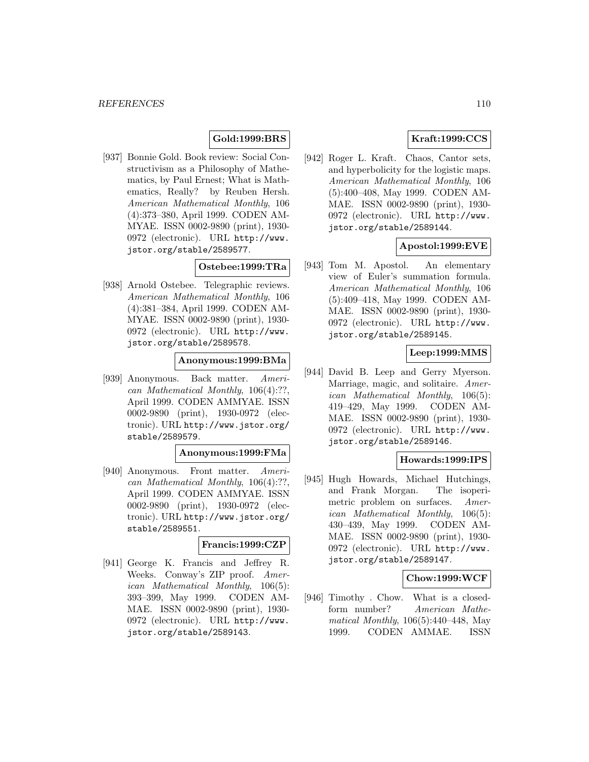# **Gold:1999:BRS**

[937] Bonnie Gold. Book review: Social Constructivism as a Philosophy of Mathematics, by Paul Ernest; What is Mathematics, Really? by Reuben Hersh. American Mathematical Monthly, 106 (4):373–380, April 1999. CODEN AM-MYAE. ISSN 0002-9890 (print), 1930- 0972 (electronic). URL http://www. jstor.org/stable/2589577.

# **Ostebee:1999:TRa**

[938] Arnold Ostebee. Telegraphic reviews. American Mathematical Monthly, 106 (4):381–384, April 1999. CODEN AM-MYAE. ISSN 0002-9890 (print), 1930- 0972 (electronic). URL http://www. jstor.org/stable/2589578.

# **Anonymous:1999:BMa**

[939] Anonymous. Back matter. American Mathematical Monthly, 106(4):??, April 1999. CODEN AMMYAE. ISSN 0002-9890 (print), 1930-0972 (electronic). URL http://www.jstor.org/ stable/2589579.

#### **Anonymous:1999:FMa**

[940] Anonymous. Front matter. American Mathematical Monthly, 106(4):??, April 1999. CODEN AMMYAE. ISSN 0002-9890 (print), 1930-0972 (electronic). URL http://www.jstor.org/ stable/2589551.

#### **Francis:1999:CZP**

[941] George K. Francis and Jeffrey R. Weeks. Conway's ZIP proof. American Mathematical Monthly, 106(5): 393–399, May 1999. CODEN AM-MAE. ISSN 0002-9890 (print), 1930- 0972 (electronic). URL http://www. jstor.org/stable/2589143.

# **Kraft:1999:CCS**

[942] Roger L. Kraft. Chaos, Cantor sets, and hyperbolicity for the logistic maps. American Mathematical Monthly, 106 (5):400–408, May 1999. CODEN AM-MAE. ISSN 0002-9890 (print), 1930- 0972 (electronic). URL http://www. jstor.org/stable/2589144.

# **Apostol:1999:EVE**

[943] Tom M. Apostol. An elementary view of Euler's summation formula. American Mathematical Monthly, 106 (5):409–418, May 1999. CODEN AM-MAE. ISSN 0002-9890 (print), 1930- 0972 (electronic). URL http://www. jstor.org/stable/2589145.

# **Leep:1999:MMS**

[944] David B. Leep and Gerry Myerson. Marriage, magic, and solitaire. American Mathematical Monthly, 106(5): 419–429, May 1999. CODEN AM-MAE. ISSN 0002-9890 (print), 1930- 0972 (electronic). URL http://www. jstor.org/stable/2589146.

## **Howards:1999:IPS**

[945] Hugh Howards, Michael Hutchings, and Frank Morgan. The isoperimetric problem on surfaces. American Mathematical Monthly, 106(5): 430–439, May 1999. CODEN AM-MAE. ISSN 0002-9890 (print), 1930- 0972 (electronic). URL http://www. jstor.org/stable/2589147.

## **Chow:1999:WCF**

[946] Timothy . Chow. What is a closedform number? American Mathematical Monthly, 106(5):440–448, May 1999. CODEN AMMAE. ISSN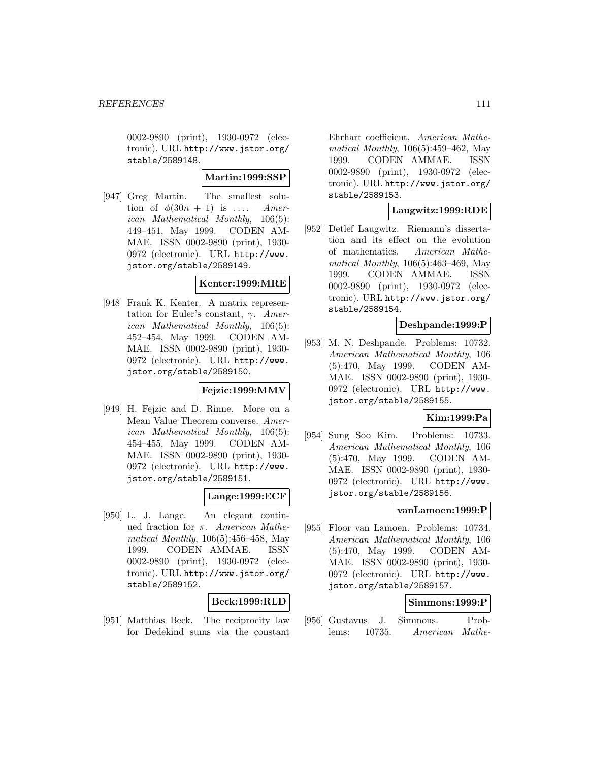0002-9890 (print), 1930-0972 (electronic). URL http://www.jstor.org/ stable/2589148.

## **Martin:1999:SSP**

[947] Greg Martin. The smallest solution of  $\phi(30n + 1)$  is .... American Mathematical Monthly, 106(5): 449–451, May 1999. CODEN AM-MAE. ISSN 0002-9890 (print), 1930- 0972 (electronic). URL http://www. jstor.org/stable/2589149.

#### **Kenter:1999:MRE**

[948] Frank K. Kenter. A matrix representation for Euler's constant,  $\gamma$ . American Mathematical Monthly, 106(5): 452–454, May 1999. CODEN AM-MAE. ISSN 0002-9890 (print), 1930- 0972 (electronic). URL http://www. jstor.org/stable/2589150.

## **Fejzic:1999:MMV**

[949] H. Fejzic and D. Rinne. More on a Mean Value Theorem converse. American Mathematical Monthly, 106(5): 454–455, May 1999. CODEN AM-MAE. ISSN 0002-9890 (print), 1930- 0972 (electronic). URL http://www. jstor.org/stable/2589151.

# **Lange:1999:ECF**

[950] L. J. Lange. An elegant continued fraction for  $\pi$ . American Mathematical Monthly, 106(5):456–458, May 1999. CODEN AMMAE. ISSN 0002-9890 (print), 1930-0972 (electronic). URL http://www.jstor.org/ stable/2589152.

## **Beck:1999:RLD**

[951] Matthias Beck. The reciprocity law for Dedekind sums via the constant

Ehrhart coefficient. American Mathematical Monthly, 106(5):459–462, May 1999. CODEN AMMAE. ISSN 0002-9890 (print), 1930-0972 (electronic). URL http://www.jstor.org/ stable/2589153.

# **Laugwitz:1999:RDE**

[952] Detlef Laugwitz. Riemann's dissertation and its effect on the evolution of mathematics. American Mathematical Monthly, 106(5):463–469, May 1999. CODEN AMMAE. ISSN 0002-9890 (print), 1930-0972 (electronic). URL http://www.jstor.org/ stable/2589154.

## **Deshpande:1999:P**

[953] M. N. Deshpande. Problems: 10732. American Mathematical Monthly, 106 (5):470, May 1999. CODEN AM-MAE. ISSN 0002-9890 (print), 1930- 0972 (electronic). URL http://www. jstor.org/stable/2589155.

## **Kim:1999:Pa**

[954] Sung Soo Kim. Problems: 10733. American Mathematical Monthly, 106 (5):470, May 1999. CODEN AM-MAE. ISSN 0002-9890 (print), 1930- 0972 (electronic). URL http://www. jstor.org/stable/2589156.

## **vanLamoen:1999:P**

[955] Floor van Lamoen. Problems: 10734. American Mathematical Monthly, 106 (5):470, May 1999. CODEN AM-MAE. ISSN 0002-9890 (print), 1930- 0972 (electronic). URL http://www. jstor.org/stable/2589157.

## **Simmons:1999:P**

[956] Gustavus J. Simmons. Problems: 10735. American Mathe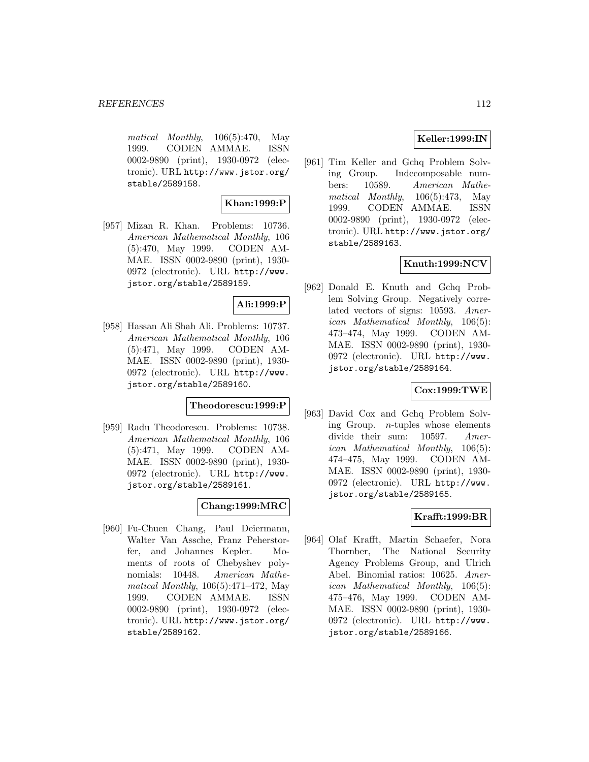matical Monthly, 106(5):470, May 1999. CODEN AMMAE. ISSN 0002-9890 (print), 1930-0972 (electronic). URL http://www.jstor.org/ stable/2589158.

## **Khan:1999:P**

[957] Mizan R. Khan. Problems: 10736. American Mathematical Monthly, 106 (5):470, May 1999. CODEN AM-MAE. ISSN 0002-9890 (print), 1930- 0972 (electronic). URL http://www. jstor.org/stable/2589159.

## **Ali:1999:P**

[958] Hassan Ali Shah Ali. Problems: 10737. American Mathematical Monthly, 106 (5):471, May 1999. CODEN AM-MAE. ISSN 0002-9890 (print), 1930- 0972 (electronic). URL http://www. jstor.org/stable/2589160.

## **Theodorescu:1999:P**

[959] Radu Theodorescu. Problems: 10738. American Mathematical Monthly, 106 (5):471, May 1999. CODEN AM-MAE. ISSN 0002-9890 (print), 1930- 0972 (electronic). URL http://www. jstor.org/stable/2589161.

# **Chang:1999:MRC**

[960] Fu-Chuen Chang, Paul Deiermann, Walter Van Assche, Franz Peherstorfer, and Johannes Kepler. Moments of roots of Chebyshev polynomials: 10448. American Mathematical Monthly, 106(5):471–472, May 1999. CODEN AMMAE. ISSN 0002-9890 (print), 1930-0972 (electronic). URL http://www.jstor.org/ stable/2589162.

# **Keller:1999:IN**

[961] Tim Keller and Gchq Problem Solving Group. Indecomposable numbers: 10589. American Mathematical Monthly, 106(5):473, May 1999. CODEN AMMAE. ISSN 0002-9890 (print), 1930-0972 (electronic). URL http://www.jstor.org/ stable/2589163.

# **Knuth:1999:NCV**

[962] Donald E. Knuth and Gchq Problem Solving Group. Negatively correlated vectors of signs: 10593. American Mathematical Monthly, 106(5): 473–474, May 1999. CODEN AM-MAE. ISSN 0002-9890 (print), 1930- 0972 (electronic). URL http://www. jstor.org/stable/2589164.

## **Cox:1999:TWE**

[963] David Cox and Gchq Problem Solving Group. n-tuples whose elements divide their sum: 10597. American Mathematical Monthly, 106(5): 474–475, May 1999. CODEN AM-MAE. ISSN 0002-9890 (print), 1930- 0972 (electronic). URL http://www. jstor.org/stable/2589165.

## **Krafft:1999:BR**

[964] Olaf Krafft, Martin Schaefer, Nora Thornber, The National Security Agency Problems Group, and Ulrich Abel. Binomial ratios: 10625. American Mathematical Monthly, 106(5): 475–476, May 1999. CODEN AM-MAE. ISSN 0002-9890 (print), 1930- 0972 (electronic). URL http://www. jstor.org/stable/2589166.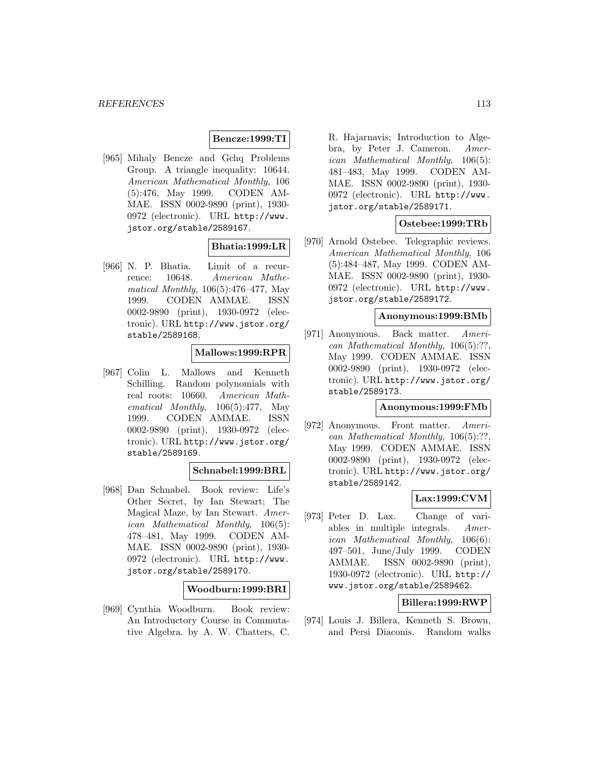# **Bencze:1999:TI**

[965] Mihaly Bencze and Gchq Problems Group. A triangle inequality: 10644. American Mathematical Monthly, 106 (5):476, May 1999. CODEN AM-MAE. ISSN 0002-9890 (print), 1930- 0972 (electronic). URL http://www. jstor.org/stable/2589167.

## **Bhatia:1999:LR**

[966] N. P. Bhatia. Limit of a recurrence: 10648. American Mathematical Monthly, 106(5):476–477, May 1999. CODEN AMMAE. ISSN 0002-9890 (print), 1930-0972 (electronic). URL http://www.jstor.org/ stable/2589168.

## **Mallows:1999:RPR**

[967] Colin L. Mallows and Kenneth Schilling. Random polynomials with real roots: 10660. American Mathematical Monthly, 106(5):477, May 1999. CODEN AMMAE. ISSN 0002-9890 (print), 1930-0972 (electronic). URL http://www.jstor.org/ stable/2589169.

#### **Schnabel:1999:BRL**

[968] Dan Schnabel. Book review: Life's Other Secret, by Ian Stewart; The Magical Maze, by Ian Stewart. American Mathematical Monthly, 106(5): 478–481, May 1999. CODEN AM-MAE. ISSN 0002-9890 (print), 1930- 0972 (electronic). URL http://www. jstor.org/stable/2589170.

#### **Woodburn:1999:BRI**

[969] Cynthia Woodburn. Book review: An Introductory Course in Commutative Algebra. by A. W. Chatters, C.

R. Hajarnavis; Introduction to Algebra, by Peter J. Cameron. American Mathematical Monthly, 106(5): 481–483, May 1999. CODEN AM-MAE. ISSN 0002-9890 (print), 1930- 0972 (electronic). URL http://www. jstor.org/stable/2589171.

### **Ostebee:1999:TRb**

[970] Arnold Ostebee. Telegraphic reviews. American Mathematical Monthly, 106 (5):484–487, May 1999. CODEN AM-MAE. ISSN 0002-9890 (print), 1930- 0972 (electronic). URL http://www. jstor.org/stable/2589172.

### **Anonymous:1999:BMb**

[971] Anonymous. Back matter. American Mathematical Monthly, 106(5):??, May 1999. CODEN AMMAE. ISSN 0002-9890 (print), 1930-0972 (electronic). URL http://www.jstor.org/ stable/2589173.

#### **Anonymous:1999:FMb**

[972] Anonymous. Front matter. American Mathematical Monthly, 106(5):??, May 1999. CODEN AMMAE. ISSN 0002-9890 (print), 1930-0972 (electronic). URL http://www.jstor.org/ stable/2589142.

#### **Lax:1999:CVM**

[973] Peter D. Lax. Change of variables in multiple integrals. American Mathematical Monthly, 106(6): 497–501, June/July 1999. CODEN AMMAE. ISSN 0002-9890 (print), 1930-0972 (electronic). URL http:// www.jstor.org/stable/2589462.

## **Billera:1999:RWP**

[974] Louis J. Billera, Kenneth S. Brown, and Persi Diaconis. Random walks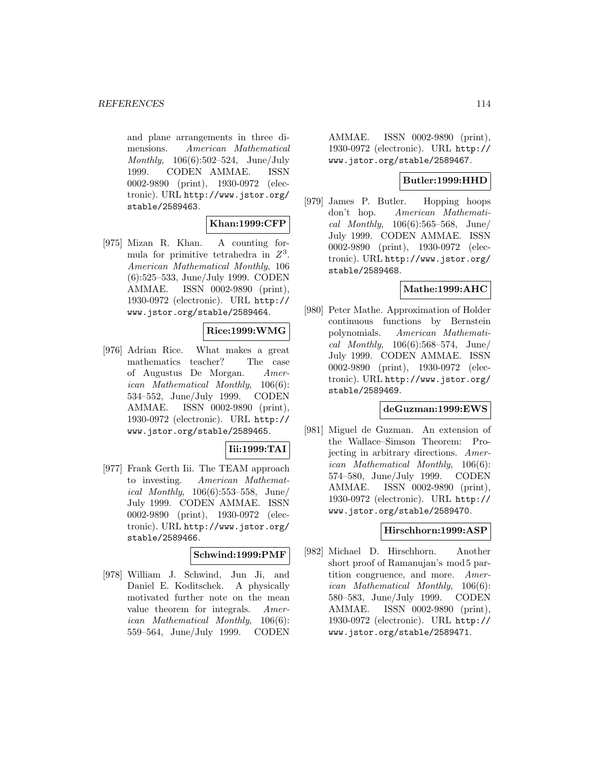and plane arrangements in three dimensions. American Mathematical Monthly, 106(6):502–524, June/July 1999. CODEN AMMAE. ISSN 0002-9890 (print), 1930-0972 (electronic). URL http://www.jstor.org/ stable/2589463.

## **Khan:1999:CFP**

[975] Mizan R. Khan. A counting formula for primitive tetrahedra in  $Z^3$ . American Mathematical Monthly, 106 (6):525–533, June/July 1999. CODEN AMMAE. ISSN 0002-9890 (print), 1930-0972 (electronic). URL http:// www.jstor.org/stable/2589464.

# **Rice:1999:WMG**

[976] Adrian Rice. What makes a great mathematics teacher? The case of Augustus De Morgan. American Mathematical Monthly, 106(6): 534–552, June/July 1999. CODEN AMMAE. ISSN 0002-9890 (print), 1930-0972 (electronic). URL http:// www.jstor.org/stable/2589465.

## **Iii:1999:TAI**

[977] Frank Gerth Iii. The TEAM approach to investing. American Mathematical Monthly, 106(6):553–558, June/ July 1999. CODEN AMMAE. ISSN 0002-9890 (print), 1930-0972 (electronic). URL http://www.jstor.org/ stable/2589466.

## **Schwind:1999:PMF**

[978] William J. Schwind, Jun Ji, and Daniel E. Koditschek. A physically motivated further note on the mean value theorem for integrals. American Mathematical Monthly, 106(6): 559–564, June/July 1999. CODEN

AMMAE. ISSN 0002-9890 (print), 1930-0972 (electronic). URL http:// www.jstor.org/stable/2589467.

# **Butler:1999:HHD**

[979] James P. Butler. Hopping hoops don't hop. American Mathematical Monthly,  $106(6):565-568$ , June/ July 1999. CODEN AMMAE. ISSN 0002-9890 (print), 1930-0972 (electronic). URL http://www.jstor.org/ stable/2589468.

# **Mathe:1999:AHC**

[980] Peter Mathe. Approximation of Holder continuous functions by Bernstein polynomials. American Mathematical Monthly,  $106(6)$ :568-574, June/ July 1999. CODEN AMMAE. ISSN 0002-9890 (print), 1930-0972 (electronic). URL http://www.jstor.org/ stable/2589469.

# **deGuzman:1999:EWS**

[981] Miguel de Guzman. An extension of the Wallace–Simson Theorem: Projecting in arbitrary directions. American Mathematical Monthly, 106(6): 574–580, June/July 1999. CODEN AMMAE. ISSN 0002-9890 (print), 1930-0972 (electronic). URL http:// www.jstor.org/stable/2589470.

#### **Hirschhorn:1999:ASP**

[982] Michael D. Hirschhorn. Another short proof of Ramanujan's mod 5 partition congruence, and more. American Mathematical Monthly, 106(6): 580–583, June/July 1999. CODEN AMMAE. ISSN 0002-9890 (print), 1930-0972 (electronic). URL http:// www.jstor.org/stable/2589471.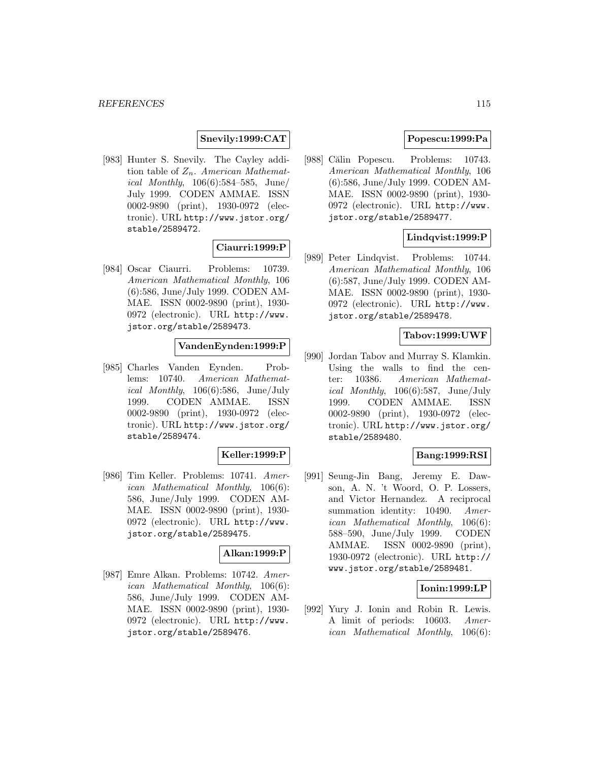# **Snevily:1999:CAT**

[983] Hunter S. Snevily. The Cayley addition table of  $Z_n$ . American Mathematical Monthly, 106(6):584–585, June/ July 1999. CODEN AMMAE. ISSN 0002-9890 (print), 1930-0972 (electronic). URL http://www.jstor.org/ stable/2589472.

## **Ciaurri:1999:P**

[984] Oscar Ciaurri. Problems: 10739. American Mathematical Monthly, 106 (6):586, June/July 1999. CODEN AM-MAE. ISSN 0002-9890 (print), 1930- 0972 (electronic). URL http://www. jstor.org/stable/2589473.

## **VandenEynden:1999:P**

[985] Charles Vanden Eynden. Problems: 10740. American Mathematical Monthly,  $106(6):586$ , June/July 1999. CODEN AMMAE. ISSN 0002-9890 (print), 1930-0972 (electronic). URL http://www.jstor.org/ stable/2589474.

#### **Keller:1999:P**

[986] Tim Keller. Problems: 10741. American Mathematical Monthly, 106(6): 586, June/July 1999. CODEN AM-MAE. ISSN 0002-9890 (print), 1930- 0972 (electronic). URL http://www. jstor.org/stable/2589475.

## **Alkan:1999:P**

[987] Emre Alkan. Problems: 10742. American Mathematical Monthly, 106(6): 586, June/July 1999. CODEN AM-MAE. ISSN 0002-9890 (print), 1930- 0972 (electronic). URL http://www. jstor.org/stable/2589476.

## **Popescu:1999:Pa**

[988] Călin Popescu. Problems: 10743. American Mathematical Monthly, 106 (6):586, June/July 1999. CODEN AM-MAE. ISSN 0002-9890 (print), 1930- 0972 (electronic). URL http://www. jstor.org/stable/2589477.

## **Lindqvist:1999:P**

[989] Peter Lindqvist. Problems: 10744. American Mathematical Monthly, 106 (6):587, June/July 1999. CODEN AM-MAE. ISSN 0002-9890 (print), 1930- 0972 (electronic). URL http://www. jstor.org/stable/2589478.

# **Tabov:1999:UWF**

[990] Jordan Tabov and Murray S. Klamkin. Using the walls to find the center: 10386. American Mathematical Monthly, 106(6):587, June/July 1999. CODEN AMMAE. ISSN 0002-9890 (print), 1930-0972 (electronic). URL http://www.jstor.org/ stable/2589480.

## **Bang:1999:RSI**

[991] Seung-Jin Bang, Jeremy E. Dawson, A. N. 't Woord, O. P. Lossers, and Victor Hernandez. A reciprocal summation identity: 10490. American Mathematical Monthly, 106(6): 588–590, June/July 1999. CODEN AMMAE. ISSN 0002-9890 (print), 1930-0972 (electronic). URL http:// www.jstor.org/stable/2589481.

## **Ionin:1999:LP**

[992] Yury J. Ionin and Robin R. Lewis. A limit of periods: 10603. American Mathematical Monthly, 106(6):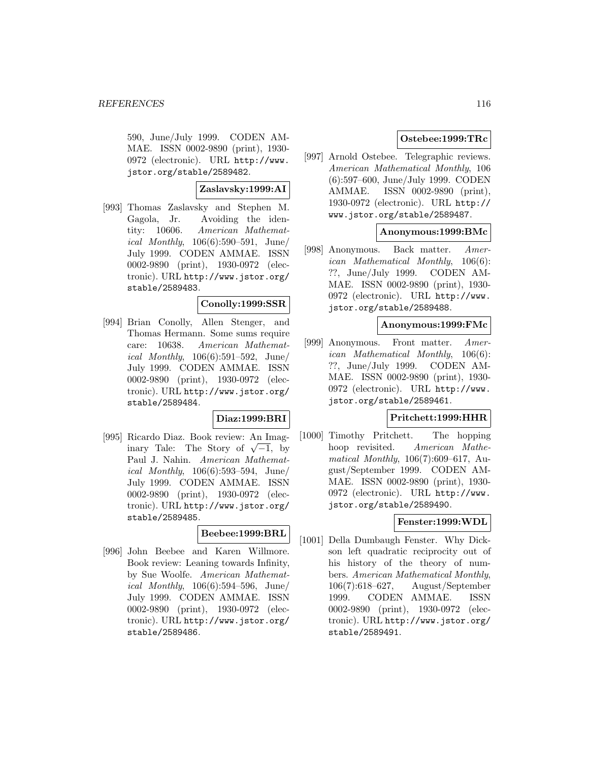590, June/July 1999. CODEN AM-MAE. ISSN 0002-9890 (print), 1930- 0972 (electronic). URL http://www. jstor.org/stable/2589482.

# **Zaslavsky:1999:AI**

[993] Thomas Zaslavsky and Stephen M. Gagola, Jr. Avoiding the identity: 10606. American Mathemat*ical Monthly*,  $106(6):590-591$ , June/ July 1999. CODEN AMMAE. ISSN 0002-9890 (print), 1930-0972 (electronic). URL http://www.jstor.org/ stable/2589483.

## **Conolly:1999:SSR**

[994] Brian Conolly, Allen Stenger, and Thomas Hermann. Some sums require care: 10638. American Mathemat*ical Monthly*,  $106(6):591-592$ , June/ July 1999. CODEN AMMAE. ISSN 0002-9890 (print), 1930-0972 (electronic). URL http://www.jstor.org/ stable/2589484.

## **Diaz:1999:BRI**

[995] Ricardo Diaz. Book review: An Imaginary Tale: The Story of  $\sqrt{-1}$ , by Paul J. Nahin. American Mathemat*ical Monthly*,  $106(6):593-594$ , June/ July 1999. CODEN AMMAE. ISSN 0002-9890 (print), 1930-0972 (electronic). URL http://www.jstor.org/ stable/2589485.

# **Beebee:1999:BRL**

[996] John Beebee and Karen Willmore. Book review: Leaning towards Infinity, by Sue Woolfe. American Mathematical Monthly, 106(6):594–596, June/ July 1999. CODEN AMMAE. ISSN 0002-9890 (print), 1930-0972 (electronic). URL http://www.jstor.org/ stable/2589486.

# **Ostebee:1999:TRc**

[997] Arnold Ostebee. Telegraphic reviews. American Mathematical Monthly, 106 (6):597–600, June/July 1999. CODEN AMMAE. ISSN 0002-9890 (print), 1930-0972 (electronic). URL http:// www.jstor.org/stable/2589487.

## **Anonymous:1999:BMc**

[998] Anonymous. Back matter. American Mathematical Monthly, 106(6): ??, June/July 1999. CODEN AM-MAE. ISSN 0002-9890 (print), 1930- 0972 (electronic). URL http://www. jstor.org/stable/2589488.

#### **Anonymous:1999:FMc**

[999] Anonymous. Front matter. American Mathematical Monthly, 106(6): ??, June/July 1999. CODEN AM-MAE. ISSN 0002-9890 (print), 1930- 0972 (electronic). URL http://www. jstor.org/stable/2589461.

#### **Pritchett:1999:HHR**

[1000] Timothy Pritchett. The hopping hoop revisited. American Mathematical Monthly, 106(7):609–617, August/September 1999. CODEN AM-MAE. ISSN 0002-9890 (print), 1930- 0972 (electronic). URL http://www. jstor.org/stable/2589490.

# **Fenster:1999:WDL**

[1001] Della Dumbaugh Fenster. Why Dickson left quadratic reciprocity out of his history of the theory of numbers. American Mathematical Monthly, 106(7):618–627, August/September 1999. CODEN AMMAE. ISSN 0002-9890 (print), 1930-0972 (electronic). URL http://www.jstor.org/ stable/2589491.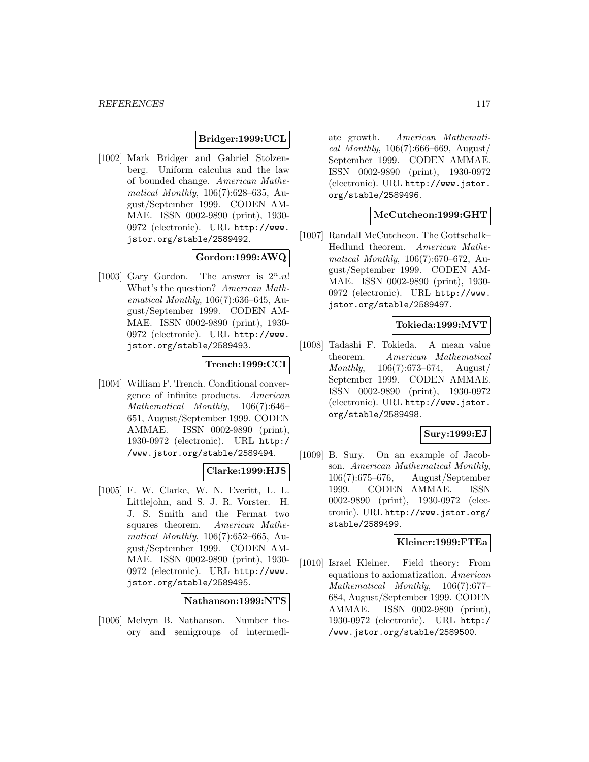### **Bridger:1999:UCL**

[1002] Mark Bridger and Gabriel Stolzenberg. Uniform calculus and the law of bounded change. American Mathematical Monthly, 106(7):628–635, August/September 1999. CODEN AM-MAE. ISSN 0002-9890 (print), 1930- 0972 (electronic). URL http://www. jstor.org/stable/2589492.

# **Gordon:1999:AWQ**

[1003] Gary Gordon. The answer is  $2^n \nln!$ What's the question? American Mathematical Monthly, 106(7):636–645, August/September 1999. CODEN AM-MAE. ISSN 0002-9890 (print), 1930- 0972 (electronic). URL http://www. jstor.org/stable/2589493.

## **Trench:1999:CCI**

[1004] William F. Trench. Conditional convergence of infinite products. American Mathematical Monthly, 106(7):646– 651, August/September 1999. CODEN AMMAE. ISSN 0002-9890 (print), 1930-0972 (electronic). URL http:/ /www.jstor.org/stable/2589494.

## **Clarke:1999:HJS**

[1005] F. W. Clarke, W. N. Everitt, L. L. Littlejohn, and S. J. R. Vorster. H. J. S. Smith and the Fermat two squares theorem. American Mathematical Monthly, 106(7):652–665, August/September 1999. CODEN AM-MAE. ISSN 0002-9890 (print), 1930- 0972 (electronic). URL http://www. jstor.org/stable/2589495.

## **Nathanson:1999:NTS**

[1006] Melvyn B. Nathanson. Number theory and semigroups of intermediate growth. American Mathematical Monthly,  $106(7)$ :666–669, August/ September 1999. CODEN AMMAE. ISSN 0002-9890 (print), 1930-0972 (electronic). URL http://www.jstor. org/stable/2589496.

# **McCutcheon:1999:GHT**

[1007] Randall McCutcheon. The Gottschalk– Hedlund theorem. American Mathematical Monthly, 106(7):670–672, August/September 1999. CODEN AM-MAE. ISSN 0002-9890 (print), 1930- 0972 (electronic). URL http://www. jstor.org/stable/2589497.

#### **Tokieda:1999:MVT**

[1008] Tadashi F. Tokieda. A mean value theorem. American Mathematical Monthly, 106(7):673–674, August/ September 1999. CODEN AMMAE. ISSN 0002-9890 (print), 1930-0972 (electronic). URL http://www.jstor. org/stable/2589498.

### **Sury:1999:EJ**

[1009] B. Sury. On an example of Jacobson. American Mathematical Monthly, 106(7):675–676, August/September 1999. CODEN AMMAE. ISSN 0002-9890 (print), 1930-0972 (electronic). URL http://www.jstor.org/ stable/2589499.

#### **Kleiner:1999:FTEa**

[1010] Israel Kleiner. Field theory: From equations to axiomatization. American Mathematical Monthly, 106(7):677– 684, August/September 1999. CODEN AMMAE. ISSN 0002-9890 (print), 1930-0972 (electronic). URL http:/ /www.jstor.org/stable/2589500.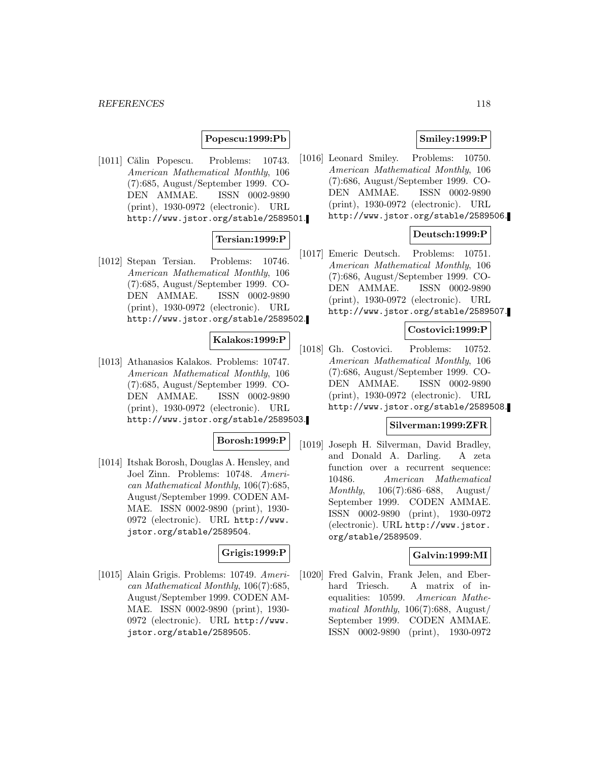#### *REFERENCES* 118

## **Popescu:1999:Pb**

[1011] Călin Popescu. Problems: 10743. American Mathematical Monthly, 106 (7):685, August/September 1999. CO-DEN AMMAE. ISSN 0002-9890 (print), 1930-0972 (electronic). URL http://www.jstor.org/stable/2589501.

# **Tersian:1999:P**

[1012] Stepan Tersian. Problems: 10746. American Mathematical Monthly, 106 (7):685, August/September 1999. CO-DEN AMMAE. ISSN 0002-9890 (print), 1930-0972 (electronic). URL http://www.jstor.org/stable/2589502.

### **Kalakos:1999:P**

[1013] Athanasios Kalakos. Problems: 10747. American Mathematical Monthly, 106 (7):685, August/September 1999. CO-DEN AMMAE. ISSN 0002-9890 (print), 1930-0972 (electronic). URL http://www.jstor.org/stable/2589503.

#### **Borosh:1999:P**

[1014] Itshak Borosh, Douglas A. Hensley, and Joel Zinn. Problems: 10748. American Mathematical Monthly, 106(7):685, August/September 1999. CODEN AM-MAE. ISSN 0002-9890 (print), 1930- 0972 (electronic). URL http://www. jstor.org/stable/2589504.

# **Grigis:1999:P**

[1015] Alain Grigis. Problems: 10749. American Mathematical Monthly, 106(7):685, August/September 1999. CODEN AM-MAE. ISSN 0002-9890 (print), 1930- 0972 (electronic). URL http://www. jstor.org/stable/2589505.

## **Smiley:1999:P**

[1016] Leonard Smiley. Problems: 10750. American Mathematical Monthly, 106 (7):686, August/September 1999. CO-DEN AMMAE. ISSN 0002-9890 (print), 1930-0972 (electronic). URL http://www.jstor.org/stable/2589506.

## **Deutsch:1999:P**

[1017] Emeric Deutsch. Problems: 10751. American Mathematical Monthly, 106 (7):686, August/September 1999. CO-DEN AMMAE. ISSN 0002-9890 (print), 1930-0972 (electronic). URL http://www.jstor.org/stable/2589507.

#### **Costovici:1999:P**

[1018] Gh. Costovici. Problems: 10752. American Mathematical Monthly, 106 (7):686, August/September 1999. CO-DEN AMMAE. ISSN 0002-9890 (print), 1930-0972 (electronic). URL http://www.jstor.org/stable/2589508.

#### **Silverman:1999:ZFR**

[1019] Joseph H. Silverman, David Bradley, and Donald A. Darling. A zeta function over a recurrent sequence: 10486. American Mathematical Monthly, 106(7):686–688, August/ September 1999. CODEN AMMAE. ISSN 0002-9890 (print), 1930-0972 (electronic). URL http://www.jstor. org/stable/2589509.

## **Galvin:1999:MI**

[1020] Fred Galvin, Frank Jelen, and Eberhard Triesch. A matrix of inequalities: 10599. American Mathematical Monthly, 106(7):688, August/ September 1999. CODEN AMMAE. ISSN 0002-9890 (print), 1930-0972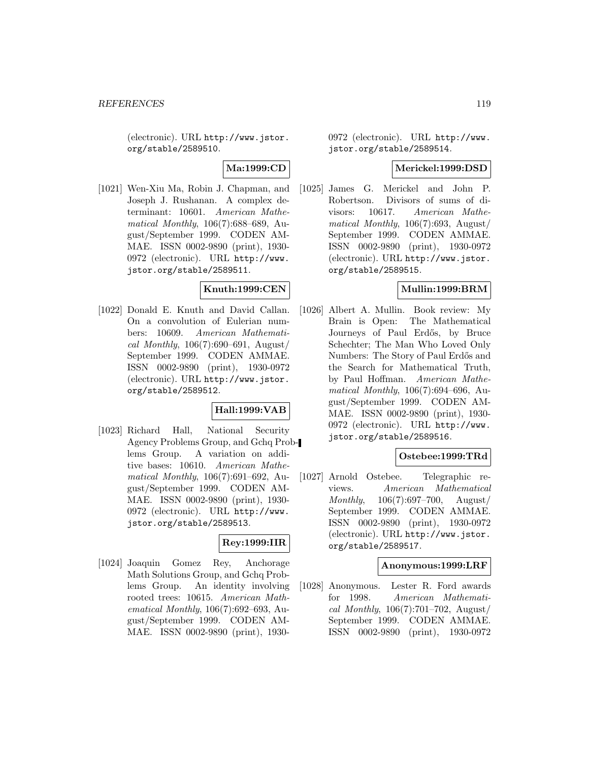(electronic). URL http://www.jstor. org/stable/2589510.

# **Ma:1999:CD**

[1021] Wen-Xiu Ma, Robin J. Chapman, and Joseph J. Rushanan. A complex determinant: 10601. American Mathematical Monthly, 106(7):688–689, August/September 1999. CODEN AM-MAE. ISSN 0002-9890 (print), 1930- 0972 (electronic). URL http://www. jstor.org/stable/2589511.

#### **Knuth:1999:CEN**

[1022] Donald E. Knuth and David Callan. On a convolution of Eulerian numbers: 10609. American Mathematical Monthly,  $106(7):690-691$ , August/ September 1999. CODEN AMMAE. ISSN 0002-9890 (print), 1930-0972 (electronic). URL http://www.jstor. org/stable/2589512.

## **Hall:1999:VAB**

[1023] Richard Hall, National Security Agency Problems Group, and Gchq Problems Group. A variation on additive bases: 10610. American Mathematical Monthly, 106(7):691–692, August/September 1999. CODEN AM-MAE. ISSN 0002-9890 (print), 1930- 0972 (electronic). URL http://www. jstor.org/stable/2589513.

## **Rey:1999:IIR**

[1024] Joaquin Gomez Rey, Anchorage Math Solutions Group, and Gchq Problems Group. An identity involving rooted trees: 10615. American Mathematical Monthly, 106(7):692–693, August/September 1999. CODEN AM-MAE. ISSN 0002-9890 (print), 19300972 (electronic). URL http://www. jstor.org/stable/2589514.

## **Merickel:1999:DSD**

[1025] James G. Merickel and John P. Robertson. Divisors of sums of divisors: 10617. American Mathematical Monthly,  $106(7):693$ , August/ September 1999. CODEN AMMAE. ISSN 0002-9890 (print), 1930-0972 (electronic). URL http://www.jstor. org/stable/2589515.

## **Mullin:1999:BRM**

[1026] Albert A. Mullin. Book review: My Brain is Open: The Mathematical Journeys of Paul Erdős, by Bruce Schechter; The Man Who Loved Only Numbers: The Story of Paul Erdős and the Search for Mathematical Truth, by Paul Hoffman. American Mathematical Monthly, 106(7):694–696, August/September 1999. CODEN AM-MAE. ISSN 0002-9890 (print), 1930- 0972 (electronic). URL http://www. jstor.org/stable/2589516.

## **Ostebee:1999:TRd**

[1027] Arnold Ostebee. Telegraphic reviews. American Mathematical Monthly, 106(7):697–700, August/ September 1999. CODEN AMMAE. ISSN 0002-9890 (print), 1930-0972 (electronic). URL http://www.jstor. org/stable/2589517.

#### **Anonymous:1999:LRF**

[1028] Anonymous. Lester R. Ford awards for 1998. American Mathematical Monthly,  $106(7)$ :701–702, August/ September 1999. CODEN AMMAE. ISSN 0002-9890 (print), 1930-0972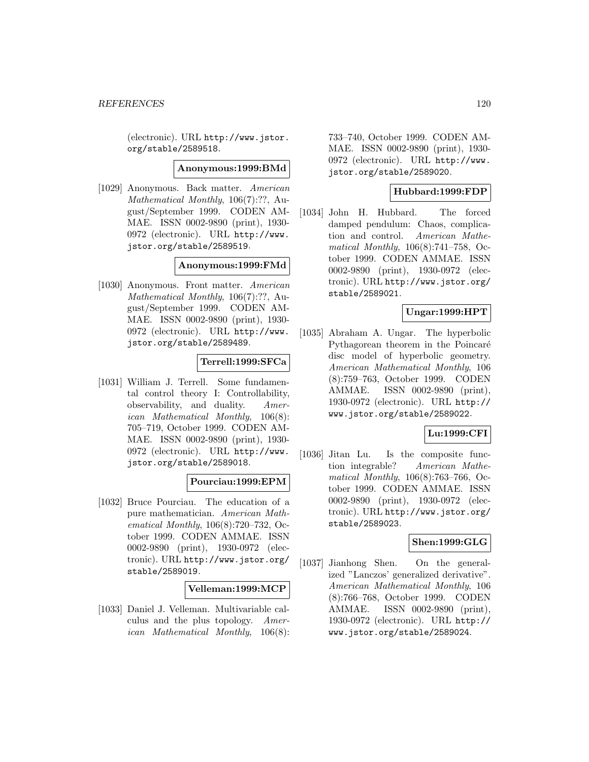(electronic). URL http://www.jstor. org/stable/2589518.

#### **Anonymous:1999:BMd**

[1029] Anonymous. Back matter. American Mathematical Monthly, 106(7):??, August/September 1999. CODEN AM-MAE. ISSN 0002-9890 (print), 1930- 0972 (electronic). URL http://www. jstor.org/stable/2589519.

#### **Anonymous:1999:FMd**

[1030] Anonymous. Front matter. American Mathematical Monthly, 106(7):??, August/September 1999. CODEN AM-MAE. ISSN 0002-9890 (print), 1930- 0972 (electronic). URL http://www. jstor.org/stable/2589489.

#### **Terrell:1999:SFCa**

[1031] William J. Terrell. Some fundamental control theory I: Controllability, observability, and duality. American Mathematical Monthly, 106(8): 705–719, October 1999. CODEN AM-MAE. ISSN 0002-9890 (print), 1930- 0972 (electronic). URL http://www. jstor.org/stable/2589018.

# **Pourciau:1999:EPM**

[1032] Bruce Pourciau. The education of a pure mathematician. American Mathematical Monthly, 106(8):720–732, October 1999. CODEN AMMAE. ISSN 0002-9890 (print), 1930-0972 (electronic). URL http://www.jstor.org/ stable/2589019.

#### **Velleman:1999:MCP**

[1033] Daniel J. Velleman. Multivariable calculus and the plus topology. American Mathematical Monthly, 106(8):

733–740, October 1999. CODEN AM-MAE. ISSN 0002-9890 (print), 1930- 0972 (electronic). URL http://www. jstor.org/stable/2589020.

## **Hubbard:1999:FDP**

[1034] John H. Hubbard. The forced damped pendulum: Chaos, complication and control. American Mathematical Monthly, 106(8):741–758, October 1999. CODEN AMMAE. ISSN 0002-9890 (print), 1930-0972 (electronic). URL http://www.jstor.org/ stable/2589021.

# **Ungar:1999:HPT**

[1035] Abraham A. Ungar. The hyperbolic Pythagorean theorem in the Poincaré disc model of hyperbolic geometry. American Mathematical Monthly, 106 (8):759–763, October 1999. CODEN AMMAE. ISSN 0002-9890 (print), 1930-0972 (electronic). URL http:// www.jstor.org/stable/2589022.

## **Lu:1999:CFI**

[1036] Jitan Lu. Is the composite function integrable? American Mathematical Monthly, 106(8):763–766, October 1999. CODEN AMMAE. ISSN 0002-9890 (print), 1930-0972 (electronic). URL http://www.jstor.org/ stable/2589023.

## **Shen:1999:GLG**

[1037] Jianhong Shen. On the generalized "Lanczos' generalized derivative". American Mathematical Monthly, 106 (8):766–768, October 1999. CODEN AMMAE. ISSN 0002-9890 (print), 1930-0972 (electronic). URL http:// www.jstor.org/stable/2589024.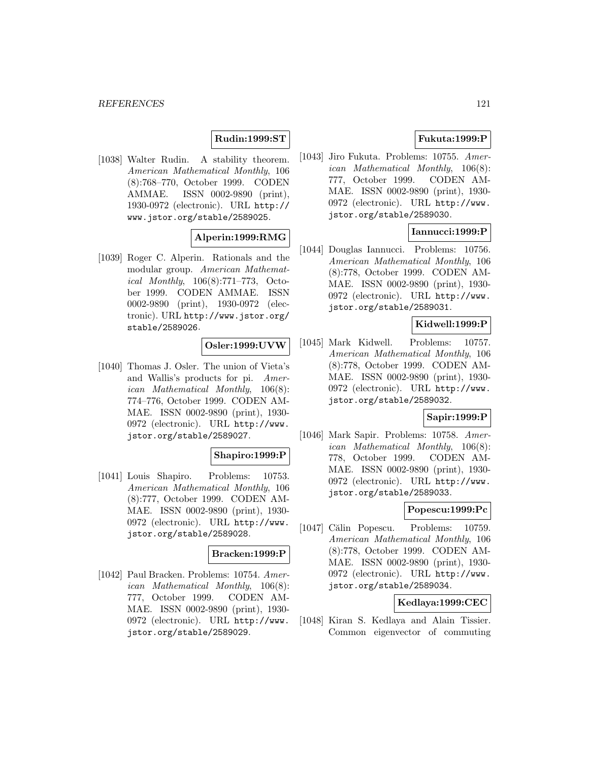# **Rudin:1999:ST**

[1038] Walter Rudin. A stability theorem. American Mathematical Monthly, 106 (8):768–770, October 1999. CODEN AMMAE. ISSN 0002-9890 (print), 1930-0972 (electronic). URL http:// www.jstor.org/stable/2589025.

# **Alperin:1999:RMG**

[1039] Roger C. Alperin. Rationals and the modular group. American Mathematical Monthly, 106(8):771–773, October 1999. CODEN AMMAE. ISSN 0002-9890 (print), 1930-0972 (electronic). URL http://www.jstor.org/ stable/2589026.

## **Osler:1999:UVW**

[1040] Thomas J. Osler. The union of Vieta's and Wallis's products for pi. American Mathematical Monthly, 106(8): 774–776, October 1999. CODEN AM-MAE. ISSN 0002-9890 (print), 1930- 0972 (electronic). URL http://www. jstor.org/stable/2589027.

## **Shapiro:1999:P**

[1041] Louis Shapiro. Problems: 10753. American Mathematical Monthly, 106 (8):777, October 1999. CODEN AM-MAE. ISSN 0002-9890 (print), 1930- 0972 (electronic). URL http://www. jstor.org/stable/2589028.

## **Bracken:1999:P**

[1042] Paul Bracken. Problems: 10754. American Mathematical Monthly, 106(8): 777, October 1999. CODEN AM-MAE. ISSN 0002-9890 (print), 1930- 0972 (electronic). URL http://www. jstor.org/stable/2589029.

# **Fukuta:1999:P**

[1043] Jiro Fukuta. Problems: 10755. American Mathematical Monthly, 106(8): 777, October 1999. CODEN AM-MAE. ISSN 0002-9890 (print), 1930- 0972 (electronic). URL http://www. jstor.org/stable/2589030.

# **Iannucci:1999:P**

[1044] Douglas Iannucci. Problems: 10756. American Mathematical Monthly, 106 (8):778, October 1999. CODEN AM-MAE. ISSN 0002-9890 (print), 1930- 0972 (electronic). URL http://www. jstor.org/stable/2589031.

#### **Kidwell:1999:P**

[1045] Mark Kidwell. Problems: 10757. American Mathematical Monthly, 106 (8):778, October 1999. CODEN AM-MAE. ISSN 0002-9890 (print), 1930- 0972 (electronic). URL http://www. jstor.org/stable/2589032.

#### **Sapir:1999:P**

[1046] Mark Sapir. Problems: 10758. American Mathematical Monthly, 106(8): 778, October 1999. CODEN AM-MAE. ISSN 0002-9890 (print), 1930- 0972 (electronic). URL http://www. jstor.org/stable/2589033.

#### **Popescu:1999:Pc**

[1047] Călin Popescu. Problems: 10759. American Mathematical Monthly, 106 (8):778, October 1999. CODEN AM-MAE. ISSN 0002-9890 (print), 1930- 0972 (electronic). URL http://www. jstor.org/stable/2589034.

# **Kedlaya:1999:CEC**

[1048] Kiran S. Kedlaya and Alain Tissier. Common eigenvector of commuting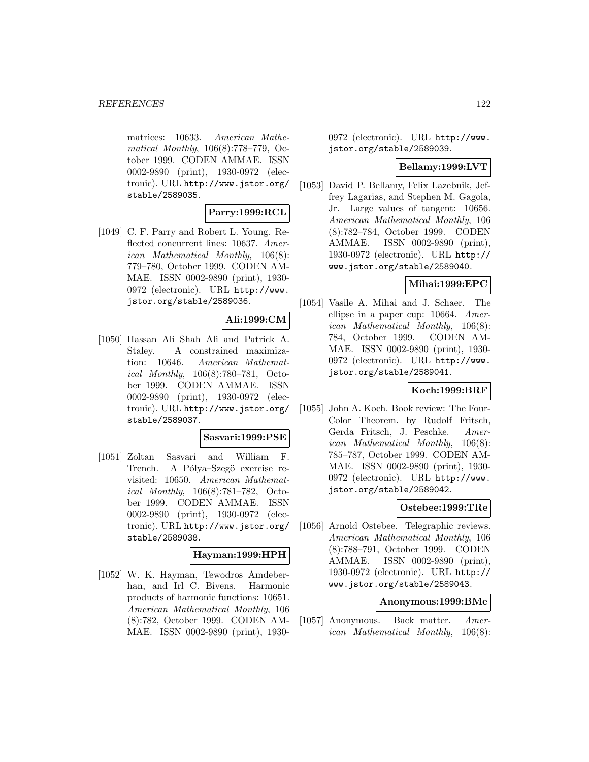matrices: 10633. American Mathematical Monthly, 106(8):778–779, October 1999. CODEN AMMAE. ISSN 0002-9890 (print), 1930-0972 (electronic). URL http://www.jstor.org/ stable/2589035.

#### **Parry:1999:RCL**

[1049] C. F. Parry and Robert L. Young. Reflected concurrent lines: 10637. American Mathematical Monthly, 106(8): 779–780, October 1999. CODEN AM-MAE. ISSN 0002-9890 (print), 1930- 0972 (electronic). URL http://www. jstor.org/stable/2589036.

#### **Ali:1999:CM**

[1050] Hassan Ali Shah Ali and Patrick A. Staley. A constrained maximization: 10646. American Mathematical Monthly, 106(8):780–781, October 1999. CODEN AMMAE. ISSN 0002-9890 (print), 1930-0972 (electronic). URL http://www.jstor.org/ stable/2589037.

#### **Sasvari:1999:PSE**

[1051] Zoltan Sasvari and William F. Trench. A Pólya–Szegö exercise revisited: 10650. American Mathematical Monthly, 106(8):781–782, October 1999. CODEN AMMAE. ISSN 0002-9890 (print), 1930-0972 (electronic). URL http://www.jstor.org/ stable/2589038.

## **Hayman:1999:HPH**

[1052] W. K. Hayman, Tewodros Amdeberhan, and Irl C. Bivens. Harmonic products of harmonic functions: 10651. American Mathematical Monthly, 106 (8):782, October 1999. CODEN AM-MAE. ISSN 0002-9890 (print), 19300972 (electronic). URL http://www. jstor.org/stable/2589039.

### **Bellamy:1999:LVT**

[1053] David P. Bellamy, Felix Lazebnik, Jeffrey Lagarias, and Stephen M. Gagola, Jr. Large values of tangent: 10656. American Mathematical Monthly, 106 (8):782–784, October 1999. CODEN AMMAE. ISSN 0002-9890 (print), 1930-0972 (electronic). URL http:// www.jstor.org/stable/2589040.

## **Mihai:1999:EPC**

[1054] Vasile A. Mihai and J. Schaer. The ellipse in a paper cup: 10664. American Mathematical Monthly, 106(8): 784, October 1999. CODEN AM-MAE. ISSN 0002-9890 (print), 1930- 0972 (electronic). URL http://www. jstor.org/stable/2589041.

#### **Koch:1999:BRF**

[1055] John A. Koch. Book review: The Four-Color Theorem. by Rudolf Fritsch, Gerda Fritsch, J. Peschke. American Mathematical Monthly, 106(8): 785–787, October 1999. CODEN AM-MAE. ISSN 0002-9890 (print), 1930- 0972 (electronic). URL http://www. jstor.org/stable/2589042.

## **Ostebee:1999:TRe**

[1056] Arnold Ostebee. Telegraphic reviews. American Mathematical Monthly, 106 (8):788–791, October 1999. CODEN AMMAE. ISSN 0002-9890 (print), 1930-0972 (electronic). URL http:// www.jstor.org/stable/2589043.

### **Anonymous:1999:BMe**

[1057] Anonymous. Back matter. American Mathematical Monthly, 106(8):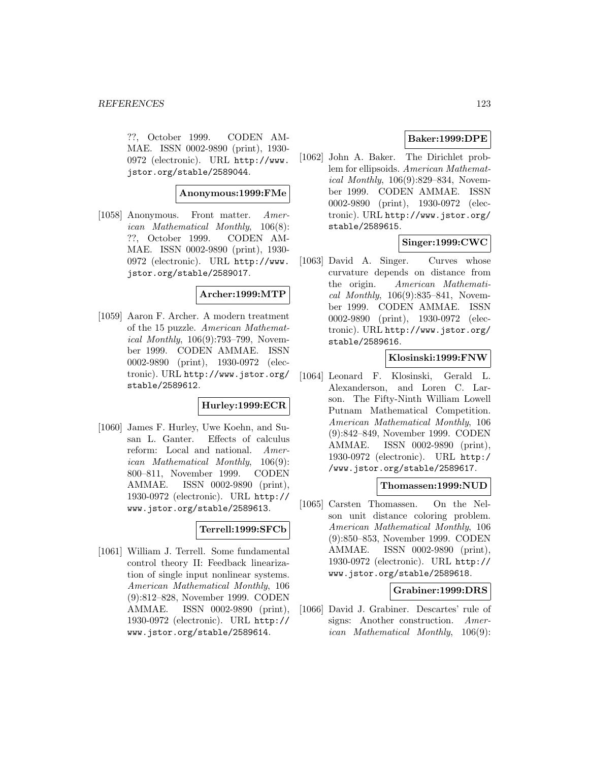??, October 1999. CODEN AM-MAE. ISSN 0002-9890 (print), 1930- 0972 (electronic). URL http://www. jstor.org/stable/2589044.

# **Anonymous:1999:FMe**

[1058] Anonymous. Front matter. American Mathematical Monthly, 106(8): ??, October 1999. CODEN AM-MAE. ISSN 0002-9890 (print), 1930- 0972 (electronic). URL http://www. jstor.org/stable/2589017.

## **Archer:1999:MTP**

[1059] Aaron F. Archer. A modern treatment of the 15 puzzle. American Mathematical Monthly, 106(9):793–799, November 1999. CODEN AMMAE. ISSN 0002-9890 (print), 1930-0972 (electronic). URL http://www.jstor.org/ stable/2589612.

## **Hurley:1999:ECR**

[1060] James F. Hurley, Uwe Koehn, and Susan L. Ganter. Effects of calculus reform: Local and national. American Mathematical Monthly, 106(9): 800–811, November 1999. CODEN AMMAE. ISSN 0002-9890 (print), 1930-0972 (electronic). URL http:// www.jstor.org/stable/2589613.

# **Terrell:1999:SFCb**

[1061] William J. Terrell. Some fundamental control theory II: Feedback linearization of single input nonlinear systems. American Mathematical Monthly, 106 (9):812–828, November 1999. CODEN AMMAE. ISSN 0002-9890 (print), 1930-0972 (electronic). URL http:// www.jstor.org/stable/2589614.

# **Baker:1999:DPE**

[1062] John A. Baker. The Dirichlet problem for ellipsoids. American Mathematical Monthly, 106(9):829–834, November 1999. CODEN AMMAE. ISSN 0002-9890 (print), 1930-0972 (electronic). URL http://www.jstor.org/ stable/2589615.

# **Singer:1999:CWC**

[1063] David A. Singer. Curves whose curvature depends on distance from the origin. American Mathematical Monthly, 106(9):835–841, November 1999. CODEN AMMAE. ISSN 0002-9890 (print), 1930-0972 (electronic). URL http://www.jstor.org/ stable/2589616.

#### **Klosinski:1999:FNW**

[1064] Leonard F. Klosinski, Gerald L. Alexanderson, and Loren C. Larson. The Fifty-Ninth William Lowell Putnam Mathematical Competition. American Mathematical Monthly, 106 (9):842–849, November 1999. CODEN AMMAE. ISSN 0002-9890 (print), 1930-0972 (electronic). URL http:/ /www.jstor.org/stable/2589617.

#### **Thomassen:1999:NUD**

[1065] Carsten Thomassen. On the Nelson unit distance coloring problem. American Mathematical Monthly, 106 (9):850–853, November 1999. CODEN AMMAE. ISSN 0002-9890 (print), 1930-0972 (electronic). URL http:// www.jstor.org/stable/2589618.

#### **Grabiner:1999:DRS**

[1066] David J. Grabiner. Descartes' rule of signs: Another construction. American Mathematical Monthly, 106(9):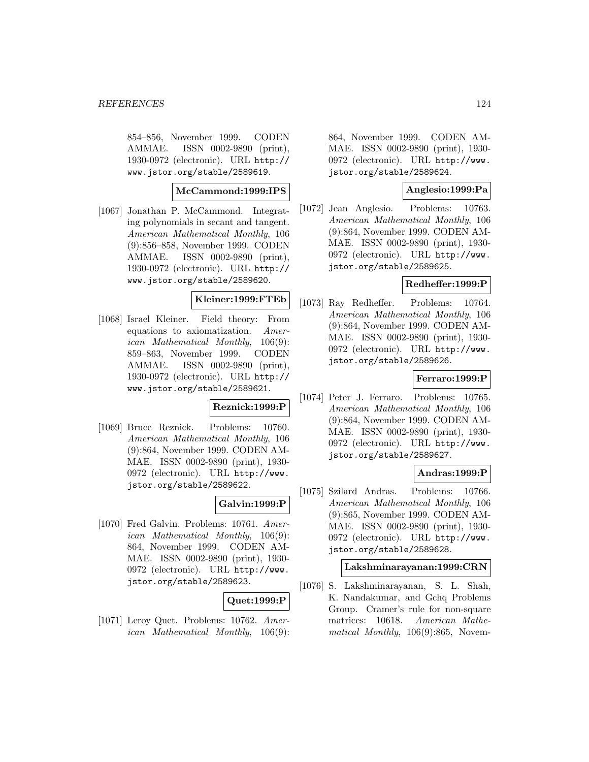854–856, November 1999. CODEN AMMAE. ISSN 0002-9890 (print), 1930-0972 (electronic). URL http:// www.jstor.org/stable/2589619.

### **McCammond:1999:IPS**

[1067] Jonathan P. McCammond. Integrating polynomials in secant and tangent. American Mathematical Monthly, 106 (9):856–858, November 1999. CODEN AMMAE. ISSN 0002-9890 (print), 1930-0972 (electronic). URL http:// www.jstor.org/stable/2589620.

## **Kleiner:1999:FTEb**

[1068] Israel Kleiner. Field theory: From equations to axiomatization. American Mathematical Monthly, 106(9): 859–863, November 1999. CODEN AMMAE. ISSN 0002-9890 (print), 1930-0972 (electronic). URL http:// www.jstor.org/stable/2589621.

# **Reznick:1999:P**

[1069] Bruce Reznick. Problems: 10760. American Mathematical Monthly, 106 (9):864, November 1999. CODEN AM-MAE. ISSN 0002-9890 (print), 1930- 0972 (electronic). URL http://www. jstor.org/stable/2589622.

# **Galvin:1999:P**

[1070] Fred Galvin. Problems: 10761. American Mathematical Monthly, 106(9): 864, November 1999. CODEN AM-MAE. ISSN 0002-9890 (print), 1930- 0972 (electronic). URL http://www. jstor.org/stable/2589623.

# **Quet:1999:P**

[1071] Leroy Quet. Problems: 10762. American Mathematical Monthly, 106(9): 864, November 1999. CODEN AM-MAE. ISSN 0002-9890 (print), 1930- 0972 (electronic). URL http://www. jstor.org/stable/2589624.

# **Anglesio:1999:Pa**

[1072] Jean Anglesio. Problems: 10763. American Mathematical Monthly, 106 (9):864, November 1999. CODEN AM-MAE. ISSN 0002-9890 (print), 1930- 0972 (electronic). URL http://www. jstor.org/stable/2589625.

#### **Redheffer:1999:P**

[1073] Ray Redheffer. Problems: 10764. American Mathematical Monthly, 106 (9):864, November 1999. CODEN AM-MAE. ISSN 0002-9890 (print), 1930- 0972 (electronic). URL http://www. jstor.org/stable/2589626.

## **Ferraro:1999:P**

[1074] Peter J. Ferraro. Problems: 10765. American Mathematical Monthly, 106 (9):864, November 1999. CODEN AM-MAE. ISSN 0002-9890 (print), 1930- 0972 (electronic). URL http://www. jstor.org/stable/2589627.

## **Andras:1999:P**

[1075] Szilard Andras. Problems: 10766. American Mathematical Monthly, 106 (9):865, November 1999. CODEN AM-MAE. ISSN 0002-9890 (print), 1930- 0972 (electronic). URL http://www. jstor.org/stable/2589628.

#### **Lakshminarayanan:1999:CRN**

[1076] S. Lakshminarayanan, S. L. Shah, K. Nandakumar, and Gchq Problems Group. Cramer's rule for non-square matrices: 10618. American Mathematical Monthly, 106(9):865, Novem-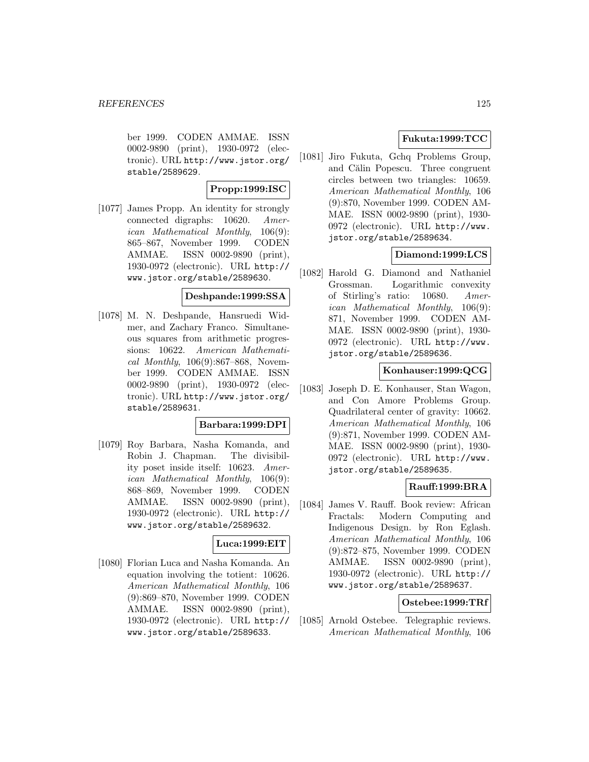ber 1999. CODEN AMMAE. ISSN 0002-9890 (print), 1930-0972 (electronic). URL http://www.jstor.org/ stable/2589629.

## **Propp:1999:ISC**

[1077] James Propp. An identity for strongly connected digraphs: 10620. American Mathematical Monthly, 106(9): 865–867, November 1999. CODEN AMMAE. ISSN 0002-9890 (print), 1930-0972 (electronic). URL http:// www.jstor.org/stable/2589630.

## **Deshpande:1999:SSA**

[1078] M. N. Deshpande, Hansruedi Widmer, and Zachary Franco. Simultaneous squares from arithmetic progressions: 10622. American Mathematical Monthly,  $106(9):867-868$ , November 1999. CODEN AMMAE. ISSN 0002-9890 (print), 1930-0972 (electronic). URL http://www.jstor.org/ stable/2589631.

#### **Barbara:1999:DPI**

[1079] Roy Barbara, Nasha Komanda, and Robin J. Chapman. The divisibility poset inside itself: 10623. American Mathematical Monthly, 106(9): 868–869, November 1999. CODEN AMMAE. ISSN 0002-9890 (print), 1930-0972 (electronic). URL http:// www.jstor.org/stable/2589632.

#### **Luca:1999:EIT**

[1080] Florian Luca and Nasha Komanda. An equation involving the totient: 10626. American Mathematical Monthly, 106 (9):869–870, November 1999. CODEN AMMAE. ISSN 0002-9890 (print), 1930-0972 (electronic). URL http:// www.jstor.org/stable/2589633.

# **Fukuta:1999:TCC**

[1081] Jiro Fukuta, Gchq Problems Group, and Călin Popescu. Three congruent circles between two triangles: 10659. American Mathematical Monthly, 106 (9):870, November 1999. CODEN AM-MAE. ISSN 0002-9890 (print), 1930- 0972 (electronic). URL http://www. jstor.org/stable/2589634.

# **Diamond:1999:LCS**

[1082] Harold G. Diamond and Nathaniel Grossman. Logarithmic convexity of Stirling's ratio: 10680. American Mathematical Monthly, 106(9): 871, November 1999. CODEN AM-MAE. ISSN 0002-9890 (print), 1930- 0972 (electronic). URL http://www. jstor.org/stable/2589636.

#### **Konhauser:1999:QCG**

[1083] Joseph D. E. Konhauser, Stan Wagon, and Con Amore Problems Group. Quadrilateral center of gravity: 10662. American Mathematical Monthly, 106 (9):871, November 1999. CODEN AM-MAE. ISSN 0002-9890 (print), 1930- 0972 (electronic). URL http://www. jstor.org/stable/2589635.

## **Rauff:1999:BRA**

[1084] James V. Rauff. Book review: African Fractals: Modern Computing and Indigenous Design. by Ron Eglash. American Mathematical Monthly, 106 (9):872–875, November 1999. CODEN AMMAE. ISSN 0002-9890 (print), 1930-0972 (electronic). URL http:// www.jstor.org/stable/2589637.

### **Ostebee:1999:TRf**

[1085] Arnold Ostebee. Telegraphic reviews. American Mathematical Monthly, 106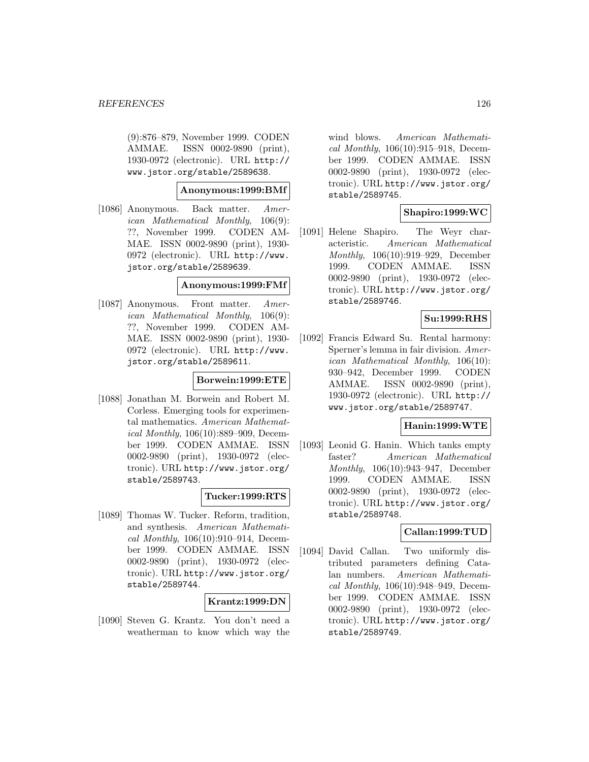(9):876–879, November 1999. CODEN AMMAE. ISSN 0002-9890 (print), 1930-0972 (electronic). URL http:// www.jstor.org/stable/2589638.

**Anonymous:1999:BMf**

[1086] Anonymous. Back matter. American Mathematical Monthly, 106(9): ??, November 1999. CODEN AM-MAE. ISSN 0002-9890 (print), 1930- 0972 (electronic). URL http://www. jstor.org/stable/2589639.

## **Anonymous:1999:FMf**

[1087] Anonymous. Front matter. American Mathematical Monthly, 106(9): ??, November 1999. CODEN AM-MAE. ISSN 0002-9890 (print), 1930- 0972 (electronic). URL http://www. jstor.org/stable/2589611.

### **Borwein:1999:ETE**

[1088] Jonathan M. Borwein and Robert M. Corless. Emerging tools for experimental mathematics. American Mathematical Monthly, 106(10):889–909, December 1999. CODEN AMMAE. ISSN 0002-9890 (print), 1930-0972 (electronic). URL http://www.jstor.org/ stable/2589743.

#### **Tucker:1999:RTS**

[1089] Thomas W. Tucker. Reform, tradition, and synthesis. American Mathematical Monthly, 106(10):910–914, December 1999. CODEN AMMAE. ISSN 0002-9890 (print), 1930-0972 (electronic). URL http://www.jstor.org/ stable/2589744.

## **Krantz:1999:DN**

[1090] Steven G. Krantz. You don't need a weatherman to know which way the

wind blows. American Mathematical Monthly, 106(10):915–918, December 1999. CODEN AMMAE. ISSN 0002-9890 (print), 1930-0972 (electronic). URL http://www.jstor.org/ stable/2589745.

# **Shapiro:1999:WC**

[1091] Helene Shapiro. The Weyr characteristic. American Mathematical Monthly, 106(10):919–929, December 1999. CODEN AMMAE. ISSN 0002-9890 (print), 1930-0972 (electronic). URL http://www.jstor.org/ stable/2589746.

# **Su:1999:RHS**

[1092] Francis Edward Su. Rental harmony: Sperner's lemma in fair division. American Mathematical Monthly, 106(10): 930–942, December 1999. CODEN AMMAE. ISSN 0002-9890 (print), 1930-0972 (electronic). URL http:// www.jstor.org/stable/2589747.

## **Hanin:1999:WTE**

[1093] Leonid G. Hanin. Which tanks empty faster? American Mathematical Monthly, 106(10):943–947, December 1999. CODEN AMMAE. ISSN 0002-9890 (print), 1930-0972 (electronic). URL http://www.jstor.org/ stable/2589748.

## **Callan:1999:TUD**

[1094] David Callan. Two uniformly distributed parameters defining Catalan numbers. American Mathematical Monthly, 106(10):948–949, December 1999. CODEN AMMAE. ISSN 0002-9890 (print), 1930-0972 (electronic). URL http://www.jstor.org/ stable/2589749.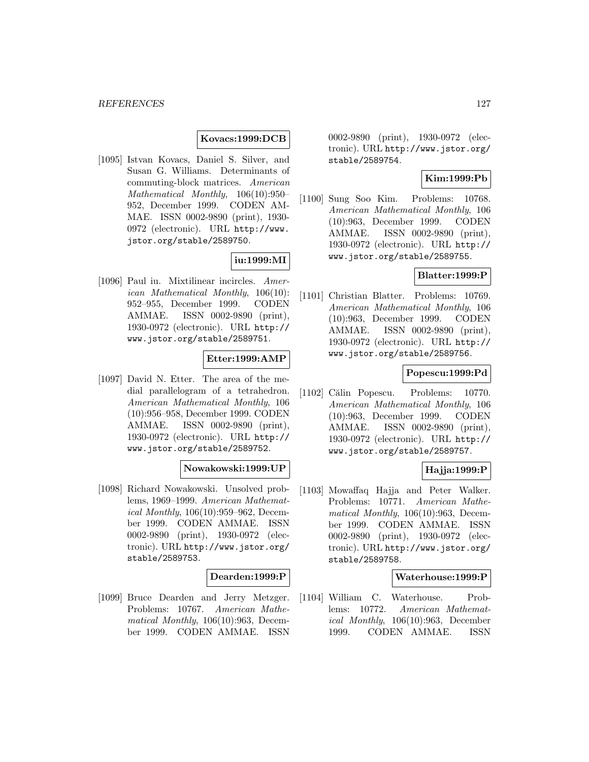## **Kovacs:1999:DCB**

[1095] Istvan Kovacs, Daniel S. Silver, and Susan G. Williams. Determinants of commuting-block matrices. American Mathematical Monthly, 106(10):950– 952, December 1999. CODEN AM-MAE. ISSN 0002-9890 (print), 1930- 0972 (electronic). URL http://www. jstor.org/stable/2589750.

## **iu:1999:MI**

[1096] Paul iu. Mixtilinear incircles. American Mathematical Monthly, 106(10): 952–955, December 1999. CODEN AMMAE. ISSN 0002-9890 (print), 1930-0972 (electronic). URL http:// www.jstor.org/stable/2589751.

# **Etter:1999:AMP**

[1097] David N. Etter. The area of the medial parallelogram of a tetrahedron. American Mathematical Monthly, 106 (10):956–958, December 1999. CODEN AMMAE. ISSN 0002-9890 (print), 1930-0972 (electronic). URL http:// www.jstor.org/stable/2589752.

#### **Nowakowski:1999:UP**

[1098] Richard Nowakowski. Unsolved problems, 1969–1999. American Mathematical Monthly, 106(10):959–962, December 1999. CODEN AMMAE. ISSN 0002-9890 (print), 1930-0972 (electronic). URL http://www.jstor.org/ stable/2589753.

#### **Dearden:1999:P**

[1099] Bruce Dearden and Jerry Metzger. Problems: 10767. American Mathematical Monthly, 106(10):963, December 1999. CODEN AMMAE. ISSN

0002-9890 (print), 1930-0972 (electronic). URL http://www.jstor.org/ stable/2589754.

## **Kim:1999:Pb**

[1100] Sung Soo Kim. Problems: 10768. American Mathematical Monthly, 106 (10):963, December 1999. CODEN AMMAE. ISSN 0002-9890 (print), 1930-0972 (electronic). URL http:// www.jstor.org/stable/2589755.

## **Blatter:1999:P**

[1101] Christian Blatter. Problems: 10769. American Mathematical Monthly, 106 (10):963, December 1999. CODEN AMMAE. ISSN 0002-9890 (print), 1930-0972 (electronic). URL http:// www.jstor.org/stable/2589756.

#### **Popescu:1999:Pd**

 $[1102]$  Călin Popescu. Problems: 10770. American Mathematical Monthly, 106 (10):963, December 1999. CODEN AMMAE. ISSN 0002-9890 (print), 1930-0972 (electronic). URL http:// www.jstor.org/stable/2589757.

#### **Hajja:1999:P**

[1103] Mowaffaq Hajja and Peter Walker. Problems: 10771. American Mathematical Monthly, 106(10):963, December 1999. CODEN AMMAE. ISSN 0002-9890 (print), 1930-0972 (electronic). URL http://www.jstor.org/ stable/2589758.

### **Waterhouse:1999:P**

[1104] William C. Waterhouse. Problems: 10772. American Mathematical Monthly, 106(10):963, December 1999. CODEN AMMAE. ISSN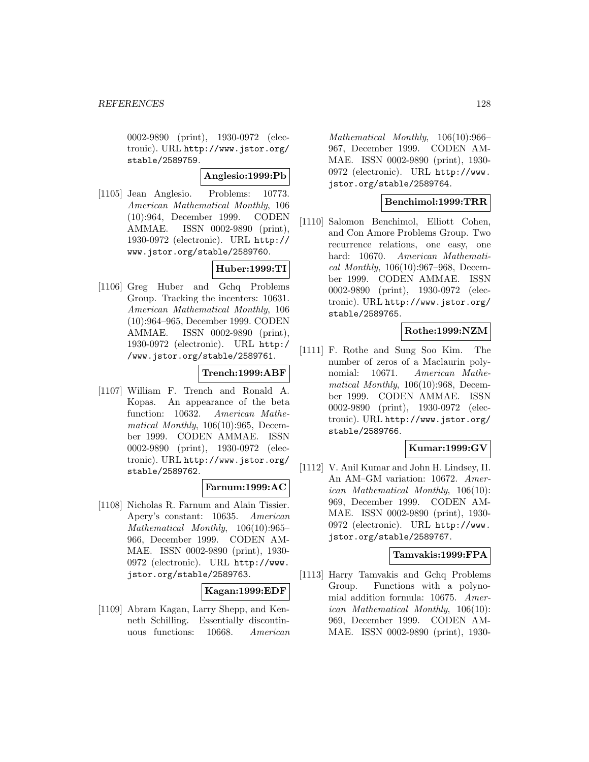0002-9890 (print), 1930-0972 (electronic). URL http://www.jstor.org/ stable/2589759.

# **Anglesio:1999:Pb**

[1105] Jean Anglesio. Problems: 10773. American Mathematical Monthly, 106 (10):964, December 1999. CODEN AMMAE. ISSN 0002-9890 (print), 1930-0972 (electronic). URL http:// www.jstor.org/stable/2589760.

# **Huber:1999:TI**

[1106] Greg Huber and Gchq Problems Group. Tracking the incenters: 10631. American Mathematical Monthly, 106 (10):964–965, December 1999. CODEN AMMAE. ISSN 0002-9890 (print), 1930-0972 (electronic). URL http:/ /www.jstor.org/stable/2589761.

# **Trench:1999:ABF**

[1107] William F. Trench and Ronald A. Kopas. An appearance of the beta function: 10632. American Mathematical Monthly, 106(10):965, December 1999. CODEN AMMAE. ISSN 0002-9890 (print), 1930-0972 (electronic). URL http://www.jstor.org/ stable/2589762.

## **Farnum:1999:AC**

[1108] Nicholas R. Farnum and Alain Tissier. Apery's constant: 10635. American Mathematical Monthly, 106(10):965– 966, December 1999. CODEN AM-MAE. ISSN 0002-9890 (print), 1930- 0972 (electronic). URL http://www. jstor.org/stable/2589763.

## **Kagan:1999:EDF**

[1109] Abram Kagan, Larry Shepp, and Kenneth Schilling. Essentially discontinuous functions: 10668. American

Mathematical Monthly, 106(10):966– 967, December 1999. CODEN AM-MAE. ISSN 0002-9890 (print), 1930- 0972 (electronic). URL http://www. jstor.org/stable/2589764.

# **Benchimol:1999:TRR**

[1110] Salomon Benchimol, Elliott Cohen, and Con Amore Problems Group. Two recurrence relations, one easy, one hard: 10670. American Mathematical Monthly, 106(10):967–968, December 1999. CODEN AMMAE. ISSN 0002-9890 (print), 1930-0972 (electronic). URL http://www.jstor.org/ stable/2589765.

# **Rothe:1999:NZM**

[1111] F. Rothe and Sung Soo Kim. The number of zeros of a Maclaurin polynomial: 10671. American Mathematical Monthly, 106(10):968, December 1999. CODEN AMMAE. ISSN 0002-9890 (print), 1930-0972 (electronic). URL http://www.jstor.org/ stable/2589766.

# **Kumar:1999:GV**

[1112] V. Anil Kumar and John H. Lindsey, II. An AM–GM variation: 10672. American Mathematical Monthly, 106(10): 969, December 1999. CODEN AM-MAE. ISSN 0002-9890 (print), 1930- 0972 (electronic). URL http://www. jstor.org/stable/2589767.

## **Tamvakis:1999:FPA**

[1113] Harry Tamvakis and Gchq Problems Group. Functions with a polynomial addition formula: 10675. American Mathematical Monthly, 106(10): 969, December 1999. CODEN AM-MAE. ISSN 0002-9890 (print), 1930